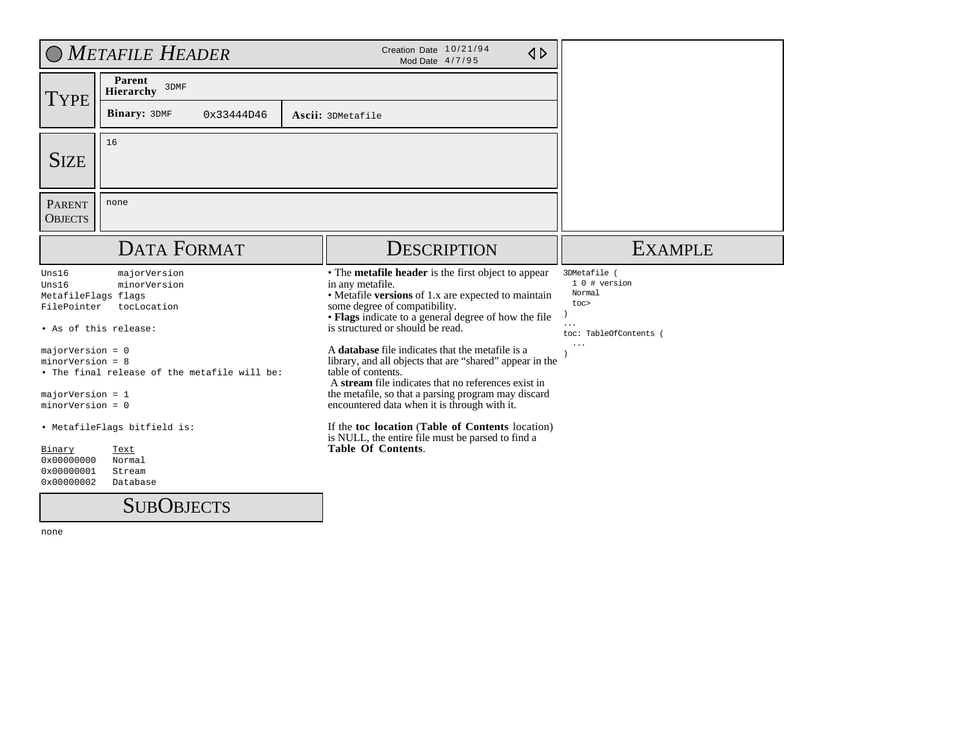|                                                                               | O METAFILE HEADER                            | Creation Date 10/21/94<br>$\triangle$<br>Mod Date 4/7/95                                                                                                                                                                                                    |                                                                           |
|-------------------------------------------------------------------------------|----------------------------------------------|-------------------------------------------------------------------------------------------------------------------------------------------------------------------------------------------------------------------------------------------------------------|---------------------------------------------------------------------------|
| <b>TYPE</b>                                                                   | Parent<br>3DMF<br><b>Hierarchy</b>           |                                                                                                                                                                                                                                                             |                                                                           |
|                                                                               | <b>Binary: 3DMF</b><br>0x33444D46            | Ascii: 3DMetafile                                                                                                                                                                                                                                           |                                                                           |
| <b>SIZE</b>                                                                   | 16                                           |                                                                                                                                                                                                                                                             |                                                                           |
| <b>PARENT</b><br><b>OBJECTS</b>                                               | none                                         |                                                                                                                                                                                                                                                             |                                                                           |
|                                                                               | <b>DATA FORMAT</b>                           | <b>DESCRIPTION</b>                                                                                                                                                                                                                                          | <b>EXAMPLE</b>                                                            |
| Uns16<br>Uns16<br>MetafileFlags flags<br>FilePointer<br>• As of this release: | majorVersion<br>minorVersion<br>tocLocation  | • The metafile header is the first object to appear<br>in any metafile.<br>• Metafile versions of 1.x are expected to maintain<br>some degree of compatibility.<br>• Flags indicate to a general degree of how the file<br>is structured or should be read. | 3DMetafile (<br>1 0 # version<br>Normal<br>toc><br>toc: TableOfContents ( |
| $majorVersion = 0$<br>$minorVersion = 8$                                      | . The final release of the metafile will be: | A <b>database</b> file indicates that the metafile is a<br>library, and all objects that are "shared" appear in the<br>table of contents.<br>A stream file indicates that no references exist in                                                            |                                                                           |
| $majorVersion = 1$<br>$minorVersion = 0$                                      |                                              | the metafile, so that a parsing program may discard<br>encountered data when it is through with it.                                                                                                                                                         |                                                                           |
|                                                                               | . MetafileFlags bitfield is:                 | If the toc location (Table of Contents location)<br>is NULL, the entire file must be parsed to find a                                                                                                                                                       |                                                                           |
| Binary<br>0x00000000<br>0x00000001<br>0x00000002                              | Text<br>Normal<br>Stream<br>Database         | <b>Table Of Contents.</b>                                                                                                                                                                                                                                   |                                                                           |

**SUBOBJECTS**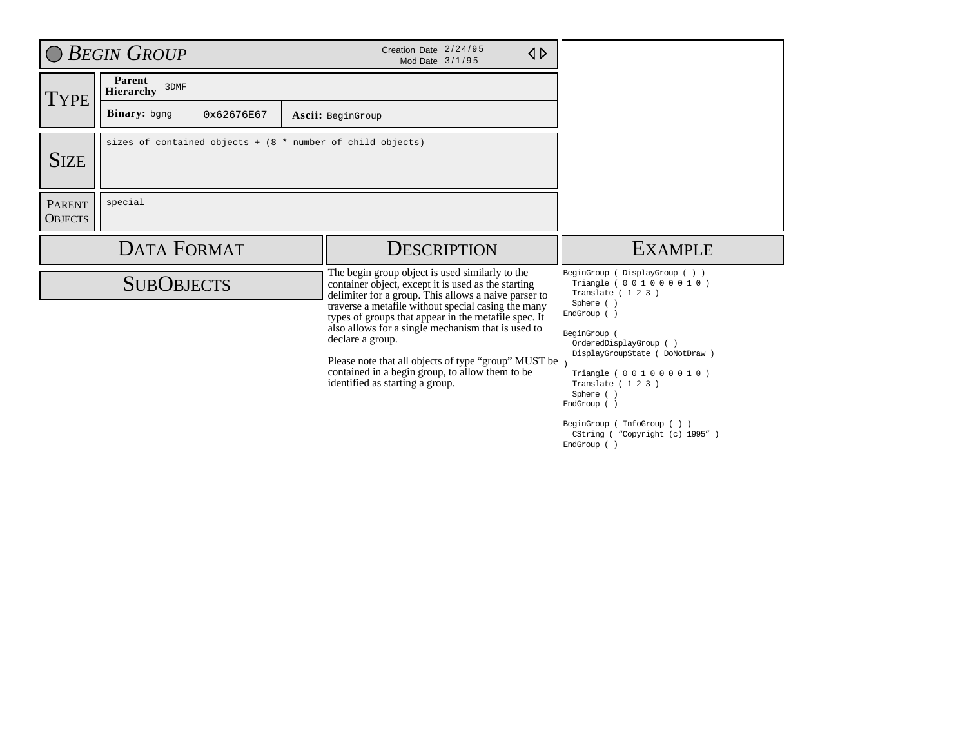|                                 | <b>BEGIN GROUP</b>                                           | Creation Date 2/24/95<br>$\triangle$<br>Mod Date 3/1/95                                                                                                                                                                                                                                                                                                                                                                                                                                               |                                                                                                                                                                                                                                                                                                                                                                   |
|---------------------------------|--------------------------------------------------------------|-------------------------------------------------------------------------------------------------------------------------------------------------------------------------------------------------------------------------------------------------------------------------------------------------------------------------------------------------------------------------------------------------------------------------------------------------------------------------------------------------------|-------------------------------------------------------------------------------------------------------------------------------------------------------------------------------------------------------------------------------------------------------------------------------------------------------------------------------------------------------------------|
| Type                            | Parent<br>3DMF<br><b>Hierarchy</b>                           |                                                                                                                                                                                                                                                                                                                                                                                                                                                                                                       |                                                                                                                                                                                                                                                                                                                                                                   |
|                                 | Binary: bgng<br>0x62676E67                                   | Ascii: BeginGroup                                                                                                                                                                                                                                                                                                                                                                                                                                                                                     |                                                                                                                                                                                                                                                                                                                                                                   |
| <b>SIZE</b>                     | sizes of contained objects + $(8 * number of child objects)$ |                                                                                                                                                                                                                                                                                                                                                                                                                                                                                                       |                                                                                                                                                                                                                                                                                                                                                                   |
| <b>PARENT</b><br><b>OBJECTS</b> | special                                                      |                                                                                                                                                                                                                                                                                                                                                                                                                                                                                                       |                                                                                                                                                                                                                                                                                                                                                                   |
|                                 | <b>DATA FORMAT</b>                                           | <b>DESCRIPTION</b>                                                                                                                                                                                                                                                                                                                                                                                                                                                                                    | <b>EXAMPLE</b>                                                                                                                                                                                                                                                                                                                                                    |
|                                 | <b>SUBOBJECTS</b>                                            | The begin group object is used similarly to the<br>container object, except it is used as the starting<br>delimiter for a group. This allows a naive parser to<br>traverse a metafile without special casing the many<br>types of groups that appear in the metafile spec. It<br>also allows for a single mechanism that is used to<br>declare a group.<br>Please note that all objects of type "group" MUST be<br>contained in a begin group, to allow them to be<br>identified as starting a group. | BeginGroup ( DisplayGroup ( ) )<br>Triangle ( 0 0 1 0 0 0 0 1 0 )<br>Translate $(123)$<br>Sphere ()<br>EndGroup ()<br>BeginGroup<br>OrderedDisplayGroup ()<br>DisplayGroupState ( DoNotDraw )<br>Triangle ( 0 0 1 0 0 0 0 1 0 )<br>Translate (123)<br>Sphere ()<br>EndGroup ()<br>BeginGroup ( InfoGroup ( ) )<br>CString ( "Copyright (c) 1995" )<br>EndGroup () |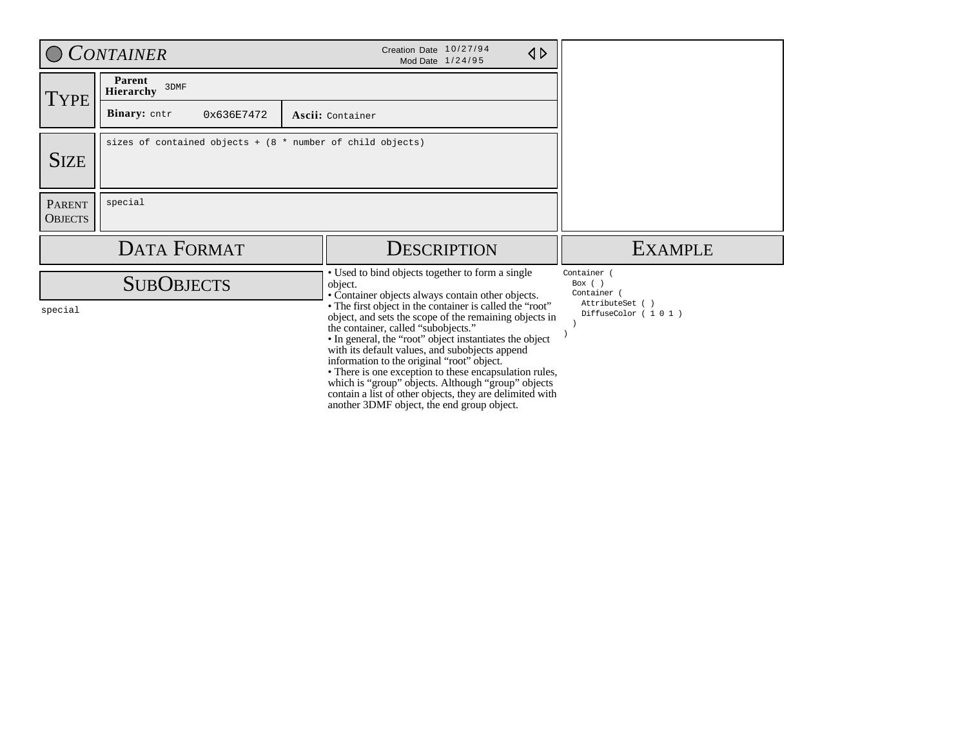|                                 | <b>CONTAINER</b>                                             | Creation Date 10/27/94<br>$\triangle$<br>Mod Date 1/24/95                                                                                                                                                                                                                                                                                                                                                                                                                                                                                                                                                                                                          |                                                                                  |
|---------------------------------|--------------------------------------------------------------|--------------------------------------------------------------------------------------------------------------------------------------------------------------------------------------------------------------------------------------------------------------------------------------------------------------------------------------------------------------------------------------------------------------------------------------------------------------------------------------------------------------------------------------------------------------------------------------------------------------------------------------------------------------------|----------------------------------------------------------------------------------|
| TYPE <sup>'</sup>               | Parent<br>3DMF<br>Hierarchy                                  |                                                                                                                                                                                                                                                                                                                                                                                                                                                                                                                                                                                                                                                                    |                                                                                  |
|                                 | <b>Binary:</b> cntr<br>0x636E7472                            | Ascii: Container                                                                                                                                                                                                                                                                                                                                                                                                                                                                                                                                                                                                                                                   |                                                                                  |
| <b>SIZE</b>                     | sizes of contained objects + $(8 * number of child objects)$ |                                                                                                                                                                                                                                                                                                                                                                                                                                                                                                                                                                                                                                                                    |                                                                                  |
| <b>PARENT</b><br><b>OBJECTS</b> | special                                                      |                                                                                                                                                                                                                                                                                                                                                                                                                                                                                                                                                                                                                                                                    |                                                                                  |
|                                 | <b>DATA FORMAT</b>                                           | <b>DESCRIPTION</b>                                                                                                                                                                                                                                                                                                                                                                                                                                                                                                                                                                                                                                                 | <b>EXAMPLE</b>                                                                   |
| special                         | <b>SUBOBJECTS</b>                                            | • Used to bind objects together to form a single<br>object.<br>• Container objects always contain other objects.<br>• The first object in the container is called the "root"<br>object, and sets the scope of the remaining objects in<br>the container, called "subobjects."<br>• In general, the "root" object instantiates the object<br>with its default values, and subobjects append<br>information to the original "root" object.<br>• There is one exception to these encapsulation rules,<br>which is "group" objects. Although "group" objects<br>contain a list of other objects, they are delimited with<br>another 3DMF object, the end group object. | Container (<br>Box $( )$<br>Container (<br>AttributeSet ()<br>DiffuseColor (101) |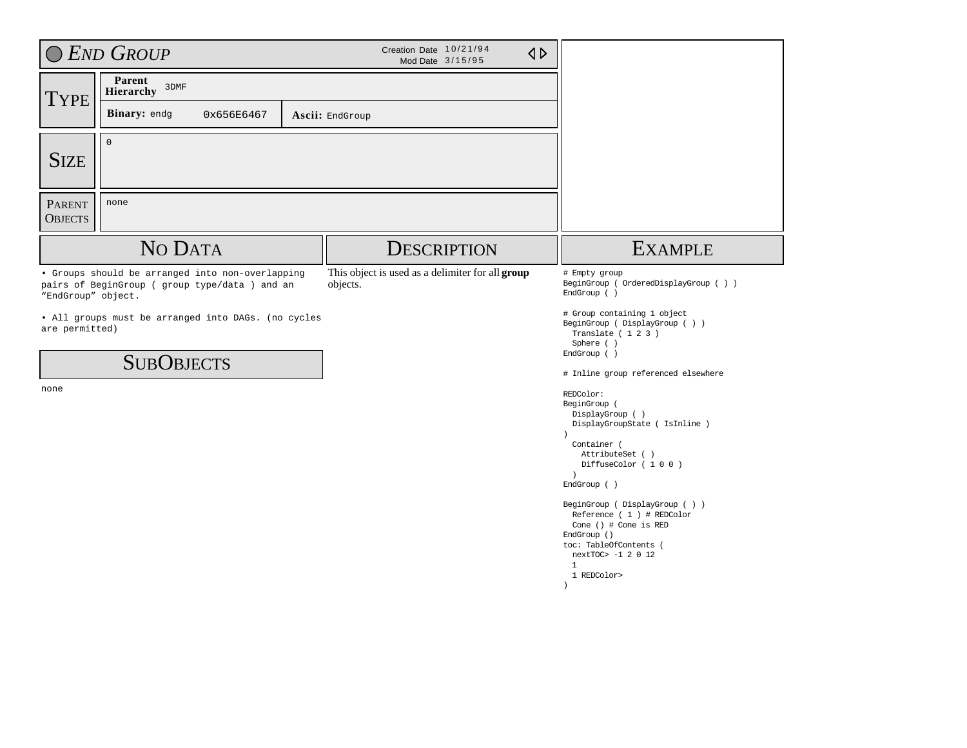|                                 | C END GROUP                                                                                      |  |                                                              |                                                                                                                                                                                                                                                                                                                                                                                                                                                                                                                                                                                                    |  |  |
|---------------------------------|--------------------------------------------------------------------------------------------------|--|--------------------------------------------------------------|----------------------------------------------------------------------------------------------------------------------------------------------------------------------------------------------------------------------------------------------------------------------------------------------------------------------------------------------------------------------------------------------------------------------------------------------------------------------------------------------------------------------------------------------------------------------------------------------------|--|--|
| <b>TYPE</b>                     | Parent<br>3DMF<br>Hierarchy                                                                      |  |                                                              |                                                                                                                                                                                                                                                                                                                                                                                                                                                                                                                                                                                                    |  |  |
|                                 | Binary: endg<br>0x656E6467                                                                       |  | Ascii: EndGroup                                              |                                                                                                                                                                                                                                                                                                                                                                                                                                                                                                                                                                                                    |  |  |
| <b>SIZE</b>                     | $\mathbf 0$                                                                                      |  |                                                              |                                                                                                                                                                                                                                                                                                                                                                                                                                                                                                                                                                                                    |  |  |
| <b>PARENT</b><br><b>OBJECTS</b> | none                                                                                             |  |                                                              |                                                                                                                                                                                                                                                                                                                                                                                                                                                                                                                                                                                                    |  |  |
|                                 | NO DATA                                                                                          |  | <b>DESCRIPTION</b>                                           | <b>EXAMPLE</b>                                                                                                                                                                                                                                                                                                                                                                                                                                                                                                                                                                                     |  |  |
| "EndGroup" object.              | • Groups should be arranged into non-overlapping<br>pairs of BeginGroup (group type/data) and an |  | This object is used as a delimiter for all group<br>objects. | # Empty group<br>BeginGroup ( OrderedDisplayGroup ( ) )<br>EndGroup ()                                                                                                                                                                                                                                                                                                                                                                                                                                                                                                                             |  |  |
| are permitted)<br>none          | . All groups must be arranged into DAGs. (no cycles<br><b>SUBOBJECTS</b>                         |  |                                                              | # Group containing 1 object<br>BeginGroup ( DisplayGroup ( ) )<br>Translate (123)<br>Sphere ()<br>EndGroup ()<br># Inline group referenced elsewhere<br>REDColor:<br>BeginGroup (<br>DisplayGroup ()<br>DisplayGroupState ( IsInline )<br>$\lambda$<br>Container (<br>AttributeSet ()<br>DiffuseColor (100)<br>$\rightarrow$<br>EndGroup ( )<br>$\texttt{BeginGroup}\ \left(\ \texttt{DisplayGroup}\ \left(\ \ \right)\ \ \right)$<br>Reference (1) # REDColor<br>Cone () # Cone is RED<br>EndGroup ()<br>toc: TableOfContents (<br>nextTOC> -1 2 0 12<br>$\mathbf{1}$<br>1 REDColor><br>$\lambda$ |  |  |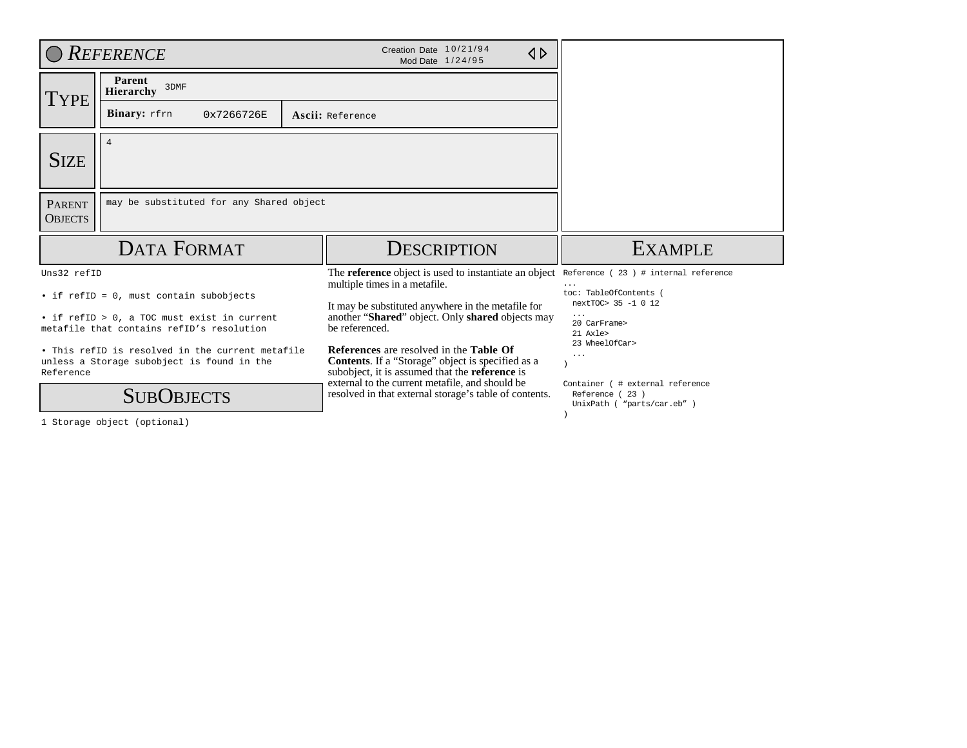|                                 | <b>REFERENCE</b>                                                                                                                    | Creation Date 10/21/94<br>$\triangle$<br>Mod Date 1/24/95                                                                                                                                                                     |                                                                            |
|---------------------------------|-------------------------------------------------------------------------------------------------------------------------------------|-------------------------------------------------------------------------------------------------------------------------------------------------------------------------------------------------------------------------------|----------------------------------------------------------------------------|
| <b>TYPE</b>                     | Parent<br>3DMF<br><b>Hierarchy</b>                                                                                                  |                                                                                                                                                                                                                               |                                                                            |
|                                 | Binary: rfrn<br>0x7266726E                                                                                                          | Ascii: Reference                                                                                                                                                                                                              |                                                                            |
| <b>SIZE</b>                     | $\overline{4}$                                                                                                                      |                                                                                                                                                                                                                               |                                                                            |
| <b>PARENT</b><br><b>OBJECTS</b> | may be substituted for any Shared object                                                                                            |                                                                                                                                                                                                                               |                                                                            |
|                                 |                                                                                                                                     |                                                                                                                                                                                                                               |                                                                            |
|                                 | <b>DATA FORMAT</b>                                                                                                                  | <b>DESCRIPTION</b>                                                                                                                                                                                                            | <b>EXAMPLE</b>                                                             |
| Uns32 refID                     |                                                                                                                                     | The <b>reference</b> object is used to instantiate an object<br>multiple times in a metafile.                                                                                                                                 | Reference ( $23$ ) # internal reference<br>.<br>toc: TableOfContents       |
|                                 | • if refID = 0, must contain subobjects<br>• if refID > 0, a TOC must exist in current<br>metafile that contains refID's resolution | It may be substituted anywhere in the metafile for<br>another "Shared" object. Only shared objects may<br>be referenced.                                                                                                      | nextTOC> 35 -1 0 12<br>$\cdot$ $\cdot$ $\cdot$<br>20 CarFrame><br>21 Axle> |
| Reference                       | . This refID is resolved in the current metafile<br>unless a Storage subobject is found in the                                      | <b>References</b> are resolved in the <b>Table Of</b><br><b>Contents.</b> If a "Storage" object is specified as a<br>subobject, it is assumed that the <b>reference</b> is<br>external to the current metafile, and should be | 23 WheelOfCar><br>$\cdots$<br>Container ( # external reference             |

1 Storage object (optional)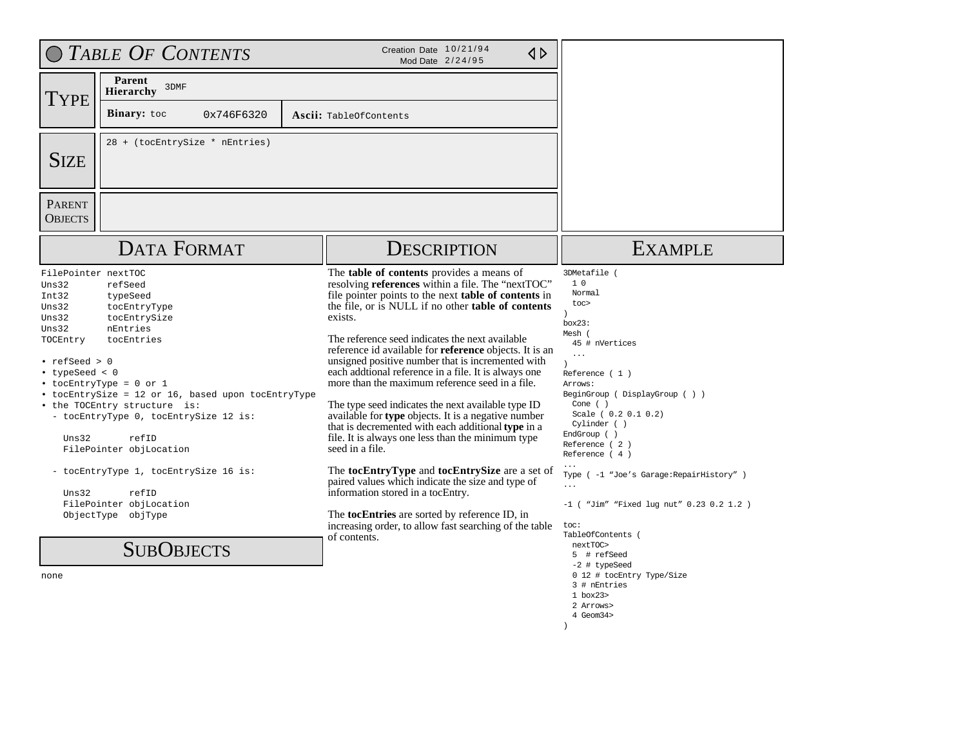| O TABLE OF CONTENTS                                                                                                                                                                                                                                                                                                                                                                                                                                                                                                                                               |            |                                                                                                                                                                                                                                                                                                                                                                                                                                                                                                                                                                                                                                                                                                                                                                                                                                                                                                                                                                                                                                                    |                                                                                                                                                                                                                                                                                                                                                                                                                                                                                                                                                                       |
|-------------------------------------------------------------------------------------------------------------------------------------------------------------------------------------------------------------------------------------------------------------------------------------------------------------------------------------------------------------------------------------------------------------------------------------------------------------------------------------------------------------------------------------------------------------------|------------|----------------------------------------------------------------------------------------------------------------------------------------------------------------------------------------------------------------------------------------------------------------------------------------------------------------------------------------------------------------------------------------------------------------------------------------------------------------------------------------------------------------------------------------------------------------------------------------------------------------------------------------------------------------------------------------------------------------------------------------------------------------------------------------------------------------------------------------------------------------------------------------------------------------------------------------------------------------------------------------------------------------------------------------------------|-----------------------------------------------------------------------------------------------------------------------------------------------------------------------------------------------------------------------------------------------------------------------------------------------------------------------------------------------------------------------------------------------------------------------------------------------------------------------------------------------------------------------------------------------------------------------|
| Parent<br>3DMF<br><b>Hierarchy</b><br><b>TYPE</b>                                                                                                                                                                                                                                                                                                                                                                                                                                                                                                                 |            |                                                                                                                                                                                                                                                                                                                                                                                                                                                                                                                                                                                                                                                                                                                                                                                                                                                                                                                                                                                                                                                    |                                                                                                                                                                                                                                                                                                                                                                                                                                                                                                                                                                       |
| <b>Binary:</b> toc                                                                                                                                                                                                                                                                                                                                                                                                                                                                                                                                                | 0x746F6320 | Ascii: TableOfContents                                                                                                                                                                                                                                                                                                                                                                                                                                                                                                                                                                                                                                                                                                                                                                                                                                                                                                                                                                                                                             |                                                                                                                                                                                                                                                                                                                                                                                                                                                                                                                                                                       |
| 28 + (tocEntrySize * nEntries)<br><b>SIZE</b>                                                                                                                                                                                                                                                                                                                                                                                                                                                                                                                     |            |                                                                                                                                                                                                                                                                                                                                                                                                                                                                                                                                                                                                                                                                                                                                                                                                                                                                                                                                                                                                                                                    |                                                                                                                                                                                                                                                                                                                                                                                                                                                                                                                                                                       |
| PARENT<br><b>OBJECTS</b>                                                                                                                                                                                                                                                                                                                                                                                                                                                                                                                                          |            |                                                                                                                                                                                                                                                                                                                                                                                                                                                                                                                                                                                                                                                                                                                                                                                                                                                                                                                                                                                                                                                    |                                                                                                                                                                                                                                                                                                                                                                                                                                                                                                                                                                       |
| <b>DATA FORMAT</b>                                                                                                                                                                                                                                                                                                                                                                                                                                                                                                                                                |            | <b>DESCRIPTION</b>                                                                                                                                                                                                                                                                                                                                                                                                                                                                                                                                                                                                                                                                                                                                                                                                                                                                                                                                                                                                                                 | <b>EXAMPLE</b>                                                                                                                                                                                                                                                                                                                                                                                                                                                                                                                                                        |
| FilePointer nextTOC<br>Uns32<br>refSeed<br>Int32<br>typeSeed<br>Uns32<br>tocEntryType<br>Uns32<br>tocEntrySize<br>Uns32<br>nEntries<br>TOCEntry<br>tocEntries<br>$\cdot$ refSeed > 0<br>• typeSeed < $0$<br>• tocEntryType = 0 or 1<br>• tocEntrySize = 12 or 16, based upon tocEntryType<br>• the TOCEntry structure is:<br>- tocEntryType 0, tocEntrySize 12 is:<br>Uns32<br>refID<br>FilePointer objLocation<br>- tocEntryType 1, tocEntrySize 16 is:<br>$\text{Uns}32$<br>refID<br>FilePointer objLocation<br>ObjectType objType<br><b>SUBOBJECTS</b><br>none |            | The <b>table of contents</b> provides a means of<br>resolving references within a file. The "nextTOC"<br>file pointer points to the next table of contents in<br>the file, or is NULL if no other <b>table of contents</b><br>exists.<br>The reference seed indicates the next available<br>reference id available for <b>reference</b> objects. It is an<br>unsigned positive number that is incremented with<br>each addtional reference in a file. It is always one<br>more than the maximum reference seed in a file.<br>The type seed indicates the next available type ID<br>available for type objects. It is a negative number<br>that is decremented with each additional type in a<br>file. It is always one less than the minimum type<br>seed in a file.<br>The tocEntryType and tocEntrySize are a set of<br>paired values which indicate the size and type of<br>information stored in a tocEntry.<br>The <b>tocEntries</b> are sorted by reference ID, in<br>increasing order, to allow fast searching of the table<br>of contents. | 3DMetafile (<br>1 <sub>0</sub><br>Normal<br>toc><br>box23:<br>Mesh (<br>45 # nVertices<br>$\ddots$<br>$\lambda$<br>Reference $(1)$<br>Arrows:<br>BeginGroup (DisplayGroup ())<br>Cone $( )$<br>Scale ( 0.2 0.1 0.2)<br>Cylinder ()<br>EndGroup ( )<br>Reference (2)<br>Reference $(4)$<br>Type ( -1 "Joe's Garage: RepairHistory" )<br>$\cdots$<br>$-1$ ("Jim" "Fixed lug nut" 0.23 0.2 1.2)<br>toc:<br>TableOfContents (<br>nextTOC><br>5 # refSeed<br>-2 # typeSeed<br>0 12 # tocEntry Type/Size<br>3 # nEntries<br>1 box23><br>2 Arrows><br>4 Geom34><br>$\lambda$ |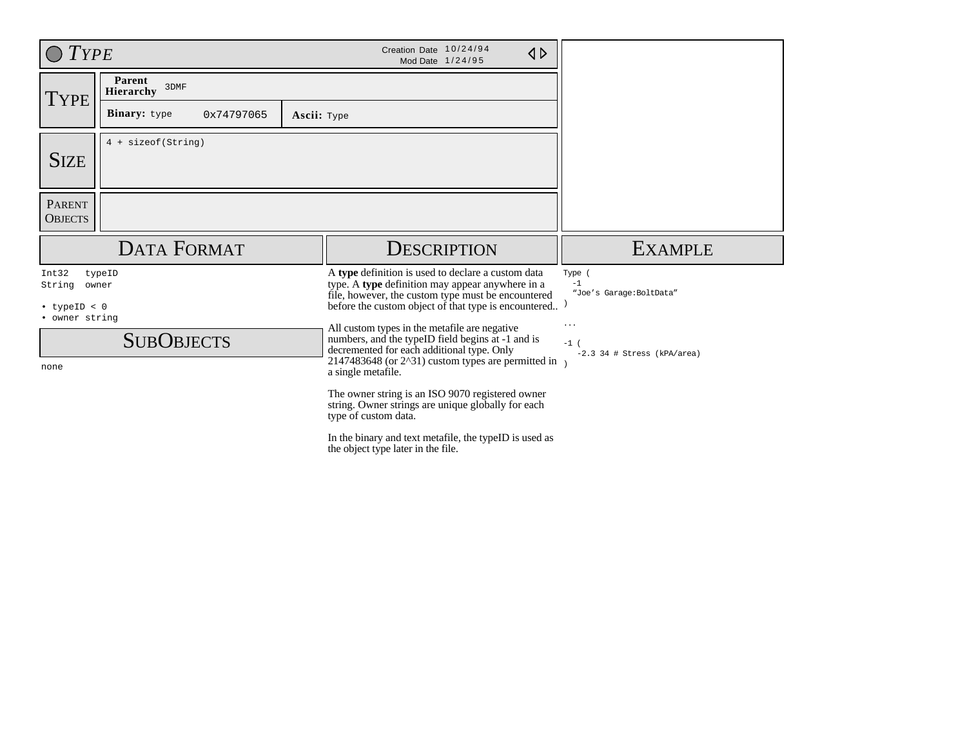| $T$ <i>YPE</i>                       |                                                  |  | Creation Date 10/24/94<br>$\triangle$<br>Mod Date 1/24/95                                                                                                                                                                               |                                                     |
|--------------------------------------|--------------------------------------------------|--|-----------------------------------------------------------------------------------------------------------------------------------------------------------------------------------------------------------------------------------------|-----------------------------------------------------|
| TYPE                                 | Parent<br>3DMF<br><b>Hierarchy</b>               |  |                                                                                                                                                                                                                                         |                                                     |
|                                      | <b>Binary:</b> type<br>0x74797065<br>Ascii: Type |  |                                                                                                                                                                                                                                         |                                                     |
| <b>SIZE</b>                          | 4 + sizeof(String)                               |  |                                                                                                                                                                                                                                         |                                                     |
| <b>PARENT</b><br><b>OBJECTS</b>      |                                                  |  |                                                                                                                                                                                                                                         |                                                     |
|                                      | <b>DATA FORMAT</b>                               |  | <b>DESCRIPTION</b>                                                                                                                                                                                                                      | <b>EXAMPLE</b>                                      |
| Int32<br>String                      | typeID<br>owner                                  |  | A type definition is used to declare a custom data<br>type. A type definition may appear anywhere in a                                                                                                                                  | Type (<br>$-1$<br>"Joe's Garage: BoltData"          |
| $\cdot$ typeID < 0<br>• owner string |                                                  |  | file, however, the custom type must be encountered<br>before the custom object of that type is encountered)                                                                                                                             |                                                     |
| none                                 | <b>SUBOBJECTS</b>                                |  | All custom types in the metafile are negative<br>numbers, and the typeID field begins at -1 and is<br>decremented for each additional type. Only<br>2147483648 (or $2^{\wedge}31$ ) custom types are permitted in<br>a single metafile. | $\ldots$<br>$-1$ (<br>$-2.3$ 34 # Stress (kPA/area) |
|                                      |                                                  |  | The owner string is an ISO 9070 registered owner<br>string. Owner strings are unique globally for each<br>type of custom data.                                                                                                          |                                                     |
|                                      |                                                  |  | In the binary and text metafile, the typeID is used as<br>the object type later in the file.                                                                                                                                            |                                                     |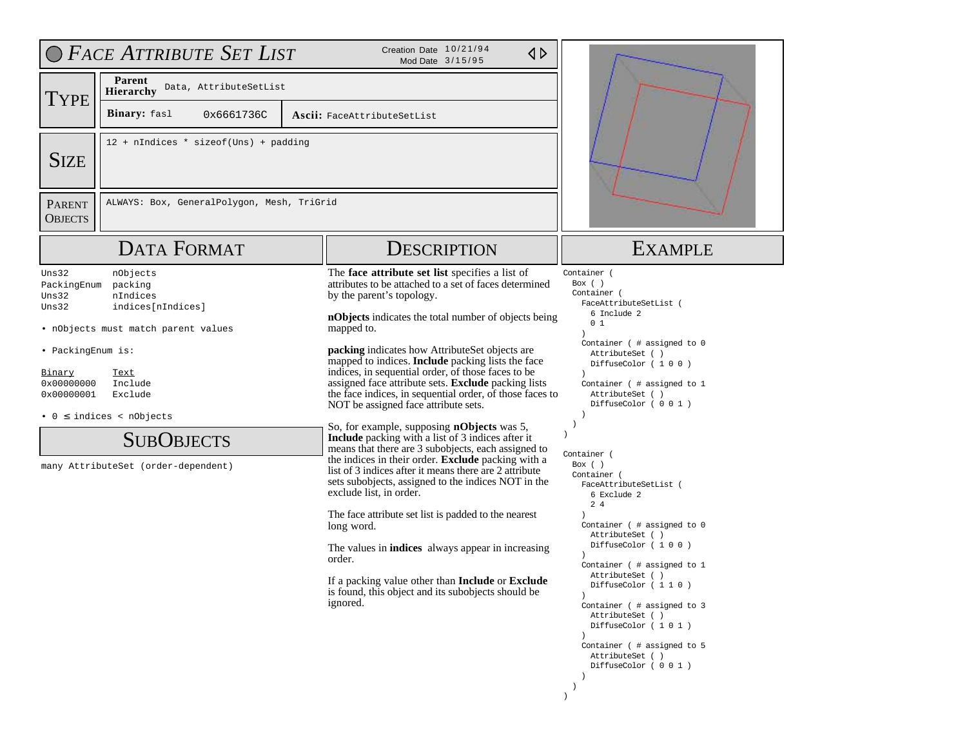|                                                                                                   | O FACE ATTRIBUTE SET LIST                                                                                                                                                                                                      | Creation Date 10/21/94<br>$\triangle$<br>Mod Date 3/15/95                                                                                                                                                                                                                                                                                                                                                                                                                                                                                                                                                                                                                                                                                                                                                                                                                                                                                                                                                                                                                                                                                                                                             |                                                                                                                                                                                                                                                                                                                                                                                                                                                                                                                                                                                                                                                                                                              |  |
|---------------------------------------------------------------------------------------------------|--------------------------------------------------------------------------------------------------------------------------------------------------------------------------------------------------------------------------------|-------------------------------------------------------------------------------------------------------------------------------------------------------------------------------------------------------------------------------------------------------------------------------------------------------------------------------------------------------------------------------------------------------------------------------------------------------------------------------------------------------------------------------------------------------------------------------------------------------------------------------------------------------------------------------------------------------------------------------------------------------------------------------------------------------------------------------------------------------------------------------------------------------------------------------------------------------------------------------------------------------------------------------------------------------------------------------------------------------------------------------------------------------------------------------------------------------|--------------------------------------------------------------------------------------------------------------------------------------------------------------------------------------------------------------------------------------------------------------------------------------------------------------------------------------------------------------------------------------------------------------------------------------------------------------------------------------------------------------------------------------------------------------------------------------------------------------------------------------------------------------------------------------------------------------|--|
| <b>TYPE</b>                                                                                       | Parent<br>Data, AttributeSetList<br>Hierarchy<br>Binary: fasl<br>0x6661736C                                                                                                                                                    | Ascii: FaceAttributeSetList                                                                                                                                                                                                                                                                                                                                                                                                                                                                                                                                                                                                                                                                                                                                                                                                                                                                                                                                                                                                                                                                                                                                                                           |                                                                                                                                                                                                                                                                                                                                                                                                                                                                                                                                                                                                                                                                                                              |  |
| <b>SIZE</b>                                                                                       | 12 + nIndices * sizeof(Uns) + padding                                                                                                                                                                                          |                                                                                                                                                                                                                                                                                                                                                                                                                                                                                                                                                                                                                                                                                                                                                                                                                                                                                                                                                                                                                                                                                                                                                                                                       |                                                                                                                                                                                                                                                                                                                                                                                                                                                                                                                                                                                                                                                                                                              |  |
| <b>PARENT</b><br><b>OBJECTS</b>                                                                   | ALWAYS: Box, GeneralPolygon, Mesh, TriGrid                                                                                                                                                                                     |                                                                                                                                                                                                                                                                                                                                                                                                                                                                                                                                                                                                                                                                                                                                                                                                                                                                                                                                                                                                                                                                                                                                                                                                       |                                                                                                                                                                                                                                                                                                                                                                                                                                                                                                                                                                                                                                                                                                              |  |
|                                                                                                   | <b>DATA FORMAT</b>                                                                                                                                                                                                             | <b>DESCRIPTION</b>                                                                                                                                                                                                                                                                                                                                                                                                                                                                                                                                                                                                                                                                                                                                                                                                                                                                                                                                                                                                                                                                                                                                                                                    | <b>EXAMPLE</b>                                                                                                                                                                                                                                                                                                                                                                                                                                                                                                                                                                                                                                                                                               |  |
| Uns32<br>PackingEnum<br>Uns32<br>Uns32<br>• PackingEnum is:<br>Binary<br>0x00000000<br>0x00000001 | nObjects<br>packing<br>nIndices<br>indices[nIndices]<br>• nObjects must match parent values<br>Text<br>Include<br>Exclude<br>$\bullet$ 0 $\leq$ indices < nObjects<br><b>SUBOBJECTS</b><br>many AttributeSet (order-dependent) | The face attribute set list specifies a list of<br>attributes to be attached to a set of faces determined<br>by the parent's topology.<br>nObjects indicates the total number of objects being<br>mapped to.<br>packing indicates how AttributeSet objects are<br>mapped to indices. <b>Include</b> packing lists the face<br>indices, in sequential order, of those faces to be<br>assigned face attribute sets. Exclude packing lists<br>the face indices, in sequential order, of those faces to<br>NOT be assigned face attribute sets.<br>So, for example, supposing nObjects was 5,<br><b>Include</b> packing with a list of 3 indices after it<br>means that there are 3 subobjects, each assigned to<br>the indices in their order. <b>Exclude</b> packing with a<br>list of 3 indices after it means there are 2 attribute<br>sets subobjects, assigned to the indices NOT in the<br>exclude list, in order.<br>The face attribute set list is padded to the nearest<br>long word.<br>The values in <b>indices</b> always appear in increasing<br>order.<br>If a packing value other than <b>Include</b> or <b>Exclude</b><br>is found, this object and its subobjects should be<br>ignored. | Container (<br>Box $($ )<br>Container (<br>FaceAttributeSetList (<br>6 Include 2<br>0 <sub>1</sub><br>Container ( # assigned to 0<br>AttributeSet ()<br>DiffuseColor (100)<br>Container ( # assigned to 1<br>AttributeSet ()<br>DiffuseColor (001)<br>$\rightarrow$<br>$\lambda$<br>Container (<br>Box ()<br>Container (<br>FaceAttributeSetList (<br>6 Exclude 2<br>24<br>Container (# assigned to 0<br>AttributeSet ()<br>DiffuseColor (100)<br>Container (# assigned to 1<br>AttributeSet ()<br>DiffuseColor (110)<br>$\lambda$<br>Container ( # assigned to 3<br>AttributeSet ()<br>DiffuseColor (101)<br>$\lambda$<br>Container ( # assigned to 5<br>AttributeSet ()<br>DiffuseColor (001)<br>$\lambda$ |  |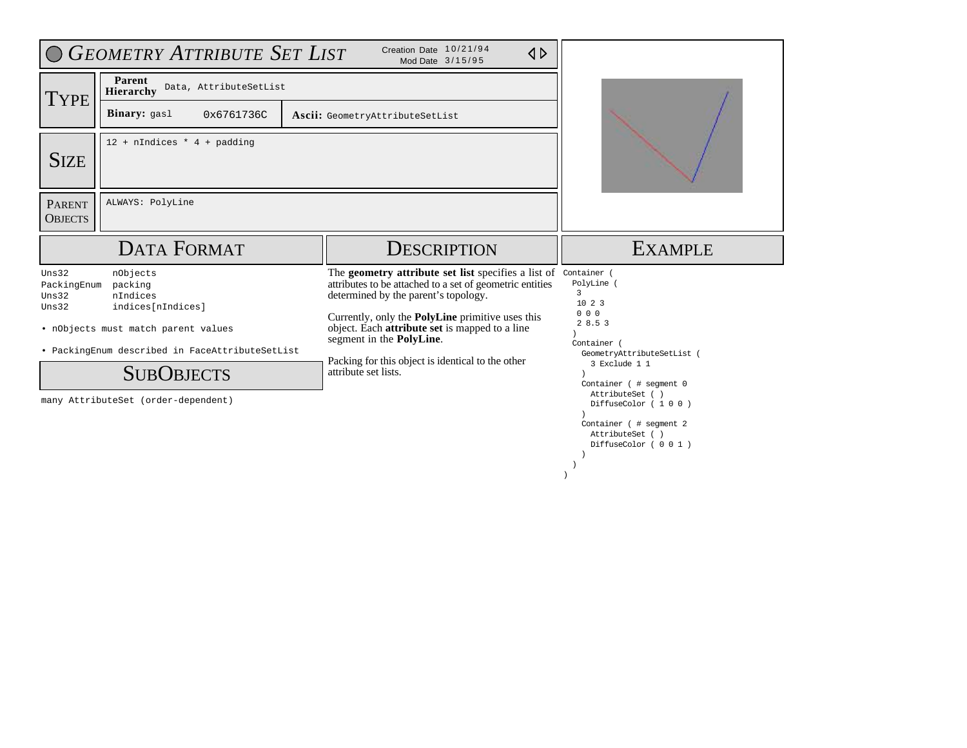|                                 | <b>O GEOMETRY ATTRIBUTE SET LIST</b>                                                                                                                                                                       | Creation Date 10/21/94<br>$\triangle$<br>Mod Date 3/15/95                                                                                                                                                                                                                                                                                                                                   |                                                                                                                                                                                                                                     |
|---------------------------------|------------------------------------------------------------------------------------------------------------------------------------------------------------------------------------------------------------|---------------------------------------------------------------------------------------------------------------------------------------------------------------------------------------------------------------------------------------------------------------------------------------------------------------------------------------------------------------------------------------------|-------------------------------------------------------------------------------------------------------------------------------------------------------------------------------------------------------------------------------------|
| <b>TYPE</b>                     | Parent<br>Data, AttributeSetList<br><b>Hierarchy</b>                                                                                                                                                       |                                                                                                                                                                                                                                                                                                                                                                                             |                                                                                                                                                                                                                                     |
|                                 | <b>Binary:</b> gas1<br>0x6761736C                                                                                                                                                                          | Ascii: GeometryAttributeSetList                                                                                                                                                                                                                                                                                                                                                             |                                                                                                                                                                                                                                     |
| <b>SIZE</b>                     | $12 + n$ Indices * 4 + padding                                                                                                                                                                             |                                                                                                                                                                                                                                                                                                                                                                                             |                                                                                                                                                                                                                                     |
| <b>PARENT</b><br><b>OBJECTS</b> | ALWAYS: PolyLine                                                                                                                                                                                           |                                                                                                                                                                                                                                                                                                                                                                                             |                                                                                                                                                                                                                                     |
|                                 | <b>DATA FORMAT</b>                                                                                                                                                                                         | DESCRIPTION                                                                                                                                                                                                                                                                                                                                                                                 | <b>EXAMPLE</b>                                                                                                                                                                                                                      |
| Uns32                           |                                                                                                                                                                                                            |                                                                                                                                                                                                                                                                                                                                                                                             |                                                                                                                                                                                                                                     |
| PackingEnum<br>Uns32<br>Uns32   | nObjects<br>packing<br>nIndices<br>indices[nIndices]<br>. nObjects must match parent values<br>· PackingEnum described in FaceAttributeSetList<br><b>SUBOBJECTS</b><br>many AttributeSet (order-dependent) | The <b>geometry attribute set list</b> specifies a list of<br>attributes to be attached to a set of geometric entities<br>determined by the parent's topology.<br>Currently, only the <b>PolyLine</b> primitive uses this<br>object. Each <b>attribute set</b> is mapped to a line<br>segment in the PolyLine.<br>Packing for this object is identical to the other<br>attribute set lists. | Container (<br>PolyLine (<br>3<br>1023<br>000<br>28.53<br>Container (<br>GeometryAttributeSetList<br>3 Exclude 1 1<br>Container ( # segment 0<br>AttributeSet ()<br>DiffuseColor (100)<br>Container (# segment 2<br>AttributeSet () |

 ) )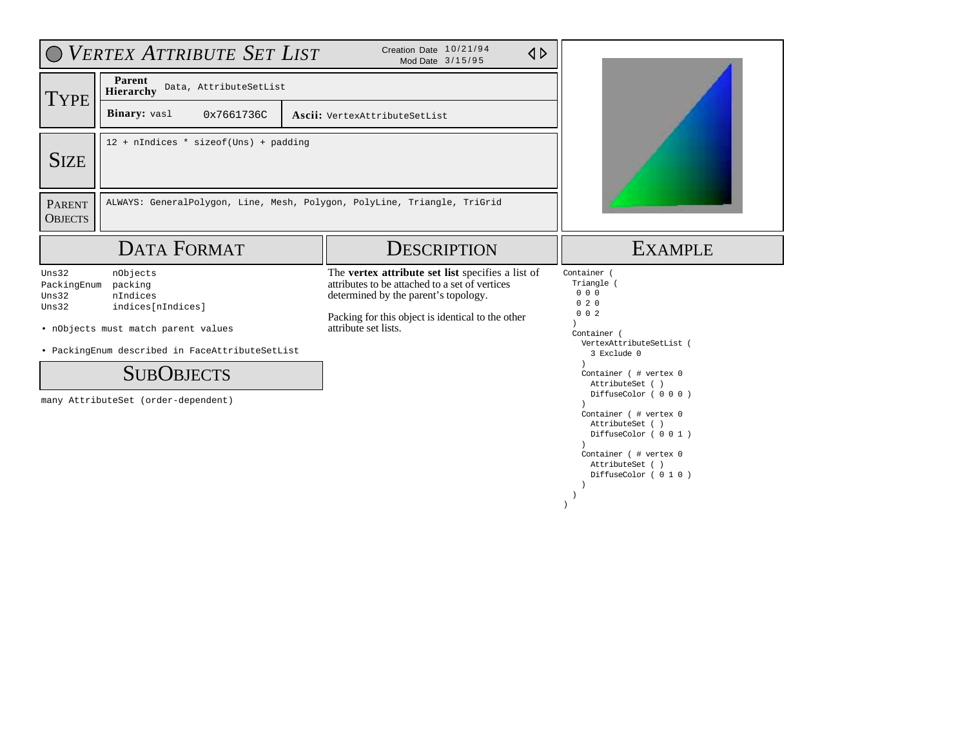|                                        | VERTEX ATTRIBUTE SET LIST                                                                                                                                                                                  | Creation Date 10/21/94<br>$\triangle$<br>Mod Date 3/15/95                                                                                                                                                                |                                                                                                                                                                                                                                                                                                                        |  |  |
|----------------------------------------|------------------------------------------------------------------------------------------------------------------------------------------------------------------------------------------------------------|--------------------------------------------------------------------------------------------------------------------------------------------------------------------------------------------------------------------------|------------------------------------------------------------------------------------------------------------------------------------------------------------------------------------------------------------------------------------------------------------------------------------------------------------------------|--|--|
| <b>TYPE</b>                            | Parent<br>Data, AttributeSetList<br>Hierarchy                                                                                                                                                              |                                                                                                                                                                                                                          |                                                                                                                                                                                                                                                                                                                        |  |  |
|                                        | Binary: vasl<br>0x7661736C                                                                                                                                                                                 | Ascii: VertexAttributeSetList                                                                                                                                                                                            |                                                                                                                                                                                                                                                                                                                        |  |  |
| <b>SIZE</b>                            | 12 + nIndices * sizeof(Uns) + padding                                                                                                                                                                      |                                                                                                                                                                                                                          |                                                                                                                                                                                                                                                                                                                        |  |  |
| <b>PARENT</b><br><b>OBJECTS</b>        | ALWAYS: GeneralPolygon, Line, Mesh, Polygon, PolyLine, Triangle, TriGrid                                                                                                                                   |                                                                                                                                                                                                                          |                                                                                                                                                                                                                                                                                                                        |  |  |
|                                        | <b>DATA FORMAT</b>                                                                                                                                                                                         | <b>DESCRIPTION</b>                                                                                                                                                                                                       | <b>EXAMPLE</b>                                                                                                                                                                                                                                                                                                         |  |  |
| Uns32<br>PackingEnum<br>Uns32<br>Uns32 | nObjects<br>packing<br>nIndices<br>indices[nIndices]<br>. nObjects must match parent values<br>· PackingEnum described in FaceAttributeSetList<br><b>SUBOBJECTS</b><br>many AttributeSet (order-dependent) | The vertex attribute set list specifies a list of<br>attributes to be attached to a set of vertices<br>determined by the parent's topology.<br>Packing for this object is identical to the other<br>attribute set lists. | Container (<br>Triangle<br>000<br>020<br>$0 \t0 \t2$<br>Container (<br>VertexAttributeSetList (<br>3 Exclude 0<br>Container ( # vertex 0<br>AttributeSet ()<br>DiffuseColor (000)<br>Container ( # vertex 0<br>AttributeSet ()<br>DiffuseColor (001)<br>Container (# vertex 0<br>AttributeSet ()<br>DiffuseColor (010) |  |  |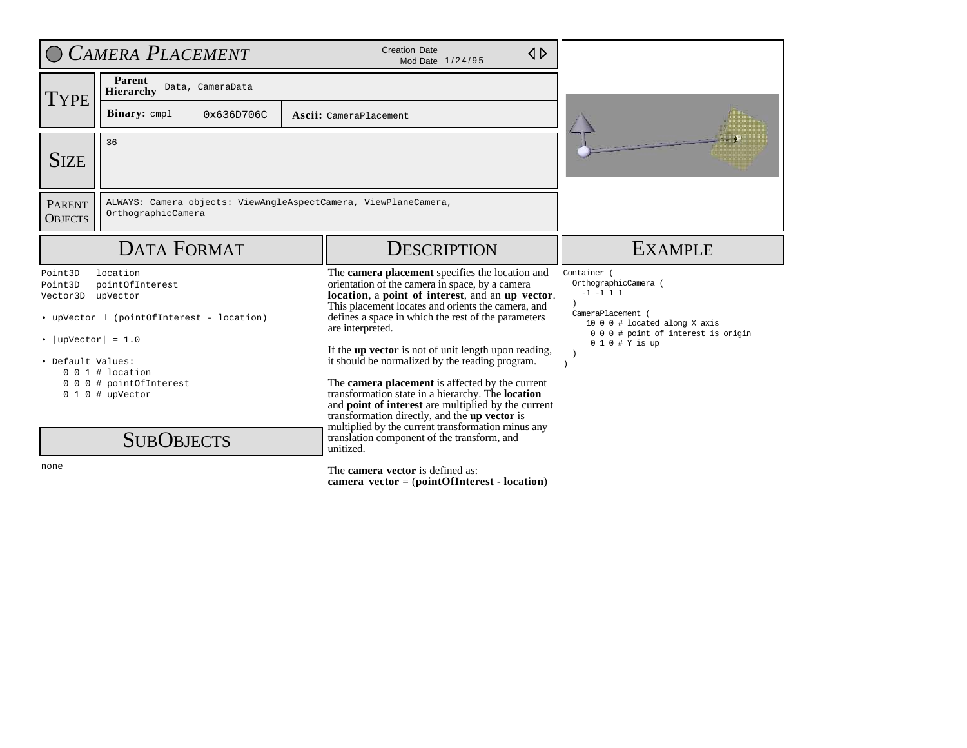|                                                                             | CAMERA PLACEMENT                                                                                                     | <b>Creation Date</b><br>$\triangle$<br>Mod Date 1/24/95                                                                                                                                                                                                                                                                                                                                            |                                                                                                                                                                  |
|-----------------------------------------------------------------------------|----------------------------------------------------------------------------------------------------------------------|----------------------------------------------------------------------------------------------------------------------------------------------------------------------------------------------------------------------------------------------------------------------------------------------------------------------------------------------------------------------------------------------------|------------------------------------------------------------------------------------------------------------------------------------------------------------------|
| <b>TYPE</b>                                                                 | <b>Parent</b><br>Data, CameraData<br><b>Hierarchy</b>                                                                |                                                                                                                                                                                                                                                                                                                                                                                                    |                                                                                                                                                                  |
|                                                                             | <b>Binary:</b> cmpl<br>0x636D706C                                                                                    | Ascii: CameraPlacement                                                                                                                                                                                                                                                                                                                                                                             |                                                                                                                                                                  |
| <b>SIZE</b>                                                                 | 36                                                                                                                   |                                                                                                                                                                                                                                                                                                                                                                                                    |                                                                                                                                                                  |
| <b>PARENT</b><br><b>OBJECTS</b>                                             | ALWAYS: Camera objects: ViewAngleAspectCamera, ViewPlaneCamera,<br>OrthographicCamera                                |                                                                                                                                                                                                                                                                                                                                                                                                    |                                                                                                                                                                  |
|                                                                             | <b>DATA FORMAT</b>                                                                                                   | <b>DESCRIPTION</b>                                                                                                                                                                                                                                                                                                                                                                                 | <b>EXAMPLE</b>                                                                                                                                                   |
| Point3D<br>Point3D<br>Vector3D<br>• $ upVector  = 1.0$<br>• Default Values: | location<br>pointOfInterest<br>upVector<br>• upVector $\perp$ (pointOfInterest - location)<br>$0 \t0 \t1$ # location | The camera placement specifies the location and<br>orientation of the camera in space, by a camera<br>location, a point of interest, and an up vector.<br>This placement locates and orients the camera, and<br>defines a space in which the rest of the parameters<br>are interpreted.<br>If the up vector is not of unit length upon reading,<br>it should be normalized by the reading program. | Container (<br>OrthographicCamera (<br>$-1$ $-1$ 1 1<br>CameraPlacement<br>10 0 0 # located along X axis<br>000# point of interest is origin<br>$010 \# Y$ is up |
|                                                                             | 0 0 0 # pointOfInterest<br>$0 1 0$ # upVector<br><b>SUBOBJECTS</b>                                                   | The camera placement is affected by the current<br>transformation state in a hierarchy. The <b>location</b><br>and <b>point of interest</b> are multiplied by the current<br>transformation directly, and the up vector is<br>multiplied by the current transformation minus any<br>translation component of the transform, and<br>unitized.                                                       |                                                                                                                                                                  |
| none                                                                        |                                                                                                                      | The <b>camera vector</b> is defined as:<br>camera $vector = (pointOfInterest - location)$                                                                                                                                                                                                                                                                                                          |                                                                                                                                                                  |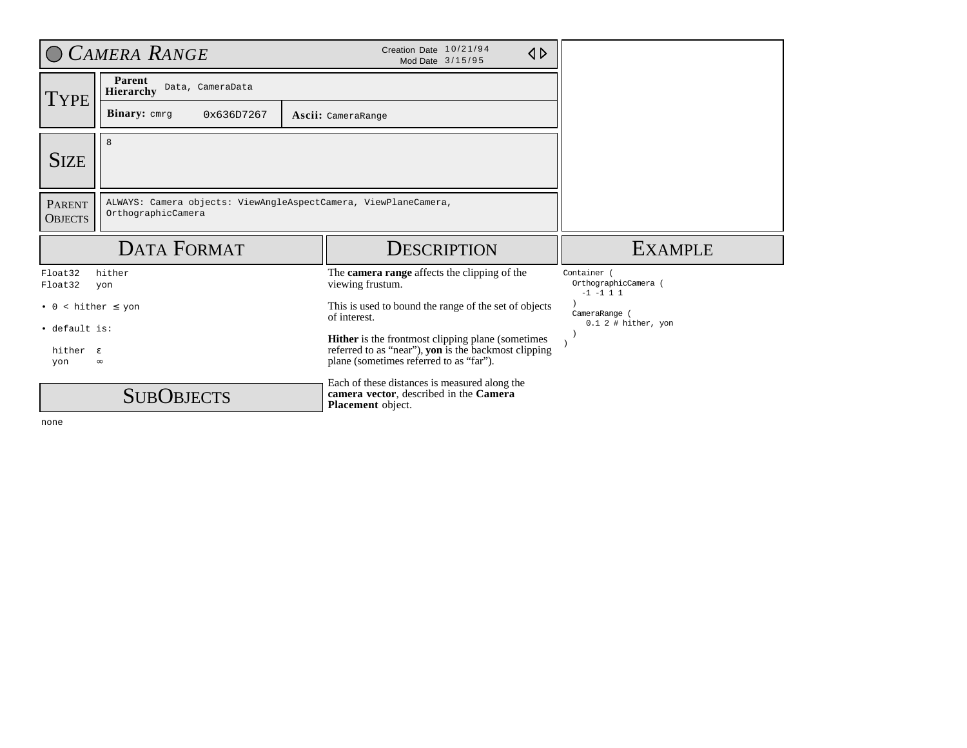|                                              | CAMERA RANGE                                                                          | Creation Date 10/21/94<br>$\triangle$<br>Mod Date 3/15/95                                                                                                   |                                                    |
|----------------------------------------------|---------------------------------------------------------------------------------------|-------------------------------------------------------------------------------------------------------------------------------------------------------------|----------------------------------------------------|
| <b>TYPE</b>                                  | Parent<br>Data, CameraData<br><b>Hierarchy</b>                                        |                                                                                                                                                             |                                                    |
|                                              | <b>Binary:</b> $cmrg$<br>0x636D7267                                                   | Ascii: CameraRange                                                                                                                                          |                                                    |
| <b>SIZE</b>                                  | 8                                                                                     |                                                                                                                                                             |                                                    |
| <b>PARENT</b><br><b>OBJECTS</b>              | ALWAYS: Camera objects: ViewAngleAspectCamera, ViewPlaneCamera,<br>OrthographicCamera |                                                                                                                                                             |                                                    |
|                                              | <b>DATA FORMAT</b>                                                                    | <b>DESCRIPTION</b>                                                                                                                                          | <b>EXAMPLE</b>                                     |
| Float32<br>Float32                           | hither<br>yon                                                                         | The <b>camera range</b> affects the clipping of the<br>viewing frustum.                                                                                     | Container<br>OrthographicCamera (<br>$-1$ $-1$ 1 1 |
| $\bullet$ 0                                  | $\kappa$ hither $\leq$ yon                                                            | This is used to bound the range of the set of objects<br>of interest.                                                                                       | CameraRange (<br>$0.1$ 2 # hither, yon             |
| · default is:<br>hither $\varepsilon$<br>yon | $\infty$                                                                              | <b>Hither</b> is the frontmost clipping plane (sometimes<br>referred to as "near"), yon is the backmost clipping<br>plane (sometimes referred to as "far"). |                                                    |
|                                              | <b>SUBOBJECTS</b>                                                                     | Each of these distances is measured along the<br>camera vector, described in the Camera<br>Placement object.                                                |                                                    |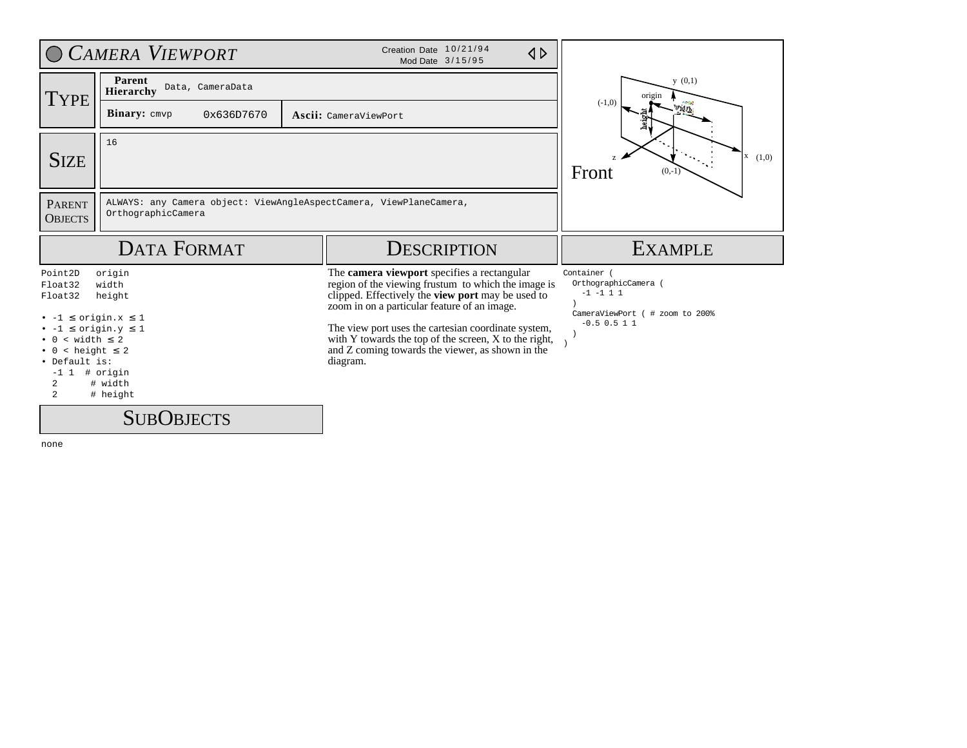|                                            | CAMERA VIEWPORT                                                                          | Creation Date 10/21/94<br>$\triangle$<br>Mod Date 3/15/95                                                                                                                                               |                                                      |
|--------------------------------------------|------------------------------------------------------------------------------------------|---------------------------------------------------------------------------------------------------------------------------------------------------------------------------------------------------------|------------------------------------------------------|
| <b>TYPE</b>                                | Parent<br>Data, CameraData<br><b>Hierarchy</b>                                           |                                                                                                                                                                                                         | y(0,1)<br>origin                                     |
|                                            | <b>Binary:</b> $cmvp$<br>0x636D7670                                                      | Ascii: CameraViewPort                                                                                                                                                                                   | $(-1,0)$<br><b>Vidin</b>                             |
| <b>SIZE</b>                                | 16                                                                                       |                                                                                                                                                                                                         | (1,0)<br>Front<br>$(0,-1)$                           |
| <b>PARENT</b><br><b>OBJECTS</b>            | ALWAYS: any Camera object: ViewAngleAspectCamera, ViewPlaneCamera,<br>OrthographicCamera |                                                                                                                                                                                                         |                                                      |
|                                            |                                                                                          |                                                                                                                                                                                                         |                                                      |
|                                            | <b>DATA FORMAT</b>                                                                       | <b>DESCRIPTION</b>                                                                                                                                                                                      | <b>EXAMPLE</b>                                       |
| Point2D<br>Float32<br>Float32              | origin<br>width<br>height                                                                | The camera viewport specifies a rectangular<br>region of the viewing frustum to which the image is<br>clipped. Effectively the view port may be used to<br>zoom in on a particular feature of an image. | Container (<br>OrthographicCamera (<br>$-1$ $-1$ 1 1 |
|                                            | $\le$ origin.x $\le$ 1<br>$\le$ origin.y $\le$ 1                                         | The view port uses the cartesian coordinate system,                                                                                                                                                     | CameraViewPort ( # zoom to 200%<br>$-0.5$ 0.5 1 1    |
| $\frac{\text{width}}{\text{width}} \leq 2$ |                                                                                          | with Y towards the top of the screen, X to the right,                                                                                                                                                   |                                                      |
| $\langle$ height $\leq$ 2<br>· Default is: |                                                                                          | and Z coming towards the viewer, as shown in the<br>diagram.                                                                                                                                            |                                                      |
| $-1$ 1 # origin<br>2<br>$\mathbf{2}$       | # width<br># height                                                                      |                                                                                                                                                                                                         |                                                      |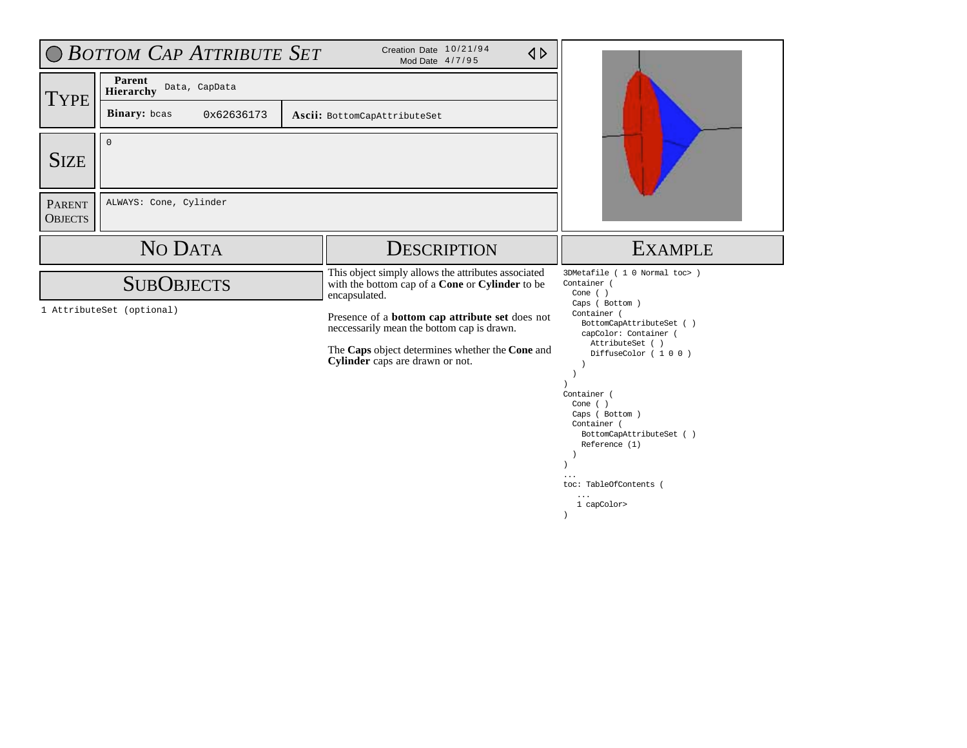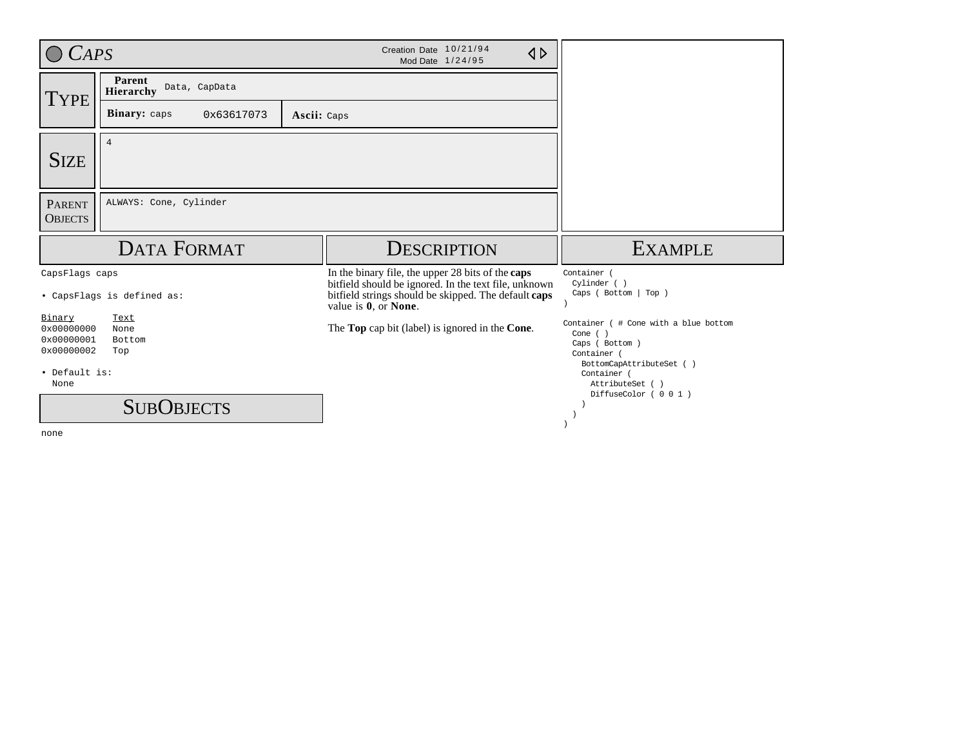| CAPS                                                                      |                                             | Creation Date 10/21/94<br>$\triangle$<br>Mod Date 1/24/95                                                                                                                                  |                                                                                                                                                     |
|---------------------------------------------------------------------------|---------------------------------------------|--------------------------------------------------------------------------------------------------------------------------------------------------------------------------------------------|-----------------------------------------------------------------------------------------------------------------------------------------------------|
| <b>TYPE</b>                                                               | Parent<br>Data, CapData<br><b>Hierarchy</b> |                                                                                                                                                                                            |                                                                                                                                                     |
|                                                                           | Binary: caps<br>0x63617073                  | Ascii: Caps                                                                                                                                                                                |                                                                                                                                                     |
| <b>SIZE</b>                                                               | $\overline{4}$                              |                                                                                                                                                                                            |                                                                                                                                                     |
| <b>PARENT</b><br><b>OBJECTS</b>                                           | ALWAYS: Cone, Cylinder                      |                                                                                                                                                                                            |                                                                                                                                                     |
|                                                                           |                                             |                                                                                                                                                                                            |                                                                                                                                                     |
|                                                                           | <b>DATA FORMAT</b>                          | <b>DESCRIPTION</b>                                                                                                                                                                         | <b>EXAMPLE</b>                                                                                                                                      |
| CapsFlags caps                                                            | • CapsFlags is defined as:                  | In the binary file, the upper 28 bits of the caps<br>bitfield should be ignored. In the text file, unknown<br>bitfield strings should be skipped. The default caps<br>value is 0, or None. | Container (<br>Cylinder ()<br>Caps ( Bottom   Top )                                                                                                 |
| Binary<br>0x00000000<br>0x00000001<br>0x00000002<br>• Default is:<br>None | Text<br>None<br>Bottom<br>Top               | The <b>Top</b> cap bit (label) is ignored in the <b>Cone</b> .                                                                                                                             | Container ( # Cone with a blue bottom<br>Cone $( )$<br>Caps ( Bottom )<br>Container (<br>BottomCapAttributeSet ()<br>Container (<br>AttributeSet () |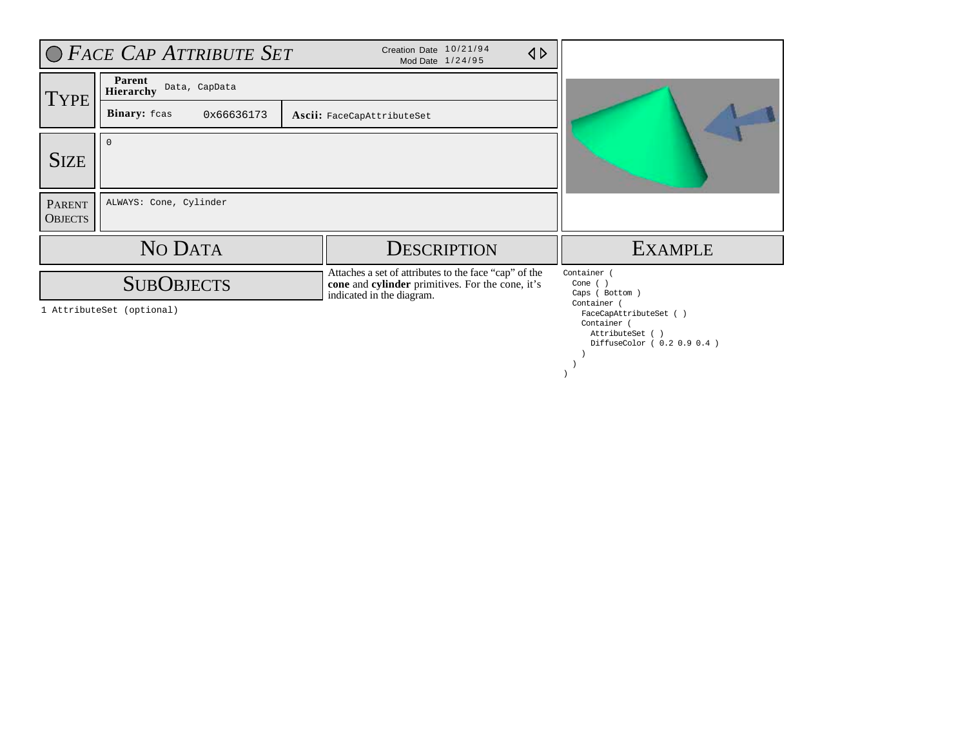|                                 | $\bigcirc$ Face Cap Attribute Set              | Creation Date 10/21/94<br>Mod Date 1/24/95                                                                                             | $\triangle$ |                                                                                                                                                         |
|---------------------------------|------------------------------------------------|----------------------------------------------------------------------------------------------------------------------------------------|-------------|---------------------------------------------------------------------------------------------------------------------------------------------------------|
| TYPE                            | Parent<br>Data, CapData<br>Hierarchy           |                                                                                                                                        |             |                                                                                                                                                         |
|                                 | Binary: fcas<br>0x66636173                     | Ascii: FaceCapAttributeSet                                                                                                             |             |                                                                                                                                                         |
| <b>SIZE</b>                     | $\Omega$                                       |                                                                                                                                        |             |                                                                                                                                                         |
| <b>PARENT</b><br><b>OBJECTS</b> | ALWAYS: Cone, Cylinder                         |                                                                                                                                        |             |                                                                                                                                                         |
|                                 | NO DATA                                        | <b>DESCRIPTION</b>                                                                                                                     |             | <b>EXAMPLE</b>                                                                                                                                          |
|                                 | <b>SUBOBJECTS</b><br>1 AttributeSet (optional) | Attaches a set of attributes to the face "cap" of the<br>cone and cylinder primitives. For the cone, it's<br>indicated in the diagram. |             | Container (<br>Cone $( )$<br>Caps ( Bottom )<br>Container (<br>FaceCapAttributeSet ()<br>Container (<br>AttributeSet ()<br>DiffuseColor ( 0.2 0.9 0.4 ) |

 ) )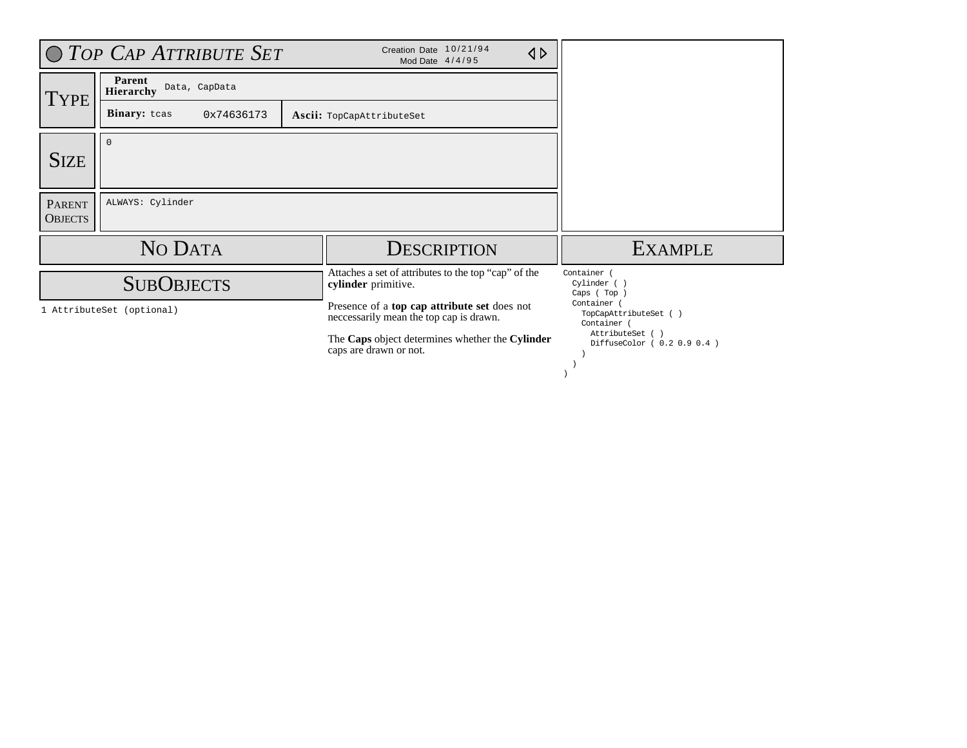|                                 | O TOP CAP ATTRIBUTE SET                     | Creation Date 10/21/94<br>Mod Date 4/4/95                                               | $\triangle$ |                                                     |
|---------------------------------|---------------------------------------------|-----------------------------------------------------------------------------------------|-------------|-----------------------------------------------------|
| <b>TYPE</b>                     | Parent<br>Data, CapData<br><b>Hierarchy</b> |                                                                                         |             |                                                     |
|                                 | Binary: tcas<br>0x74636173                  | Ascii: TopCapAttributeSet                                                               |             |                                                     |
| <b>SIZE</b>                     | $\Omega$                                    |                                                                                         |             |                                                     |
| <b>PARENT</b><br><b>OBJECTS</b> | ALWAYS: Cylinder                            |                                                                                         |             |                                                     |
|                                 | NO DATA                                     | <b>DESCRIPTION</b>                                                                      |             | <b>EXAMPLE</b>                                      |
|                                 | <b>SUBOBJECTS</b>                           | Attaches a set of attributes to the top "cap" of the<br>cylinder primitive.             |             | Container (<br>Cylinder ()<br>Caps (Top)            |
|                                 | 1 AttributeSet (optional)                   | Presence of a top cap attribute set does not<br>neccessarily mean the top cap is drawn. |             | Container (<br>TopCapAttributeSet ()<br>Container ( |
|                                 |                                             | The Caps object determines whether the Cylinder<br>caps are drawn or not.               |             | AttributeSet ()<br>DiffuseColor ( 0.2 0.9 0.4 )     |
|                                 |                                             |                                                                                         |             |                                                     |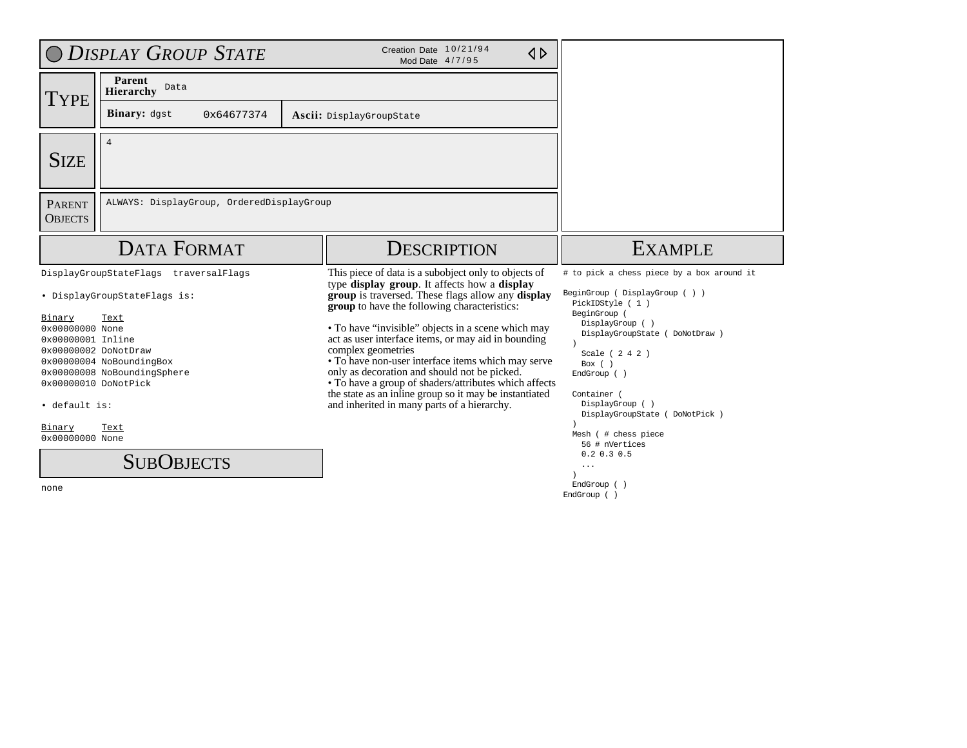|                                                                                                                 | <b>DISPLAY GROUP STATE</b>                                                                                                               | Creation Date 10/21/94<br>$\triangle$<br>Mod Date 4/7/95                                                                                                                                                                                                                                                                                                                                                                                                                                                                                                                                                             |                                                                                                                                                                                                                                                      |
|-----------------------------------------------------------------------------------------------------------------|------------------------------------------------------------------------------------------------------------------------------------------|----------------------------------------------------------------------------------------------------------------------------------------------------------------------------------------------------------------------------------------------------------------------------------------------------------------------------------------------------------------------------------------------------------------------------------------------------------------------------------------------------------------------------------------------------------------------------------------------------------------------|------------------------------------------------------------------------------------------------------------------------------------------------------------------------------------------------------------------------------------------------------|
| TYPE                                                                                                            | Parent<br>Data<br><b>Hierarchy</b>                                                                                                       |                                                                                                                                                                                                                                                                                                                                                                                                                                                                                                                                                                                                                      |                                                                                                                                                                                                                                                      |
|                                                                                                                 | Binary: dgst<br>0x64677374                                                                                                               | Ascii: DisplayGroupState                                                                                                                                                                                                                                                                                                                                                                                                                                                                                                                                                                                             |                                                                                                                                                                                                                                                      |
| <b>SIZE</b>                                                                                                     | $\overline{4}$                                                                                                                           |                                                                                                                                                                                                                                                                                                                                                                                                                                                                                                                                                                                                                      |                                                                                                                                                                                                                                                      |
| <b>PARENT</b><br><b>OBJECTS</b>                                                                                 | ALWAYS: DisplayGroup, OrderedDisplayGroup                                                                                                |                                                                                                                                                                                                                                                                                                                                                                                                                                                                                                                                                                                                                      |                                                                                                                                                                                                                                                      |
|                                                                                                                 | <b>DATA FORMAT</b>                                                                                                                       | <b>DESCRIPTION</b>                                                                                                                                                                                                                                                                                                                                                                                                                                                                                                                                                                                                   | <b>EXAMPLE</b>                                                                                                                                                                                                                                       |
| Binary<br>0x00000000 None<br>0x00000001 Inline<br>0x00000002 DoNotDraw<br>0x00000010 DoNotPick<br>• default is: | DisplayGroupStateFlags traversalFlags<br>· DisplayGroupStateFlags is:<br>Text<br>0x00000004 NoBoundingBox<br>0x00000008 NoBoundingSphere | This piece of data is a subobject only to objects of<br>type display group. It affects how a display<br>group is traversed. These flags allow any display<br>group to have the following characteristics:<br>• To have "invisible" objects in a scene which may<br>act as user interface items, or may aid in bounding<br>complex geometries<br>• To have non-user interface items which may serve<br>only as decoration and should not be picked.<br>• To have a group of shaders/attributes which affects<br>the state as an inline group so it may be instantiated<br>and inherited in many parts of a hierarchy. | # to pick a chess piece by a box around it<br>BeginGroup (DisplayGroup ())<br>PickIDStyle (1)<br>BeginGroup (<br>DisplayGroup ()<br>DisplayGroupState ( DoNotDraw )<br>Scale ( 2 4 2 )<br>Box $( )$<br>EndGroup ()<br>Container (<br>DisplayGroup () |
| Binary<br>0x00000000 None                                                                                       | Text                                                                                                                                     |                                                                                                                                                                                                                                                                                                                                                                                                                                                                                                                                                                                                                      | DisplayGroupState ( DoNotPick )<br>Mesh (# chess piece<br>56 # nVertices                                                                                                                                                                             |
| none                                                                                                            | <b>SUBOBJECTS</b>                                                                                                                        |                                                                                                                                                                                                                                                                                                                                                                                                                                                                                                                                                                                                                      | $0.2$ 0.3 0.5<br>.<br>EndGroup ()                                                                                                                                                                                                                    |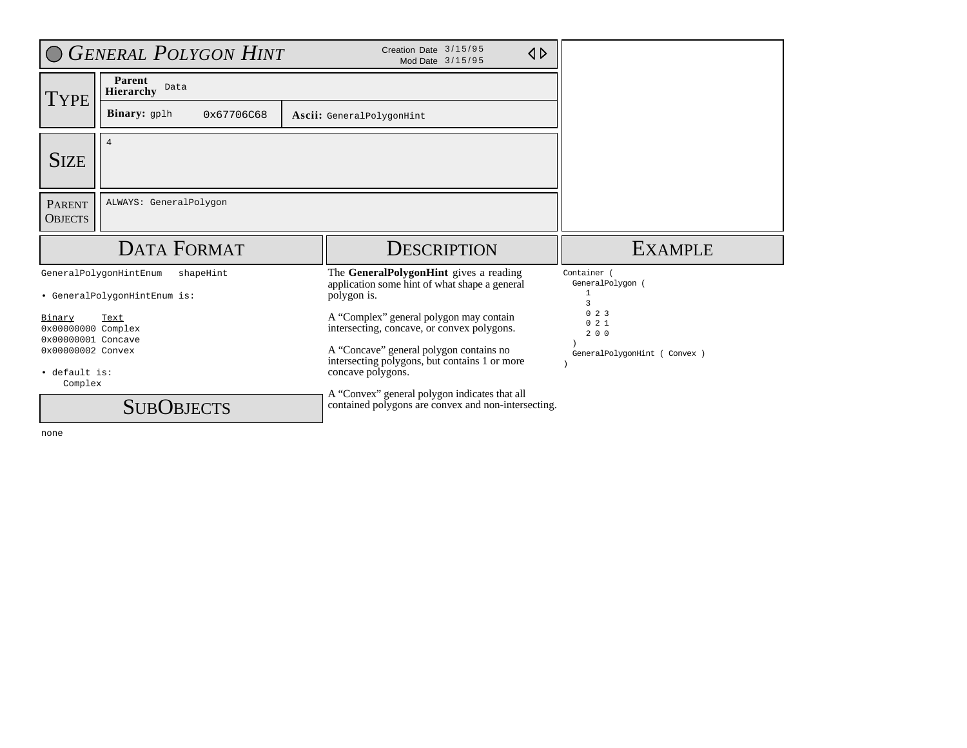|                                                    | <b>GENERAL POLYGON HINT</b>                                         | Creation Date 3/15/95<br>$\triangle$<br>Mod Date 3/15/95                                                      |                                                      |
|----------------------------------------------------|---------------------------------------------------------------------|---------------------------------------------------------------------------------------------------------------|------------------------------------------------------|
| TYPE                                               | Parent<br>Data<br>Hierarchy                                         |                                                                                                               |                                                      |
|                                                    | <b>Binary:</b> gplh<br>0x67706C68                                   | Ascii: GeneralPolygonHint                                                                                     |                                                      |
| <b>SIZE</b>                                        | $\overline{4}$                                                      |                                                                                                               |                                                      |
| <b>PARENT</b><br><b>OBJECTS</b>                    | ALWAYS: GeneralPolygon                                              |                                                                                                               |                                                      |
|                                                    |                                                                     |                                                                                                               |                                                      |
|                                                    | <b>DATA FORMAT</b>                                                  | DESCRIPTION                                                                                                   | <b>EXAMPLE</b>                                       |
|                                                    | GeneralPolygonHintEnum<br>shapeHint<br>• GeneralPolygonHintEnum is: | The GeneralPolygonHint gives a reading<br>application some hint of what shape a general<br>polygon is.        | Container (<br>GeneralPolygon (<br>$\mathbf{1}$<br>ς |
| Binary<br>0x00000000 Complex<br>0x00000001 Concave | Text                                                                | A "Complex" general polygon may contain<br>intersecting, concave, or convex polygons.                         | 023<br>021<br>200                                    |
| 0x00000002 Convex<br>· default is:<br>Complex      |                                                                     | A "Concave" general polygon contains no<br>intersecting polygons, but contains 1 or more<br>concave polygons. | GeneralPolygonHint ( Convex )                        |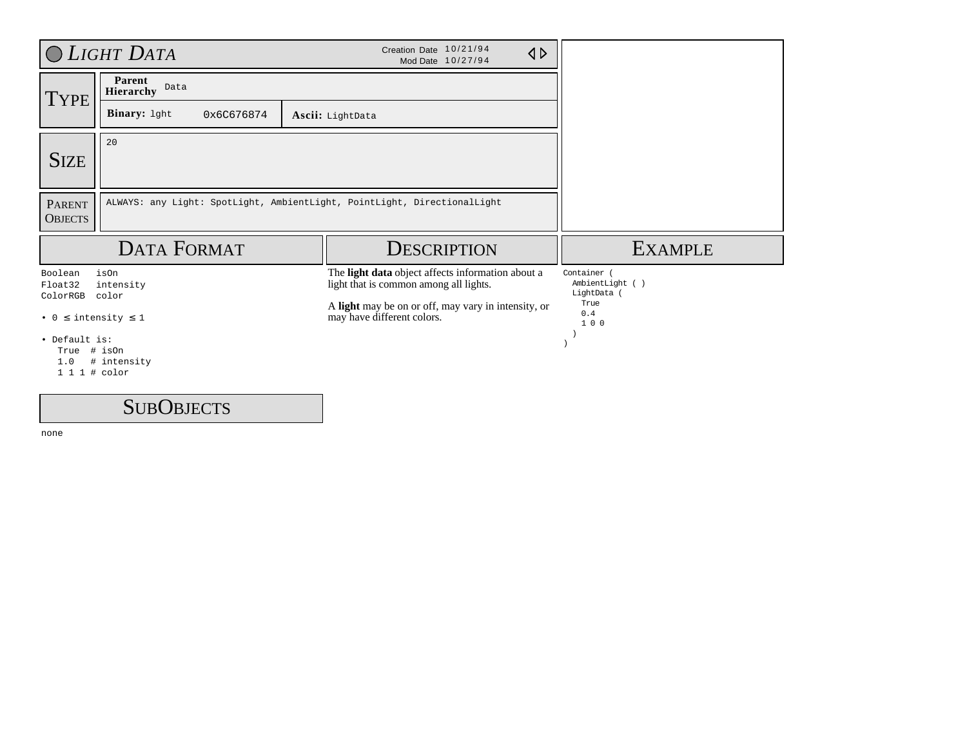|                                               | O LIGHT DATA                       | Creation Date 10/21/94<br>$\triangle$<br>Mod Date 10/27/94                                  |                                             |
|-----------------------------------------------|------------------------------------|---------------------------------------------------------------------------------------------|---------------------------------------------|
| <b>TYPE</b>                                   | Parent<br>Data<br><b>Hierarchy</b> |                                                                                             |                                             |
|                                               | Binary: 1ght<br>0x6C676874         | Ascii: LightData                                                                            |                                             |
| <b>SIZE</b>                                   | 20                                 |                                                                                             |                                             |
| <b>PARENT</b><br><b>OBJECTS</b>               |                                    | ALWAYS: any Light: SpotLight, AmbientLight, PointLight, DirectionalLight                    |                                             |
|                                               | <b>DATA FORMAT</b>                 | <b>DESCRIPTION</b>                                                                          | <b>EXAMPLE</b>                              |
| Boolean<br>Float32<br>ColorRGB                | isOn<br>intensity<br>color         | The light data object affects information about a<br>light that is common among all lights. | Container<br>AmbientLight ()<br>LightData ( |
| • $0 \leq$ intensity $\leq$ 1                 |                                    | A light may be on or off, may vary in intensity, or<br>may have different colors.           | True<br>0.4<br>100                          |
| • Default is:<br>True<br>1.0<br>1 1 1 # color | # isOn<br># intensity              |                                                                                             |                                             |

**SUBOBJECTS**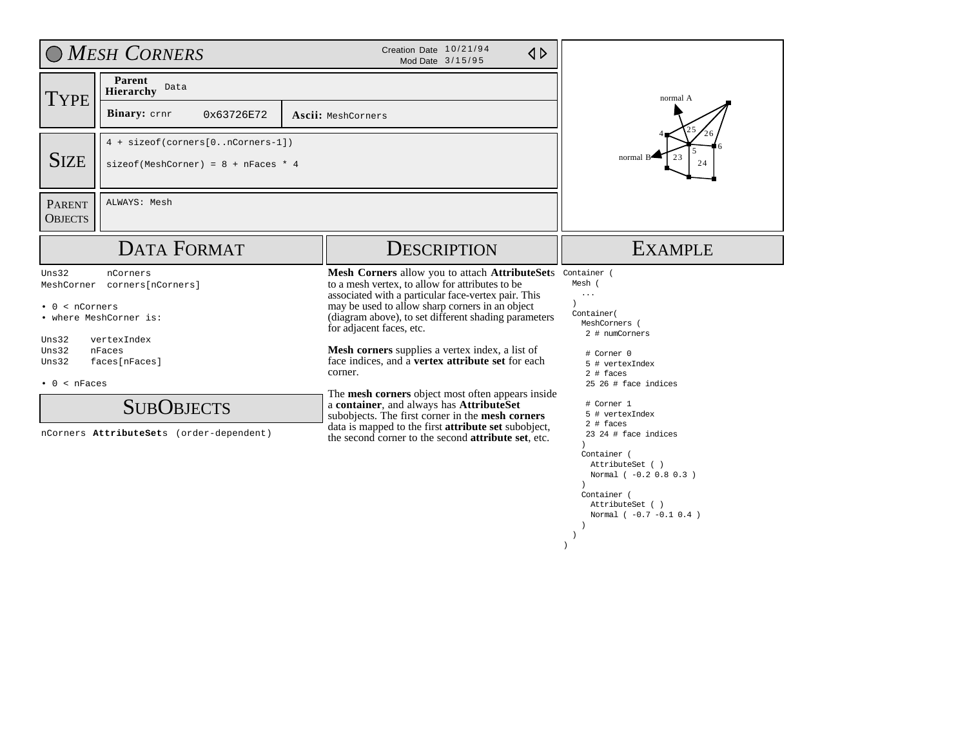|                                                                                           | O MESH CORNERS                                                                                                                                                     | Creation Date 10/21/94<br>$\triangle$<br>Mod Date 3/15/95                                                                                                                                                                                                                                                                                                                                                                                                                                                                                                                                                                                                                                             |                                                                                                                                                                                                                                                                                                                                                                   |
|-------------------------------------------------------------------------------------------|--------------------------------------------------------------------------------------------------------------------------------------------------------------------|-------------------------------------------------------------------------------------------------------------------------------------------------------------------------------------------------------------------------------------------------------------------------------------------------------------------------------------------------------------------------------------------------------------------------------------------------------------------------------------------------------------------------------------------------------------------------------------------------------------------------------------------------------------------------------------------------------|-------------------------------------------------------------------------------------------------------------------------------------------------------------------------------------------------------------------------------------------------------------------------------------------------------------------------------------------------------------------|
| TYPE                                                                                      | Parent<br>Data<br>Hierarchy                                                                                                                                        |                                                                                                                                                                                                                                                                                                                                                                                                                                                                                                                                                                                                                                                                                                       | normal A                                                                                                                                                                                                                                                                                                                                                          |
|                                                                                           | <b>Binary:</b> crnr<br>0x63726E72                                                                                                                                  | Ascii: MeshCorners                                                                                                                                                                                                                                                                                                                                                                                                                                                                                                                                                                                                                                                                                    |                                                                                                                                                                                                                                                                                                                                                                   |
| <b>SIZE</b>                                                                               | 4 + sizeof(corners[0nCorners-1])<br>$sizeof(MeshCorner) = 8 + nFaces * 4$                                                                                          |                                                                                                                                                                                                                                                                                                                                                                                                                                                                                                                                                                                                                                                                                                       | 23<br>normal B<br>24                                                                                                                                                                                                                                                                                                                                              |
| <b>PARENT</b><br><b>OBJECTS</b>                                                           | ALWAYS: Mesh                                                                                                                                                       |                                                                                                                                                                                                                                                                                                                                                                                                                                                                                                                                                                                                                                                                                                       |                                                                                                                                                                                                                                                                                                                                                                   |
|                                                                                           | <b>DATA FORMAT</b>                                                                                                                                                 | <b>DESCRIPTION</b>                                                                                                                                                                                                                                                                                                                                                                                                                                                                                                                                                                                                                                                                                    | <b>EXAMPLE</b>                                                                                                                                                                                                                                                                                                                                                    |
| Uns32<br>MeshCorner<br>$0 < n$ Corners<br>Uns32<br>Uns32<br>Uns32<br>$\bullet$ 0 < nFaces | nCorners<br>corners[nCorners]<br>• where MeshCorner is:<br>vertexIndex<br>nFaces<br>faces[nFaces]<br><b>SUBOBJECTS</b><br>nCorners AttributeSets (order-dependent) | Mesh Corners allow you to attach AttributeSets<br>to a mesh vertex, to allow for attributes to be<br>associated with a particular face-vertex pair. This<br>may be used to allow sharp corners in an object<br>(diagram above), to set different shading parameters<br>for adjacent faces, etc.<br>Mesh corners supplies a vertex index, a list of<br>face indices, and a vertex attribute set for each<br>corner.<br>The mesh corners object most often appears inside<br>a container, and always has AttributeSet<br>subobjects. The first corner in the mesh corners<br>data is mapped to the first <b>attribute set</b> subobject,<br>the second corner to the second <b>attribute set</b> , etc. | Container (<br>Mesh (<br>$\cdots$<br>Container (<br>MeshCorners (<br>2 # numCorners<br># Corner 0<br>5 # vertexIndex<br>$2$ # faces<br>25 26 # face indices<br># Corner 1<br>5 # vertexIndex<br>$2$ # faces<br>$23\ 24$ # face indices<br>Container (<br>AttributeSet ()<br>Normal ( -0.2 0.8 0.3 )<br>Container (<br>AttributeSet ()<br>Normal ( -0.7 -0.1 0.4 ) |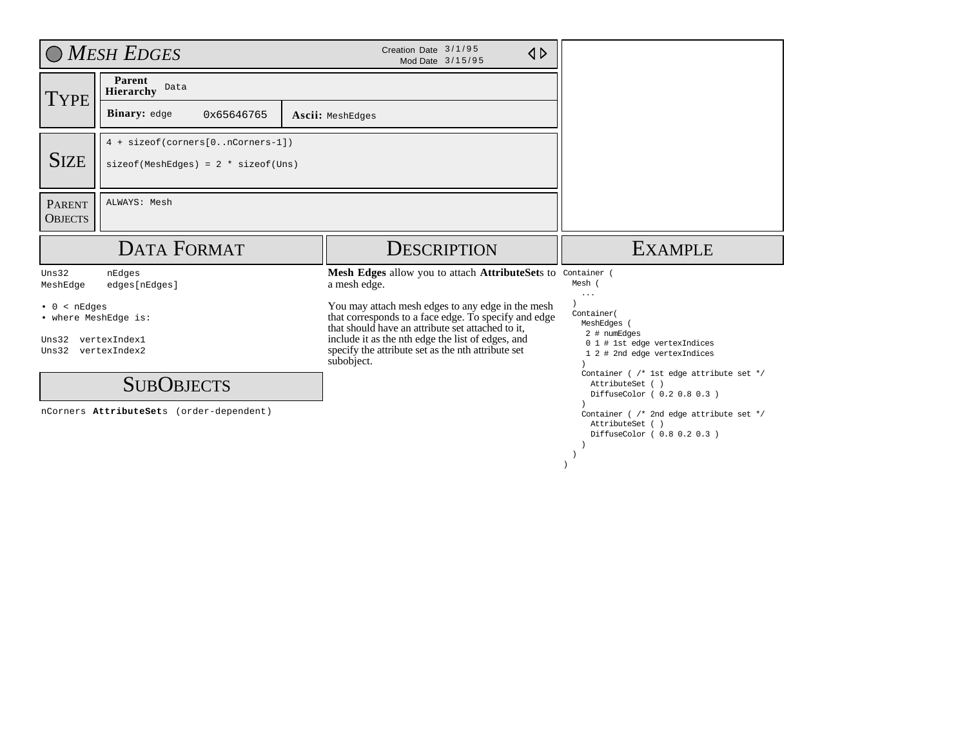|                                                                                | O MESH EDGES                                                                                          | Creation Date 3/1/95<br>$\triangle$<br>Mod Date 3/15/95                                                                                                                                                                                                                                 |                                                                                                                      |
|--------------------------------------------------------------------------------|-------------------------------------------------------------------------------------------------------|-----------------------------------------------------------------------------------------------------------------------------------------------------------------------------------------------------------------------------------------------------------------------------------------|----------------------------------------------------------------------------------------------------------------------|
| <b>TYPE</b>                                                                    | Parent<br>Data<br><b>Hierarchy</b>                                                                    |                                                                                                                                                                                                                                                                                         |                                                                                                                      |
|                                                                                | Binary: edge<br>0x65646765                                                                            | Ascii: MeshEdges                                                                                                                                                                                                                                                                        |                                                                                                                      |
| <b>SIZE</b>                                                                    | 4 + sizeof(corners[0nCorners-1])<br>$\text{sizeof}(\text{MeshEdges}) = 2 * \text{sizeof}(\text{Uns})$ |                                                                                                                                                                                                                                                                                         |                                                                                                                      |
| <b>PARENT</b><br><b>OBJECTS</b>                                                | ALWAYS: Mesh                                                                                          |                                                                                                                                                                                                                                                                                         |                                                                                                                      |
|                                                                                | <b>DATA FORMAT</b>                                                                                    | <b>DESCRIPTION</b>                                                                                                                                                                                                                                                                      | <b>EXAMPLE</b>                                                                                                       |
| Uns32                                                                          |                                                                                                       |                                                                                                                                                                                                                                                                                         |                                                                                                                      |
| MeshEdge                                                                       | nEdges<br>edges[nEdges]                                                                               | Mesh Edges allow you to attach AttributeSets to Container (<br>a mesh edge.                                                                                                                                                                                                             | Mesh (                                                                                                               |
| < nEdges<br>$\bullet$ 0<br>• where MeshEdge is:<br>Uns32<br>Uns32 vertexIndex2 | vertexIndex1                                                                                          | You may attach mesh edges to any edge in the mesh<br>that corresponds to a face edge. To specify and edge<br>that should have an attribute set attached to it,<br>include it as the nth edge the list of edges, and<br>specify the attribute set as the nth attribute set<br>subobject. | $\cdots$<br>Container (<br>MeshEdges<br>2 # numEdges<br>0 1 # 1st edge vertexIndices<br>1 2 # 2nd edge vertexIndices |
|                                                                                | <b>SUBOBJECTS</b>                                                                                     |                                                                                                                                                                                                                                                                                         | Container ( /* 1st edge attribute set */<br>AttributeSet ( )<br>DiffuseColor ( 0.2 0.8 0.3 )                         |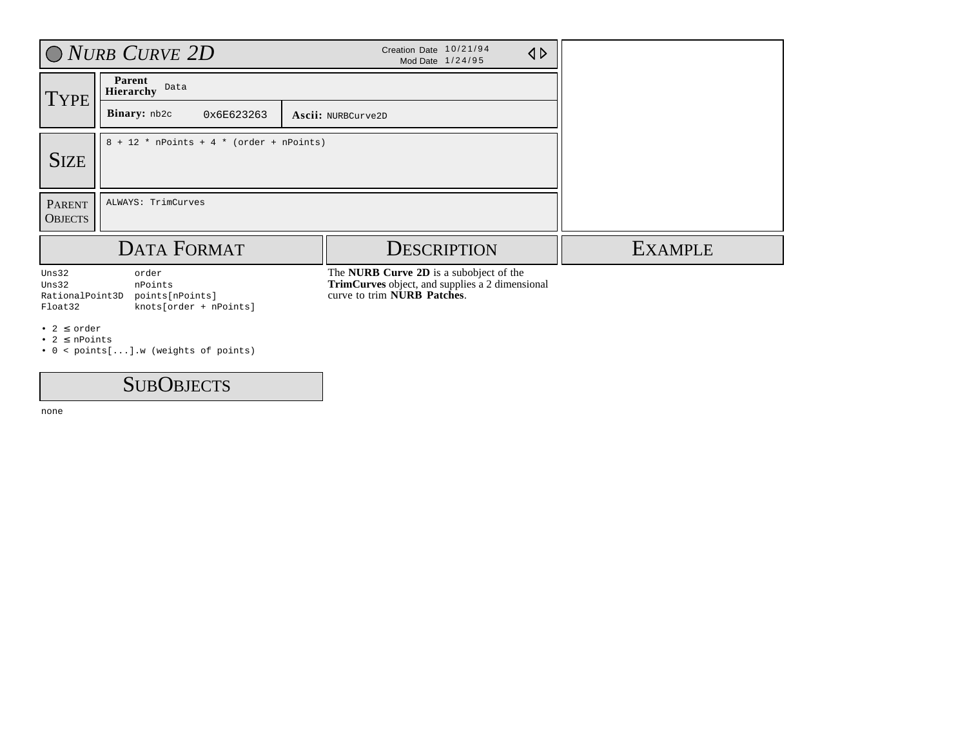|                                              | $\bigcirc$ NURB CURVE 2D                                      | Creation Date 10/21/94<br>$\triangleleft$<br>Mod Date 1/24/95                                                                    |                |
|----------------------------------------------|---------------------------------------------------------------|----------------------------------------------------------------------------------------------------------------------------------|----------------|
| <b>TYPE</b>                                  | Parent<br>Data<br><b>Hierarchy</b>                            |                                                                                                                                  |                |
|                                              | Binary: nb2c<br>0x6E623263                                    | Ascii: NURBCurve2D                                                                                                               |                |
| <b>SIZE</b>                                  | $8 + 12$ * nPoints + 4 * (order + nPoints)                    |                                                                                                                                  |                |
| <b>PARENT</b><br><b>OBJECTS</b>              | ALWAYS: TrimCurves                                            |                                                                                                                                  |                |
|                                              | <b>DATA FORMAT</b>                                            | <b>DESCRIPTION</b>                                                                                                               | <b>EXAMPLE</b> |
| Uns32<br>Uns32<br>RationalPoint3D<br>Float32 | order<br>nPoints<br>points[nPoints]<br>knots[order + nPoints] | The NURB Curve 2D is a subobject of the<br><b>TrimCurves</b> object, and supplies a 2 dimensional<br>curve to trim NURB Patches. |                |
| • 2 $\leq$ order<br>$.25$ C nDointe          |                                                               |                                                                                                                                  |                |

 $2 \leq n$ Points

• 0 < points[...].w (weights of points)

## SUB OBJECTS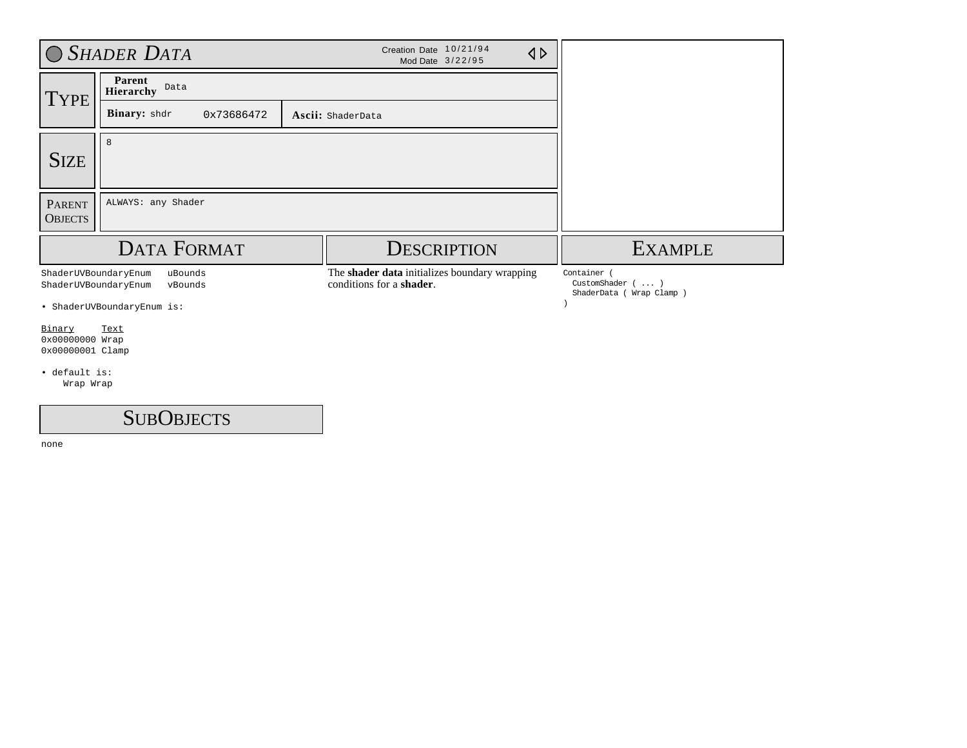|                                               | <b>SHADER DATA</b>          | Creation Date 10/21/94<br>$\triangle$<br>Mod Date 3/22/95                 |                                          |
|-----------------------------------------------|-----------------------------|---------------------------------------------------------------------------|------------------------------------------|
| <b>TYPE</b>                                   | Parent<br>Data<br>Hierarchy |                                                                           |                                          |
|                                               | Binary: shdr<br>0x73686472  | Ascii: ShaderData                                                         |                                          |
| <b>SIZE</b>                                   | 8                           |                                                                           |                                          |
| <b>PARENT</b><br><b>OBJECTS</b>               | ALWAYS: any Shader          |                                                                           |                                          |
|                                               |                             | <b>DESCRIPTION</b>                                                        | <b>EXAMPLE</b>                           |
|                                               | <b>DATA FORMAT</b>          |                                                                           |                                          |
| ShaderUVBoundaryEnum<br>ShaderUVBoundaryEnum  | uBounds<br>vBounds          | The shader data initializes boundary wrapping<br>conditions for a shader. | Container (<br>CustomShader $( \ldots )$ |
|                                               | · ShaderUVBoundaryEnum is:  |                                                                           | ShaderData ( Wrap Clamp )                |
| Binary<br>0x00000000 Wrap<br>0x00000001 Clamp | Text                        |                                                                           |                                          |
| · default is:<br>Wrap Wrap                    |                             |                                                                           |                                          |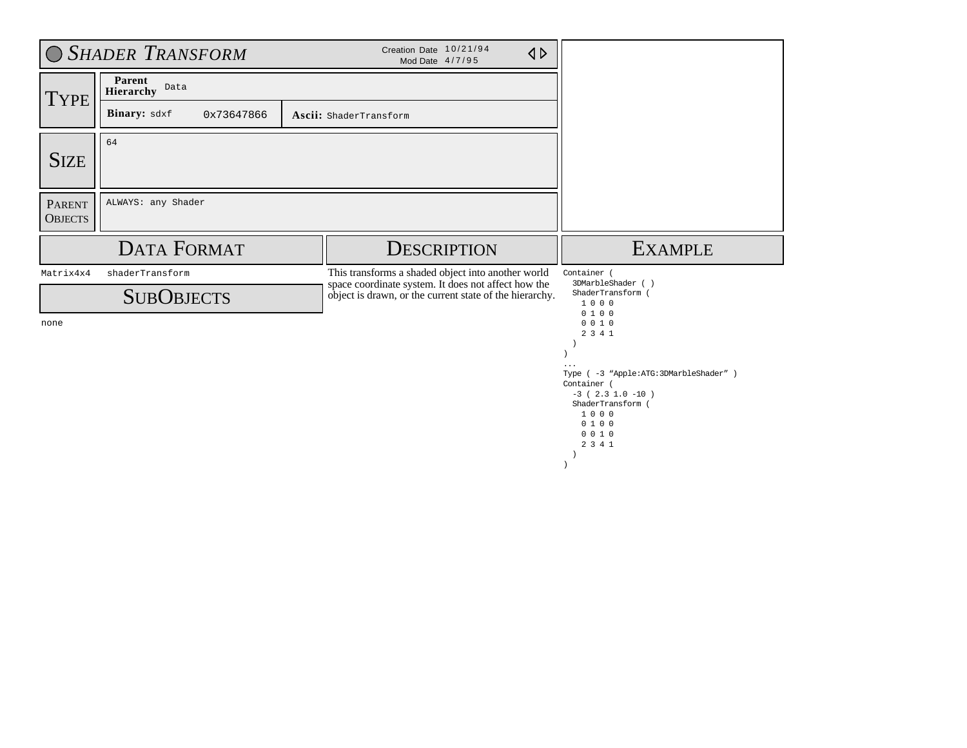|                                 | <b>O SHADER TRANSFORM</b>   | Creation Date 10/21/94<br>Mod Date 4/7/95                                                                 | $\triangle$ |                                                                       |
|---------------------------------|-----------------------------|-----------------------------------------------------------------------------------------------------------|-------------|-----------------------------------------------------------------------|
| <b>TYPE</b>                     | Parent<br>Data<br>Hierarchy |                                                                                                           |             |                                                                       |
|                                 | Binary: sdxf<br>0x73647866  | Ascii: ShaderTransform                                                                                    |             |                                                                       |
| <b>SIZE</b>                     | 64                          |                                                                                                           |             |                                                                       |
| <b>PARENT</b><br><b>OBJECTS</b> | ALWAYS: any Shader          |                                                                                                           |             |                                                                       |
|                                 | <b>DATA FORMAT</b>          |                                                                                                           |             |                                                                       |
|                                 |                             | <b>DESCRIPTION</b>                                                                                        |             | <b>EXAMPLE</b>                                                        |
| Matrix4x4                       | shaderTransform             | This transforms a shaded object into another world<br>space coordinate system. It does not affect how the |             | Container (<br>3DMarbleShader (                                       |
|                                 | <b>SUBOBJECTS</b>           | object is drawn, or the current state of the hierarchy.                                                   |             | ShaderTransform (<br>1000                                             |
| none                            |                             |                                                                                                           |             | 0100<br>0 0 1 0<br>2 3 4 1<br>Type ( -3 "Apple:ATG: 3DMarbleShader" ) |

 ) )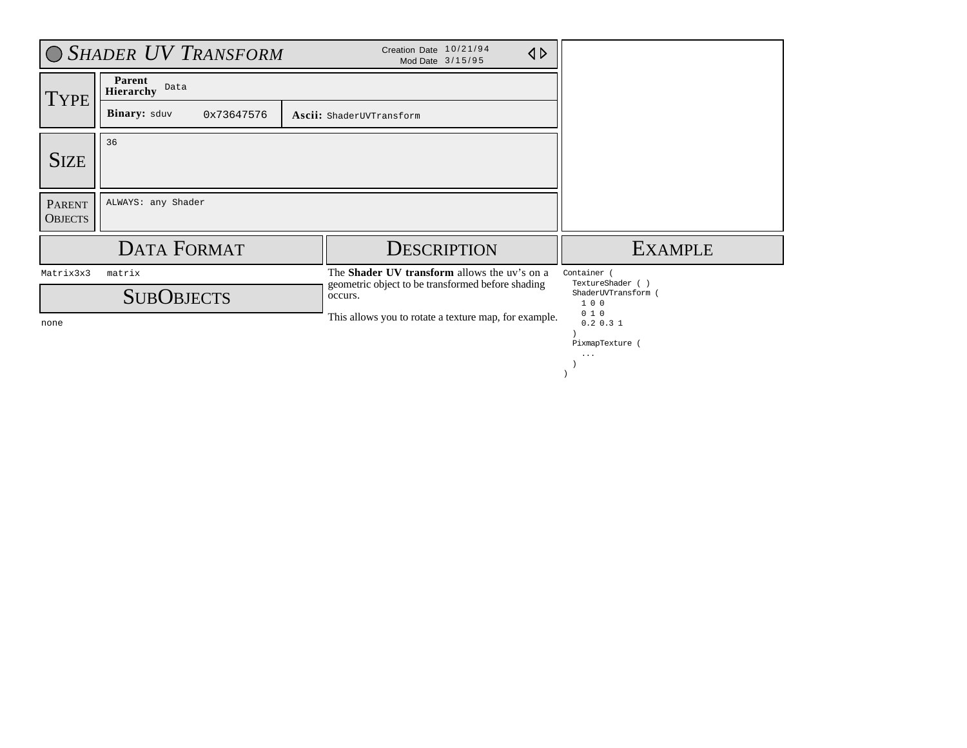|                                 | O SHADER UV TRANSFORM                                         | Creation Date 10/21/94<br>$\triangle$<br>Mod Date 3/15/95                                                    |                                                              |
|---------------------------------|---------------------------------------------------------------|--------------------------------------------------------------------------------------------------------------|--------------------------------------------------------------|
| <b>TYPE</b>                     | Parent<br>Data<br><b>Hierarchy</b>                            |                                                                                                              |                                                              |
|                                 | <b>Binary:</b> sduv<br>0x73647576<br>Ascii: ShaderUVTransform |                                                                                                              |                                                              |
| <b>SIZE</b>                     | 36                                                            |                                                                                                              |                                                              |
| <b>PARENT</b><br><b>OBJECTS</b> | ALWAYS: any Shader                                            |                                                                                                              |                                                              |
|                                 | <b>DATA FORMAT</b>                                            | <b>DESCRIPTION</b>                                                                                           | <b>EXAMPLE</b>                                               |
| Matrix3x3                       | matrix<br><b>SUBOBJECTS</b>                                   | The Shader UV transform allows the uv's on a<br>geometric object to be transformed before shading<br>occurs. | Container (<br>TextureShader ( )<br>ShaderUVTransform<br>100 |
| none                            |                                                               | This allows you to rotate a texture map, for example.                                                        | 010<br>0.2 0.3 1<br>PixmapTexture<br>$\cdots$                |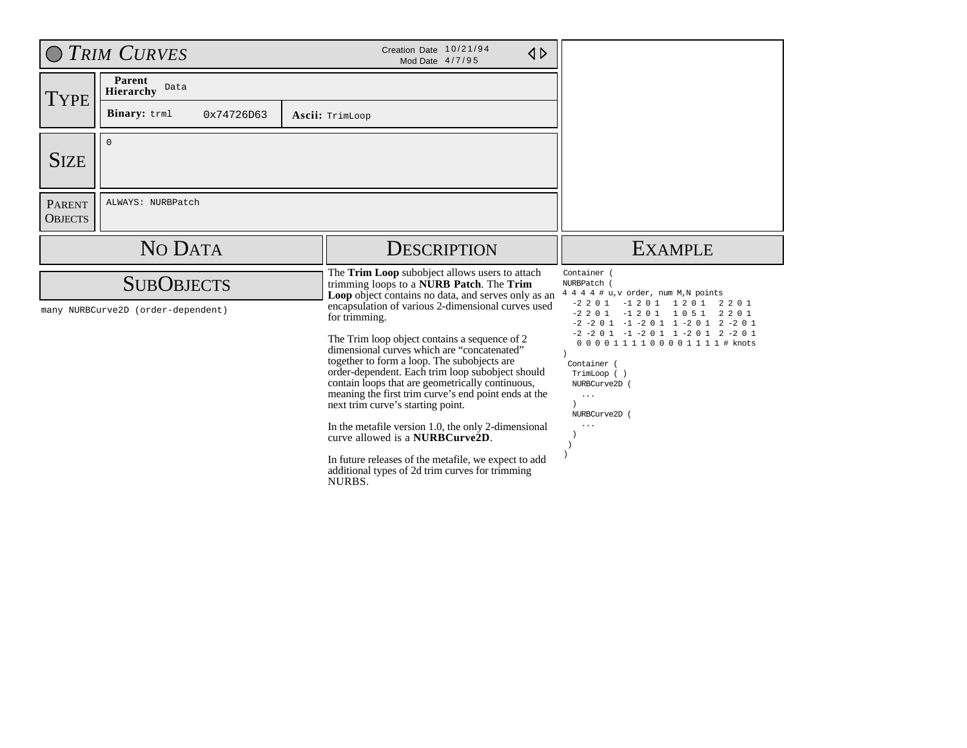| O TRIM CURVES                                           |                             | Creation Date 10/21/94<br>$\triangle$<br>Mod Date 4/7/95                                                                                                                      |                                                                                                                                                                                       |
|---------------------------------------------------------|-----------------------------|-------------------------------------------------------------------------------------------------------------------------------------------------------------------------------|---------------------------------------------------------------------------------------------------------------------------------------------------------------------------------------|
| <b>TYPE</b>                                             | Parent<br>Data<br>Hierarchy |                                                                                                                                                                               |                                                                                                                                                                                       |
|                                                         | Binary: trml<br>0x74726D63  | Ascii: TrimLoop                                                                                                                                                               |                                                                                                                                                                                       |
| <b>SIZE</b>                                             | $\mathbf 0$                 |                                                                                                                                                                               |                                                                                                                                                                                       |
| <b>PARENT</b><br><b>OBJECTS</b>                         | ALWAYS: NURBPatch           |                                                                                                                                                                               |                                                                                                                                                                                       |
|                                                         | NO DATA                     | <b>DESCRIPTION</b>                                                                                                                                                            | <b>EXAMPLE</b>                                                                                                                                                                        |
| <b>SUBOBJECTS</b><br>many NURBCurve2D (order-dependent) |                             | The Trim Loop subobject allows users to attach                                                                                                                                | Container (                                                                                                                                                                           |
|                                                         |                             | trimming loops to a <b>NURB</b> Patch. The Trim<br>Loop object contains no data, and serves only as an<br>encapsulation of various 2-dimensional curves used<br>for trimming. | NURBPatch (<br>4 4 4 4 # u, v order, num M, N points<br>$-2$ 2 0 1<br>$-1201$ 1201<br>2201<br>$-1201$ 1051<br>$-2201$<br>2 2 0 1<br>$-2$ $-2$ 0 1 $-1$ $-2$ 0 1 1 $-2$ 0 1 2 $-2$ 0 1 |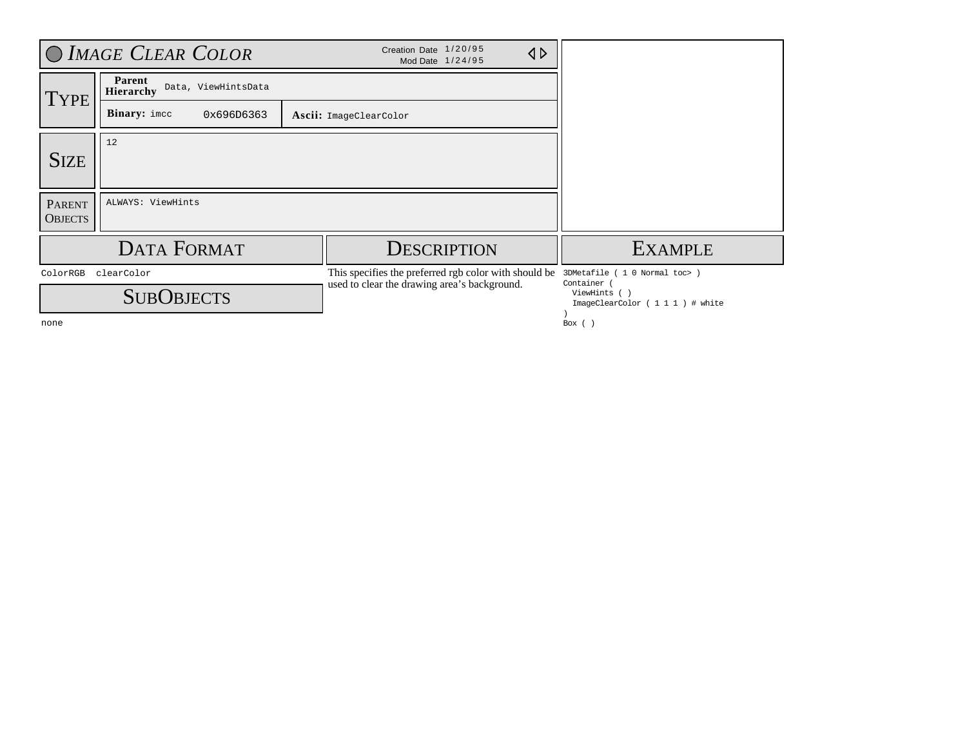| O IMAGE CLEAR COLOR                         |                                            | Creation Date 1/20/95<br>$\triangle$<br>Mod Date 1/24/95                                              |                                                                                                    |
|---------------------------------------------|--------------------------------------------|-------------------------------------------------------------------------------------------------------|----------------------------------------------------------------------------------------------------|
| <b>TYPE</b>                                 | Parent<br>Data, ViewHintsData<br>Hierarchy |                                                                                                       |                                                                                                    |
|                                             | <b>Binary:</b> imcc<br>0x696D6363          | Ascii: ImageClearColor                                                                                |                                                                                                    |
| <b>SIZE</b>                                 | 12                                         |                                                                                                       |                                                                                                    |
| <b>PARENT</b><br><b>OBJECTS</b>             | ALWAYS: ViewHints                          |                                                                                                       |                                                                                                    |
| <b>DATA FORMAT</b>                          |                                            | <b>DESCRIPTION</b>                                                                                    | <b>EXAMPLE</b>                                                                                     |
| clearColor<br>ColorRGB<br><b>SUBOBJECTS</b> |                                            | This specifies the preferred rgb color with should be<br>used to clear the drawing area's background. | 3DMetafile ( 1 0 Normal toc> )<br>Container (<br>ViewHints ()<br>ImageClearColor ( 1 1 1 ) # white |
| none                                        |                                            |                                                                                                       | Box $()$                                                                                           |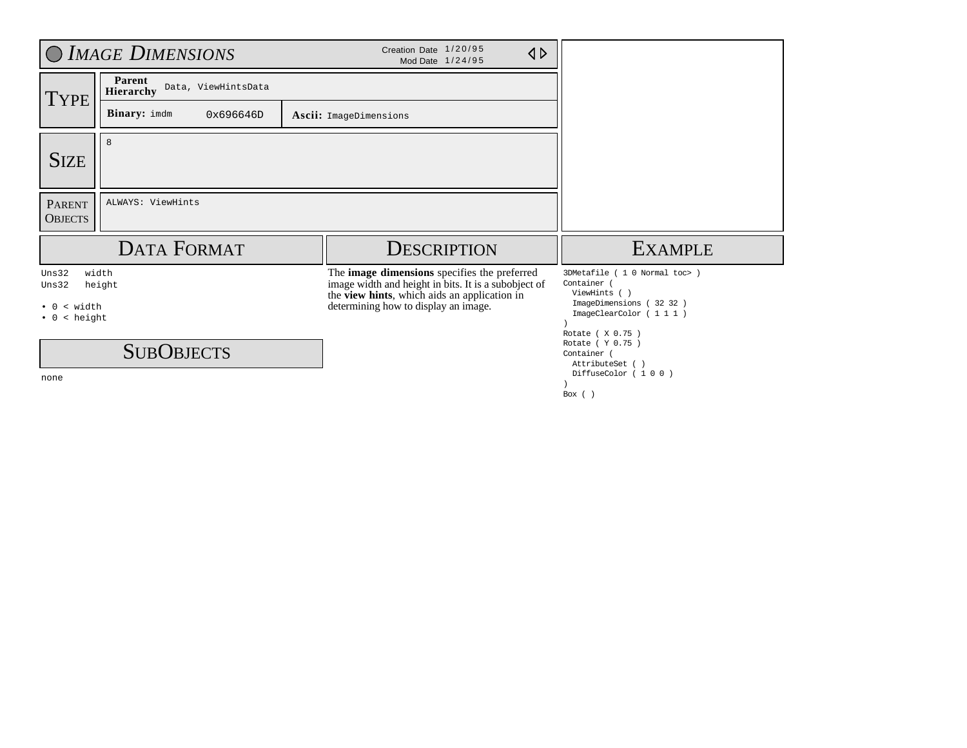| O IMAGE DIMENSIONS                                           |                                                   | Creation Date 1/20/95<br>$\triangle$<br>Mod Date 1/24/95                                                                                             |                                                                        |
|--------------------------------------------------------------|---------------------------------------------------|------------------------------------------------------------------------------------------------------------------------------------------------------|------------------------------------------------------------------------|
| <b>TYPE</b>                                                  | Parent<br>Data, ViewHintsData<br><b>Hierarchy</b> |                                                                                                                                                      |                                                                        |
|                                                              | <b>Binary:</b> imdm<br>0x696646D                  | Ascii: ImageDimensions                                                                                                                               |                                                                        |
| <b>SIZE</b>                                                  | 8                                                 |                                                                                                                                                      |                                                                        |
| <b>PARENT</b><br><b>OBJECTS</b>                              | ALWAYS: ViewHints                                 |                                                                                                                                                      |                                                                        |
| <b>DATA FORMAT</b>                                           |                                                   | <b>DESCRIPTION</b>                                                                                                                                   | <b>EXAMPLE</b>                                                         |
| Uns32<br>width<br>Uns32<br>height                            |                                                   | The image dimensions specifies the preferred<br>image width and height in bits. It is a subobject of<br>the view hints, which aids an application in | 3DMetafile ( 1 0 Normal toc> )<br>Container (<br>ViewHints ()          |
| width<br>$\overline{\phantom{a}}$<br>$\bullet$ 0<br>< height |                                                   | determining how to display an image.                                                                                                                 | ImageDimensions (32 32 )<br>ImageClearColor (111)<br>Rotate ( X 0.75 ) |
| <b>SUBOBJECTS</b>                                            |                                                   |                                                                                                                                                      | Rotate ( Y 0.75 )<br>Container (<br>AttributeSet ()                    |
| none                                                         |                                                   |                                                                                                                                                      | DiffuseColor (100)<br>Box $()$                                         |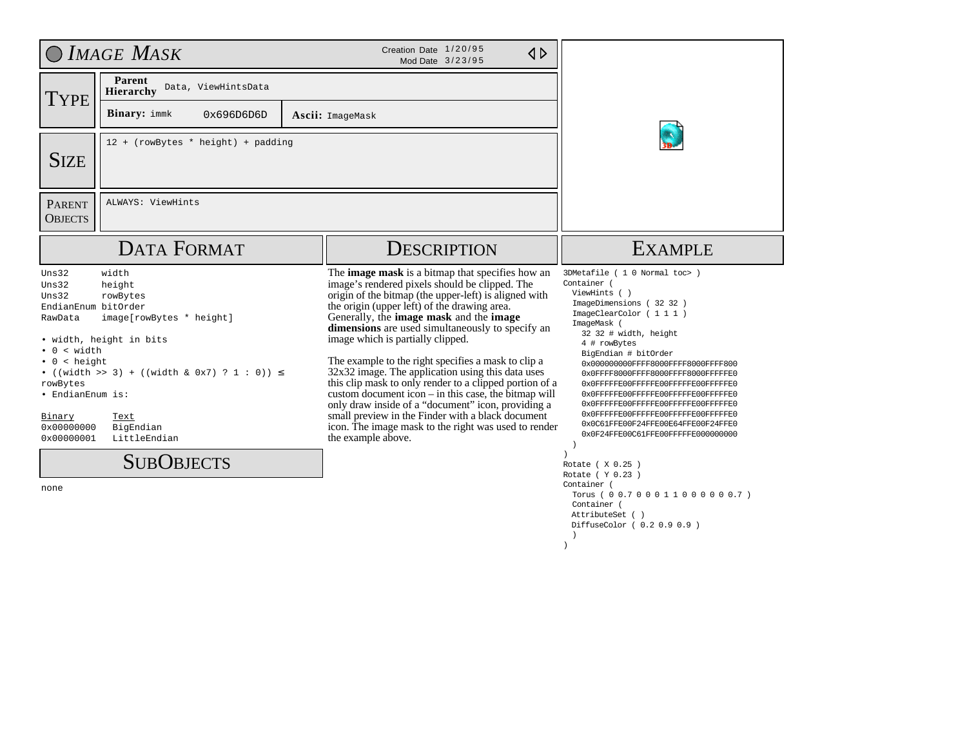|                                                                                                                                                                                                 | $OMAGE$ Mask                                                                                                                                                                                     | Creation Date 1/20/95<br>$\triangle$<br>Mod Date 3/23/95                                                                                                                                                                                                                                                                                                                                                                                                                                                                                                                                                                                                                                                                                                                                       |                                                                                                                                                                                                                                                                                                                                                                                                                                                                                                                                                                                                                                                                                                                  |
|-------------------------------------------------------------------------------------------------------------------------------------------------------------------------------------------------|--------------------------------------------------------------------------------------------------------------------------------------------------------------------------------------------------|------------------------------------------------------------------------------------------------------------------------------------------------------------------------------------------------------------------------------------------------------------------------------------------------------------------------------------------------------------------------------------------------------------------------------------------------------------------------------------------------------------------------------------------------------------------------------------------------------------------------------------------------------------------------------------------------------------------------------------------------------------------------------------------------|------------------------------------------------------------------------------------------------------------------------------------------------------------------------------------------------------------------------------------------------------------------------------------------------------------------------------------------------------------------------------------------------------------------------------------------------------------------------------------------------------------------------------------------------------------------------------------------------------------------------------------------------------------------------------------------------------------------|
| <b>TYPE</b>                                                                                                                                                                                     | Parent<br>Data, ViewHintsData<br>Hierarchy                                                                                                                                                       |                                                                                                                                                                                                                                                                                                                                                                                                                                                                                                                                                                                                                                                                                                                                                                                                |                                                                                                                                                                                                                                                                                                                                                                                                                                                                                                                                                                                                                                                                                                                  |
|                                                                                                                                                                                                 | <b>Binary:</b> immk<br>0x696D6D6D                                                                                                                                                                | Ascii: ImageMask                                                                                                                                                                                                                                                                                                                                                                                                                                                                                                                                                                                                                                                                                                                                                                               |                                                                                                                                                                                                                                                                                                                                                                                                                                                                                                                                                                                                                                                                                                                  |
| <b>SIZE</b>                                                                                                                                                                                     | 12 + (rowBytes * height) + padding                                                                                                                                                               |                                                                                                                                                                                                                                                                                                                                                                                                                                                                                                                                                                                                                                                                                                                                                                                                |                                                                                                                                                                                                                                                                                                                                                                                                                                                                                                                                                                                                                                                                                                                  |
| <b>PARENT</b><br><b>OBJECTS</b>                                                                                                                                                                 | ALWAYS: ViewHints                                                                                                                                                                                |                                                                                                                                                                                                                                                                                                                                                                                                                                                                                                                                                                                                                                                                                                                                                                                                |                                                                                                                                                                                                                                                                                                                                                                                                                                                                                                                                                                                                                                                                                                                  |
|                                                                                                                                                                                                 | <b>DATA FORMAT</b>                                                                                                                                                                               | <b>DESCRIPTION</b>                                                                                                                                                                                                                                                                                                                                                                                                                                                                                                                                                                                                                                                                                                                                                                             | <b>EXAMPLE</b>                                                                                                                                                                                                                                                                                                                                                                                                                                                                                                                                                                                                                                                                                                   |
| Uns32<br>Uns32<br>Uns32<br>EndianEnum bitOrder<br>RawData<br>< width<br>$\overline{0}$<br>< height<br>$\bullet$ 0<br>rowBytes<br>• EndianEnum is:<br>Binary<br>0x00000000<br>0x00000001<br>none | width<br>height<br>rowBytes<br>image[rowBytes * height]<br>• width, height in bits<br>• ((width >> 3) + ((width & 0x7) ? 1 : 0)) $\le$<br>Text<br>BigEndian<br>LittleEndian<br><b>SUBOBJECTS</b> | The <b>image mask</b> is a bitmap that specifies how an<br>image's rendered pixels should be clipped. The<br>origin of the bitmap (the upper-left) is aligned with<br>the origin (upper left) of the drawing area.<br>Generally, the <b>image mask</b> and the <b>image</b><br>dimensions are used simultaneously to specify an<br>image which is partially clipped.<br>The example to the right specifies a mask to clip a<br>32x32 image. The application using this data uses<br>this clip mask to only render to a clipped portion of a<br>custom document icon $-$ in this case, the bitmap will<br>only draw inside of a "document" icon, providing a<br>small preview in the Finder with a black document<br>icon. The image mask to the right was used to render<br>the example above. | 3DMetafile ( 1 0 Normal toc> )<br>Container (<br>ViewHints ()<br>ImageDimensions (32 32 )<br>ImageClearColor ( 1 1 1 )<br>ImageMask (<br>32 32 # width, height<br>4 # rowBytes<br>BigEndian # bitOrder<br>0x000000000FFFF8000FFFF8000FFFF800<br>0x0FFFF8000FFFF8000FFFF8000FFFFFFE0<br>0x0FFFFFE00FFFFFE00FFFFFE00FFFFFFE0<br>0x0FFFFFE00FFFFFE00FFFFFE00FFFFFFE0<br>0x0FFFFFE00FFFFFE00FFFFFE00FFFFFFE0<br>0x0FFFFFE00FFFFFE00FFFFFE00FFFFFFE0<br>0x0C61FFE00F24FFE00E64FFE00F24FFE0<br>0x0F24FFE00C61FFE00FFFFFE000000000<br>$\rightarrow$<br>Rotate (X 0.25)<br>Rotate ( Y 0.23 )<br>Container (<br>Torus ( 0 0.7 0 0 0 1 1 0 0 0 0 0 0.7 )<br>Container (<br>AttributeSet ()<br>DiffuseColor ( 0.2 0.9 0.9 ) |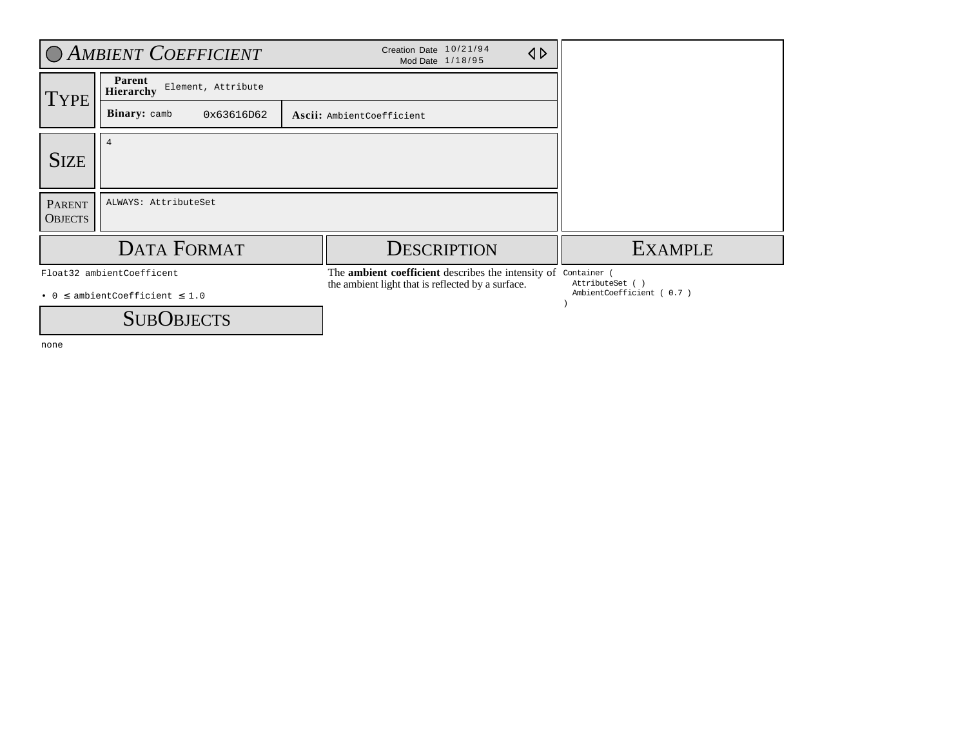| C AMBIENT COEFFICIENT                                                |                                                  | Creation Date 10/21/94<br>$\triangleleft$<br>Mod Date 1/18/95                                                            |                                             |
|----------------------------------------------------------------------|--------------------------------------------------|--------------------------------------------------------------------------------------------------------------------------|---------------------------------------------|
| <b>TYPE</b>                                                          | Parent<br>Element, Attribute<br><b>Hierarchy</b> |                                                                                                                          |                                             |
|                                                                      | Binary: camb<br>0x63616D62                       | Ascii: AmbientCoefficient                                                                                                |                                             |
| <b>SIZE</b>                                                          | $\overline{4}$                                   |                                                                                                                          |                                             |
| <b>PARENT</b><br><b>OBJECTS</b>                                      | ALWAYS: AttributeSet                             |                                                                                                                          |                                             |
| <b>DATA FORMAT</b>                                                   |                                                  | <b>DESCRIPTION</b>                                                                                                       | <b>EXAMPLE</b>                              |
| Float32 ambientCoefficent<br>• $0 \le$ ambientCoefficient $\leq 1.0$ |                                                  | The <b>ambient coefficient</b> describes the intensity of Container<br>the ambient light that is reflected by a surface. | AttributeSet ()<br>AmbientCoefficient (0.7) |
| <b>SUBOBJECTS</b>                                                    |                                                  |                                                                                                                          |                                             |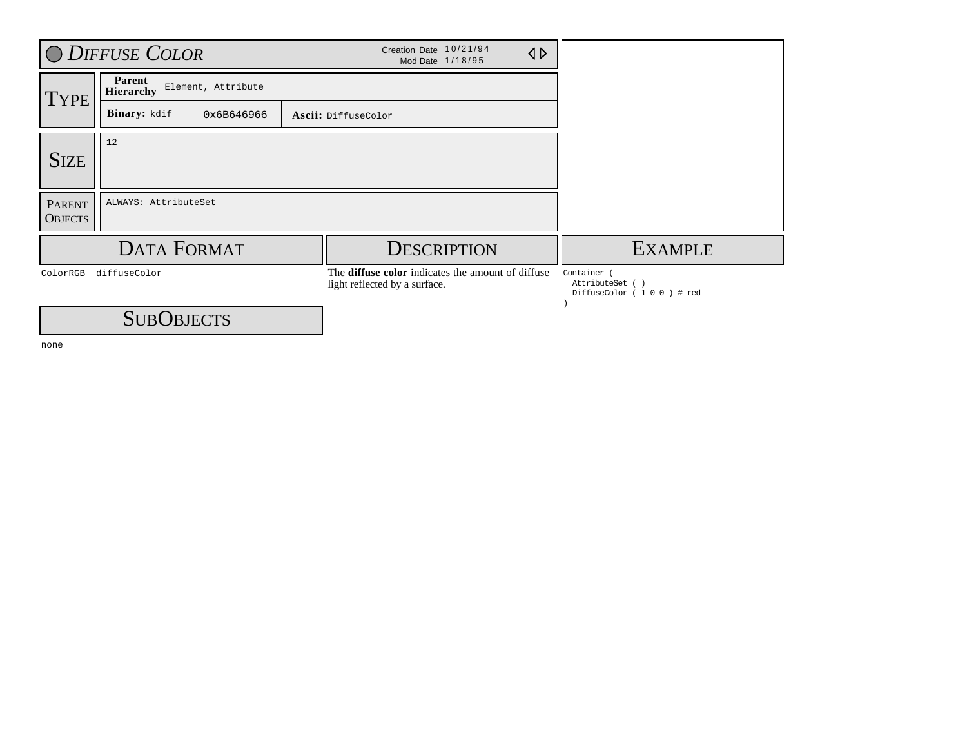|                                 | O DIFFUSE COLOR                                  | Creation Date 10/21/94<br>$\triangle$<br>Mod Date 1/18/95                          |                                                           |  |  |
|---------------------------------|--------------------------------------------------|------------------------------------------------------------------------------------|-----------------------------------------------------------|--|--|
| <b>TYPE</b>                     | Parent<br>Element, Attribute<br><b>Hierarchy</b> |                                                                                    |                                                           |  |  |
|                                 | Binary: kdif<br>0x6B646966                       |                                                                                    |                                                           |  |  |
| <b>SIZE</b>                     | 12                                               |                                                                                    |                                                           |  |  |
| <b>PARENT</b><br><b>OBJECTS</b> | ALWAYS: AttributeSet                             |                                                                                    |                                                           |  |  |
|                                 | <b>DATA FORMAT</b>                               | <b>DESCRIPTION</b>                                                                 | <b>EXAMPLE</b>                                            |  |  |
| diffuseColor<br>ColorRGB        |                                                  | The diffuse color indicates the amount of diffuse<br>light reflected by a surface. | Container<br>AttributeSet ( )<br>DiffuseColor (100) # red |  |  |
|                                 | <b>SUBOBJECTS</b>                                |                                                                                    |                                                           |  |  |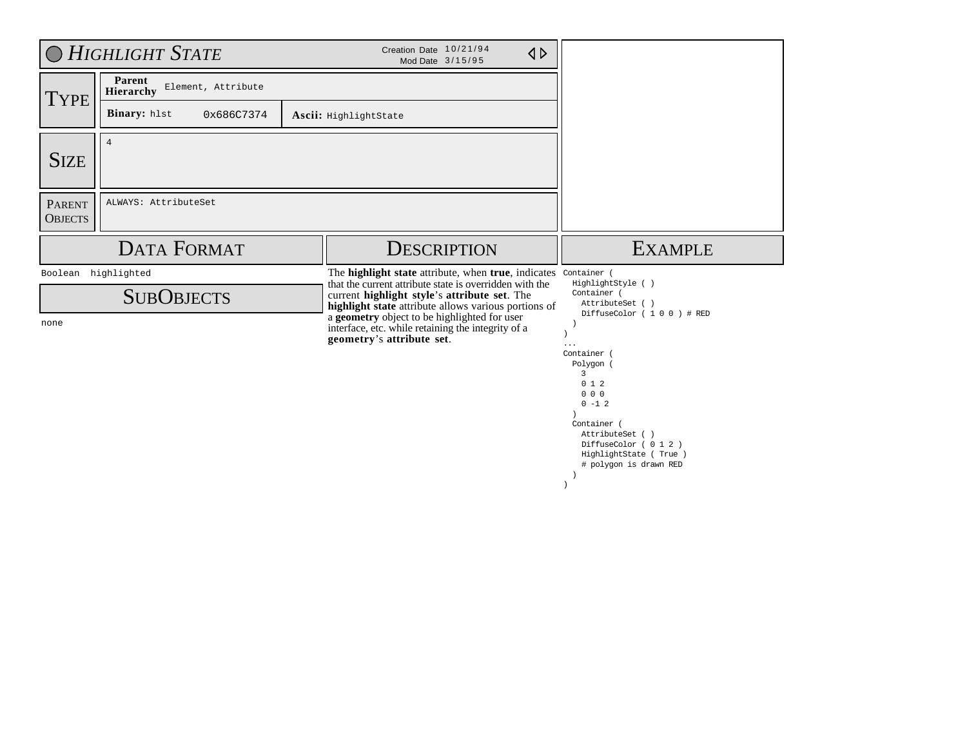| O HIGHLIGHT STATE                           |                                           | Creation Date 10/21/94<br>$\triangle$<br>Mod Date 3/15/95                                                                                                                                                                             |                                                                                                                                                                                               |
|---------------------------------------------|-------------------------------------------|---------------------------------------------------------------------------------------------------------------------------------------------------------------------------------------------------------------------------------------|-----------------------------------------------------------------------------------------------------------------------------------------------------------------------------------------------|
| <b>TYPE</b>                                 | Parent<br>Element, Attribute<br>Hierarchy |                                                                                                                                                                                                                                       |                                                                                                                                                                                               |
|                                             | Binary: hlst<br>0x686C7374                | Ascii: HighlightState                                                                                                                                                                                                                 |                                                                                                                                                                                               |
| <b>SIZE</b>                                 | $\overline{4}$                            |                                                                                                                                                                                                                                       |                                                                                                                                                                                               |
| <b>PARENT</b><br><b>OBJECTS</b>             | ALWAYS: AttributeSet                      |                                                                                                                                                                                                                                       |                                                                                                                                                                                               |
|                                             | <b>DATA FORMAT</b>                        | <b>DESCRIPTION</b>                                                                                                                                                                                                                    | <b>EXAMPLE</b>                                                                                                                                                                                |
| highlighted<br>Boolean<br><b>SUBOBJECTS</b> |                                           | The <b>highlight state</b> attribute, when <b>true</b> , indicates<br>that the current attribute state is overridden with the<br>current highlight style's attribute set. The<br>highlight state attribute allows various portions of | Container (<br>HighlightStyle ()<br>Container (<br>AttributeSet ( )<br>DiffuseColor (100) # RED                                                                                               |
| none                                        |                                           | a geometry object to be highlighted for user<br>interface, etc. while retaining the integrity of a<br>geometry's attribute set.                                                                                                       | $\cdots$<br>Container (<br>Polygon (<br>3<br>012<br>$0\quad 0\quad 0$<br>$0 - 1 2$<br>Container (<br>AttributeSet ()<br>DiffuseColor (012)<br>HighlightState (True)<br># polygon is drawn RED |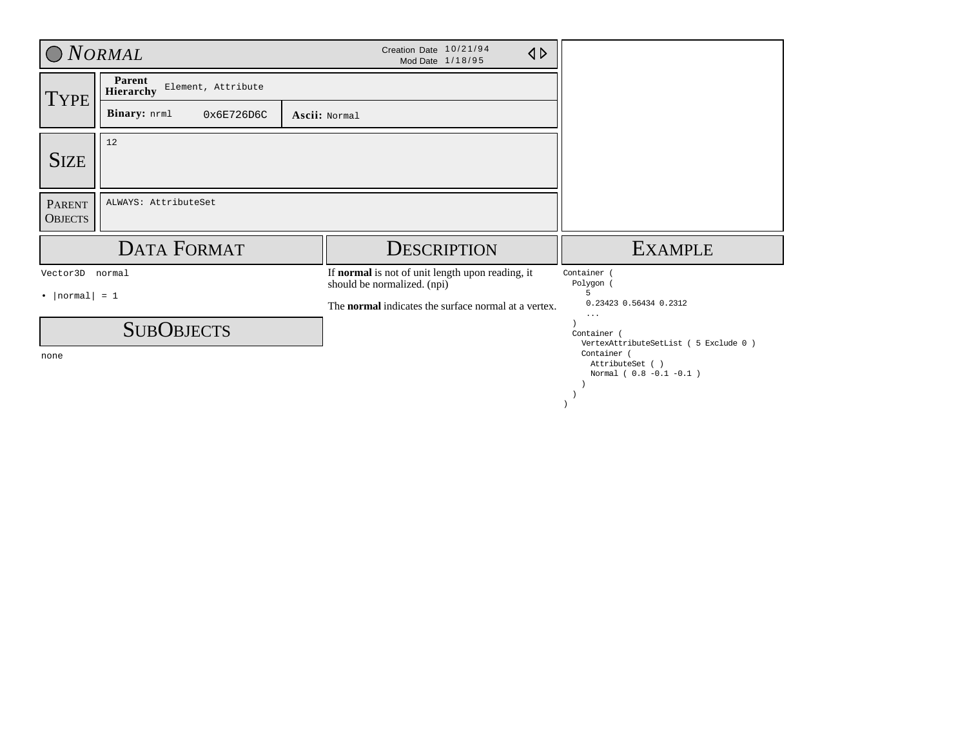| O NORMAL                        |                                                  | Creation Date 10/21/94<br>$\triangle$<br>Mod Date 1/18/95                       |                                                              |
|---------------------------------|--------------------------------------------------|---------------------------------------------------------------------------------|--------------------------------------------------------------|
| <b>TYPE</b>                     | Parent<br>Element, Attribute<br><b>Hierarchy</b> |                                                                                 |                                                              |
|                                 | Binary: nrml<br>0x6E726D6C                       | Ascii: Normal                                                                   |                                                              |
| <b>SIZE</b>                     | 12                                               |                                                                                 |                                                              |
| <b>PARENT</b><br><b>OBJECTS</b> | ALWAYS: AttributeSet                             |                                                                                 |                                                              |
|                                 | <b>DATA FORMAT</b>                               | <b>DESCRIPTION</b>                                                              | <b>EXAMPLE</b>                                               |
| Vector3D normal                 |                                                  | If normal is not of unit length upon reading, it<br>should be normalized. (npi) | Container<br>Polygon                                         |
| $\cdot$   normal  = 1           |                                                  | The <b>normal</b> indicates the surface normal at a vertex.                     | 5<br>0.23423 0.56434 0.2312<br>$\cdots$                      |
|                                 | <b>SUBOBJECTS</b>                                |                                                                                 | Container (<br>VertexAttributeSetList ( 5 Exclude 0 )        |
| none                            |                                                  |                                                                                 | Container (<br>AttributeSet ()<br>Normal ( $0.8 -0.1 -0.1$ ) |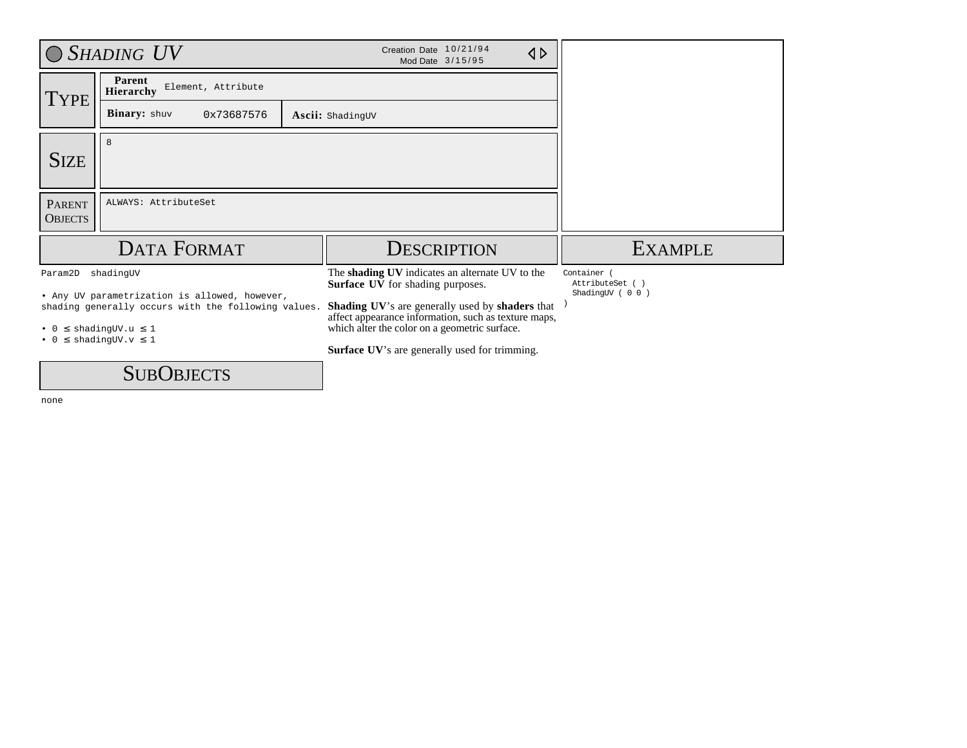|                                 | $O$ SHADING $UV$                                                                                     | Creation Date 10/21/94<br>$\triangle$<br>Mod Date 3/15/95                                               |                                |
|---------------------------------|------------------------------------------------------------------------------------------------------|---------------------------------------------------------------------------------------------------------|--------------------------------|
| <b>TYPE</b>                     | Parent<br>Element, Attribute<br><b>Hierarchy</b>                                                     |                                                                                                         |                                |
|                                 | <b>Binary:</b> shuv<br>0x73687576                                                                    | <b>Ascii:</b> ShadingUV                                                                                 |                                |
| <b>SIZE</b>                     | 8                                                                                                    |                                                                                                         |                                |
| <b>PARENT</b><br><b>OBJECTS</b> | ALWAYS: AttributeSet                                                                                 |                                                                                                         |                                |
|                                 | <b>DATA FORMAT</b>                                                                                   | <b>DESCRIPTION</b>                                                                                      | <b>EXAMPLE</b>                 |
| Param2D                         | shadingUV                                                                                            | The shading UV indicates an alternate UV to the<br><b>Surface UV</b> for shading purposes.              | Container (<br>AttributeSet () |
|                                 | • Any UV parametrization is allowed, however,<br>shading generally occurs with the following values. | Shading UV's are generally used by shaders that<br>affect appearance information, such as texture maps, | ShadingUV (00)                 |
|                                 | $\bullet$ 0 $\leq$ shadingUV.u $\leq$ 1<br>$\bullet$ 0 $\leq$ shadingUV.v $\leq$ 1                   | which alter the color on a geometric surface.                                                           |                                |
|                                 |                                                                                                      | <b>Surface UV's are generally used for trimming.</b>                                                    |                                |
|                                 | $\cap$ $\cap$                                                                                        |                                                                                                         |                                |

**SUBOBJECTS**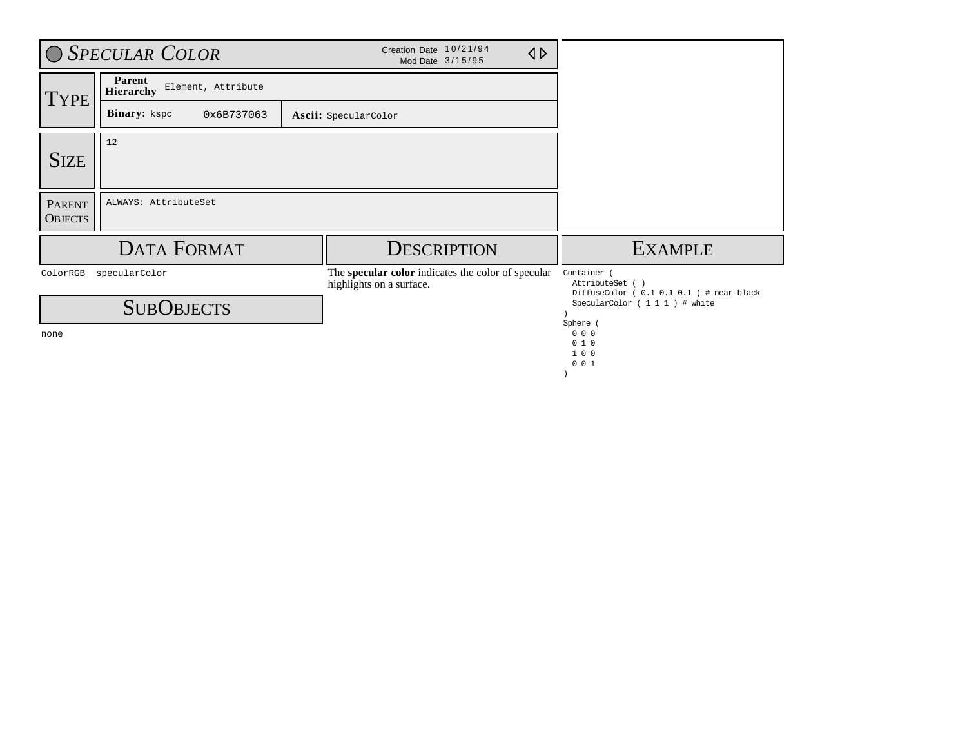| O SPECULAR COLOR                |                                           |                      | Creation Date 10/21/94<br>Mod Date 3/15/95                                     | $\triangle$ |                                                                             |
|---------------------------------|-------------------------------------------|----------------------|--------------------------------------------------------------------------------|-------------|-----------------------------------------------------------------------------|
| <b>TYPE</b>                     | Parent<br>Element, Attribute<br>Hierarchy |                      |                                                                                |             |                                                                             |
|                                 | Binary: kspc<br>0x6B737063                | Ascii: SpecularColor |                                                                                |             |                                                                             |
| 12<br><b>SIZE</b>               |                                           |                      |                                                                                |             |                                                                             |
| <b>PARENT</b><br><b>OBJECTS</b> | ALWAYS: AttributeSet                      |                      |                                                                                |             |                                                                             |
|                                 | <b>DATA FORMAT</b>                        |                      | <b>DESCRIPTION</b>                                                             |             | <b>EXAMPLE</b>                                                              |
| ColorRGB<br>specularColor       |                                           |                      | The specular color indicates the color of specular<br>highlights on a surface. |             | Container<br>AttributeSet ()<br>DiffuseColor ( $0.1 0.1 0.1$ ) # near-black |
| <b>SUBOBJECTS</b>               |                                           |                      |                                                                                |             | SpecularColor (1111) # white<br>Sphere                                      |
| none                            |                                           |                      |                                                                                |             | 0 <sub>0</sub><br>010<br>100                                                |

 0 0 1 )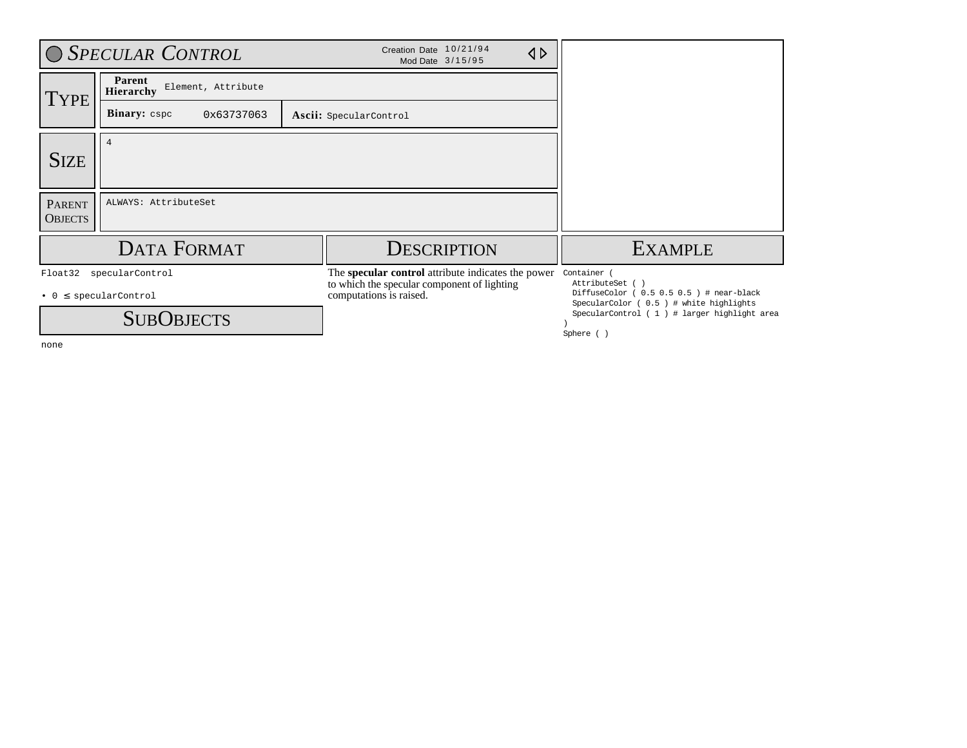|                                 | O SPECULAR CONTROL                                                         | Creation Date 10/21/94<br>$\triangle$<br>Mod Date 3/15/95                                                                    |                                                                                                                                                                                       |
|---------------------------------|----------------------------------------------------------------------------|------------------------------------------------------------------------------------------------------------------------------|---------------------------------------------------------------------------------------------------------------------------------------------------------------------------------------|
| <b>TYPE</b>                     | Parent<br>Element, Attribute<br><b>Hierarchy</b>                           |                                                                                                                              |                                                                                                                                                                                       |
|                                 | <b>Binary:</b> cspc<br>0x63737063                                          | Ascii: SpecularControl                                                                                                       |                                                                                                                                                                                       |
| <b>SIZE</b>                     | 4                                                                          |                                                                                                                              |                                                                                                                                                                                       |
| <b>PARENT</b><br><b>OBJECTS</b> | ALWAYS: AttributeSet                                                       |                                                                                                                              |                                                                                                                                                                                       |
|                                 | <b>DATA FORMAT</b>                                                         | <b>DESCRIPTION</b>                                                                                                           | <b>EXAMPLE</b>                                                                                                                                                                        |
| Float32                         | specularControl<br>$\bullet$ 0 $\leq$ specularControl<br><b>SUBOBJECTS</b> | The specular control attribute indicates the power<br>to which the specular component of lighting<br>computations is raised. | Container (<br>AttributeSet ()<br>DiffuseColor ( $0.5 0.5 0.5$ ) # near-black<br>SpecularColor ( 0.5 ) # white highlights<br>SpecularControl (1) # larger highlight area<br>Sphere () |

none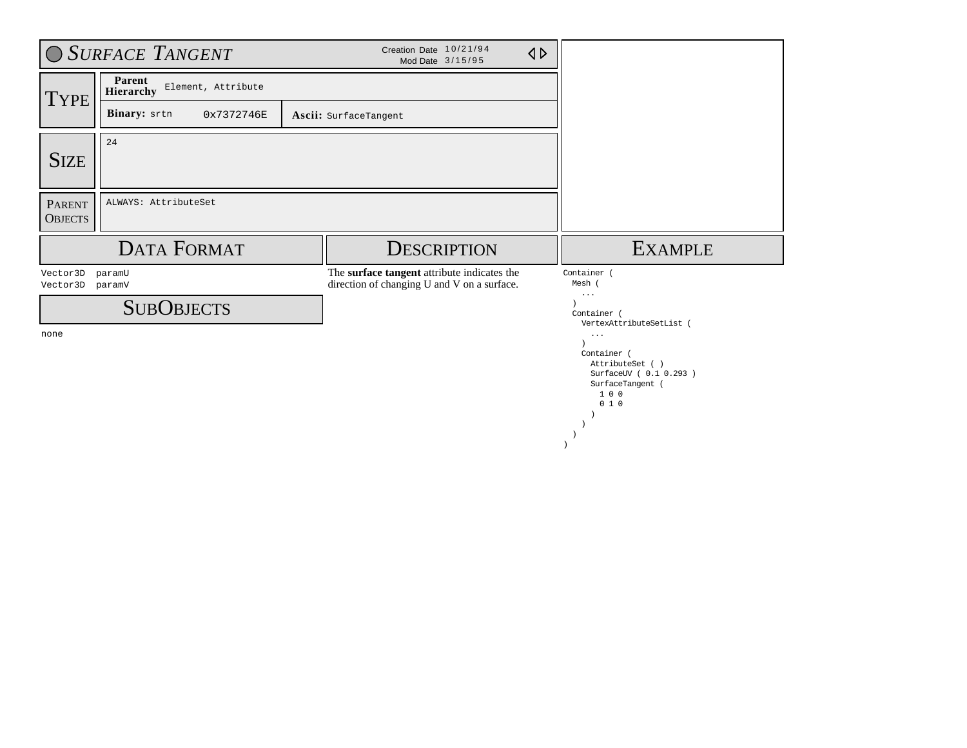|                                 | O SURFACE TANGENT                         | Creation Date 10/21/94<br>$\triangleleft$<br>Mod Date 3/15/95                              |                                                                             |
|---------------------------------|-------------------------------------------|--------------------------------------------------------------------------------------------|-----------------------------------------------------------------------------|
| <b>TYPE</b>                     | Parent<br>Element, Attribute<br>Hierarchy |                                                                                            |                                                                             |
|                                 | Binary: srtn<br>0x7372746E                | Ascii: SurfaceTangent                                                                      |                                                                             |
| <b>SIZE</b>                     | 24                                        |                                                                                            |                                                                             |
| <b>PARENT</b><br><b>OBJECTS</b> | ALWAYS: AttributeSet                      |                                                                                            |                                                                             |
|                                 | <b>DATA FORMAT</b>                        | <b>DESCRIPTION</b>                                                                         | <b>EXAMPLE</b>                                                              |
| Vector3D<br>Vector3D            | paramU<br>paramV                          | The surface tangent attribute indicates the<br>direction of changing U and V on a surface. | Container<br>Mesh                                                           |
|                                 | <b>SUBOBJECTS</b>                         |                                                                                            | $\cdots$<br>Container (                                                     |
| none                            |                                           |                                                                                            | VertexAttributeSetList (<br>$\cdots$                                        |
|                                 |                                           |                                                                                            | Container<br>AttributeSet ()<br>SurfaceUV ( 0.1 0.293 )<br>SurfaceTangent ( |

 1 0 0  $0 1 0$  ) )  $\rightarrow$ )  $\overline{\phantom{a}}$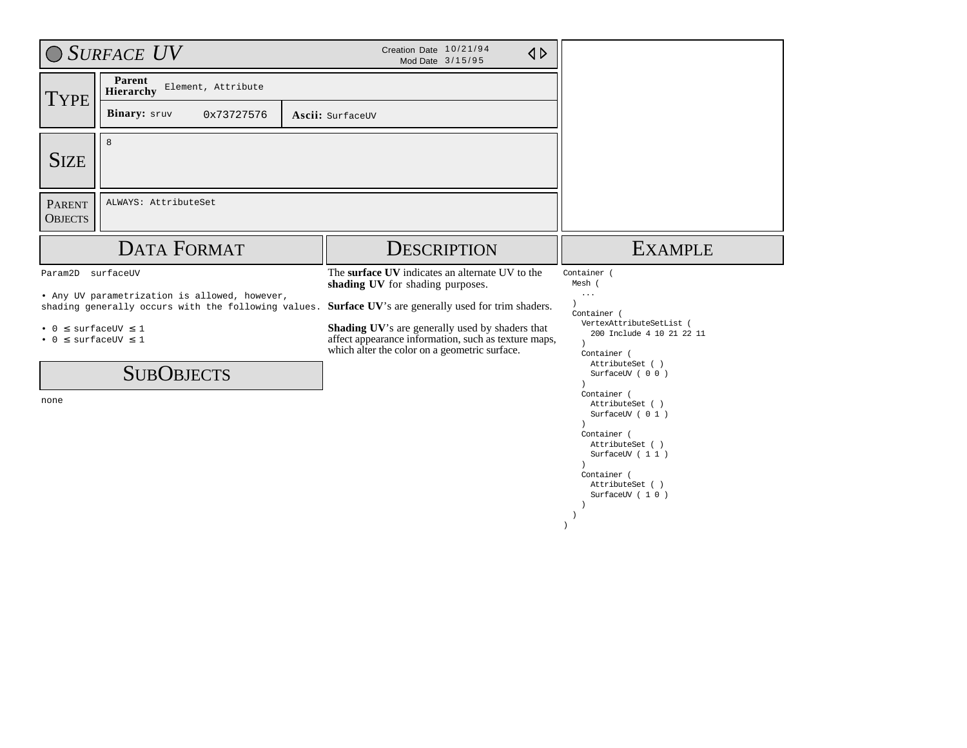|                                                      | ◯ SURFACE UV                                                                                         | Creation Date 10/21/94<br>$\triangle$<br>Mod Date 3/15/95                                                                                                |                                                                                                                                                                                                             |
|------------------------------------------------------|------------------------------------------------------------------------------------------------------|----------------------------------------------------------------------------------------------------------------------------------------------------------|-------------------------------------------------------------------------------------------------------------------------------------------------------------------------------------------------------------|
| <b>TYPE</b>                                          | Parent<br>Element, Attribute<br>Hierarchy                                                            |                                                                                                                                                          |                                                                                                                                                                                                             |
|                                                      | Binary: sruv<br>0x73727576                                                                           | Ascii: SurfaceUV                                                                                                                                         |                                                                                                                                                                                                             |
| <b>SIZE</b>                                          | 8                                                                                                    |                                                                                                                                                          |                                                                                                                                                                                                             |
| <b>PARENT</b><br><b>OBJECTS</b>                      | ALWAYS: AttributeSet                                                                                 |                                                                                                                                                          |                                                                                                                                                                                                             |
|                                                      | <b>DATA FORMAT</b>                                                                                   | <b>DESCRIPTION</b>                                                                                                                                       | <b>EXAMPLE</b>                                                                                                                                                                                              |
| Param2D surfaceUV                                    |                                                                                                      | The surface UV indicates an alternate UV to the<br>shading UV for shading purposes.                                                                      | Container (<br>Mesh (                                                                                                                                                                                       |
|                                                      | • Any UV parametrization is allowed, however,<br>shading generally occurs with the following values. | Surface UV's are generally used for trim shaders.                                                                                                        | $\cdots$<br>Container (                                                                                                                                                                                     |
| $\bullet$ 0 $\leq$ surfaceUV $\leq$ 1<br>$\bullet$ 0 | $\leq$ surfaceUV $\leq$ 1                                                                            | Shading UV's are generally used by shaders that<br>affect appearance information, such as texture maps,<br>which alter the color on a geometric surface. | VertexAttributeSetList (<br>200 Include 4 10 21 22 11<br>$\lambda$<br>Container (                                                                                                                           |
|                                                      | <b>SUBOBJECTS</b>                                                                                    |                                                                                                                                                          | AttributeSet ( )<br>SurfaceUV (00)<br>$\lambda$                                                                                                                                                             |
| none                                                 |                                                                                                      |                                                                                                                                                          | Container (<br>AttributeSet ()<br>SurfaceUV ( 0 1 )<br>Container (<br>AttributeSet ()<br>SurfaceUV ( 1 1 )<br>$\lambda$<br>Container (<br>AttributeSet ()<br>SurfaceUV (10)<br>-1<br>$\lambda$<br>$\lambda$ |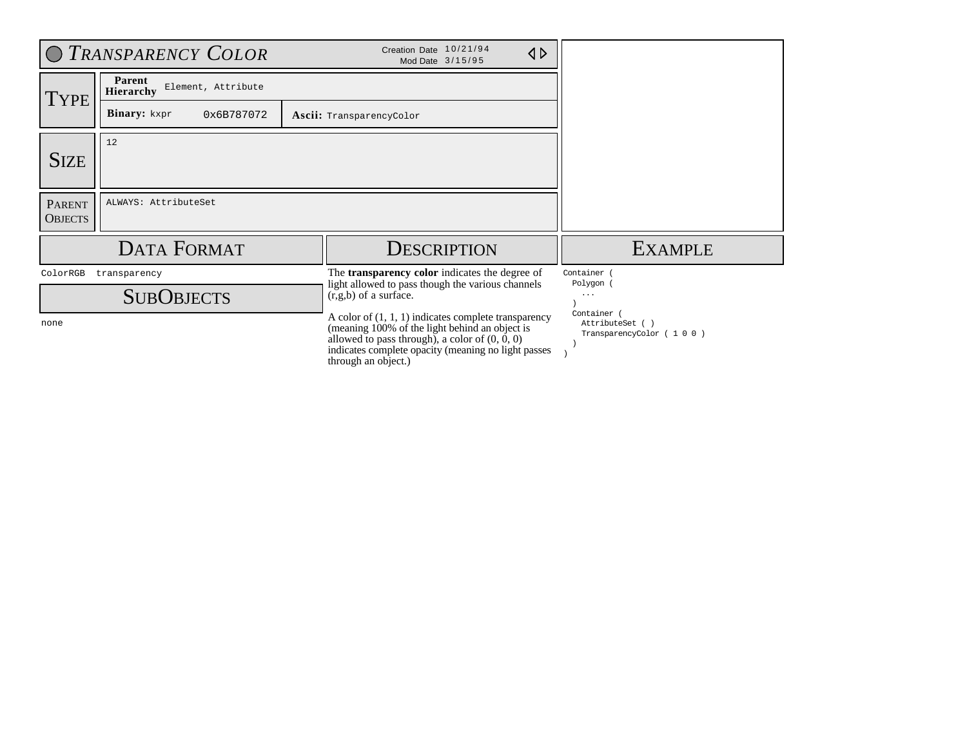|                                 | O TRANSPARENCY COLOR                      | Creation Date 10/21/94<br>$\triangle$<br>Mod Date 3/15/95                                                                                                                                                                                  |                                                         |
|---------------------------------|-------------------------------------------|--------------------------------------------------------------------------------------------------------------------------------------------------------------------------------------------------------------------------------------------|---------------------------------------------------------|
| <b>TYPE</b>                     | Parent<br>Element, Attribute<br>Hierarchy |                                                                                                                                                                                                                                            |                                                         |
|                                 | <b>Binary:</b> kxpr<br>0x6B787072         | Ascii: TransparencyColor                                                                                                                                                                                                                   |                                                         |
| <b>SIZE</b>                     | 12                                        |                                                                                                                                                                                                                                            |                                                         |
| <b>PARENT</b><br><b>OBJECTS</b> | ALWAYS: AttributeSet                      |                                                                                                                                                                                                                                            |                                                         |
|                                 | <b>DATA FORMAT</b>                        | <b>DESCRIPTION</b>                                                                                                                                                                                                                         | <b>EXAMPLE</b>                                          |
| ColorRGB                        | transparency<br><b>SUBOBJECTS</b>         | The <b>transparency color</b> indicates the degree of<br>light allowed to pass though the various channels<br>$(r, g, b)$ of a surface.                                                                                                    | Container<br>Polygon<br>$\cdots$                        |
| none                            |                                           | A color of $(1, 1, 1)$ indicates complete transparency<br>(meaning 100% of the light behind an object is<br>allowed to pass through), a color of $(0, 0, 0)$<br>indicates complete opacity (meaning no light passes<br>through an object.) | Container<br>AttributeSet ()<br>TransparencyColor (100) |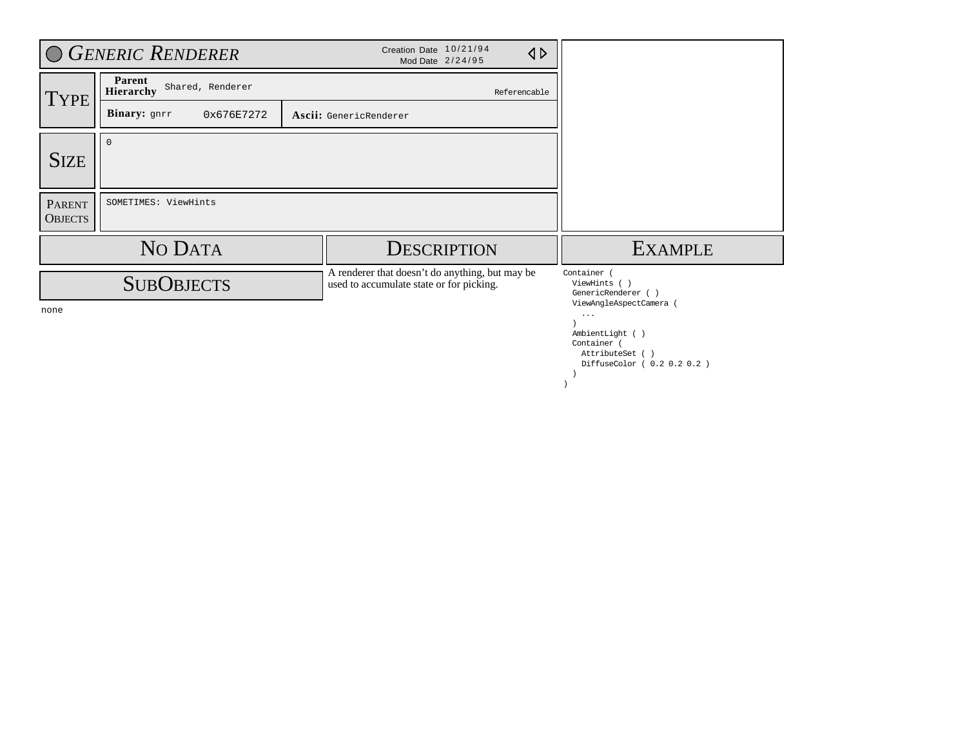|                                 | <b>GENERIC RENDERER</b>                 | Creation Date 10/21/94<br>$\triangleleft$<br>Mod Date 2/24/95                               |                                                                          |
|---------------------------------|-----------------------------------------|---------------------------------------------------------------------------------------------|--------------------------------------------------------------------------|
| <b>TYPE</b>                     | Parent<br>Shared, Renderer<br>Hierarchy | Referencable                                                                                |                                                                          |
|                                 | Binary: gnrr<br>0x676E7272              | Ascii: GenericRenderer                                                                      |                                                                          |
| <b>SIZE</b>                     | $\Omega$                                |                                                                                             |                                                                          |
| <b>PARENT</b><br><b>OBJECTS</b> | SOMETIMES: ViewHints                    |                                                                                             |                                                                          |
|                                 | NO DATA                                 | <b>DESCRIPTION</b>                                                                          | <b>EXAMPLE</b>                                                           |
| none                            | <b>SUBOBJECTS</b>                       | A renderer that doesn't do anything, but may be<br>used to accumulate state or for picking. | Container<br>ViewHints ()<br>GenericRenderer ()<br>ViewAngleAspectCamera |
|                                 |                                         |                                                                                             | $\cdots$<br>AmbientLight ()<br>Container (<br>AttributeSet ()            |

DiffuseColor ( 0.2 0.2 0.2 )

 ) )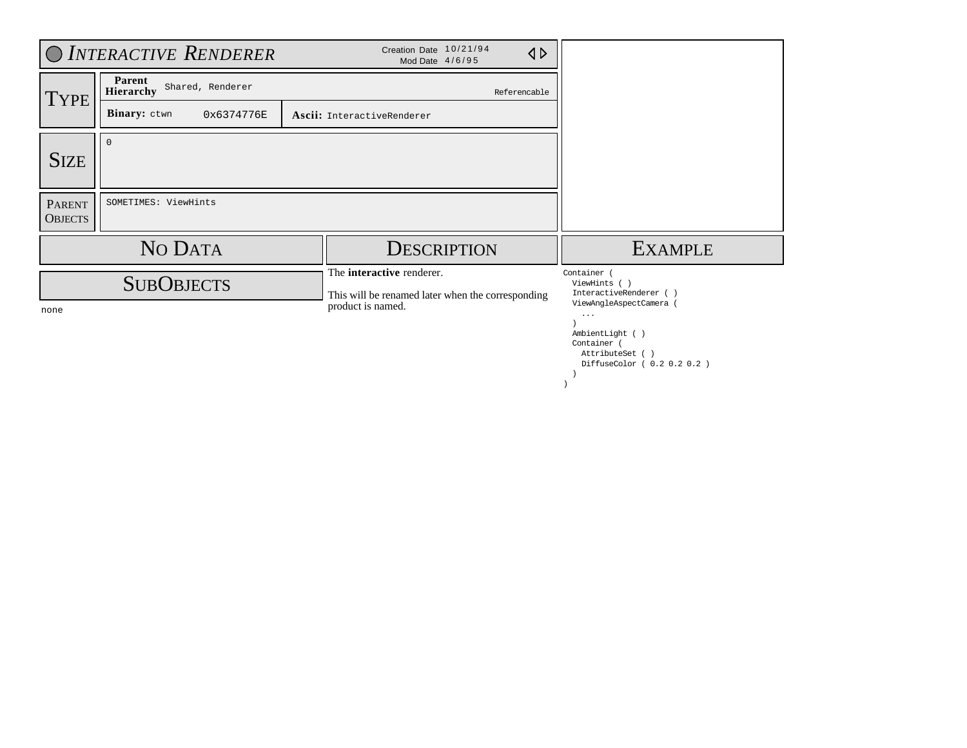|                                 | O INTERACTIVE RENDERER                  | Creation Date 10/21/94<br>$\triangle$<br>Mod Date 4/6/95                              |                                                                                                           |
|---------------------------------|-----------------------------------------|---------------------------------------------------------------------------------------|-----------------------------------------------------------------------------------------------------------|
| <b>TYPE</b>                     | Parent<br>Shared, Renderer<br>Hierarchy | Referencable                                                                          |                                                                                                           |
|                                 | Binary: ctwn<br>0x6374776E              | Ascii: InteractiveRenderer                                                            |                                                                                                           |
| <b>SIZE</b>                     | $\Omega$                                |                                                                                       |                                                                                                           |
| <b>PARENT</b><br><b>OBJECTS</b> | SOMETIMES: ViewHints                    |                                                                                       |                                                                                                           |
|                                 | NO DATA                                 | <b>DESCRIPTION</b>                                                                    | <b>EXAMPLE</b>                                                                                            |
|                                 | <b>SUBOBJECTS</b>                       | The <b>interactive</b> renderer.<br>This will be renamed later when the corresponding | Container<br>ViewHints (<br>InteractiveRenderer ()<br>ViewAngleAspectCamera                               |
| none                            |                                         | product is named.                                                                     | $\sim$ $\sim$ $\sim$<br>AmbientLight ()<br>Container (<br>AttributeSet ()<br>DiffuseColor ( 0.2 0.2 0.2 ) |

 ) )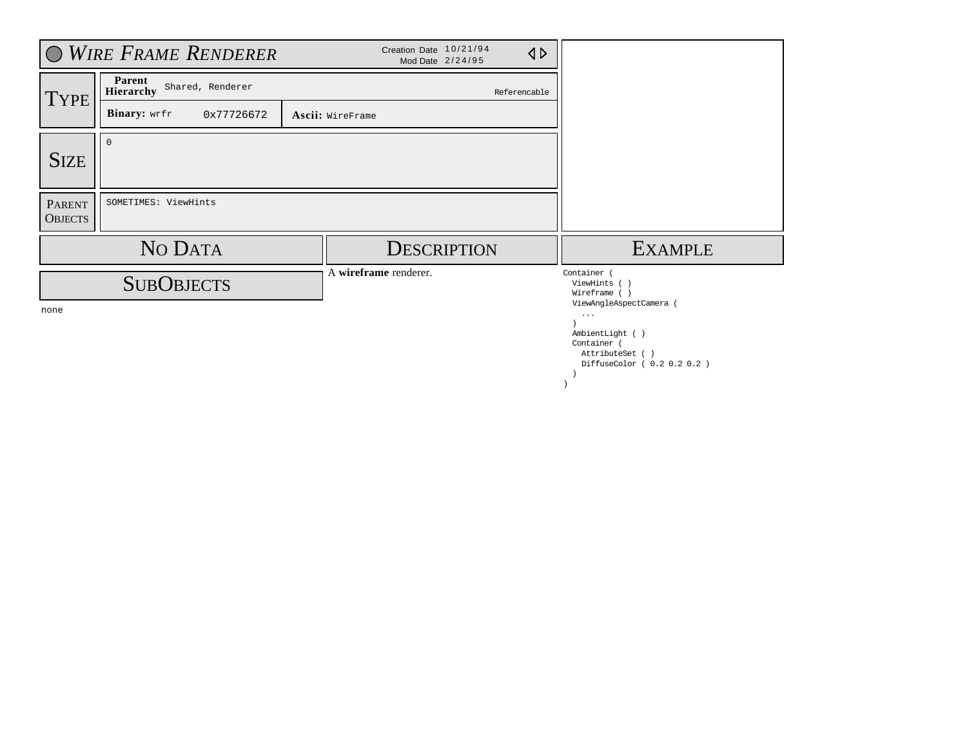|                                 | <b>WIRE FRAME RENDERER</b>              | Creation Date 10/21/94<br>$\triangle$<br>Mod Date 2/24/95 |                                                                                                                          |
|---------------------------------|-----------------------------------------|-----------------------------------------------------------|--------------------------------------------------------------------------------------------------------------------------|
| <b>TYPE</b>                     | Parent<br>Shared, Renderer<br>Hierarchy | Referencable                                              |                                                                                                                          |
|                                 | <b>Binary:</b> wrfr<br>0x77726672       | Ascii: WireFrame                                          |                                                                                                                          |
| <b>SIZE</b>                     | $\Omega$                                |                                                           |                                                                                                                          |
| <b>PARENT</b><br><b>OBJECTS</b> | SOMETIMES: ViewHints                    |                                                           |                                                                                                                          |
|                                 | NO DATA                                 | <b>DESCRIPTION</b>                                        | <b>EXAMPLE</b>                                                                                                           |
|                                 | <b>SUBOBJECTS</b>                       | A wireframe renderer.                                     | Container (<br>ViewHints (<br>Wireframe ()                                                                               |
| none                            |                                         |                                                           | ViewAngleAspectCamera (<br>$\cdots$<br>AmbientLight ()<br>Container (<br>AttributeSet ()<br>DiffuseColor ( 0.2 0.2 0.2 ) |

 ) )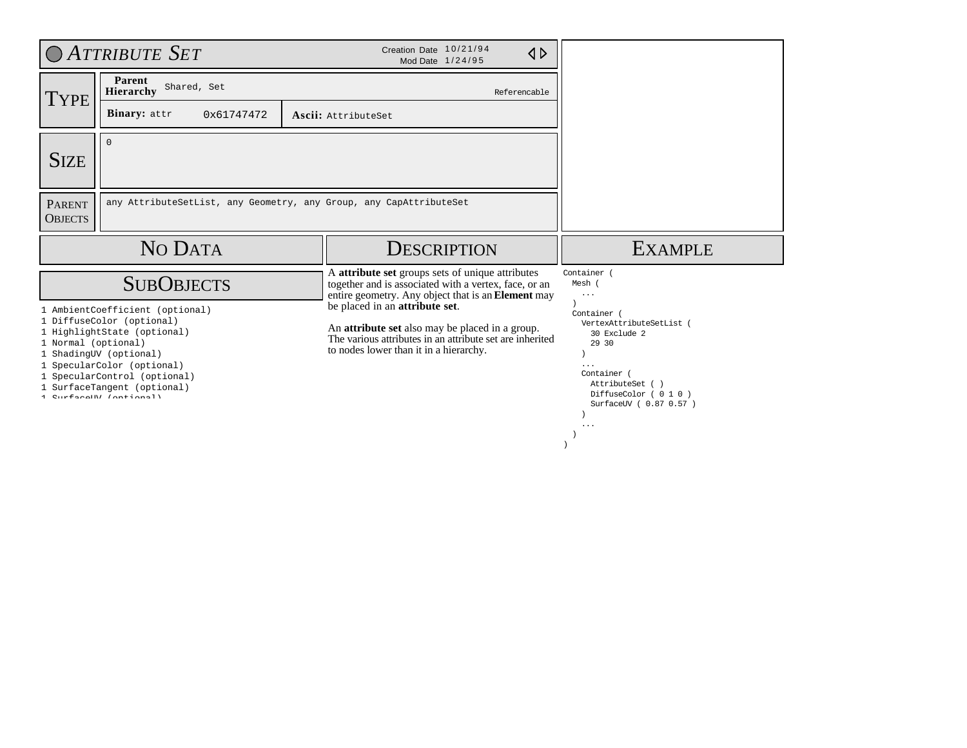|                                 | <b>OATTRIBUTE SET</b>                                                                                                                                                                                                                         | Creation Date 10/21/94<br>$\triangle$<br>Mod Date 1/24/95                                                                                                                                             |                                                                                                                                                                 |
|---------------------------------|-----------------------------------------------------------------------------------------------------------------------------------------------------------------------------------------------------------------------------------------------|-------------------------------------------------------------------------------------------------------------------------------------------------------------------------------------------------------|-----------------------------------------------------------------------------------------------------------------------------------------------------------------|
| TYPE                            | Parent<br>Shared, Set<br>Hierarchy                                                                                                                                                                                                            | Referencable                                                                                                                                                                                          |                                                                                                                                                                 |
|                                 | Binary: attr<br>0x61747472                                                                                                                                                                                                                    | Ascii: AttributeSet                                                                                                                                                                                   |                                                                                                                                                                 |
| <b>SIZE</b>                     | $\Omega$                                                                                                                                                                                                                                      |                                                                                                                                                                                                       |                                                                                                                                                                 |
| <b>PARENT</b><br><b>OBJECTS</b> |                                                                                                                                                                                                                                               | any AttributeSetList, any Geometry, any Group, any CapAttributeSet                                                                                                                                    |                                                                                                                                                                 |
|                                 | NO DATA                                                                                                                                                                                                                                       | <b>DESCRIPTION</b>                                                                                                                                                                                    | <b>EXAMPLE</b>                                                                                                                                                  |
|                                 | <b>SUBOBJECTS</b>                                                                                                                                                                                                                             | A attribute set groups sets of unique attributes<br>together and is associated with a vertex, face, or an<br>entire geometry. Any object that is an <b>Element</b> may                                | Container (<br>Mesh (<br>$\ddots$                                                                                                                               |
| 1 Normal (optional)             | 1 AmbientCoefficient (optional)<br>1 DiffuseColor (optional)<br>1 HighlightState (optional)<br>1 ShadingUV (optional)<br>1 SpecularColor (optional)<br>1 SpecularControl (optional)<br>1 SurfaceTangent (optional)<br>1 CurfaceIBI (optional) | be placed in an <b>attribute</b> set.<br>An <b>attribute set</b> also may be placed in a group.<br>The various attributes in an attribute set are inherited<br>to nodes lower than it in a hierarchy. | Container (<br>VertexAttributeSetList (<br>30 Exclude 2<br>29 30<br>$\cdots$<br>Container (<br>AttributeSet ()<br>DiffuseColor (010)<br>SurfaceUV ( 0.87 0.57 ) |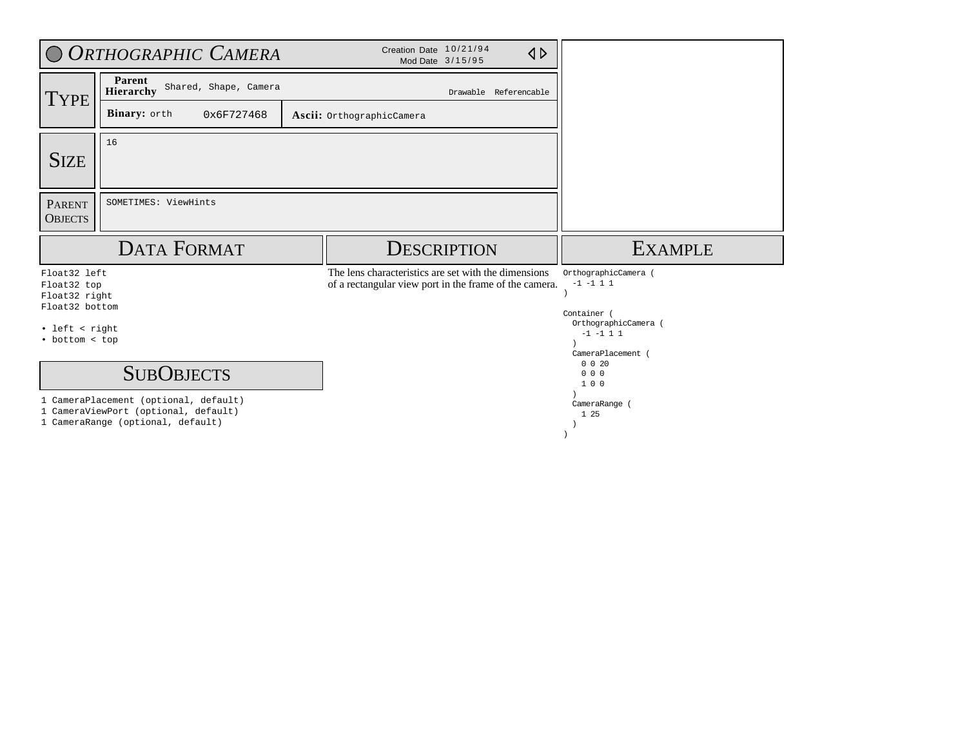|                                                                                                    | O ORTHOGRAPHIC CAMERA                                                                              | Creation Date 10/21/94<br>$\triangle$<br>Mod Date 3/15/95                                                      |                                                                                               |
|----------------------------------------------------------------------------------------------------|----------------------------------------------------------------------------------------------------|----------------------------------------------------------------------------------------------------------------|-----------------------------------------------------------------------------------------------|
| <b>TYPE</b>                                                                                        | Parent<br>Shared, Shape, Camera<br>Hierarchy                                                       | Drawable Referencable                                                                                          |                                                                                               |
|                                                                                                    | Binary: orth<br>0x6F727468                                                                         | Ascii: OrthographicCamera                                                                                      |                                                                                               |
| <b>SIZE</b>                                                                                        | 16                                                                                                 |                                                                                                                |                                                                                               |
| <b>PARENT</b><br><b>OBJECTS</b>                                                                    | SOMETIMES: ViewHints                                                                               |                                                                                                                |                                                                                               |
|                                                                                                    |                                                                                                    |                                                                                                                |                                                                                               |
|                                                                                                    | <b>DATA FORMAT</b>                                                                                 | <b>DESCRIPTION</b>                                                                                             | <b>EXAMPLE</b>                                                                                |
| Float32 left<br>Float32 top<br>Float32 right<br>Float32 bottom<br>· left < right<br>• bottom < top |                                                                                                    | The lens characteristics are set with the dimensions<br>of a rectangular view port in the frame of the camera. | OrthographicCamera (<br>$-1$ $-1$ 1 1<br>Container (<br>OrthographicCamera (<br>$-1$ $-1$ 1 1 |
|                                                                                                    | <b>SUBOBJECTS</b><br>1 CameraPlacement (optional, default)<br>1 CameraViewPort (optional, default) |                                                                                                                | CameraPlacement (<br>0 0 20<br>000<br>100<br>CameraRange (<br>1 25                            |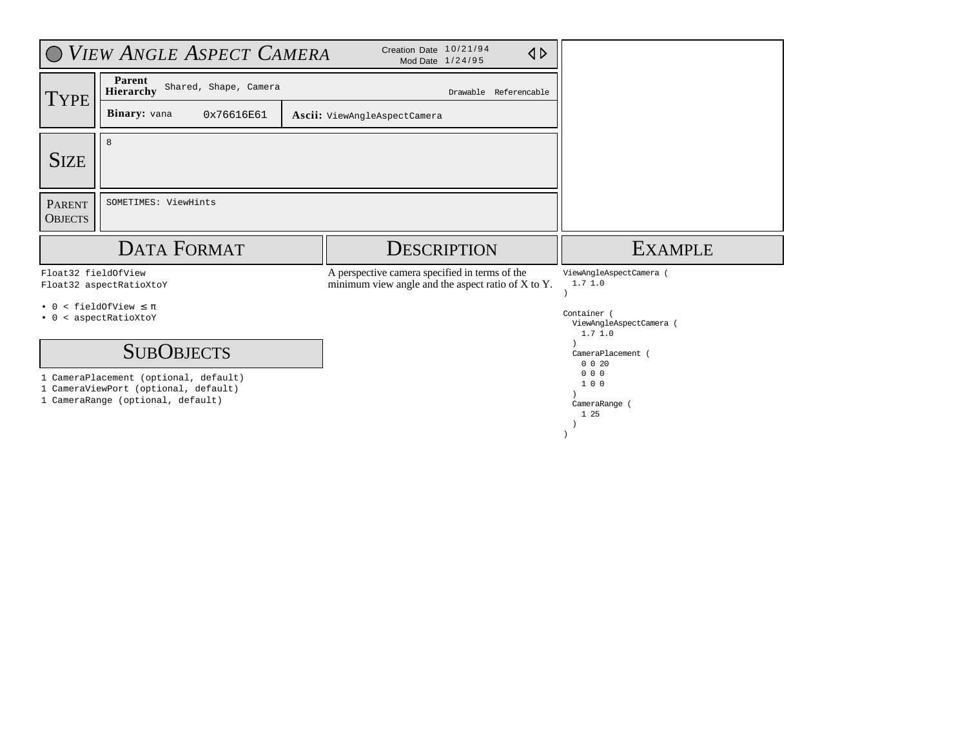|                                 | O VIEW ANGLE ASPECT CAMERA                                 |                                                                                                           |                       |                                                  |
|---------------------------------|------------------------------------------------------------|-----------------------------------------------------------------------------------------------------------|-----------------------|--------------------------------------------------|
| <b>TYPE</b>                     | Parent<br>Shared, Shape, Camera<br>Hierarchy               |                                                                                                           | Drawable Referencable |                                                  |
|                                 | Binary: vana<br>0x76616E61<br>Ascii: ViewAngleAspectCamera |                                                                                                           |                       |                                                  |
| <b>SIZE</b>                     | 8                                                          |                                                                                                           |                       |                                                  |
| <b>PARENT</b><br><b>OBJECTS</b> | SOMETIMES: ViewHints                                       |                                                                                                           |                       |                                                  |
|                                 |                                                            |                                                                                                           |                       |                                                  |
|                                 | <b>DATA FORMAT</b>                                         | <b>DESCRIPTION</b>                                                                                        |                       | <b>EXAMPLE</b>                                   |
| Float32 fieldOfView             | Float32 aspectRatioXtoY                                    | A perspective camera specified in terms of the<br>minimum view angle and the aspect ratio of $X$ to $Y$ . |                       | ViewAngleAspectCamera (<br>1.71.0                |
| . 0                             | $\le$ fieldOfView $\leq \pi$<br>• 0 < aspectRatioXtoY      |                                                                                                           |                       | Container (<br>ViewAngleAspectCamera (<br>1.71.0 |
|                                 | <b>SUBOBJECTS</b>                                          |                                                                                                           |                       | CameraPlacement (<br>$0 \t0 \t20$<br>000         |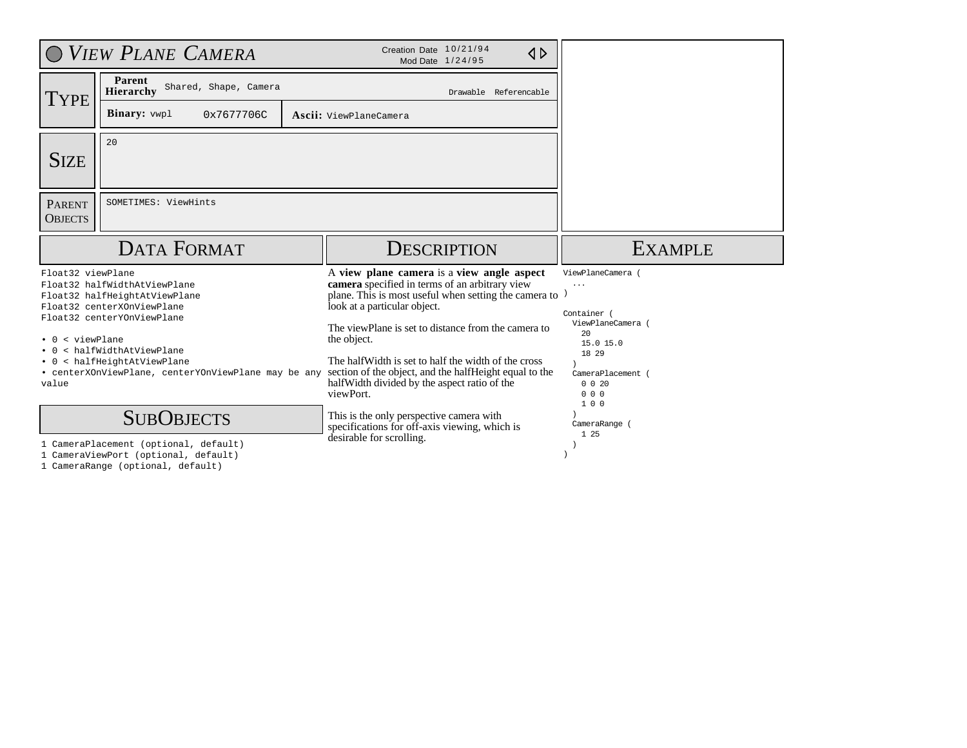|                                                                     | O VIEW PLANE CAMERA                                                                                                                                                                                                                   | Creation Date 10/21/94<br>1 D<br>Mod Date 1/24/95                                                                                                                                                                                                                                                                                                                                                                                           |                                                                                                                                             |
|---------------------------------------------------------------------|---------------------------------------------------------------------------------------------------------------------------------------------------------------------------------------------------------------------------------------|---------------------------------------------------------------------------------------------------------------------------------------------------------------------------------------------------------------------------------------------------------------------------------------------------------------------------------------------------------------------------------------------------------------------------------------------|---------------------------------------------------------------------------------------------------------------------------------------------|
|                                                                     | Parent<br>Shared, Shape, Camera<br>Hierarchy                                                                                                                                                                                          | Drawable Referencable                                                                                                                                                                                                                                                                                                                                                                                                                       |                                                                                                                                             |
| TYPE<br><b>Binary:</b> vwp1<br>0x7677706C<br>Ascii: ViewPlaneCamera |                                                                                                                                                                                                                                       |                                                                                                                                                                                                                                                                                                                                                                                                                                             |                                                                                                                                             |
| <b>SIZE</b>                                                         | 20                                                                                                                                                                                                                                    |                                                                                                                                                                                                                                                                                                                                                                                                                                             |                                                                                                                                             |
| <b>PARENT</b><br><b>OBJECTS</b>                                     | SOMETIMES: ViewHints                                                                                                                                                                                                                  |                                                                                                                                                                                                                                                                                                                                                                                                                                             |                                                                                                                                             |
|                                                                     | <b>DATA FORMAT</b>                                                                                                                                                                                                                    | <b>DESCRIPTION</b>                                                                                                                                                                                                                                                                                                                                                                                                                          | <b>EXAMPLE</b>                                                                                                                              |
|                                                                     |                                                                                                                                                                                                                                       |                                                                                                                                                                                                                                                                                                                                                                                                                                             |                                                                                                                                             |
| Float32 viewPlane<br>< viewPlane<br>$\cdot$ 0<br>value              | Float32 halfWidthAtViewPlane<br>Float32 halfHeightAtViewPlane<br>Float32 centerXOnViewPlane<br>Float32 centerYOnViewPlane<br>< halfWidthAtViewPlane<br>< halfHeightAtViewPlane<br>• centerXOnViewPlane, centerYOnViewPlane may be any | A view plane camera is a view angle aspect<br>camera specified in terms of an arbitrary view<br>plane. This is most useful when setting the camera to<br>look at a particular object.<br>The viewPlane is set to distance from the camera to<br>the object.<br>The half Width is set to half the width of the cross<br>section of the object, and the halfHeight equal to the<br>half Width divided by the aspect ratio of the<br>viewPort. | ViewPlaneCamera<br>$\cdots$<br>Container (<br>ViewPlaneCamera (<br>$20^{\circ}$<br>15.0 15.0<br>18 29<br>CameraPlacement (<br>0 0 20<br>000 |

1 CameraRange (optional, default)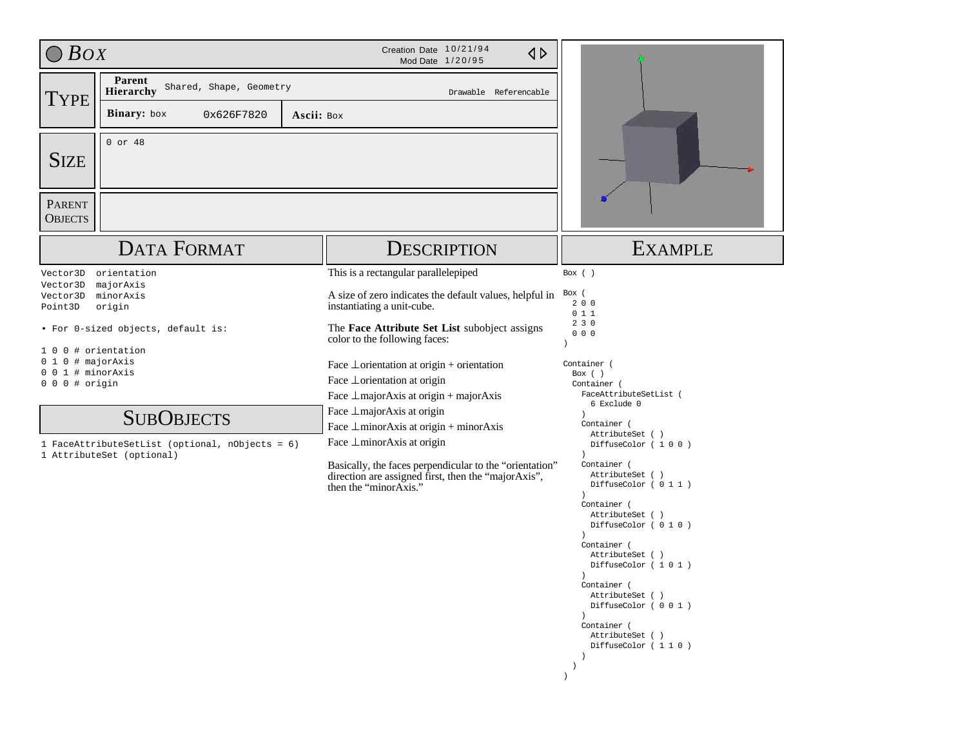| $\bigcirc$ Box                                                                                                      |                                                                                                                                                                                                               | Creation Date 10/21/94<br>$\triangle$<br>Mod Date 1/20/95                                                                                                                                                                                                                                                                                                                                                                                                                                                                                                                                                                          |                                                                                                                                                                                                                                                                                                                                                                                                                                                                                            |
|---------------------------------------------------------------------------------------------------------------------|---------------------------------------------------------------------------------------------------------------------------------------------------------------------------------------------------------------|------------------------------------------------------------------------------------------------------------------------------------------------------------------------------------------------------------------------------------------------------------------------------------------------------------------------------------------------------------------------------------------------------------------------------------------------------------------------------------------------------------------------------------------------------------------------------------------------------------------------------------|--------------------------------------------------------------------------------------------------------------------------------------------------------------------------------------------------------------------------------------------------------------------------------------------------------------------------------------------------------------------------------------------------------------------------------------------------------------------------------------------|
| <b>TYPE</b>                                                                                                         | Parent<br>Shared, Shape, Geometry<br>Hierarchy<br>Binary: box<br>0x626F7820<br>Ascii: Box                                                                                                                     | Drawable Referencable                                                                                                                                                                                                                                                                                                                                                                                                                                                                                                                                                                                                              |                                                                                                                                                                                                                                                                                                                                                                                                                                                                                            |
| <b>SIZE</b><br><b>PARENT</b>                                                                                        | $0$ or $48$                                                                                                                                                                                                   |                                                                                                                                                                                                                                                                                                                                                                                                                                                                                                                                                                                                                                    |                                                                                                                                                                                                                                                                                                                                                                                                                                                                                            |
| <b>OBJECTS</b>                                                                                                      |                                                                                                                                                                                                               |                                                                                                                                                                                                                                                                                                                                                                                                                                                                                                                                                                                                                                    |                                                                                                                                                                                                                                                                                                                                                                                                                                                                                            |
|                                                                                                                     | <b>DATA FORMAT</b>                                                                                                                                                                                            | <b>DESCRIPTION</b>                                                                                                                                                                                                                                                                                                                                                                                                                                                                                                                                                                                                                 | <b>EXAMPLE</b>                                                                                                                                                                                                                                                                                                                                                                                                                                                                             |
| Vector3D<br>Vector3D<br>Vector3D<br>Point3D<br>10<br>0 # majorAxis<br>01<br>1 # minorAxis<br>00<br>$0 0 0$ # origin | orientation<br>majorAxis<br>minorAxis<br>origin<br>· For 0-sized objects, default is:<br>0 # orientation<br><b>SUBOBJECTS</b><br>1 FaceAttributeSetList (optional, nObjects = 6)<br>1 AttributeSet (optional) | This is a rectangular parallelepiped<br>A size of zero indicates the default values, helpful in<br>instantiating a unit-cube.<br>The Face Attribute Set List subobject assigns<br>color to the following faces:<br>Face $\perp$ orientation at origin + orientation<br>Face $\perp$ orientation at origin<br>Face $\perp$ major Axis at origin + major Axis<br>Face $\perp$ major Axis at origin<br>Face $\perp$ minor Axis at origin + minor Axis<br>Face $\perp$ minor Axis at origin<br>Basically, the faces perpendicular to the "orientation"<br>direction are assigned first, then the "majorAxis",<br>then the "minorAxis." | Box ()<br>Box (<br>200<br>011<br>230<br>000<br>Container (<br>Box $( )$<br>Container (<br>FaceAttributeSetList (<br>6 Exclude 0<br>Container (<br>AttributeSet ()<br>DiffuseColor (100)<br>Container (<br>AttributeSet ( )<br>DiffuseColor (011)<br>$\lambda$<br>Container (<br>AttributeSet ()<br>DiffuseColor (010)<br>Container (<br>AttributeSet ( )<br>DiffuseColor (101)<br>$\rightarrow$<br>Container (<br>AttributeSet ()<br>DiffuseColor (001)<br>$\left( \right)$<br>Container ( |
|                                                                                                                     |                                                                                                                                                                                                               |                                                                                                                                                                                                                                                                                                                                                                                                                                                                                                                                                                                                                                    | AttributeSet ()<br>DiffuseColor (110)<br>$\rightarrow$<br>$\lambda$<br>$\lambda$                                                                                                                                                                                                                                                                                                                                                                                                           |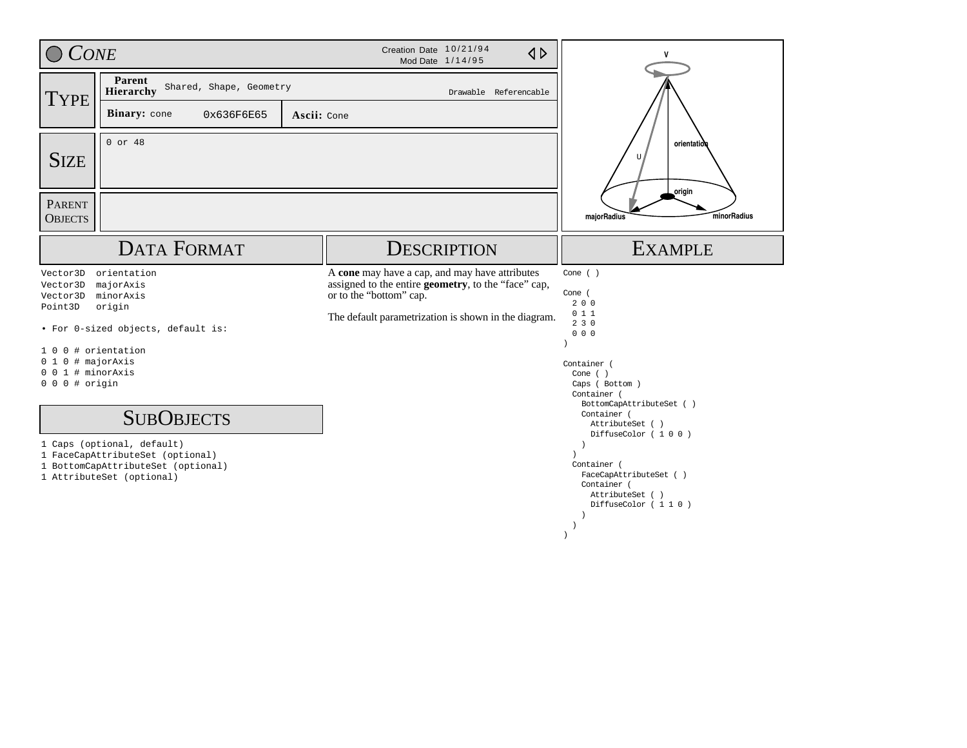| <b>CONE</b>                                                                                                         |                                                                                                                                                                                                                                                                    |             | Creation Date 10/21/94<br>$\triangle$<br>Mod Date 1/14/95                                                                                                                                | V                                                                                                                                                                                                                                                                                                        |
|---------------------------------------------------------------------------------------------------------------------|--------------------------------------------------------------------------------------------------------------------------------------------------------------------------------------------------------------------------------------------------------------------|-------------|------------------------------------------------------------------------------------------------------------------------------------------------------------------------------------------|----------------------------------------------------------------------------------------------------------------------------------------------------------------------------------------------------------------------------------------------------------------------------------------------------------|
| <b>TYPE</b>                                                                                                         | Parent<br>Shared, Shape, Geometry<br>Hierarchy                                                                                                                                                                                                                     |             | Drawable Referencable                                                                                                                                                                    |                                                                                                                                                                                                                                                                                                          |
|                                                                                                                     | Binary: cone<br>0x636F6E65                                                                                                                                                                                                                                         | Ascii: Cone |                                                                                                                                                                                          |                                                                                                                                                                                                                                                                                                          |
| <b>SIZE</b>                                                                                                         | $0$ or 48                                                                                                                                                                                                                                                          |             |                                                                                                                                                                                          | orientation<br>U,<br>origin                                                                                                                                                                                                                                                                              |
| <b>PARENT</b><br><b>OBJECTS</b>                                                                                     |                                                                                                                                                                                                                                                                    |             |                                                                                                                                                                                          | minorRadius<br>majorRadius                                                                                                                                                                                                                                                                               |
|                                                                                                                     | <b>DATA FORMAT</b>                                                                                                                                                                                                                                                 |             | <b>DESCRIPTION</b>                                                                                                                                                                       | <b>EXAMPLE</b>                                                                                                                                                                                                                                                                                           |
| Vector3D<br>Vector3D<br>Vector3D<br>Point3D<br>10<br>$0 1 0$ # majorAxis<br>$0 0 1$ # minorAxis<br>$0 0 0$ # origin | orientation<br>majorAxis<br>minorAxis<br>origin<br>• For 0-sized objects, default is:<br>0 # orientation<br><b>SUBOBJECTS</b><br>1 Caps (optional, default)<br>1 FaceCapAttributeSet (optional)<br>1 BottomCapAttributeSet (optional)<br>1 AttributeSet (optional) |             | A cone may have a cap, and may have attributes<br>assigned to the entire geometry, to the "face" cap,<br>or to the "bottom" cap.<br>The default parametrization is shown in the diagram. | Cone $( )$<br>Cone (<br>200<br>011<br>230<br>000<br>$\lambda$<br>Container (<br>Cone $( )$<br>Caps ( Bottom )<br>Container (<br>BottomCapAttributeSet ()<br>Container (<br>AttributeSet ()<br>DiffuseColor (100)<br>$\lambda$<br>Container (<br>FaceCapAttributeSet ()<br>Container (<br>AttributeSet () |
|                                                                                                                     |                                                                                                                                                                                                                                                                    |             |                                                                                                                                                                                          | DiffuseColor (110)<br>$\lambda$                                                                                                                                                                                                                                                                          |

)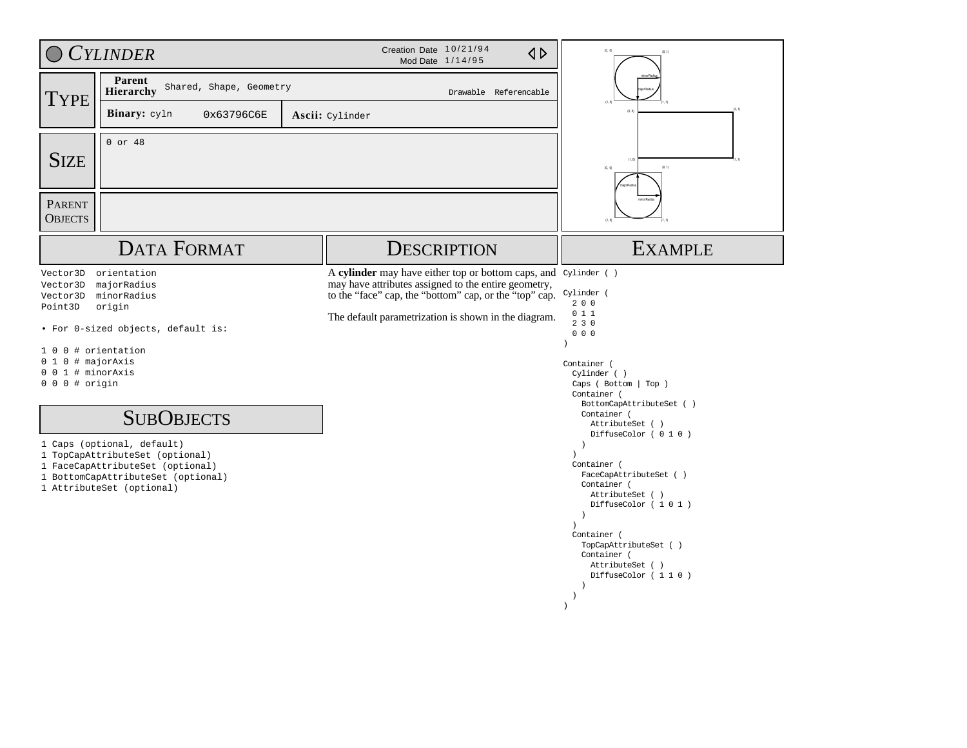|                                                                                                                          | <b>CYLINDER</b>                                                                                                                                                                                                                                                                                           |  | Creation Date 10/21/94<br>$\triangle$<br>Mod Date 1/14/95                                                                                                                                                                                           | (0, 0)                                                                                                                                                                                                                                                                                                                                                                                                                                                                 |
|--------------------------------------------------------------------------------------------------------------------------|-----------------------------------------------------------------------------------------------------------------------------------------------------------------------------------------------------------------------------------------------------------------------------------------------------------|--|-----------------------------------------------------------------------------------------------------------------------------------------------------------------------------------------------------------------------------------------------------|------------------------------------------------------------------------------------------------------------------------------------------------------------------------------------------------------------------------------------------------------------------------------------------------------------------------------------------------------------------------------------------------------------------------------------------------------------------------|
| <b>TYPE</b>                                                                                                              | Parent<br>Shared, Shape, Geometry<br>Hierarchy<br>Drawable Referencable                                                                                                                                                                                                                                   |  |                                                                                                                                                                                                                                                     |                                                                                                                                                                                                                                                                                                                                                                                                                                                                        |
|                                                                                                                          | Binary: cyln<br>0x63796C6E                                                                                                                                                                                                                                                                                |  | Ascii: Cylinder                                                                                                                                                                                                                                     |                                                                                                                                                                                                                                                                                                                                                                                                                                                                        |
| <b>SIZE</b>                                                                                                              | $0$ or 48                                                                                                                                                                                                                                                                                                 |  |                                                                                                                                                                                                                                                     | (0, 1)<br>(0, 0)                                                                                                                                                                                                                                                                                                                                                                                                                                                       |
| PARENT<br><b>OBJECTS</b>                                                                                                 |                                                                                                                                                                                                                                                                                                           |  |                                                                                                                                                                                                                                                     |                                                                                                                                                                                                                                                                                                                                                                                                                                                                        |
|                                                                                                                          | <b>DATA FORMAT</b>                                                                                                                                                                                                                                                                                        |  | <b>DESCRIPTION</b>                                                                                                                                                                                                                                  | <b>EXAMPLE</b>                                                                                                                                                                                                                                                                                                                                                                                                                                                         |
| Vector3D<br>Vector3D<br>Vector3D<br>Point3D<br>$1\quad0$<br>$0 1 0$ # majorAxis<br>0 0 1 # minorAxis<br>$0 0 0$ # origin | orientation<br>majorRadius<br>minorRadius<br>origin<br>• For 0-sized objects, default is:<br>0 # orientation<br><b>SUBOBJECTS</b><br>1 Caps (optional, default)<br>1 TopCapAttributeSet (optional)<br>1 FaceCapAttributeSet (optional)<br>1 BottomCapAttributeSet (optional)<br>1 AttributeSet (optional) |  | A cylinder may have either top or bottom caps, and Cylinder ()<br>may have attributes assigned to the entire geometry,<br>to the "face" cap, the "bottom" cap, or the "top" cap. Cylinder (<br>The default parametrization is shown in the diagram. | 200<br>011<br>230<br>000<br>$\lambda$<br>Container (<br>Cylinder ()<br>Caps ( Bottom   Top )<br>Container (<br>BottomCapAttributeSet ()<br>Container (<br>AttributeSet ()<br>DiffuseColor (010)<br>$\rightarrow$<br>Container (<br>FaceCapAttributeSet ()<br>Container (<br>AttributeSet ()<br>DiffuseColor (101)<br>$\rightarrow$<br>Container (<br>TopCapAttributeSet ()<br>Container (<br>AttributeSet ()<br>DiffuseColor (110)<br>$\rightarrow$<br>-1<br>$\lambda$ |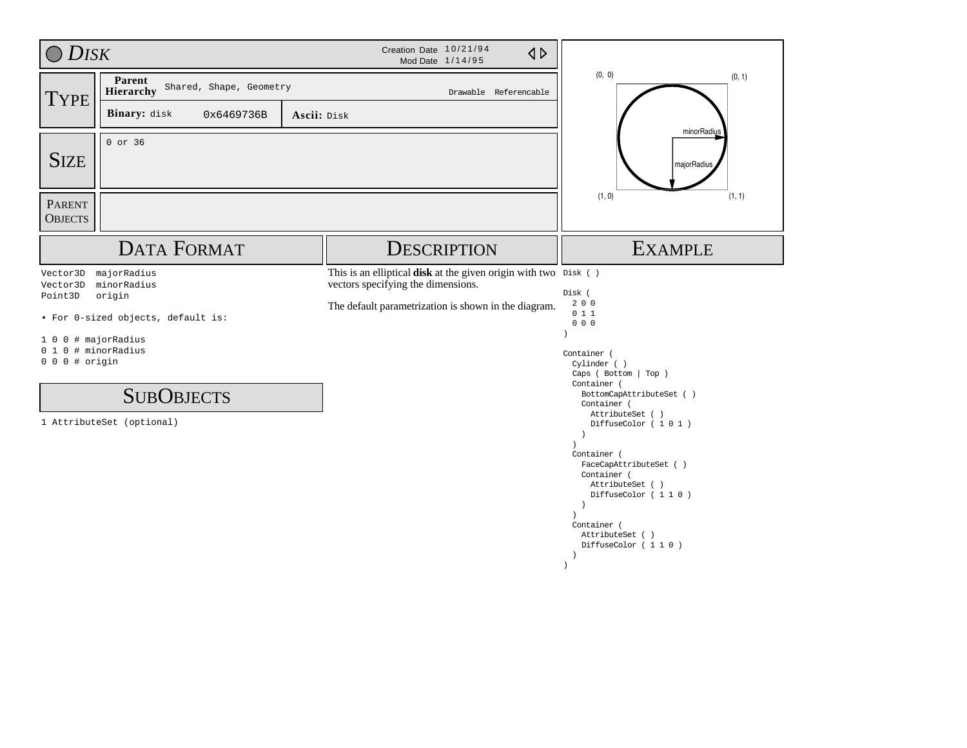| <b>DISK</b>                                                                                     |                                                                                                                              | Creation Date 10/21/94<br>Mod Date 1/14/95                                                                                                                    | $\triangle$                                                                                                                                                                                                                                                                                                                                                                                                 |
|-------------------------------------------------------------------------------------------------|------------------------------------------------------------------------------------------------------------------------------|---------------------------------------------------------------------------------------------------------------------------------------------------------------|-------------------------------------------------------------------------------------------------------------------------------------------------------------------------------------------------------------------------------------------------------------------------------------------------------------------------------------------------------------------------------------------------------------|
| <b>TYPE</b>                                                                                     | Parent<br>Shared, Shape, Geometry<br>Hierarchy                                                                               | Drawable Referencable                                                                                                                                         | (0, 0)<br>(0, 1)                                                                                                                                                                                                                                                                                                                                                                                            |
|                                                                                                 | Binary: disk<br>0x6469736B                                                                                                   | Ascii: Disk                                                                                                                                                   | minorRadius                                                                                                                                                                                                                                                                                                                                                                                                 |
| <b>SIZE</b>                                                                                     | 0 or 36                                                                                                                      |                                                                                                                                                               | majorRadius                                                                                                                                                                                                                                                                                                                                                                                                 |
| PARENT<br><b>OBJECTS</b>                                                                        |                                                                                                                              |                                                                                                                                                               | (1, 0)<br>(1, 1)                                                                                                                                                                                                                                                                                                                                                                                            |
|                                                                                                 | <b>DATA FORMAT</b>                                                                                                           | <b>DESCRIPTION</b>                                                                                                                                            | <b>EXAMPLE</b>                                                                                                                                                                                                                                                                                                                                                                                              |
| Vector3D<br>Vector3D<br>Point3D<br>1 0 0 # majorRadius<br>0 1 0 # minorRadius<br>0 0 0 # origin | majorRadius<br>minorRadius<br>origin<br>• For 0-sized objects, default is:<br><b>SUBOBJECTS</b><br>1 AttributeSet (optional) | This is an elliptical disk at the given origin with two Disk ()<br>vectors specifying the dimensions.<br>The default parametrization is shown in the diagram. | Disk (<br>200<br>011<br>000<br>Container (<br>Cylinder ()<br>Caps ( Bottom   Top )<br>Container (<br>BottomCapAttributeSet ()<br>Container (<br>AttributeSet ()<br>DiffuseColor (101)<br>$\rightarrow$<br>$\lambda$<br>Container (<br>FaceCapAttributeSet ( )<br>Container (<br>AttributeSet ()<br>DiffuseColor (110)<br>$\rightarrow$<br>Container (<br>AttributeSet ()<br>DiffuseColor (110)<br>$\lambda$ |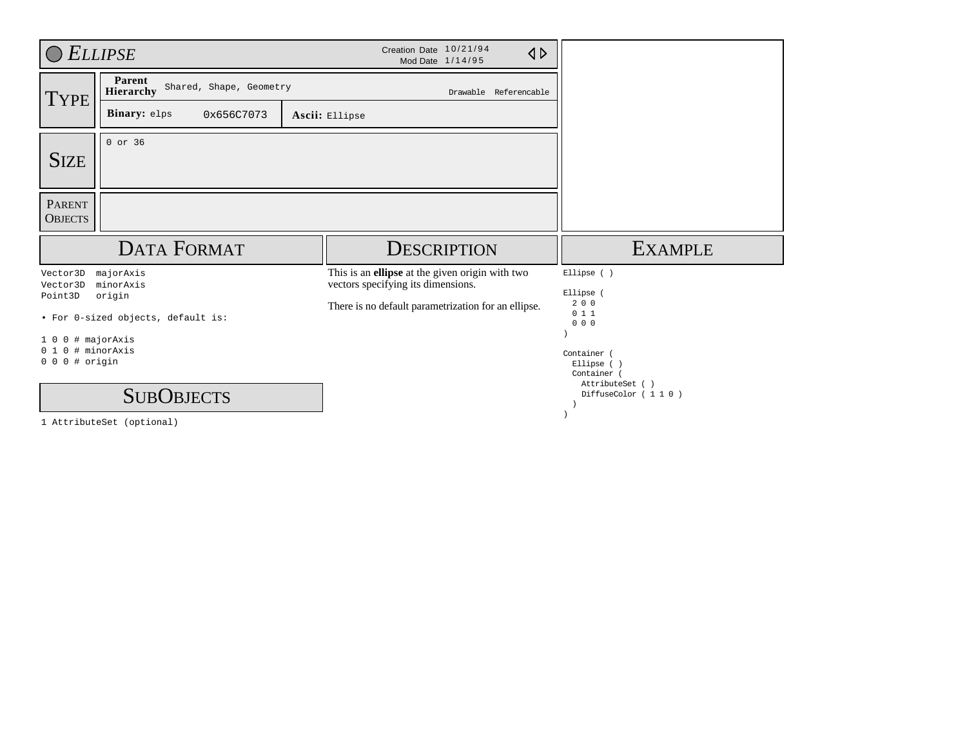|                                                             | <b>ELLIPSE</b>                                 | Creation Date 10/21/94<br>$\triangle$<br>Mod Date 1/14/95                             |                                              |
|-------------------------------------------------------------|------------------------------------------------|---------------------------------------------------------------------------------------|----------------------------------------------|
| <b>TYPE</b>                                                 | Parent<br>Shared, Shape, Geometry<br>Hierarchy | Drawable Referencable                                                                 |                                              |
|                                                             | <b>Binary:</b> elps<br>0x656C7073              | Ascii: Ellipse                                                                        |                                              |
| <b>SIZE</b>                                                 | 0 or 36                                        |                                                                                       |                                              |
| <b>PARENT</b><br><b>OBJECTS</b>                             |                                                |                                                                                       |                                              |
|                                                             | <b>DATA FORMAT</b>                             | <b>DESCRIPTION</b>                                                                    | <b>EXAMPLE</b>                               |
| Vector3D<br>Vector3D                                        | majorAxis<br>minorAxis                         | This is an ellipse at the given origin with two<br>vectors specifying its dimensions. | Ellipse ()                                   |
| Point3D                                                     | origin<br>• For 0-sized objects, default is:   | There is no default parametrization for an ellipse.                                   | Ellipse (<br>200<br>011<br>$0\quad 0\quad 0$ |
| 0<br>10<br><sup>0</sup><br>01<br>$0$ # origin<br>$0\quad 0$ | # majorAxis<br># minorAxis                     |                                                                                       | Container<br>Ellipse (<br>Container          |
|                                                             | <b>SUBOBJECTS</b>                              |                                                                                       | AttributeSet ()<br>DiffuseColor (110)        |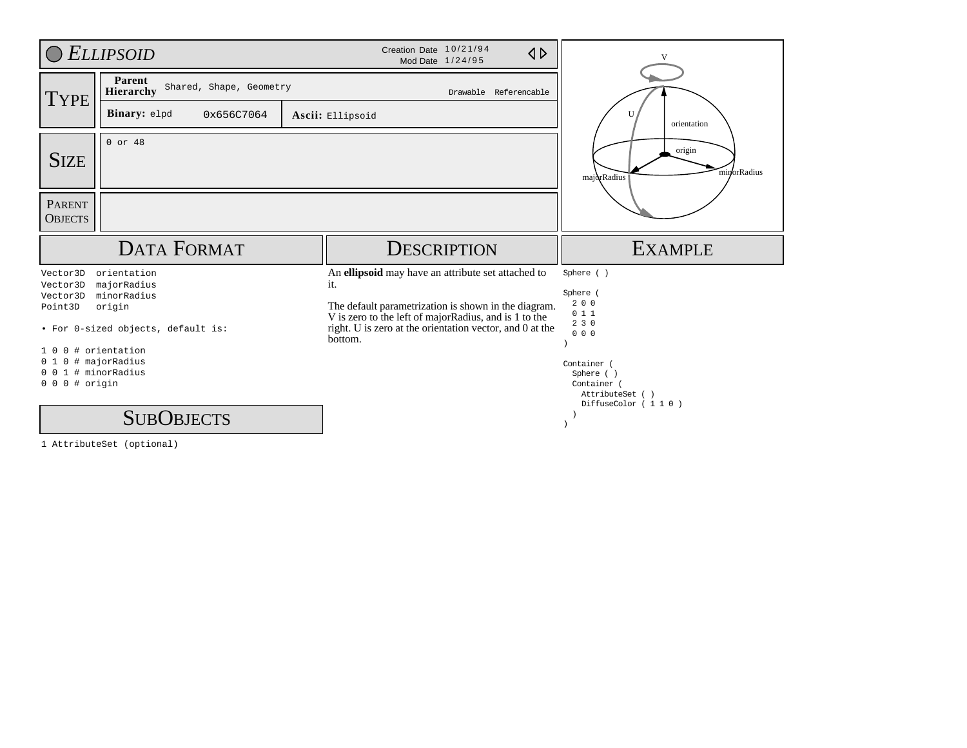|                                                               | <b>ELLIPSOID</b>                               | Creation Date 10/21/94<br>$\triangle$<br>Mod Date 1/24/95                                                                                                                            |                                                                                |
|---------------------------------------------------------------|------------------------------------------------|--------------------------------------------------------------------------------------------------------------------------------------------------------------------------------------|--------------------------------------------------------------------------------|
| <b>TYPE</b>                                                   | Parent<br>Shared, Shape, Geometry<br>Hierarchy | Drawable Referencable                                                                                                                                                                |                                                                                |
|                                                               | Binary: elpd<br>0x656C7064                     | Ascii: Ellipsoid                                                                                                                                                                     | orientation                                                                    |
| <b>SIZE</b>                                                   | $0$ or $48$                                    |                                                                                                                                                                                      | origin<br>minorRadius<br>majorRadius                                           |
| <b>PARENT</b><br><b>OBJECTS</b>                               |                                                |                                                                                                                                                                                      |                                                                                |
|                                                               |                                                |                                                                                                                                                                                      |                                                                                |
|                                                               | <b>DATA FORMAT</b>                             | <b>DESCRIPTION</b>                                                                                                                                                                   | <b>EXAMPLE</b>                                                                 |
| Vector3D<br>Vector3D<br>Vector3D                              | orientation<br>majorRadius<br>minorRadius      | An ellipsoid may have an attribute set attached to<br>it.                                                                                                                            | Sphere ()<br>Sphere<br>200                                                     |
| Point3D                                                       | origin<br>• For 0-sized objects, default is:   | The default parametrization is shown in the diagram.<br>V is zero to the left of majorRadius, and is 1 to the<br>right. U is zero at the orientation vector, and 0 at the<br>bottom. | 011<br>230<br>000                                                              |
| 1 O<br>$0\quad1$<br>$0 0 1$ # minorRadius<br>$0 0 0$ # origin | 0 # orientation<br>0 # majorRadius             |                                                                                                                                                                                      | Container<br>Sphere ()<br>Container (<br>AttributeSet ()<br>DiffuseColor (110) |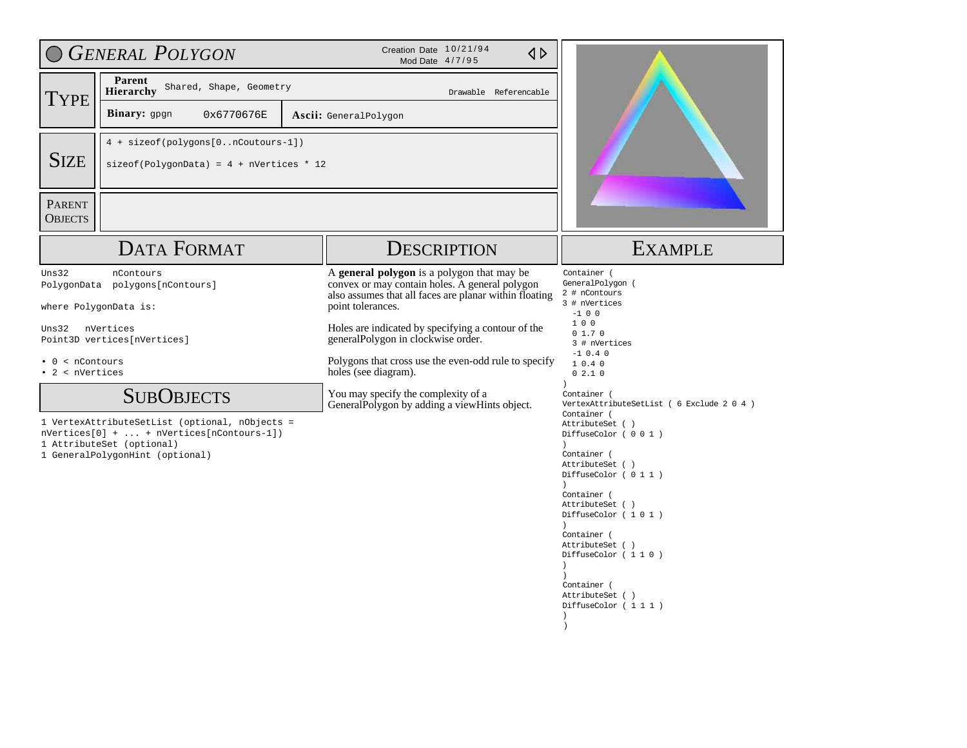|                                                  | <b>GENERAL POLYGON</b>                                                                                                                                                                                                                                                                                  | Creation Date 10/21/94<br>$\triangle$<br>Mod Date 4/7/95                                                                                                                                                                                                                                                                                                                                                                                       |                                                                                                                                                                                                                                                                                                                                                                                                                                                                                                                                                                                                      |  |  |
|--------------------------------------------------|---------------------------------------------------------------------------------------------------------------------------------------------------------------------------------------------------------------------------------------------------------------------------------------------------------|------------------------------------------------------------------------------------------------------------------------------------------------------------------------------------------------------------------------------------------------------------------------------------------------------------------------------------------------------------------------------------------------------------------------------------------------|------------------------------------------------------------------------------------------------------------------------------------------------------------------------------------------------------------------------------------------------------------------------------------------------------------------------------------------------------------------------------------------------------------------------------------------------------------------------------------------------------------------------------------------------------------------------------------------------------|--|--|
| <b>TYPE</b>                                      | Parent<br>Shared, Shape, Geometry<br>Hierarchy                                                                                                                                                                                                                                                          | Drawable Referencable                                                                                                                                                                                                                                                                                                                                                                                                                          |                                                                                                                                                                                                                                                                                                                                                                                                                                                                                                                                                                                                      |  |  |
|                                                  | Binary: gpgn<br>0x6770676E                                                                                                                                                                                                                                                                              | <b>Ascii:</b> GeneralPolygon                                                                                                                                                                                                                                                                                                                                                                                                                   |                                                                                                                                                                                                                                                                                                                                                                                                                                                                                                                                                                                                      |  |  |
| <b>SIZE</b>                                      | 4 + sizeof(polygons[0nCoutours-1])<br>$\text{sizeof}(\text{PolygonData}) = 4 + \text{nVertices} * 12$                                                                                                                                                                                                   |                                                                                                                                                                                                                                                                                                                                                                                                                                                |                                                                                                                                                                                                                                                                                                                                                                                                                                                                                                                                                                                                      |  |  |
| <b>PARENT</b><br><b>OBJECTS</b>                  |                                                                                                                                                                                                                                                                                                         |                                                                                                                                                                                                                                                                                                                                                                                                                                                |                                                                                                                                                                                                                                                                                                                                                                                                                                                                                                                                                                                                      |  |  |
|                                                  | <b>DATA FORMAT</b>                                                                                                                                                                                                                                                                                      | <b>DESCRIPTION</b>                                                                                                                                                                                                                                                                                                                                                                                                                             | <b>EXAMPLE</b>                                                                                                                                                                                                                                                                                                                                                                                                                                                                                                                                                                                       |  |  |
| Uns32<br>Uns32<br>< nContours<br>• 2 < nVertices | nContours<br>PolygonData polygons[nContours]<br>where PolygonData is:<br>nVertices<br>Point3D vertices[nVertices]<br><b>SUBOBJECTS</b><br>1 VertexAttributeSetList (optional, nObjects =<br>$nVertices[0] +  + nVertices[nContours-1])$<br>1 AttributeSet (optional)<br>1 GeneralPolygonHint (optional) | A general polygon is a polygon that may be<br>convex or may contain holes. A general polygon<br>also assumes that all faces are planar within floating<br>point tolerances.<br>Holes are indicated by specifying a contour of the<br>generalPolygon in clockwise order.<br>Polygons that cross use the even-odd rule to specify<br>holes (see diagram).<br>You may specify the complexity of a<br>GeneralPolygon by adding a viewHints object. | Container (<br>GeneralPolygon (<br>2 # nContours<br>3 # nVertices<br>$-100$<br>100<br>01.70<br>3 # nVertices<br>$-1$ 0.4 0<br>10.40<br>02.10<br>$\lambda$<br>Container (<br>VertexAttributeSetList ( 6 Exclude 2 0 4 )<br>Container (<br>AttributeSet ()<br>DiffuseColor ( 0 0 1 )<br>$\lambda$<br>Container (<br>AttributeSet ()<br>DiffuseColor (011)<br>$\lambda$<br>Container (<br>AttributeSet ()<br>DiffuseColor (101)<br>$\lambda$<br>Container (<br>AttributeSet ()<br>DiffuseColor (110)<br>$\rightarrow$<br>Container (<br>AttributeSet ()<br>DiffuseColor (111)<br>$\lambda$<br>$\lambda$ |  |  |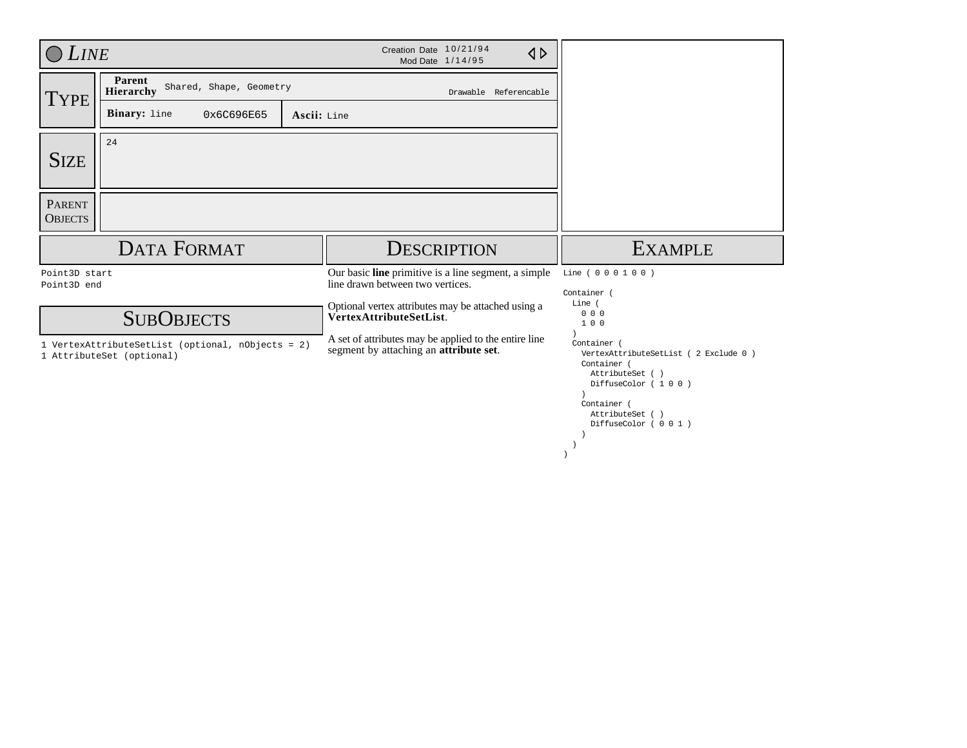| <b>LINE</b>                     |                                                | Creation Date 10/21/94<br>$\triangle$<br>Mod Date 1/14/95                                       |                                     |
|---------------------------------|------------------------------------------------|-------------------------------------------------------------------------------------------------|-------------------------------------|
| TYPE <sup>'</sup>               | Parent<br>Shared, Shape, Geometry<br>Hierarchy | Drawable Referencable                                                                           |                                     |
|                                 | Binary: line<br>0x6C696E65<br>Ascii: Line      |                                                                                                 |                                     |
| <b>SIZE</b>                     | 24                                             |                                                                                                 |                                     |
| <b>PARENT</b><br><b>OBJECTS</b> |                                                |                                                                                                 |                                     |
|                                 | <b>DATA FORMAT</b>                             | <b>DESCRIPTION</b>                                                                              | <b>EXAMPLE</b>                      |
|                                 |                                                |                                                                                                 |                                     |
| Point3D start<br>Point3D end    |                                                | Our basic <b>line</b> primitive is a line segment, a simple<br>line drawn between two vertices. | Line ( 0 0 0 1 0 0 )<br>Container ( |
|                                 | <b>SUBOBJECTS</b>                              | Optional vertex attributes may be attached using a<br>VertexAttributeSetList.                   | Line (<br>000<br>100                |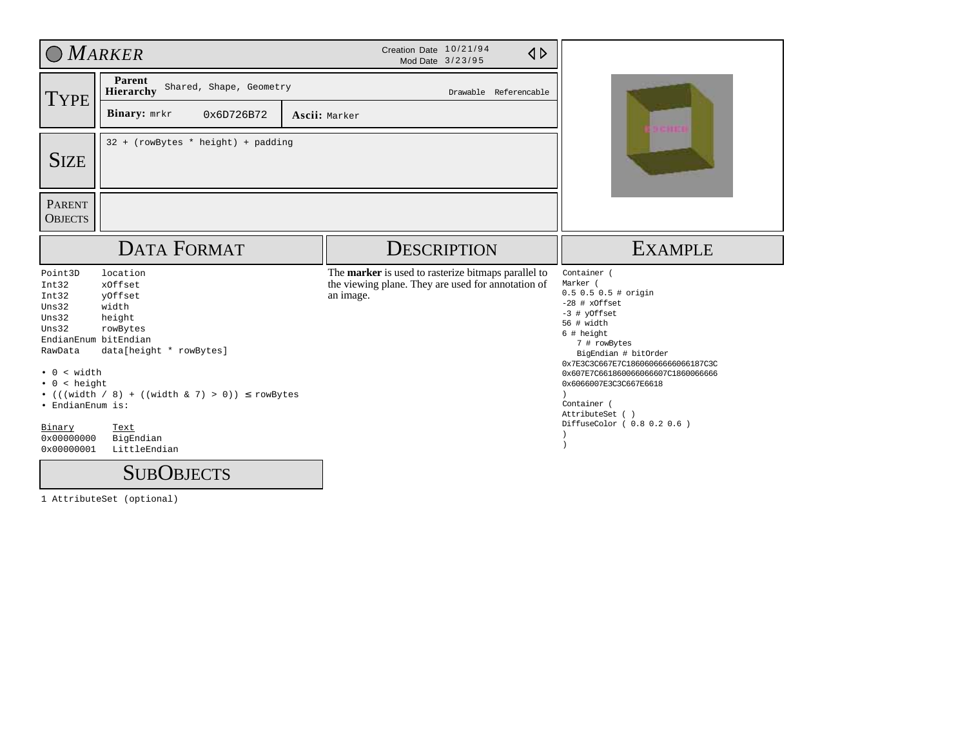| OMARKER                                                                                                                                                                  |                                                                                                                                                                                                              | Creation Date 10/21/94<br>$\triangle$<br>Mod Date 3/23/95                                                              |                                                                                                                                                                                                                                                                                                                                    |  |
|--------------------------------------------------------------------------------------------------------------------------------------------------------------------------|--------------------------------------------------------------------------------------------------------------------------------------------------------------------------------------------------------------|------------------------------------------------------------------------------------------------------------------------|------------------------------------------------------------------------------------------------------------------------------------------------------------------------------------------------------------------------------------------------------------------------------------------------------------------------------------|--|
| TYPE                                                                                                                                                                     | Parent<br>Shared, Shape, Geometry<br><b>Hierarchy</b>                                                                                                                                                        | Drawable Referencable                                                                                                  |                                                                                                                                                                                                                                                                                                                                    |  |
|                                                                                                                                                                          | <b>Binary:</b> mrkr<br>0x6D726B72                                                                                                                                                                            | Ascii: Marker                                                                                                          | <b>FILL</b>                                                                                                                                                                                                                                                                                                                        |  |
| <b>SIZE</b>                                                                                                                                                              | 32 + (rowBytes * height) + padding                                                                                                                                                                           |                                                                                                                        |                                                                                                                                                                                                                                                                                                                                    |  |
| <b>PARENT</b><br><b>OBJECTS</b>                                                                                                                                          |                                                                                                                                                                                                              |                                                                                                                        |                                                                                                                                                                                                                                                                                                                                    |  |
|                                                                                                                                                                          | <b>DATA FORMAT</b>                                                                                                                                                                                           | <b>DESCRIPTION</b>                                                                                                     | <b>EXAMPLE</b>                                                                                                                                                                                                                                                                                                                     |  |
| Point3D<br>Int32<br>Int32<br>Uns32<br>Uns32<br>Uns32<br>RawData<br>$\bullet$ 0 < width<br>$\bullet$ 0 < height<br>· EndianEnum is:<br>Binary<br>0x00000000<br>0x00000001 | location<br>xOffset<br>yOffset<br>width<br>height<br>rowBytes<br>EndianEnum bitEndian<br>data[height * rowBytes]<br>• (((width / 8) + ((width & 7) > 0)) $\le$ rowBytes<br>Text<br>BigEndian<br>LittleEndian | The marker is used to rasterize bitmaps parallel to<br>the viewing plane. They are used for annotation of<br>an image. | Container (<br>Marker (<br>$0.5 0.5 0.5$ # origin<br>$-28$ # $x0ffset$<br>-3 # yOffset<br>56 # width<br>6 # height<br>7 # rowBytes<br>BigEndian # bitOrder<br>0x7E3C3C667E7C18606066666066187C3C<br>0x607E7C661860066066607C1860066666<br>0x6066007E3C3C667E6618<br>Container (<br>AttributeSet ()<br>DiffuseColor ( 0.8 0.2 0.6 ) |  |
|                                                                                                                                                                          | <b>SUBOBJECTS</b>                                                                                                                                                                                            |                                                                                                                        |                                                                                                                                                                                                                                                                                                                                    |  |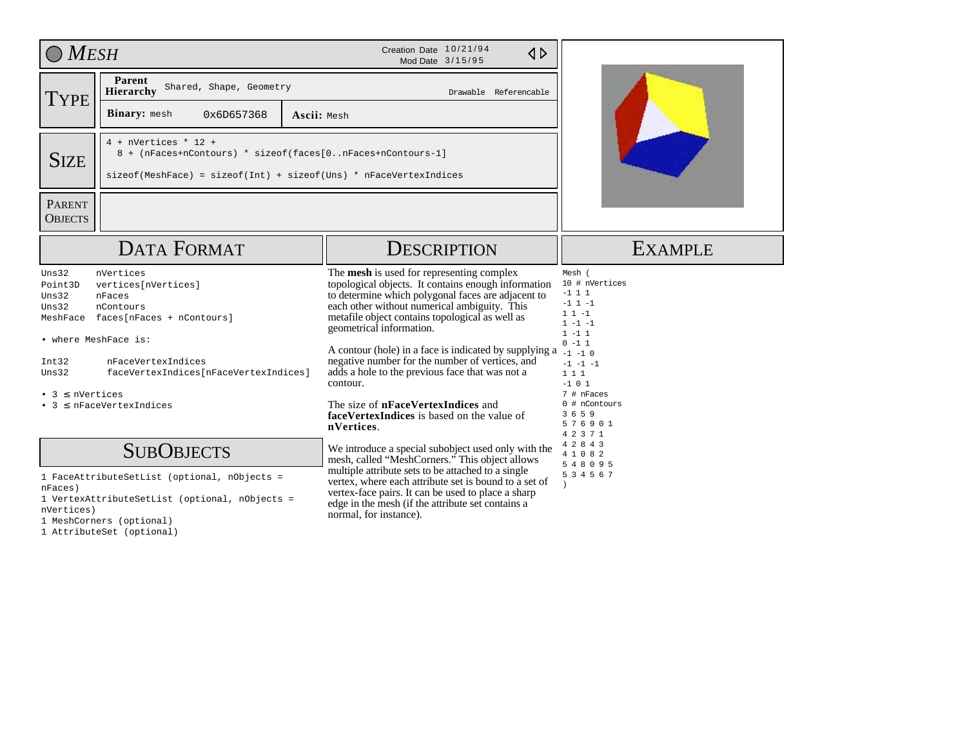| <b>MESH</b>                                                                                                      |                                                                                                                                                                                              | Creation Date 10/21/94<br>$\triangle$<br>Mod Date 3/15/95                                                                                                                                                                                                                                                                                                                                                                                                                                                                                                                  |                                                                                                                                                                                                                               |  |  |
|------------------------------------------------------------------------------------------------------------------|----------------------------------------------------------------------------------------------------------------------------------------------------------------------------------------------|----------------------------------------------------------------------------------------------------------------------------------------------------------------------------------------------------------------------------------------------------------------------------------------------------------------------------------------------------------------------------------------------------------------------------------------------------------------------------------------------------------------------------------------------------------------------------|-------------------------------------------------------------------------------------------------------------------------------------------------------------------------------------------------------------------------------|--|--|
| <b>TYPE</b>                                                                                                      | Parent<br>Shared, Shape, Geometry<br>Hierarchy                                                                                                                                               | Drawable Referencable                                                                                                                                                                                                                                                                                                                                                                                                                                                                                                                                                      |                                                                                                                                                                                                                               |  |  |
|                                                                                                                  | Binary: mesh<br>0x6D657368                                                                                                                                                                   | Ascii: Mesh                                                                                                                                                                                                                                                                                                                                                                                                                                                                                                                                                                |                                                                                                                                                                                                                               |  |  |
| <b>SIZE</b>                                                                                                      | $4 + nVertices * 12 +$<br>8 + (nFaces+nContours) * sizeof(faces[0nFaces+nContours-1]<br>$sizeof(MeshFace) = sizeof(int) + sizeof(Uns) * nFaceVertexIndices$                                  |                                                                                                                                                                                                                                                                                                                                                                                                                                                                                                                                                                            |                                                                                                                                                                                                                               |  |  |
| <b>PARENT</b><br><b>OBJECTS</b>                                                                                  |                                                                                                                                                                                              |                                                                                                                                                                                                                                                                                                                                                                                                                                                                                                                                                                            |                                                                                                                                                                                                                               |  |  |
|                                                                                                                  | <b>DATA FORMAT</b>                                                                                                                                                                           | <b>DESCRIPTION</b>                                                                                                                                                                                                                                                                                                                                                                                                                                                                                                                                                         | <b>EXAMPLE</b>                                                                                                                                                                                                                |  |  |
| Uns32<br>Point3D<br>Uns32<br>Uns32<br>MeshFace<br>• where MeshFace is:<br>Int32<br>Uns32<br>• 3 $\leq$ nVertices | nVertices<br>vertices[nVertices]<br>nFaces<br>nContours<br>faces[nFaces + nContours]<br>nFaceVertexIndices<br>faceVertexIndices[nFaceVertexIndices]<br>$\bullet$ 3 $\leq$ nFaceVertexIndices | The mesh is used for representing complex<br>topological objects. It contains enough information<br>to determine which polygonal faces are adjacent to<br>each other without numerical ambiguity. This<br>metafile object contains topological as well as<br>geometrical information.<br>A contour (hole) in a face is indicated by supplying a<br>negative number for the number of vertices, and<br>adds a hole to the previous face that was not a<br>contour.<br>The size of <b>nFaceVertexIndices</b> and<br>faceVertexIndices is based on the value of<br>nVertices. | Mesh (<br>10 # nVertices<br>$-1$ 1 1<br>$-1$ 1 $-1$<br>$11 - 1$<br>$1 - 1 - 1$<br>$1 - 1 1$<br>$0 - 1 1$<br>$-1 -1 0$<br>$-1$ $-1$ $-1$<br>1 1 1<br>$-1 0 1$<br>7 # nFaces<br>0 # nContours<br>3 6 5 9<br>576901<br>4 2 3 7 1 |  |  |
|                                                                                                                  | <b>SUBOBJECTS</b>                                                                                                                                                                            | We introduce a special subobject used only with the<br>mesh, called "MeshCorners." This object allows                                                                                                                                                                                                                                                                                                                                                                                                                                                                      | 4 2 8 4 3<br>4 1 0 8 2<br>5 4 8 0 9 5                                                                                                                                                                                         |  |  |
| nFaces)<br>nVertices)                                                                                            | 1 FaceAttributeSetList (optional, nObjects =<br>1 VertexAttributeSetList (optional, nObjects =<br>$1.34 - 1.0 - 0.0$                                                                         | multiple attribute sets to be attached to a single<br>vertex, where each attribute set is bound to a set of<br>vertex-face pairs. It can be used to place a sharp<br>edge in the mesh (if the attribute set contains a<br>normal, for instance).                                                                                                                                                                                                                                                                                                                           | 5 3 4 5 6 7                                                                                                                                                                                                                   |  |  |

1 MeshCorners (optional)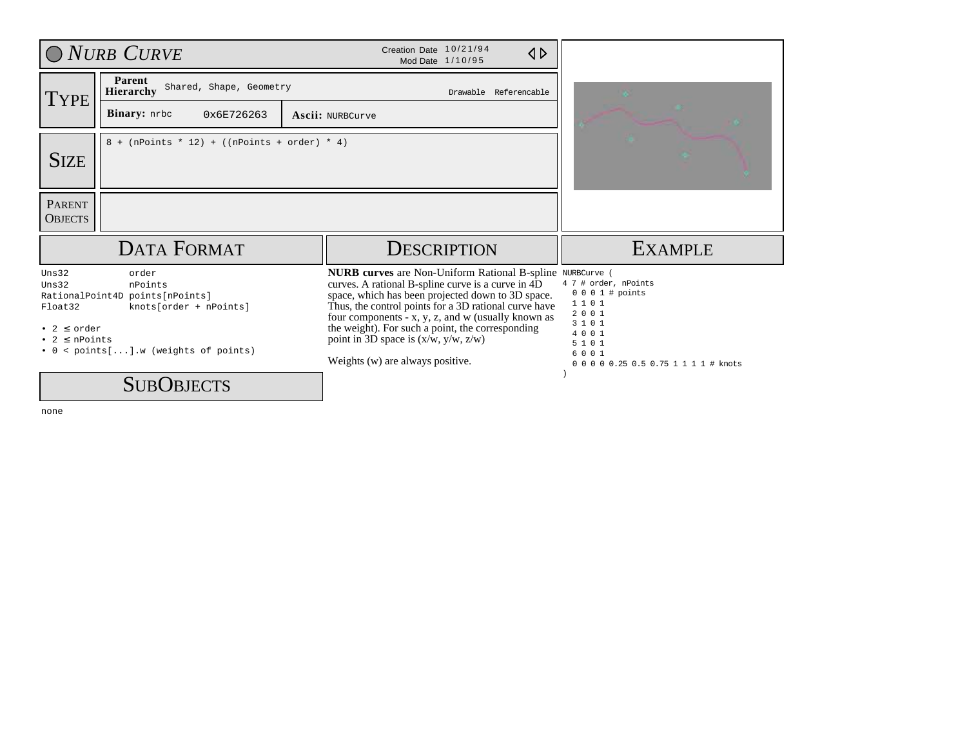|                                                                                  | O NURB CURVE                                                                                                                  | Creation Date 10/21/94<br>$\triangle$<br>Mod Date 1/10/95                                                                                                                                                                                                                                                                                                                                                        |                                                                                                                                                          |
|----------------------------------------------------------------------------------|-------------------------------------------------------------------------------------------------------------------------------|------------------------------------------------------------------------------------------------------------------------------------------------------------------------------------------------------------------------------------------------------------------------------------------------------------------------------------------------------------------------------------------------------------------|----------------------------------------------------------------------------------------------------------------------------------------------------------|
| <b>TYPE</b>                                                                      | Parent<br>Shared, Shape, Geometry<br><b>Hierarchy</b>                                                                         | Drawable Referencable                                                                                                                                                                                                                                                                                                                                                                                            | n.                                                                                                                                                       |
|                                                                                  | Binary: nrbc<br>0x6E726263                                                                                                    | <b>Ascii: NURBCurve</b>                                                                                                                                                                                                                                                                                                                                                                                          |                                                                                                                                                          |
| <b>SIZE</b>                                                                      | $8 + (nPoints * 12) + ((nPoints + order) * 4)$                                                                                |                                                                                                                                                                                                                                                                                                                                                                                                                  |                                                                                                                                                          |
| <b>PARENT</b><br><b>OBJECTS</b>                                                  |                                                                                                                               |                                                                                                                                                                                                                                                                                                                                                                                                                  |                                                                                                                                                          |
|                                                                                  | <b>DATA FORMAT</b>                                                                                                            | <b>DESCRIPTION</b>                                                                                                                                                                                                                                                                                                                                                                                               | <b>EXAMPLE</b>                                                                                                                                           |
| Uns32<br>$_{\text{Uns}32}$<br>Float32<br>• 2 $\leq$ order<br>• $2 \leq n$ Points | order<br>nPoints<br>RationalPoint4D points[nPoints]<br>knots[order + nPoints]<br>$\bullet$ 0 < points[].w (weights of points) | <b>NURB</b> curves are Non-Uniform Rational B-spline<br>curves. A rational B-spline curve is a curve in 4D<br>space, which has been projected down to 3D space.<br>Thus, the control points for a 3D rational curve have<br>four components - x, y, z, and w (usually known as<br>the weight). For such a point, the corresponding<br>point in 3D space is $(x/w, y/w, z/w)$<br>Weights (w) are always positive. | NURBCurve (<br>4 7 # order, nPoints<br>$0 0 0 1$ # points<br>1101<br>2001<br>3 1 0 1<br>4001<br>5 1 0 1<br>6001<br>0 0 0 0 0.25 0.5 0.75 1 1 1 1 # knots |
|                                                                                  | <b>SUBOBJECTS</b>                                                                                                             |                                                                                                                                                                                                                                                                                                                                                                                                                  |                                                                                                                                                          |

none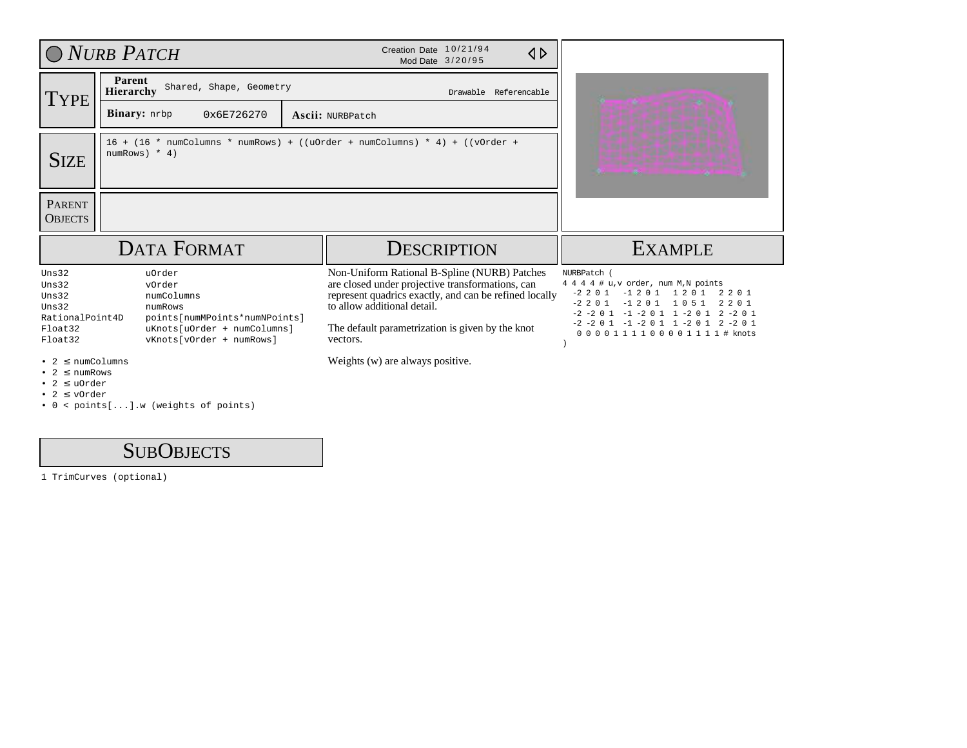|                                                                                               | O NURB PATCH                                                                                                                          | Creation Date 10/21/94<br>$\triangle$<br>Mod Date 3/20/95                                                                                                                                                                                                 |                                                                                                                                                                                                                                                                                         |
|-----------------------------------------------------------------------------------------------|---------------------------------------------------------------------------------------------------------------------------------------|-----------------------------------------------------------------------------------------------------------------------------------------------------------------------------------------------------------------------------------------------------------|-----------------------------------------------------------------------------------------------------------------------------------------------------------------------------------------------------------------------------------------------------------------------------------------|
| <b>TYPE</b>                                                                                   | Parent<br>Shared, Shape, Geometry<br><b>Hierarchy</b><br><b>Binary:</b> nrbp<br>0x6E726270                                            | Drawable Referencable<br>Ascii: NURBPatch                                                                                                                                                                                                                 |                                                                                                                                                                                                                                                                                         |
| <b>SIZE</b>                                                                                   | numRows) $*$ 4)                                                                                                                       | $16 + (16 * numColumns * numRows) + ((uOrder + numColumns) * 4) + ((vOrder +$                                                                                                                                                                             |                                                                                                                                                                                                                                                                                         |
| <b>PARENT</b><br><b>OBJECTS</b>                                                               |                                                                                                                                       |                                                                                                                                                                                                                                                           |                                                                                                                                                                                                                                                                                         |
|                                                                                               | <b>DATA FORMAT</b>                                                                                                                    | <b>DESCRIPTION</b>                                                                                                                                                                                                                                        | <b>EXAMPLE</b>                                                                                                                                                                                                                                                                          |
| Uns32<br>Uns32<br>Uns32<br>Uns32<br>RationalPoint4D<br>Float32<br>Float32                     | uOrder<br>vOrder<br>numColumns<br>numRows<br>points[numMPoints*numNPoints]<br>uKnots[uOrder + numColumns]<br>vKnots[vOrder + numRows] | Non-Uniform Rational B-Spline (NURB) Patches<br>are closed under projective transformations, can<br>represent quadrics exactly, and can be refined locally<br>to allow additional detail.<br>The default parametrization is given by the knot<br>vectors. | NURBPatch (<br>4 4 4 4 # u, v order, num M, N points<br>$-2$ 2 0 1<br>$-1201$<br>1 2 0 1<br>2 2 0 1<br>$-2$ 2 0 1<br>$-1$ 2 0 1<br>1051<br>2 2 0 1<br>$-2$ $-2$ 0 1 $-1$ $-2$ 0 1 1 $-2$ 0 1 2 $-2$ 0 1<br>$-2$ $-2$ 0 1 $-1$ $-2$ 0 1 1 $-2$ 0 1 2 $-2$ 0 1<br>0000111100001111# knots |
| $2 \leq \text{numColums}$<br>$2 \leq$ numRows<br>$2 \leq$ uOrder<br>$\bullet$ 2 $\leq$ v0rder |                                                                                                                                       | Weights (w) are always positive.                                                                                                                                                                                                                          |                                                                                                                                                                                                                                                                                         |

• 0 < points[...].w (weights of points)

## SUB OBJECTS

1 TrimCurves (optional)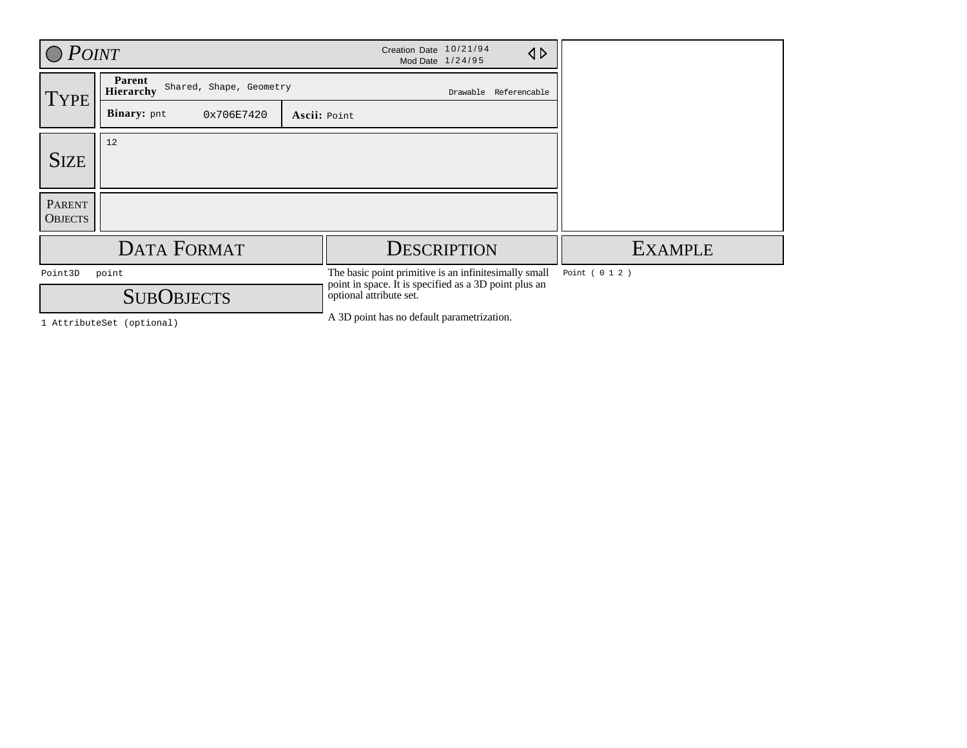| $O$ $P$ <i>OINT</i>             |                                                | Creation Date 10/21/94<br>$\triangle$<br>Mod Date 1/24/95                                                                                 |                 |
|---------------------------------|------------------------------------------------|-------------------------------------------------------------------------------------------------------------------------------------------|-----------------|
| <b>TYPE</b>                     | Parent<br>Shared, Shape, Geometry<br>Hierarchy | Drawable Referencable                                                                                                                     |                 |
|                                 | Binary: pnt<br>0x706E7420                      | Ascii: Point                                                                                                                              |                 |
| <b>SIZE</b>                     | 12                                             |                                                                                                                                           |                 |
| <b>PARENT</b><br><b>OBJECTS</b> |                                                |                                                                                                                                           |                 |
|                                 | <b>DATA FORMAT</b>                             | <b>DESCRIPTION</b>                                                                                                                        | <b>EXAMPLE</b>  |
| Point3D                         | point<br><b>SUBOBJECTS</b>                     | The basic point primitive is an infinitesimally small<br>point in space. It is specified as a 3D point plus an<br>optional attribute set. | Point ( 0 1 2 ) |
|                                 | 1 AttributeSet (optional)                      | A 3D point has no default parametrization.                                                                                                |                 |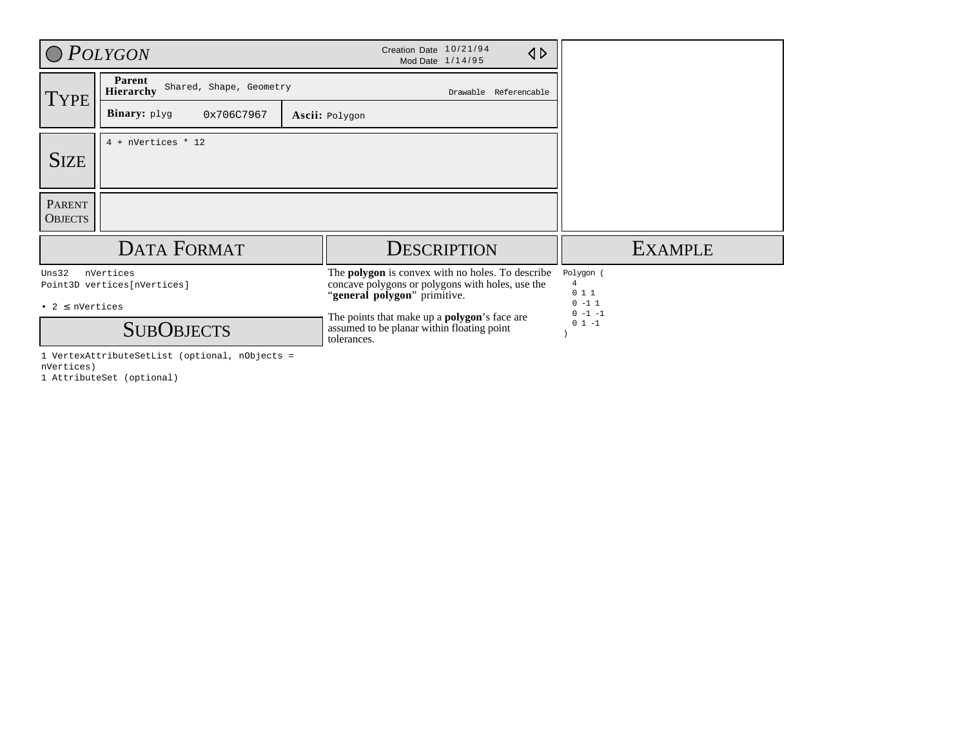|                                       | O POLYGON                                                     | Creation Date 10/21/94<br>$\triangle$<br>Mod Date 1/14/95                                                                                                                                                                                                        |                                                                           |
|---------------------------------------|---------------------------------------------------------------|------------------------------------------------------------------------------------------------------------------------------------------------------------------------------------------------------------------------------------------------------------------|---------------------------------------------------------------------------|
| <b>TYPE</b>                           | Parent<br>Shared, Shape, Geometry<br>Hierarchy                | Drawable Referencable                                                                                                                                                                                                                                            |                                                                           |
|                                       | Binary: plyg<br>0x706C7967                                    | Ascii: Polygon                                                                                                                                                                                                                                                   |                                                                           |
| <b>SIZE</b>                           | $4$ + nVertices * 12                                          |                                                                                                                                                                                                                                                                  |                                                                           |
| <b>PARENT</b><br><b>OBJECTS</b>       |                                                               |                                                                                                                                                                                                                                                                  |                                                                           |
|                                       | <b>DATA FORMAT</b>                                            | <b>DESCRIPTION</b>                                                                                                                                                                                                                                               | <b>EXAMPLE</b>                                                            |
| Uns32<br>$\bullet$ 2 $\leq$ nVertices | nVertices<br>Point3D vertices[nVertices]<br><b>SUBOBJECTS</b> | The <b>polygon</b> is convex with no holes. To describe<br>concave polygons or polygons with holes, use the<br>"general polygon" primitive.<br>The points that make up a <b>polygon</b> 's face are<br>assumed to be planar within floating point<br>tolerances. | Polygon (<br>$\overline{4}$<br>011<br>$0 - 1 1$<br>$0 - 1 - 1$<br>$01 -1$ |

1 VertexAttributeSetList (optional, nObjects = nVertices) 1 AttributeSet (optional)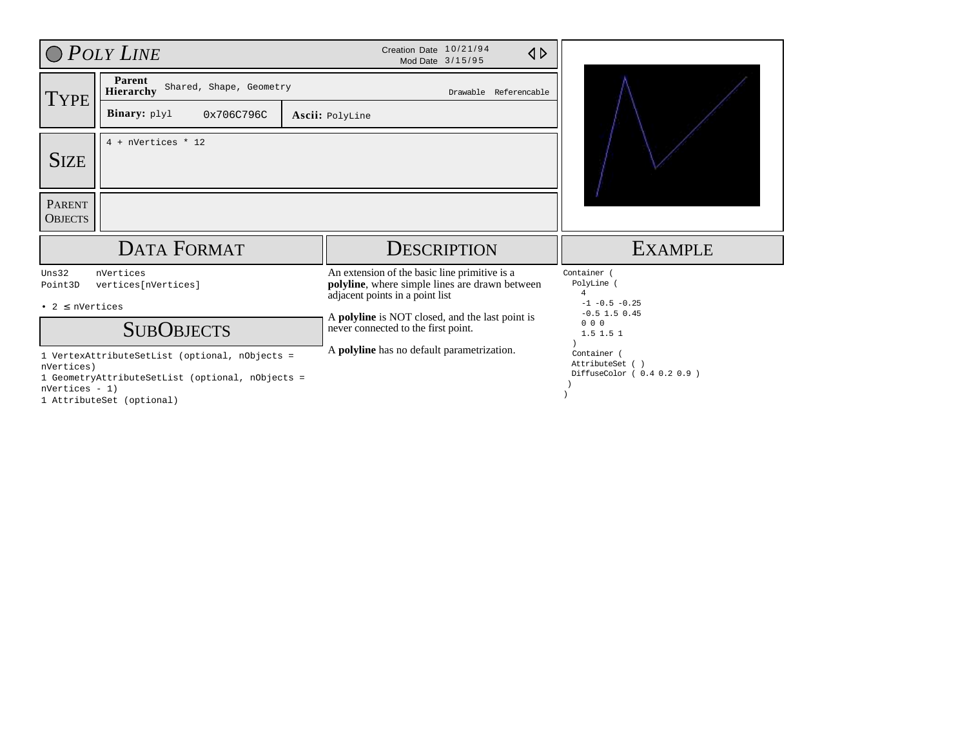|                                          | $O$ POLY LINE                                                                                                                   | Creation Date 10/21/94<br>$\triangle$<br>Mod Date 3/15/95                                                                                                                                                                    |                                                                                              |
|------------------------------------------|---------------------------------------------------------------------------------------------------------------------------------|------------------------------------------------------------------------------------------------------------------------------------------------------------------------------------------------------------------------------|----------------------------------------------------------------------------------------------|
| TYPE                                     | Parent<br>Shared, Shape, Geometry<br>Hierarchy<br>Binary: plyl<br>0x706C796C                                                    | Drawable Referencable<br>Ascii: PolyLine                                                                                                                                                                                     |                                                                                              |
| <b>SIZE</b>                              | $4$ + nVertices * 12                                                                                                            |                                                                                                                                                                                                                              |                                                                                              |
| <b>PARENT</b><br><b>OBJECTS</b>          |                                                                                                                                 |                                                                                                                                                                                                                              |                                                                                              |
|                                          | <b>DATA FORMAT</b>                                                                                                              | <b>DESCRIPTION</b>                                                                                                                                                                                                           | <b>EXAMPLE</b>                                                                               |
| Uns32<br>Point3D<br>• $2 \leq$ nVertices | nVertices<br>vertices[nVertices]<br><b>SUBOBJECTS</b>                                                                           | An extension of the basic line primitive is a<br>polyline, where simple lines are drawn between<br>adjacent points in a point list<br>A polyline is NOT closed, and the last point is<br>never connected to the first point. | Container (<br>PolyLine<br>4<br>$-1$ $-0.5$ $-0.25$<br>$-0.5$ 1.5 0.45<br>000<br>$1.5$ 1.5 1 |
| nVertices)<br>$nVertices - 1)$           | 1 VertexAttributeSetList (optional, nObjects =<br>1 GeometryAttributeSetList (optional, nObjects =<br>1 AttributeSet (optional) | A polyline has no default parametrization.                                                                                                                                                                                   | Container (<br>AttributeSet ()<br>DiffuseColor ( 0.4 0.2 0.9 )                               |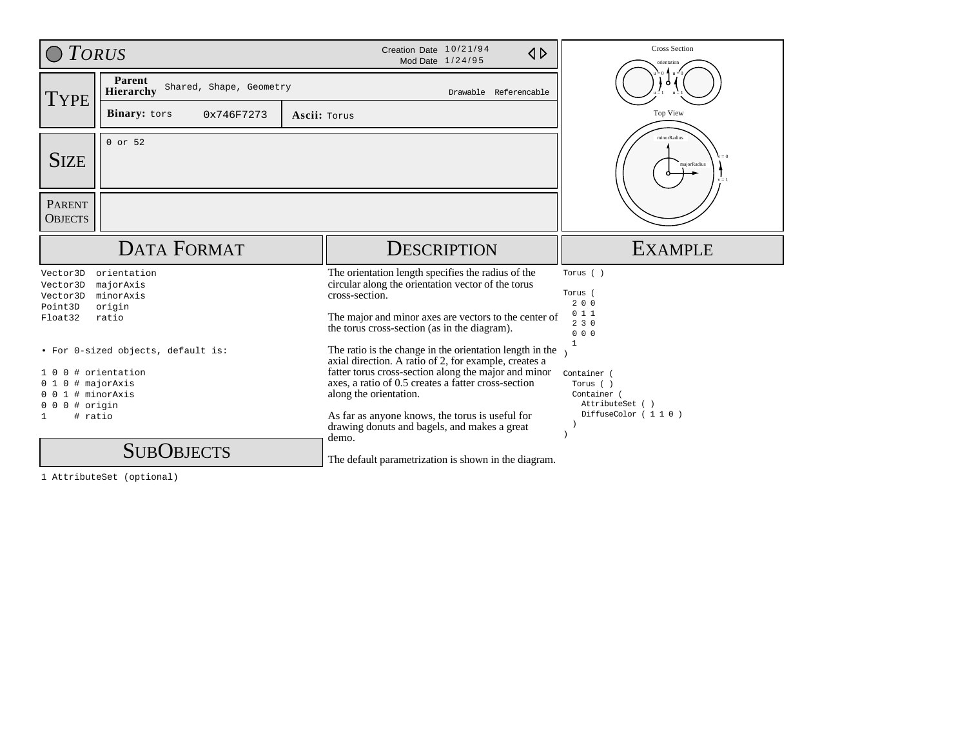| $\bigcirc$ TORUS                                                         |                                                                      |                        | Creation Date 10/21/94<br>$\triangle$<br>Mod Date 1/24/95                                                                                                                                                                                                                                                     | <b>Cross Section</b><br>prientation                                                           |
|--------------------------------------------------------------------------|----------------------------------------------------------------------|------------------------|---------------------------------------------------------------------------------------------------------------------------------------------------------------------------------------------------------------------------------------------------------------------------------------------------------------|-----------------------------------------------------------------------------------------------|
| TYPE                                                                     | Parent<br>Shared, Shape, Geometry<br>Hierarchy                       | Ő.                     |                                                                                                                                                                                                                                                                                                               |                                                                                               |
|                                                                          | Binary: tors<br>0x746F7273                                           | Ascii: Torus           |                                                                                                                                                                                                                                                                                                               | Top View                                                                                      |
| <b>SIZE</b>                                                              | 0 or 52                                                              | minorRadius<br>$v = 1$ |                                                                                                                                                                                                                                                                                                               |                                                                                               |
| <b>PARENT</b><br><b>OBJECTS</b>                                          |                                                                      |                        |                                                                                                                                                                                                                                                                                                               |                                                                                               |
|                                                                          | <b>DATA FORMAT</b>                                                   |                        | <b>DESCRIPTION</b>                                                                                                                                                                                                                                                                                            | <b>EXAMPLE</b>                                                                                |
| Vector3D<br>Vector3D<br>Vector3D<br>Point3D<br>Float32                   | orientation<br>majorAxis<br>minorAxis<br>origin<br>ratio             |                        | The orientation length specifies the radius of the<br>circular along the orientation vector of the torus<br>cross-section.<br>The major and minor axes are vectors to the center of<br>the torus cross-section (as in the diagram).                                                                           | Torus ()<br>Torus (<br>200<br>011<br>230<br>000                                               |
| 0<br>- 0<br>01<br>$0 0 1$ # minor Axis<br>$000$ # origin<br># ratio<br>1 | • For 0-sized objects, default is:<br># orientation<br>0 # majorAxis |                        | The ratio is the change in the orientation length in the<br>axial direction. A ratio of 2, for example, creates a<br>fatter torus cross-section along the major and minor<br>axes, a ratio of 0.5 creates a fatter cross-section<br>along the orientation.<br>As far as anyone knows, the torus is useful for | $\mathbf{1}$<br>Container (<br>Torus ()<br>Container<br>AttributeSet ()<br>DiffuseColor (110) |
|                                                                          | <b>SUBOBJECTS</b>                                                    |                        | drawing donuts and bagels, and makes a great<br>demo.<br>The default parametrization is shown in the diagram.                                                                                                                                                                                                 |                                                                                               |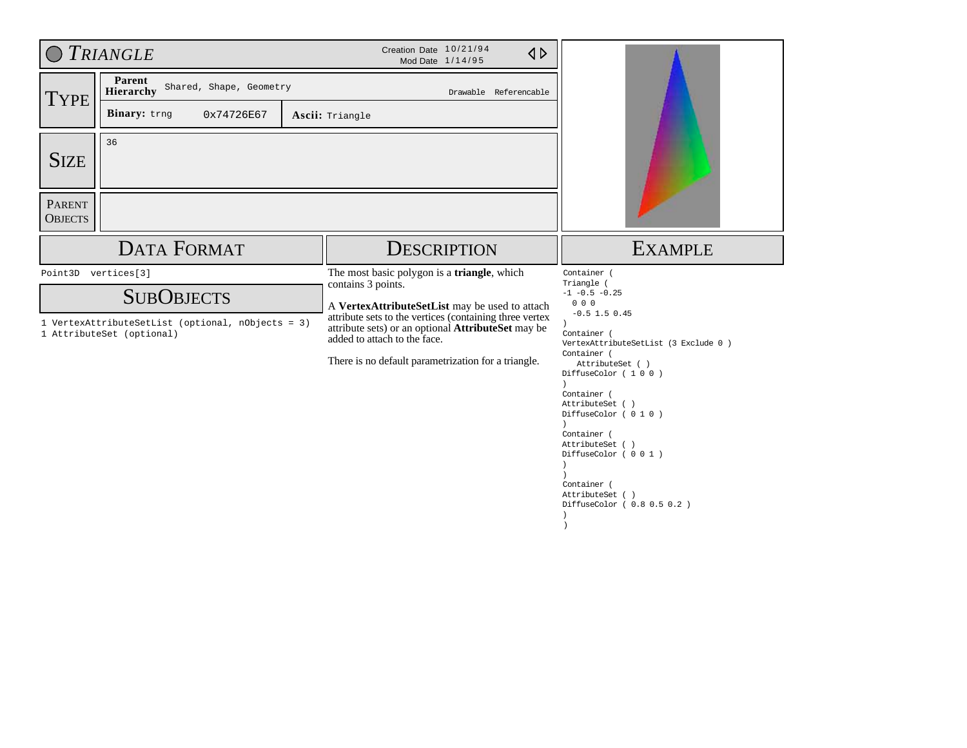|                                                | <b>TRIANGLE</b>                                                                                                            | Creation Date 10/21/94<br>$\triangle$<br>Mod Date 1/14/95                                                                                                                                                                                                                                                                          |                                                                                                                                                                                                                                                                                                                                                                                                |
|------------------------------------------------|----------------------------------------------------------------------------------------------------------------------------|------------------------------------------------------------------------------------------------------------------------------------------------------------------------------------------------------------------------------------------------------------------------------------------------------------------------------------|------------------------------------------------------------------------------------------------------------------------------------------------------------------------------------------------------------------------------------------------------------------------------------------------------------------------------------------------------------------------------------------------|
| <b>TYPE</b>                                    | Parent<br>Shared, Shape, Geometry<br><b>Hierarchy</b><br>Binary: trng<br>0x74726E67                                        | Drawable Referencable<br>Ascii: Triangle                                                                                                                                                                                                                                                                                           |                                                                                                                                                                                                                                                                                                                                                                                                |
| <b>SIZE</b><br><b>PARENT</b><br><b>OBJECTS</b> | 36                                                                                                                         |                                                                                                                                                                                                                                                                                                                                    |                                                                                                                                                                                                                                                                                                                                                                                                |
|                                                | <b>DATA FORMAT</b>                                                                                                         | <b>DESCRIPTION</b>                                                                                                                                                                                                                                                                                                                 | <b>EXAMPLE</b>                                                                                                                                                                                                                                                                                                                                                                                 |
|                                                | Point3D vertices[3]<br><b>SUBOBJECTS</b><br>1 VertexAttributeSetList (optional, nObjects = 3)<br>1 AttributeSet (optional) | The most basic polygon is a triangle, which<br>contains 3 points.<br>A VertexAttributeSetList may be used to attach<br>attribute sets to the vertices (containing three vertex<br>attribute sets) or an optional <b>AttributeSet</b> may be<br>added to attach to the face.<br>There is no default parametrization for a triangle. | Container (<br>Triangle (<br>$-1$ $-0.5$ $-0.25$<br>000<br>$-0.5$ 1.5 0.45<br>Container (<br>VertexAttributeSetList ( 3 Exclude 0 )<br>Container (<br>AttributeSet ()<br>DiffuseColor (100)<br>Container (<br>AttributeSet ()<br>DiffuseColor (010)<br>Container (<br>AttributeSet ()<br>DiffuseColor ( 0 0 1 )<br>Container (<br>AttributeSet ()<br>DiffuseColor ( 0.8 0.5 0.2 )<br>$\lambda$ |

)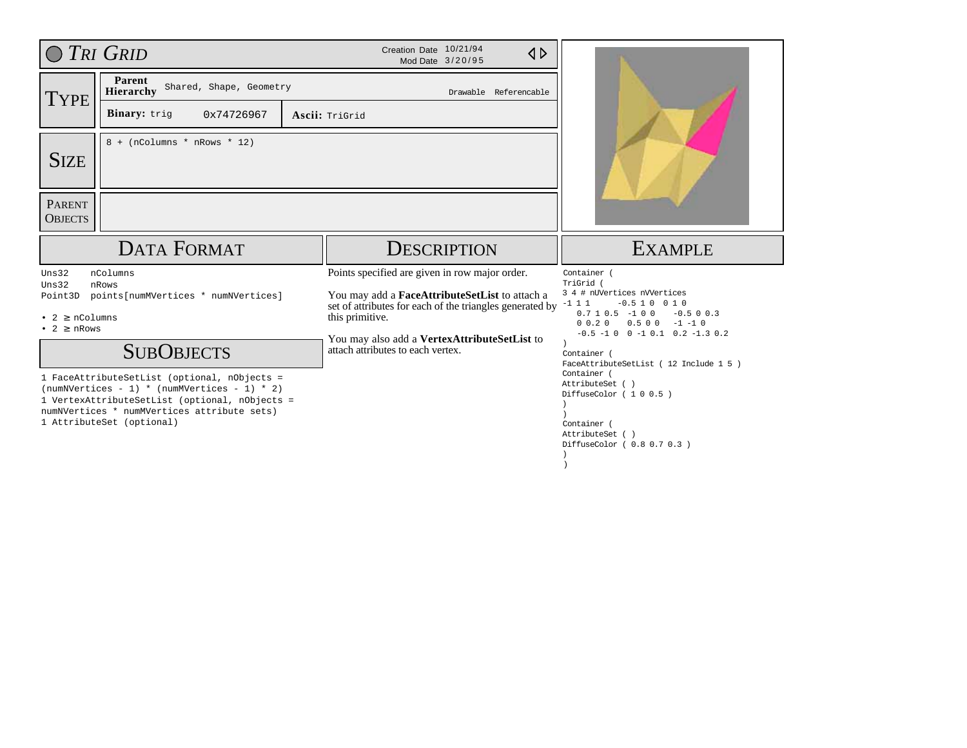|                                                                               | TRI GRID                                                                      | Creation Date 10/21/94<br>$\triangle$<br>Mod Date 3/20/95                                                                                                                                                                                                            |                                                                                                                                                                                                                                                          |
|-------------------------------------------------------------------------------|-------------------------------------------------------------------------------|----------------------------------------------------------------------------------------------------------------------------------------------------------------------------------------------------------------------------------------------------------------------|----------------------------------------------------------------------------------------------------------------------------------------------------------------------------------------------------------------------------------------------------------|
| <b>TYPE</b>                                                                   | Parent<br>Shared, Shape, Geometry<br><b>Hierarchy</b>                         |                                                                                                                                                                                                                                                                      |                                                                                                                                                                                                                                                          |
|                                                                               | Binary: trig<br>0x74726967                                                    | Ascii: TriGrid                                                                                                                                                                                                                                                       |                                                                                                                                                                                                                                                          |
| <b>SIZE</b><br><b>PARENT</b><br><b>OBJECTS</b>                                | $8 + (nColumns * nRows * 12)$                                                 |                                                                                                                                                                                                                                                                      |                                                                                                                                                                                                                                                          |
|                                                                               | <b>DATA FORMAT</b>                                                            | <b>DESCRIPTION</b>                                                                                                                                                                                                                                                   | <b>EXAMPLE</b>                                                                                                                                                                                                                                           |
|                                                                               |                                                                               |                                                                                                                                                                                                                                                                      |                                                                                                                                                                                                                                                          |
| Uns32<br>Uns32<br>Point3D<br>• $2 \geq n$ Columns<br>$\bullet$ 2 $\geq$ nRows | nColumns<br>nRows<br>points[numMVertices * numNVertices]<br><b>SUBOBJECTS</b> | Points specified are given in row major order.<br>You may add a FaceAttributeSetList to attach a<br>set of attributes for each of the triangles generated by<br>this primitive.<br>You may also add a VertexAttributeSetList to<br>attach attributes to each vertex. | Container (<br>TriGrid (<br>3 4 # nUVertices nVVertices<br>$-1$ 1 1<br>$-0.510010$<br>$0.7 1 0.5 -1 0 0$<br>$-0.5$ 0 0.3<br>$0.500 -1 -10$<br>$0 \t0.2 \t0$<br>$-0.5 -1 0 0 -1 0.1 0.2 -1.3 0.2$<br>Container (<br>FaceAttributeSetList (12 Include 1 5) |

)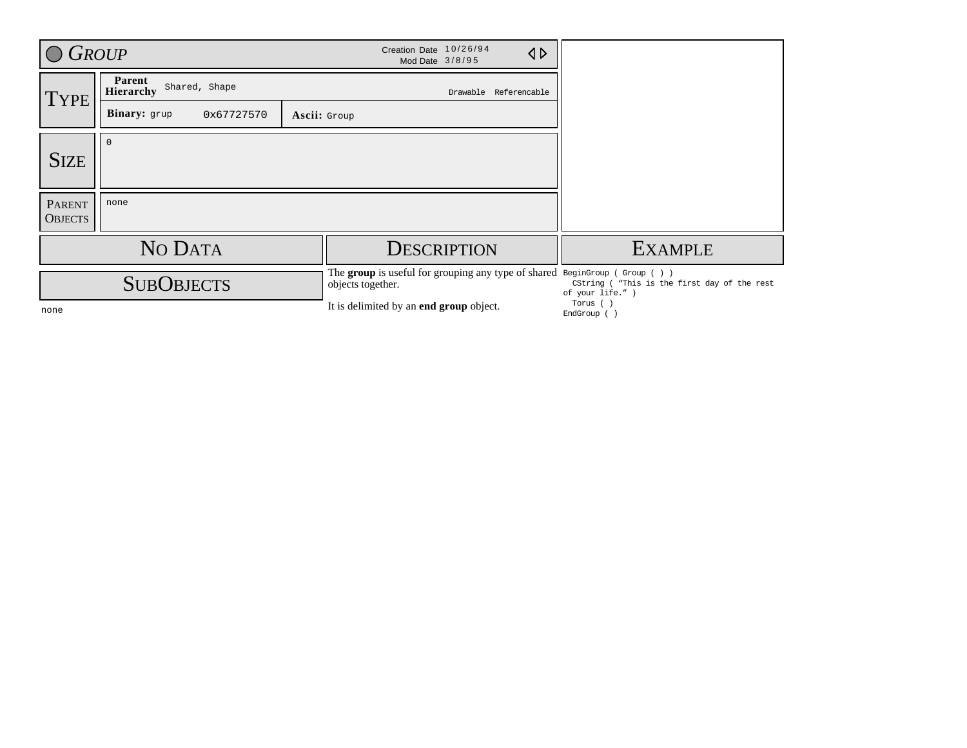| $\bigcirc$ Group                |                                             |                   | Creation Date 10/26/94<br>Mod Date 3/8/95 |                       | $\triangle$ |                                                                                                                                               |
|---------------------------------|---------------------------------------------|-------------------|-------------------------------------------|-----------------------|-------------|-----------------------------------------------------------------------------------------------------------------------------------------------|
| TYPE                            | Parent<br>Shared, Shape<br><b>Hierarchy</b> |                   |                                           | Drawable Referencable |             |                                                                                                                                               |
|                                 | Binary: grup<br>0x67727570                  | Ascii: Group      |                                           |                       |             |                                                                                                                                               |
| <b>SIZE</b>                     |                                             |                   |                                           |                       |             |                                                                                                                                               |
| <b>PARENT</b><br><b>OBJECTS</b> | none                                        |                   |                                           |                       |             |                                                                                                                                               |
|                                 | NO DATA                                     |                   | <b>DESCRIPTION</b>                        |                       |             | <b>EXAMPLE</b>                                                                                                                                |
|                                 | <b>SUBOBJECTS</b>                           | objects together. |                                           |                       |             | The group is useful for grouping any type of shared BeginGroup (Group ())<br>CString ( "This is the first day of the rest<br>of your life." ) |
| none                            |                                             |                   | It is delimited by an end group object.   |                       |             | Torus (<br>EndGroup ()                                                                                                                        |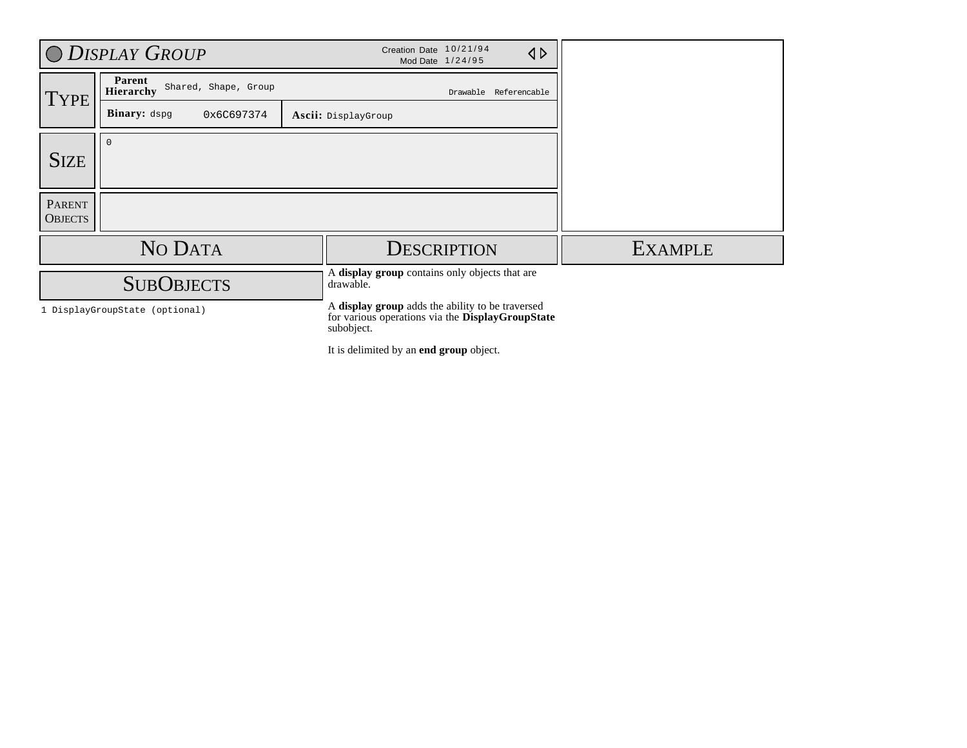|                                 | O DISPLAY GROUP                             | Creation Date 10/21/94<br>Mod Date 1/24/95                                                                         |                       | $\triangleleft$ |                |
|---------------------------------|---------------------------------------------|--------------------------------------------------------------------------------------------------------------------|-----------------------|-----------------|----------------|
| <b>TYPE</b>                     | Parent<br>Shared, Shape, Group<br>Hierarchy |                                                                                                                    | Drawable Referencable |                 |                |
|                                 | <b>Binary:</b> dspg<br>0x6C697374           | Ascii: DisplayGroup                                                                                                |                       |                 |                |
| <b>SIZE</b>                     | $\mathbf{0}$                                |                                                                                                                    |                       |                 |                |
| <b>PARENT</b><br><b>OBJECTS</b> |                                             |                                                                                                                    |                       |                 |                |
|                                 | NO DATA                                     | <b>DESCRIPTION</b>                                                                                                 |                       |                 | <b>EXAMPLE</b> |
|                                 | <b>SUBOBJECTS</b>                           | A display group contains only objects that are<br>drawable.                                                        |                       |                 |                |
|                                 | 1 DisplayGroupState (optional)              | A display group adds the ability to be traversed<br>for various operations via the DisplayGroupState<br>subobject. |                       |                 |                |
|                                 |                                             | It is delimited by an end group object.                                                                            |                       |                 |                |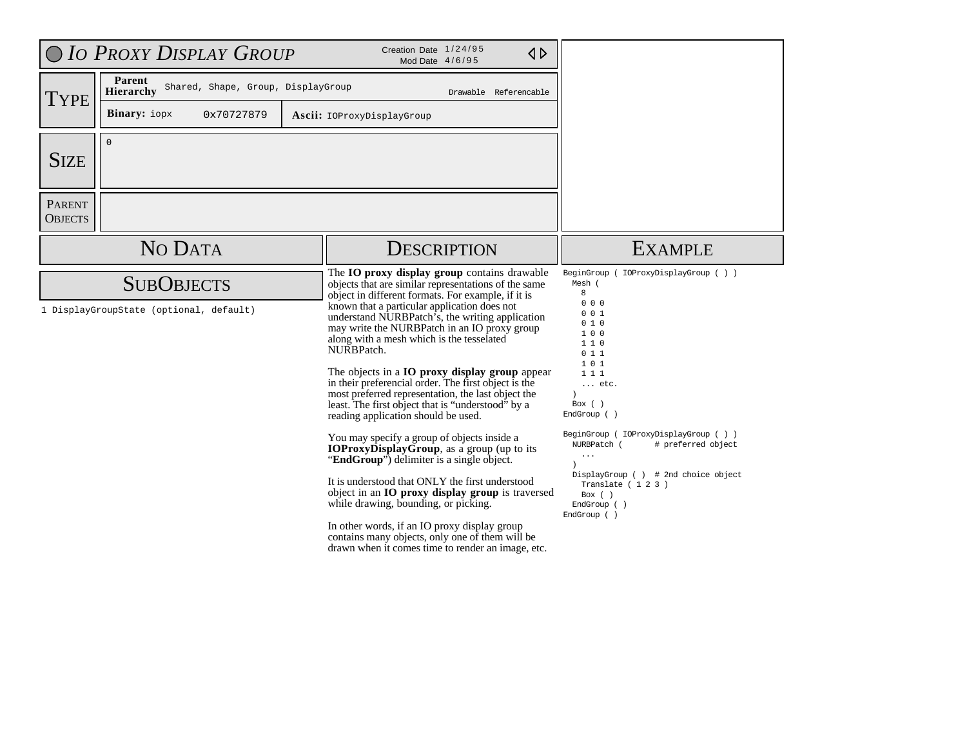|                                 | O IO PROXY DISPLAY GROUP                                     | Creation Date 1/24/95<br>$\triangle$<br>Mod Date 4/6/95                                                                                                                                                                                                                                                                                                                                                                                                                                                                                                                                                                                                                                                                                                                                                                                                                                                                                                                                                                                                                                              |                                                                                                                                                                                                                                                                                                                                                              |
|---------------------------------|--------------------------------------------------------------|------------------------------------------------------------------------------------------------------------------------------------------------------------------------------------------------------------------------------------------------------------------------------------------------------------------------------------------------------------------------------------------------------------------------------------------------------------------------------------------------------------------------------------------------------------------------------------------------------------------------------------------------------------------------------------------------------------------------------------------------------------------------------------------------------------------------------------------------------------------------------------------------------------------------------------------------------------------------------------------------------------------------------------------------------------------------------------------------------|--------------------------------------------------------------------------------------------------------------------------------------------------------------------------------------------------------------------------------------------------------------------------------------------------------------------------------------------------------------|
| <b>TYPE</b>                     | Parent<br>Shared, Shape, Group, DisplayGroup<br>Hierarchy    | Drawable Referencable                                                                                                                                                                                                                                                                                                                                                                                                                                                                                                                                                                                                                                                                                                                                                                                                                                                                                                                                                                                                                                                                                |                                                                                                                                                                                                                                                                                                                                                              |
|                                 | <b>Binary:</b> iopx<br>0x70727879                            | Ascii: IOProxyDisplayGroup                                                                                                                                                                                                                                                                                                                                                                                                                                                                                                                                                                                                                                                                                                                                                                                                                                                                                                                                                                                                                                                                           |                                                                                                                                                                                                                                                                                                                                                              |
| <b>SIZE</b>                     | $\Omega$                                                     |                                                                                                                                                                                                                                                                                                                                                                                                                                                                                                                                                                                                                                                                                                                                                                                                                                                                                                                                                                                                                                                                                                      |                                                                                                                                                                                                                                                                                                                                                              |
| <b>PARENT</b><br><b>OBJECTS</b> |                                                              |                                                                                                                                                                                                                                                                                                                                                                                                                                                                                                                                                                                                                                                                                                                                                                                                                                                                                                                                                                                                                                                                                                      |                                                                                                                                                                                                                                                                                                                                                              |
|                                 | NO DATA                                                      | <b>DESCRIPTION</b>                                                                                                                                                                                                                                                                                                                                                                                                                                                                                                                                                                                                                                                                                                                                                                                                                                                                                                                                                                                                                                                                                   | <b>EXAMPLE</b>                                                                                                                                                                                                                                                                                                                                               |
|                                 | <b>SUBOBJECTS</b><br>1 DisplayGroupState (optional, default) | The IO proxy display group contains drawable<br>objects that are similar representations of the same<br>object in different formats. For example, if it is<br>known that a particular application does not<br>understand NURBPatch's, the writing application<br>may write the NURBPatch in an IO proxy group<br>along with a mesh which is the tesselated<br>NURBPatch.<br>The objects in a <b>IO</b> proxy display group appear<br>in their preferencial order. The first object is the<br>most preferred representation, the last object the<br>least. The first object that is "understood" by a<br>reading application should be used.<br>You may specify a group of objects inside a<br><b>IOProxyDisplayGroup</b> , as a group (up to its<br>"EndGroup") delimiter is a single object.<br>It is understood that ONLY the first understood<br>object in an IO proxy display group is traversed<br>while drawing, bounding, or picking.<br>In other words, if an IO proxy display group<br>contains many objects, only one of them will be<br>drawn when it comes time to render an image, etc. | BeginGroup (<br>IOProxyDisplayGroup ())<br>Mesh (<br>8<br>000<br>001<br>010<br>100<br>110<br>011<br>101<br>111<br>$\ldots$ etc.<br>Box $()$<br>EndGroup ()<br>BeginGroup ( IOProxyDisplayGroup ( ) )<br>NURBPatch (<br># preferred object<br>$\cdots$<br>DisplayGroup () # 2nd choice object<br>Translate $(123)$<br>Box $($ )<br>EndGroup ()<br>EndGroup () |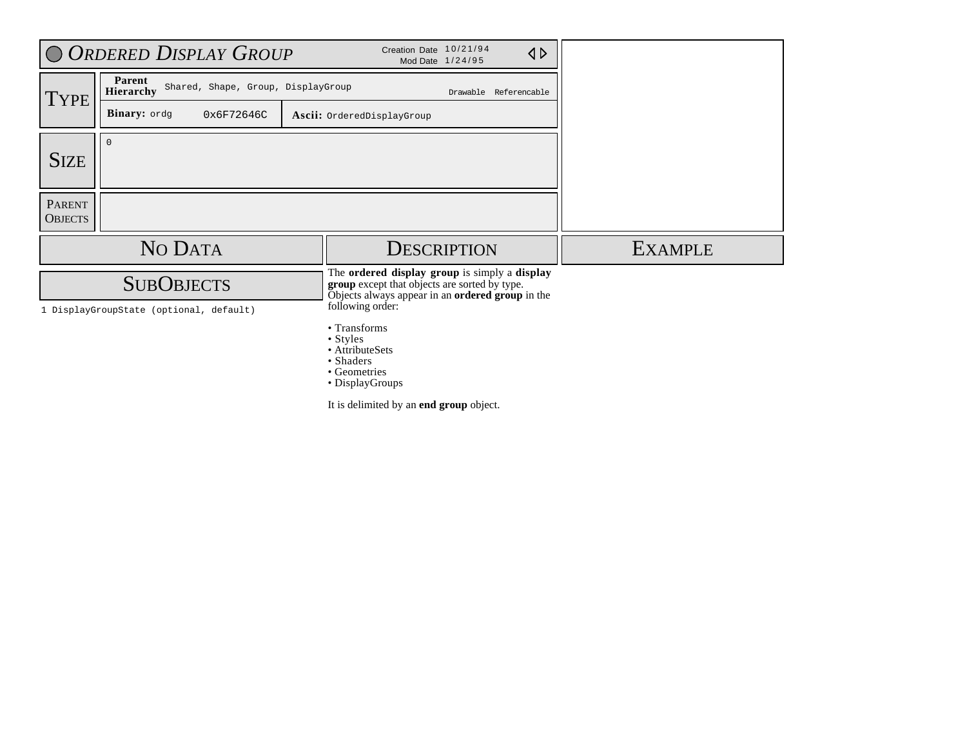|                                 | O ORDERED DISPLAY GROUP                                          | Creation Date 10/21/94<br>$\triangle$<br>Mod Date 1/24/95                                                                                                              |                |
|---------------------------------|------------------------------------------------------------------|------------------------------------------------------------------------------------------------------------------------------------------------------------------------|----------------|
| <b>TYPE</b>                     | Parent<br>Shared, Shape, Group, DisplayGroup<br><b>Hierarchy</b> | Drawable Referencable                                                                                                                                                  |                |
|                                 | Binary: ordg<br>0x6F72646C                                       | Ascii: OrderedDisplayGroup                                                                                                                                             |                |
| <b>SIZE</b>                     | $\mathbf{0}$                                                     |                                                                                                                                                                        |                |
| <b>PARENT</b><br><b>OBJECTS</b> |                                                                  |                                                                                                                                                                        |                |
|                                 | NO DATA                                                          | <b>DESCRIPTION</b>                                                                                                                                                     | <b>EXAMPLE</b> |
|                                 | <b>SUBOBJECTS</b><br>1 DisplayGroupState (optional, default)     | The ordered display group is simply a display<br>group except that objects are sorted by type.<br>Objects always appear in an ordered group in the<br>following order: |                |
|                                 |                                                                  | • Transforms<br>$\bullet$ Styles<br>• AttributeSets<br>• Shaders<br>• Geometries                                                                                       |                |

• DisplayGroups

It is delimited by an **end group** object.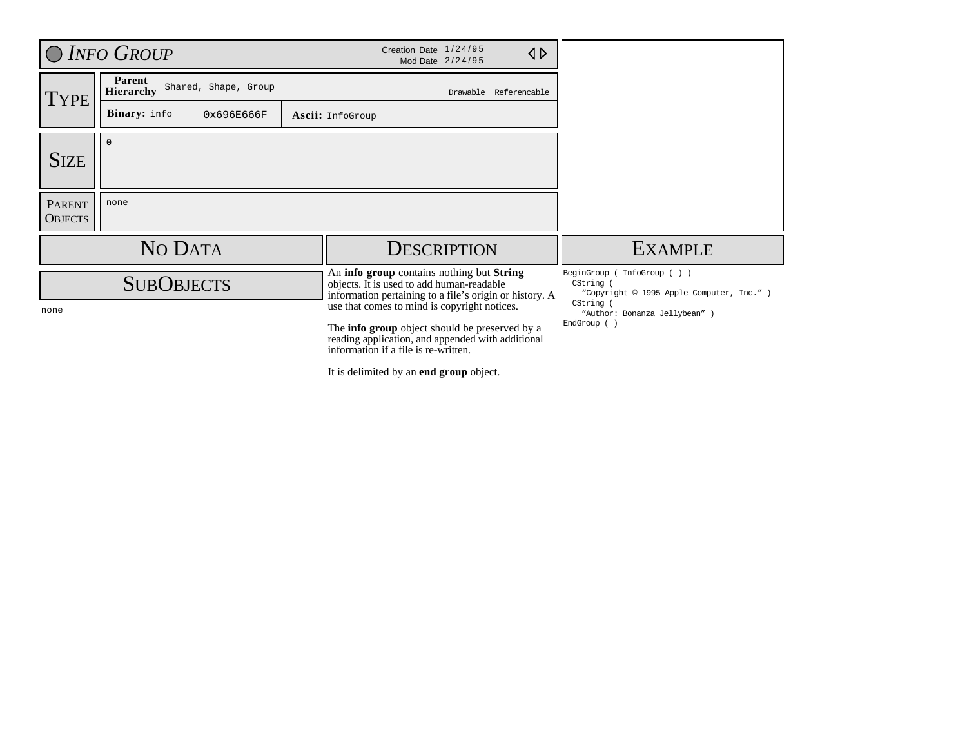|                                 | O INFO GROUP                                | Creation Date 1/24/95<br>$\triangle$<br>Mod Date 2/24/95                                                                                                                                           |                                                                                                       |
|---------------------------------|---------------------------------------------|----------------------------------------------------------------------------------------------------------------------------------------------------------------------------------------------------|-------------------------------------------------------------------------------------------------------|
| TYPE                            | Parent<br>Shared, Shape, Group<br>Hierarchy | Drawable Referencable                                                                                                                                                                              |                                                                                                       |
|                                 | Binary: info<br>0x696E666F                  | Ascii: InfoGroup                                                                                                                                                                                   |                                                                                                       |
| <b>SIZE</b>                     | $\Omega$                                    |                                                                                                                                                                                                    |                                                                                                       |
| <b>PARENT</b><br><b>OBJECTS</b> | none                                        |                                                                                                                                                                                                    |                                                                                                       |
|                                 | NO DATA                                     | <b>DESCRIPTION</b>                                                                                                                                                                                 | <b>EXAMPLE</b>                                                                                        |
|                                 | <b>SUBOBJECTS</b>                           | An <b>info group</b> contains nothing but <b>String</b><br>objects. It is used to add human-readable<br>information pertaining to a file's origin or history. A                                    | BeginGroup (<br>InfoGroup( ) )<br>CString (<br>"Copyright © 1995 Apple Computer, Inc." )<br>CString ( |
| none                            |                                             | use that comes to mind is copyright notices.<br>The <b>info group</b> object should be preserved by a<br>reading application, and appended with additional<br>information if a file is re-written. | "Author: Bonanza Jellybean" )<br>EndGroup ()                                                          |

It is delimited by an **end group** object.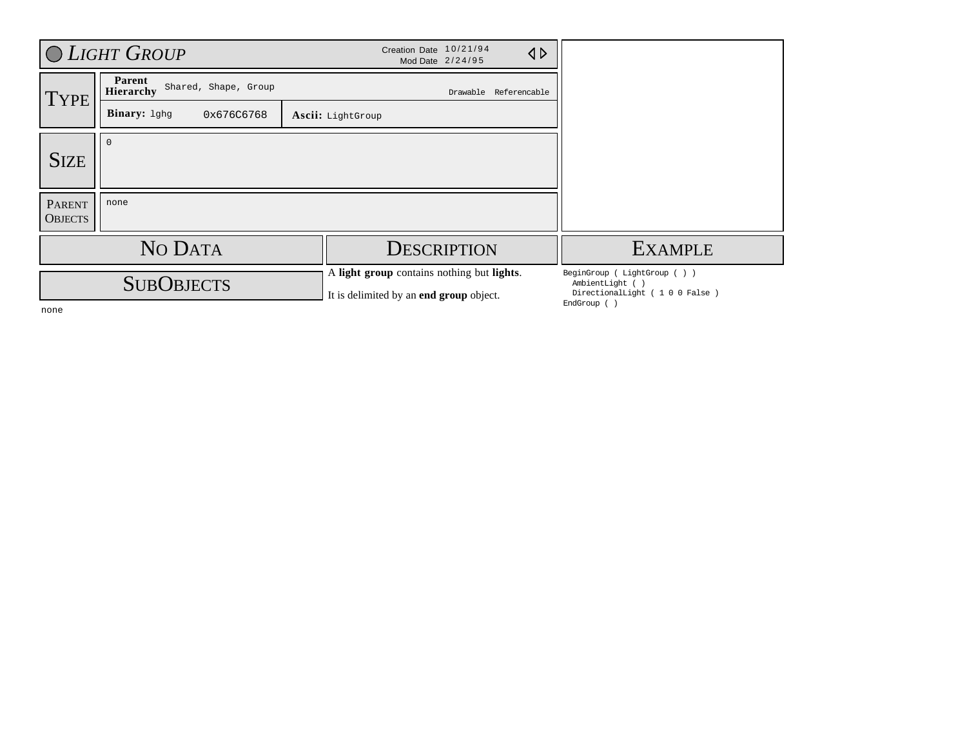|                          | O LIGHT GROUP                               | Creation Date 10/21/94<br>$\triangle$<br>Mod Date 2/24/95                             |                                                                                               |
|--------------------------|---------------------------------------------|---------------------------------------------------------------------------------------|-----------------------------------------------------------------------------------------------|
| <b>TYPE</b>              | Parent<br>Shared, Shape, Group<br>Hierarchy | Drawable Referencable                                                                 |                                                                                               |
|                          | Binary: 1ghg<br>0x676C6768                  | Ascii: LightGroup                                                                     |                                                                                               |
| <b>SIZE</b>              | 0                                           |                                                                                       |                                                                                               |
| PARENT<br><b>OBJECTS</b> | none                                        |                                                                                       |                                                                                               |
|                          | NO DATA                                     | <b>DESCRIPTION</b>                                                                    | <b>EXAMPLE</b>                                                                                |
|                          | <b>SUBOBJECTS</b>                           | A light group contains nothing but lights.<br>It is delimited by an end group object. | BeginGroup (LightGroup ())<br>AmbientLight ()<br>DirectionalLight (100 False)<br>EndGroup ( ) |

none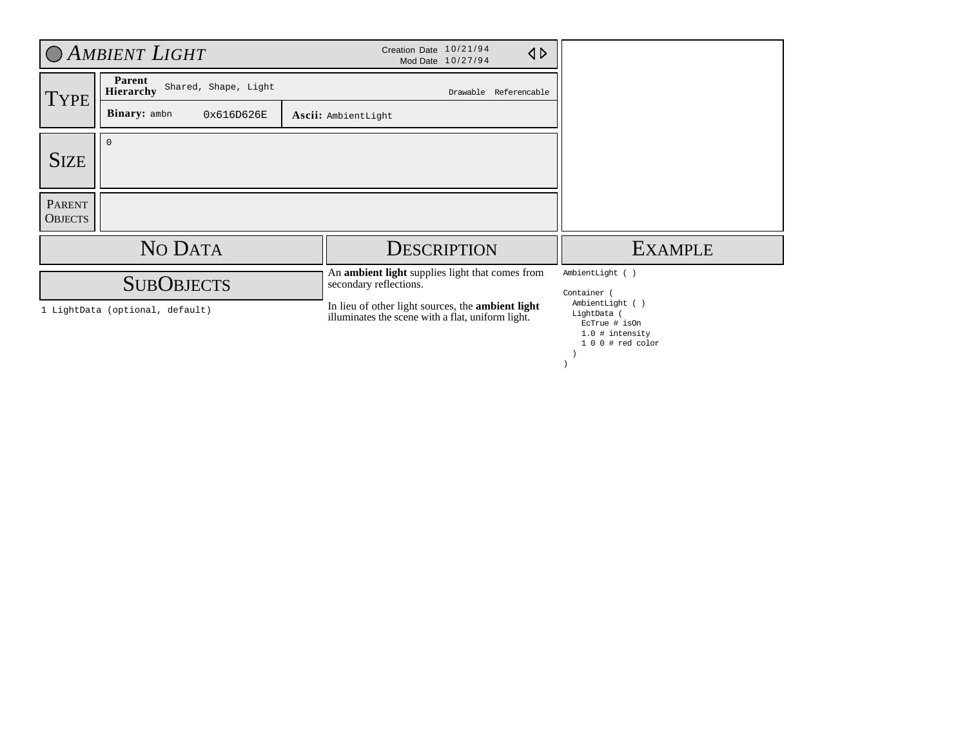|                                 | C AMBIENT LIGHT                                      | Creation Date 10/21/94<br>$\triangle$<br>Mod Date 10/27/94                                                                                                                                 |                                                                                                        |
|---------------------------------|------------------------------------------------------|--------------------------------------------------------------------------------------------------------------------------------------------------------------------------------------------|--------------------------------------------------------------------------------------------------------|
| <b>TYPE</b>                     | Parent<br>Shared, Shape, Light<br>Hierarchy          | Drawable Referencable                                                                                                                                                                      |                                                                                                        |
|                                 | <b>Binary:</b> ambn<br>0x616D626E                    | Ascii: AmbientLight                                                                                                                                                                        |                                                                                                        |
| <b>SIZE</b>                     | $\Omega$                                             |                                                                                                                                                                                            |                                                                                                        |
| <b>PARENT</b><br><b>OBJECTS</b> |                                                      |                                                                                                                                                                                            |                                                                                                        |
|                                 | NO DATA                                              | <b>DESCRIPTION</b>                                                                                                                                                                         | <b>EXAMPLE</b>                                                                                         |
|                                 | <b>SUBOBJECTS</b><br>1 LightData (optional, default) | An ambient light supplies light that comes from<br>secondary reflections.<br>In lieu of other light sources, the <b>ambient light</b><br>illuminates the scene with a flat, uniform light. | AmbientLight ()<br>Container (<br>AmbientLight ()<br>LightData (<br>EcTrue # isOn<br>$1.0$ # intensity |
|                                 |                                                      |                                                                                                                                                                                            | $100$ # red color                                                                                      |

)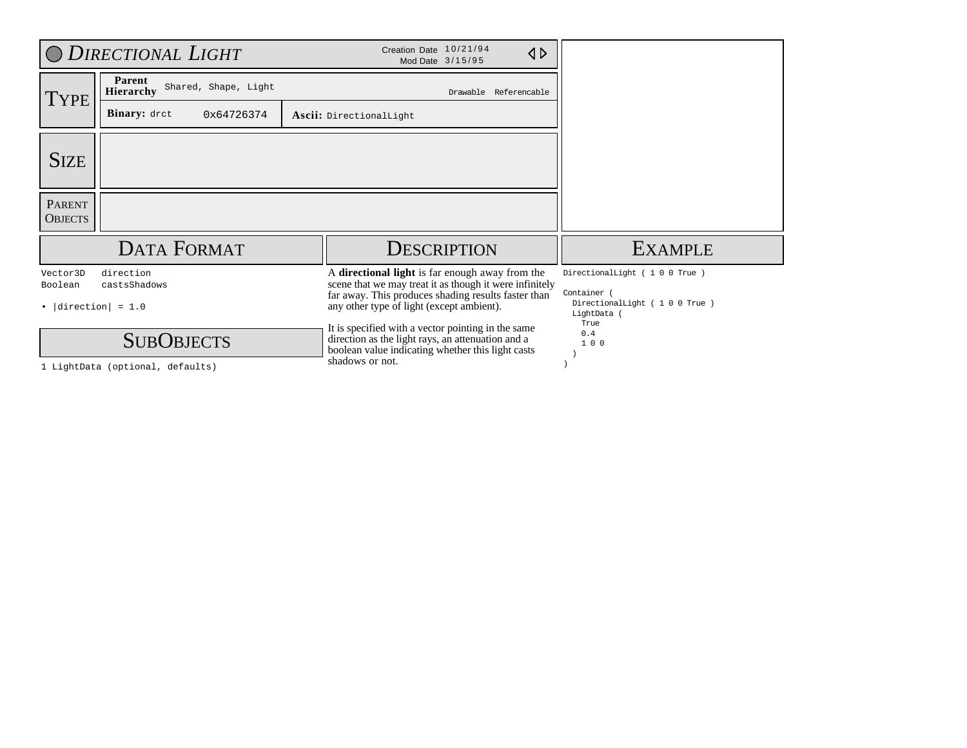|                                                    | O DIRECTIONAL LIGHT                                   | Creation Date 10/21/94<br>$\triangle$<br>Mod Date 3/15/95                                                                                                                                                      |                                                                                        |
|----------------------------------------------------|-------------------------------------------------------|----------------------------------------------------------------------------------------------------------------------------------------------------------------------------------------------------------------|----------------------------------------------------------------------------------------|
| <b>TYPE</b>                                        | Parent<br>Shared, Shape, Light<br>Hierarchy           | Drawable Referencable                                                                                                                                                                                          |                                                                                        |
|                                                    | <b>Binary:</b> dret<br>0x64726374                     | Ascii: DirectionalLight                                                                                                                                                                                        |                                                                                        |
| <b>SIZE</b>                                        |                                                       |                                                                                                                                                                                                                |                                                                                        |
| <b>PARENT</b><br><b>OBJECTS</b>                    |                                                       |                                                                                                                                                                                                                |                                                                                        |
|                                                    | <b>DATA FORMAT</b>                                    | <b>DESCRIPTION</b>                                                                                                                                                                                             | <b>EXAMPLE</b>                                                                         |
| Vector3D<br>Boolean<br>$\bullet$  direction  = 1.0 | direction<br>castsShadows                             | A directional light is far enough away from the<br>scene that we may treat it as though it were infinitely<br>far away. This produces shading results faster than<br>any other type of light (except ambient). | DirectionalLight (100 True)<br>Container<br>DirectionalLight (100 True)<br>LightData ( |
|                                                    | <b>SUBOBJECTS</b><br>1 LightData (optional, defaults) | It is specified with a vector pointing in the same<br>direction as the light rays, an attenuation and a<br>boolean value indicating whether this light casts<br>shadows or not.                                | True<br>0.4<br>100                                                                     |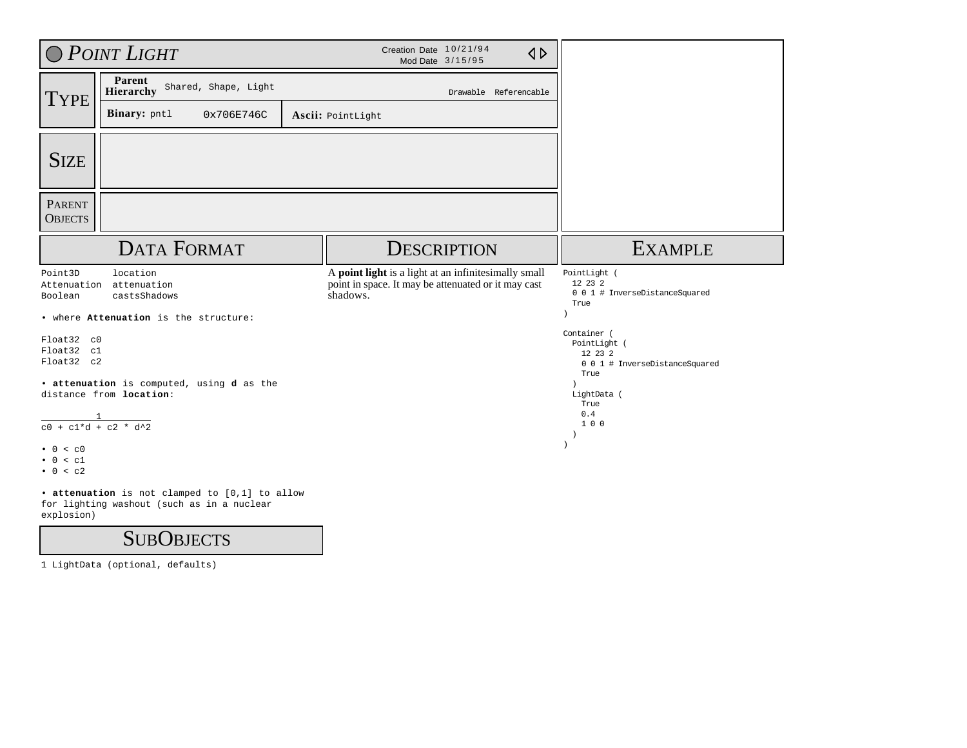|                                        | O POINT LIGHT                                                        | Creation Date 10/21/94<br>Mod Date 3/15/95                                                                              | $\triangle$ |                                                                                  |
|----------------------------------------|----------------------------------------------------------------------|-------------------------------------------------------------------------------------------------------------------------|-------------|----------------------------------------------------------------------------------|
| <b>TYPE</b>                            | Parent<br>Shared, Shape, Light<br>Hierarchy                          | Drawable Referencable                                                                                                   |             |                                                                                  |
|                                        | Binary: pntl<br>0x706E746C                                           | Ascii: PointLight                                                                                                       |             |                                                                                  |
| <b>SIZE</b>                            |                                                                      |                                                                                                                         |             |                                                                                  |
| <b>PARENT</b><br><b>OBJECTS</b>        |                                                                      |                                                                                                                         |             |                                                                                  |
|                                        | <b>DATA FORMAT</b>                                                   | <b>DESCRIPTION</b>                                                                                                      |             | <b>EXAMPLE</b>                                                                   |
| Point3D<br>Attenuation<br>Boolean      | location<br>attenuation<br>castsShadows                              | A point light is a light at an infinitesimally small<br>point in space. It may be attenuated or it may cast<br>shadows. |             | PointLight (<br>12 23 2<br>0 0 1 # InverseDistanceSquared<br>True                |
|                                        | . where Attenuation is the structure:                                |                                                                                                                         |             |                                                                                  |
| Float32 c0<br>Float32 c1<br>Float32 c2 |                                                                      |                                                                                                                         |             | Container (<br>PointLight (<br>12 23 2<br>0 0 1 # InverseDistanceSquared<br>True |
|                                        | · attenuation is computed, using d as the<br>distance from location: |                                                                                                                         |             | LightData (<br>True                                                              |
| $\frac{1}{c0 + c1*d + c2 * d^2}$       |                                                                      |                                                                                                                         |             | 0.4<br>100<br>$\rightarrow$                                                      |
| $\bullet$ 0 < c0<br>0 < c1<br>0 < c2   |                                                                      |                                                                                                                         |             |                                                                                  |
|                                        | • attenuation is not clamped to [0,1] to allow                       |                                                                                                                         |             |                                                                                  |

for lighting washout (such as in a nuclear explosion)

### **SUBOBJECTS**

1 LightData (optional, defaults)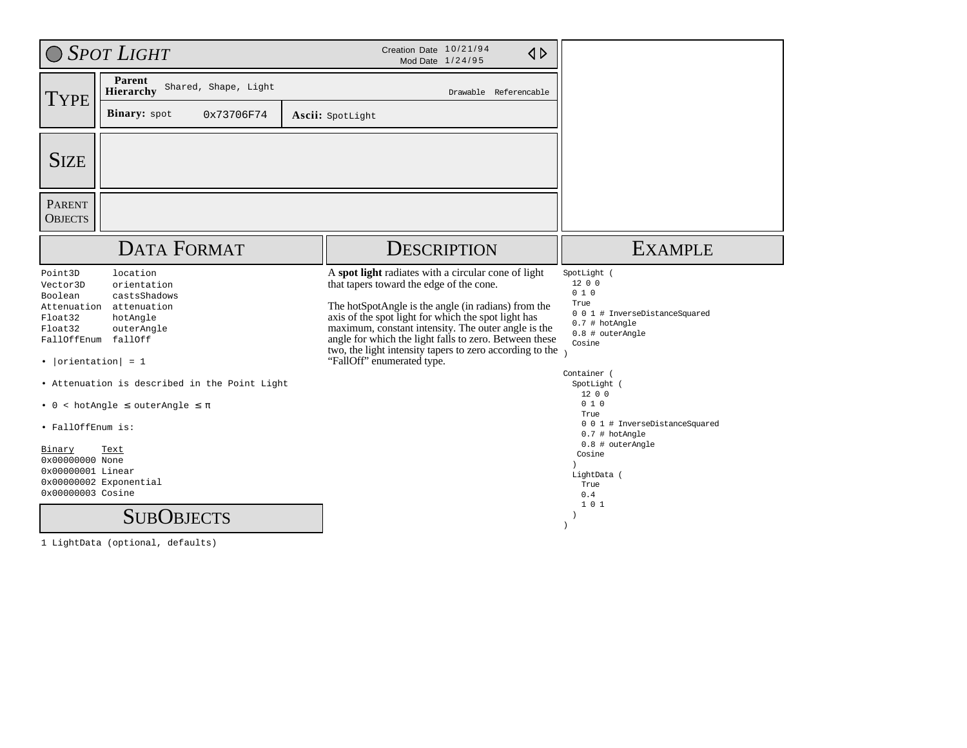|                                                                                                                                                                                                                                | $\bigcirc$ Spot Light                                                                                                                                                                                               | Creation Date 10/21/94<br>$\triangle$<br>Mod Date 1/24/95                                                                                                                                                                                                                                                                                                                                                                |                                                                                                                                                                                                                                                                                                      |
|--------------------------------------------------------------------------------------------------------------------------------------------------------------------------------------------------------------------------------|---------------------------------------------------------------------------------------------------------------------------------------------------------------------------------------------------------------------|--------------------------------------------------------------------------------------------------------------------------------------------------------------------------------------------------------------------------------------------------------------------------------------------------------------------------------------------------------------------------------------------------------------------------|------------------------------------------------------------------------------------------------------------------------------------------------------------------------------------------------------------------------------------------------------------------------------------------------------|
| <b>TYPE</b>                                                                                                                                                                                                                    | Parent<br>Shared, Shape, Light<br><b>Hierarchy</b>                                                                                                                                                                  | Drawable Referencable                                                                                                                                                                                                                                                                                                                                                                                                    |                                                                                                                                                                                                                                                                                                      |
|                                                                                                                                                                                                                                | Binary: spot<br>0x73706F74                                                                                                                                                                                          | Ascii: SpotLight                                                                                                                                                                                                                                                                                                                                                                                                         |                                                                                                                                                                                                                                                                                                      |
| <b>SIZE</b>                                                                                                                                                                                                                    |                                                                                                                                                                                                                     |                                                                                                                                                                                                                                                                                                                                                                                                                          |                                                                                                                                                                                                                                                                                                      |
| <b>PARENT</b><br><b>OBJECTS</b>                                                                                                                                                                                                |                                                                                                                                                                                                                     |                                                                                                                                                                                                                                                                                                                                                                                                                          |                                                                                                                                                                                                                                                                                                      |
|                                                                                                                                                                                                                                | <b>DATA FORMAT</b>                                                                                                                                                                                                  | <b>DESCRIPTION</b>                                                                                                                                                                                                                                                                                                                                                                                                       | <b>EXAMPLE</b>                                                                                                                                                                                                                                                                                       |
| Point3D<br>Vector3D<br>Boolean<br>Attenuation<br>Float32<br>Float32<br>FallOffEnum fallOff<br>• $ orientation  = 1$<br>$\bullet$ 0<br>· FallOffEnum is:<br>Binary<br>0x00000000 None<br>0x00000001 Linear<br>0x00000003 Cosine | location<br>orientation<br>castsShadows<br>attenuation<br>hotAngle<br>outerAngle<br>• Attenuation is described in the Point Light<br>$\leq$ hotAngle $\leq$ outerAngle $\leq \pi$<br>Text<br>0x00000002 Exponential | A spot light radiates with a circular cone of light<br>that tapers toward the edge of the cone.<br>The hotSpotAngle is the angle (in radians) from the<br>axis of the spot light for which the spot light has<br>maximum, constant intensity. The outer angle is the<br>angle for which the light falls to zero. Between these<br>two, the light intensity tapers to zero according to the<br>"FallOff" enumerated type. | SpotLight (<br>1200<br>010<br>True<br>0 0 1 # InverseDistanceSquared<br>0.7 # hotAngle<br>0.8 # outerAngle<br>Cosine<br>Container (<br>SpotLight (<br>12 0 0<br>010<br>True<br>0 0 1 # InverseDistanceSquared<br>$0.7$ # hotAngle<br>0.8 # outerAngle<br>Cosine<br>LightData (<br>True<br>0.4<br>101 |
|                                                                                                                                                                                                                                | <b>SUBOBJECTS</b>                                                                                                                                                                                                   |                                                                                                                                                                                                                                                                                                                                                                                                                          |                                                                                                                                                                                                                                                                                                      |

1 LightData (optional, defaults)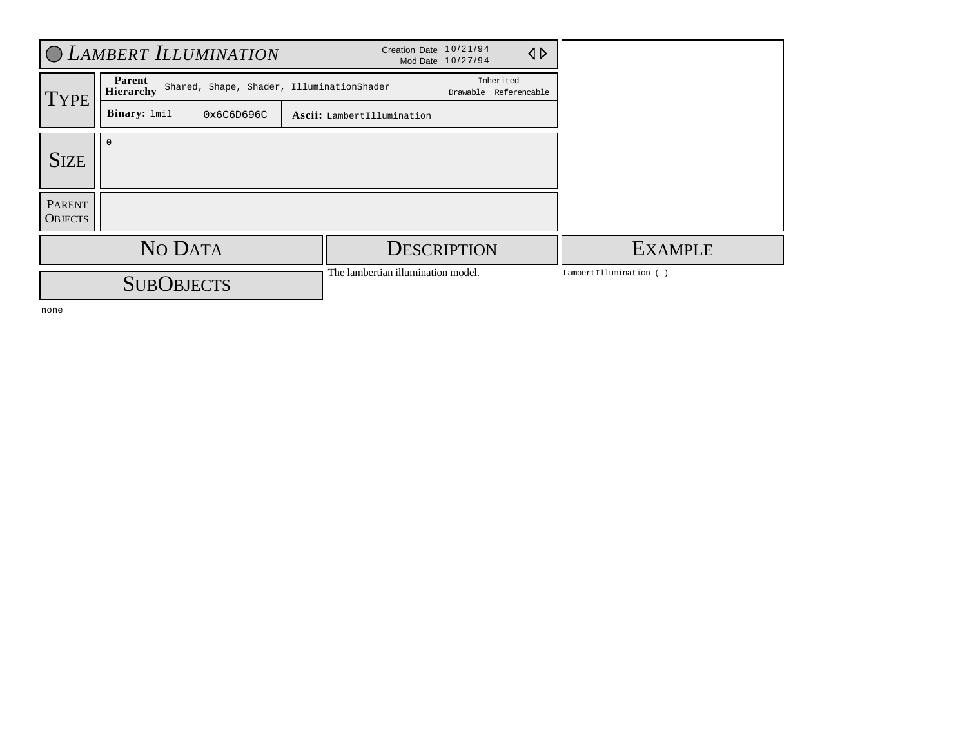|                          | <b>CLAMBERT ILLUMINATION</b>                                            | Creation Date 10/21/94             | Mod Date 10/27/94                  | $\triangle$            |
|--------------------------|-------------------------------------------------------------------------|------------------------------------|------------------------------------|------------------------|
| <b>TYPE</b>              | Parent<br>Shared, Shape, Shader, IlluminationShader<br><b>Hierarchy</b> |                                    | Inherited<br>Drawable Referencable |                        |
|                          | Binary: lmil<br>0x6C6D696C                                              | Ascii: LambertIllumination         |                                    |                        |
| <b>SIZE</b>              |                                                                         |                                    |                                    |                        |
|                          |                                                                         |                                    |                                    |                        |
| PARENT<br><b>OBJECTS</b> |                                                                         |                                    |                                    |                        |
|                          | NO DATA                                                                 |                                    | <b>DESCRIPTION</b>                 | <b>EXAMPLE</b>         |
|                          | <b>SUBOBJECTS</b>                                                       | The lambertian illumination model. |                                    | LambertIllumination () |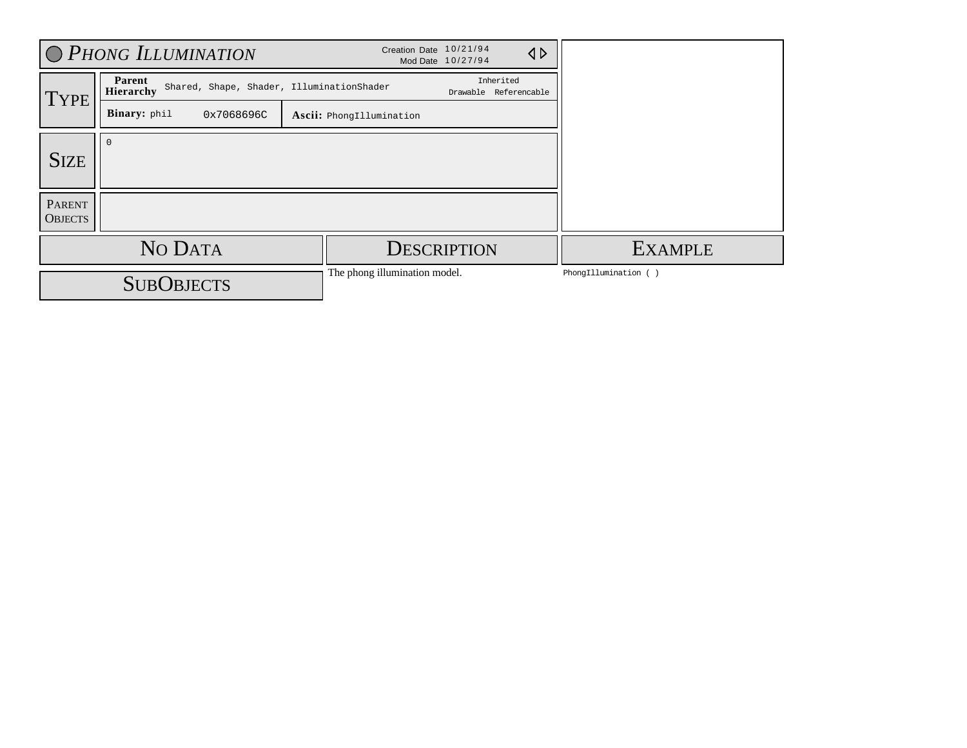|                                 | O PHONG ILLUMINATION                                             | Creation Date 10/21/94        | $\triangle$<br>Mod Date 10/27/94   |                      |
|---------------------------------|------------------------------------------------------------------|-------------------------------|------------------------------------|----------------------|
| <b>TYPE</b>                     | Parent<br>Shared, Shape, Shader, IlluminationShader<br>Hierarchy |                               | Inherited<br>Drawable Referencable |                      |
|                                 | Binary: phil<br>0x7068696C                                       | Ascii: PhongIllumination      |                                    |                      |
| <b>SIZE</b>                     |                                                                  |                               |                                    |                      |
| <b>PARENT</b><br><b>OBJECTS</b> |                                                                  |                               |                                    |                      |
|                                 | NO DATA                                                          |                               | <b>DESCRIPTION</b>                 | <b>EXAMPLE</b>       |
|                                 | <b>SUBOBJECTS</b>                                                | The phong illumination model. |                                    | PhongIllumination () |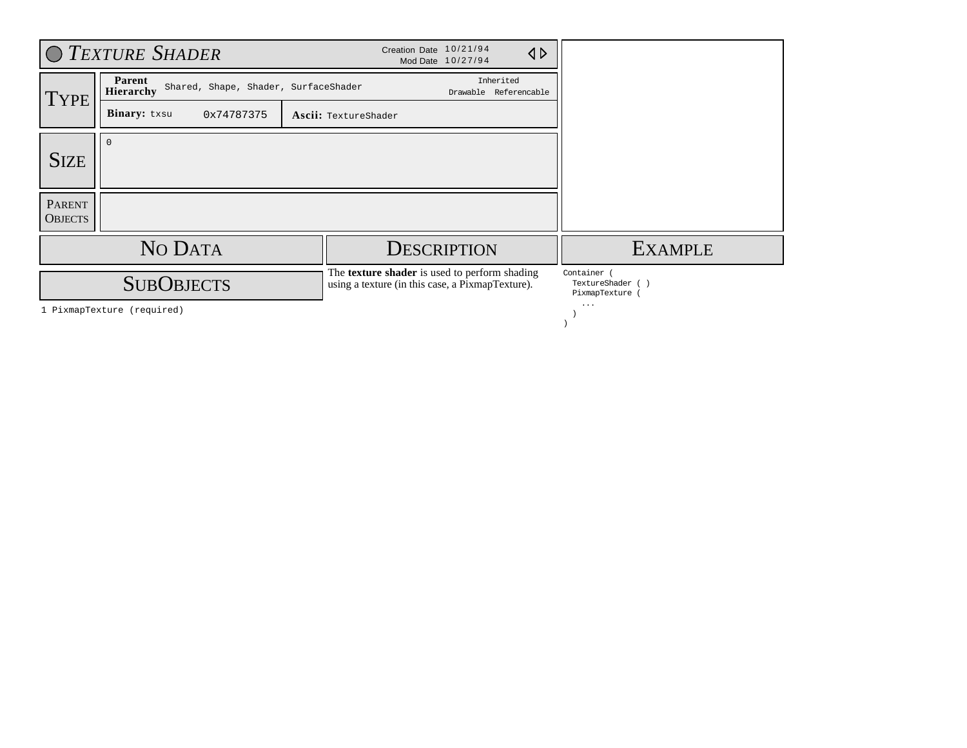|                          | O TEXTURE SHADER                                            |                      | Creation Date 10/21/94<br>Mod Date 10/27/94                                                              |                                    | $\triangle$ |                                               |
|--------------------------|-------------------------------------------------------------|----------------------|----------------------------------------------------------------------------------------------------------|------------------------------------|-------------|-----------------------------------------------|
| <b>TYPE</b>              | Parent<br>Shared, Shape, Shader, SurfaceShader<br>Hierarchy |                      |                                                                                                          | Inherited<br>Drawable Referencable |             |                                               |
|                          | Binary: txsu<br>0x74787375                                  | Ascii: TextureShader |                                                                                                          |                                    |             |                                               |
| <b>SIZE</b>              |                                                             |                      |                                                                                                          |                                    |             |                                               |
| PARENT<br><b>OBJECTS</b> |                                                             |                      |                                                                                                          |                                    |             |                                               |
|                          | NO DATA                                                     |                      | <b>DESCRIPTION</b>                                                                                       |                                    |             | <b>EXAMPLE</b>                                |
|                          | <b>SUBOBJECTS</b>                                           |                      | The <b>texture shader</b> is used to perform shading<br>using a texture (in this case, a PixmapTexture). |                                    |             | Container<br>TextureShader (<br>PixmapTexture |
|                          | 1 PixmapTexture (required)                                  |                      |                                                                                                          |                                    |             | $\cdots$                                      |

)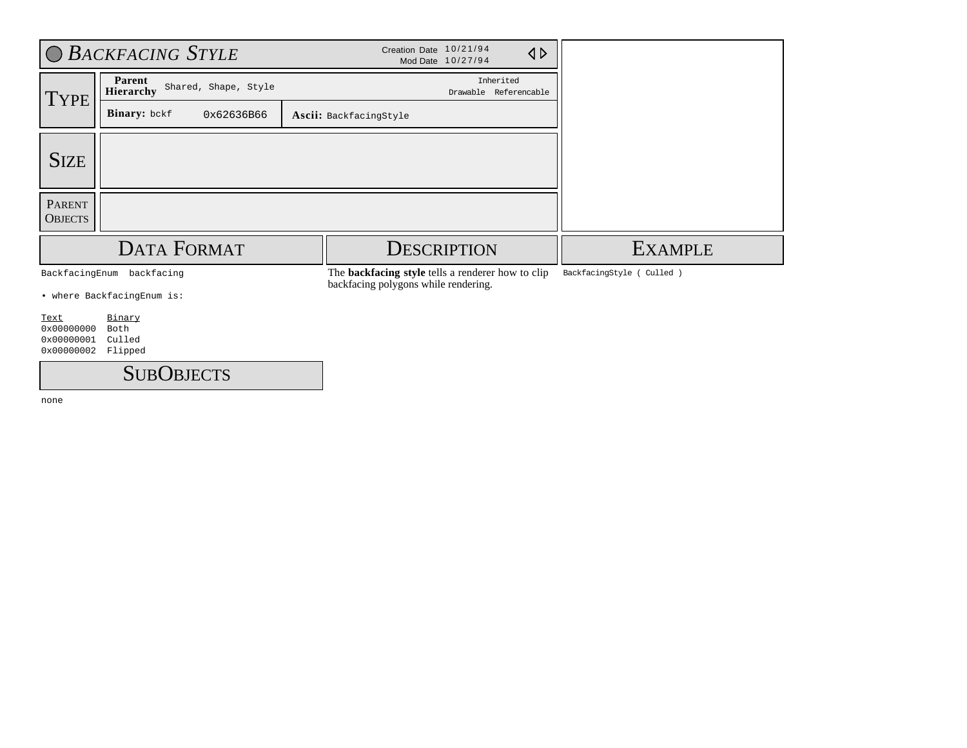|                                                            | O BACKFACING STYLE                  | Creation Date 10/21/94<br>$\triangle$<br>Mod Date 10/27/94                                       |                            |
|------------------------------------------------------------|-------------------------------------|--------------------------------------------------------------------------------------------------|----------------------------|
| Parent<br>Shared, Shape, Style<br>Hierarchy<br><b>TYPE</b> |                                     | Inherited<br>Drawable Referencable                                                               |                            |
|                                                            | Binary: bckf<br>0x62636B66          | Ascii: BackfacingStyle                                                                           |                            |
| <b>SIZE</b>                                                |                                     |                                                                                                  |                            |
| <b>PARENT</b><br><b>OBJECTS</b>                            |                                     |                                                                                                  |                            |
|                                                            | <b>DATA FORMAT</b>                  | <b>DESCRIPTION</b>                                                                               | <b>EXAMPLE</b>             |
|                                                            | BackfacingEnum backfacing           | The <b>backfacing style</b> tells a renderer how to clip<br>backfacing polygons while rendering. | BackfacingStyle ( Culled ) |
|                                                            | • where BackfacingEnum is:          |                                                                                                  |                            |
| Text<br>0x00000000<br>0x00000001<br>0x00000002             | Binary<br>Both<br>Culled<br>Flipped |                                                                                                  |                            |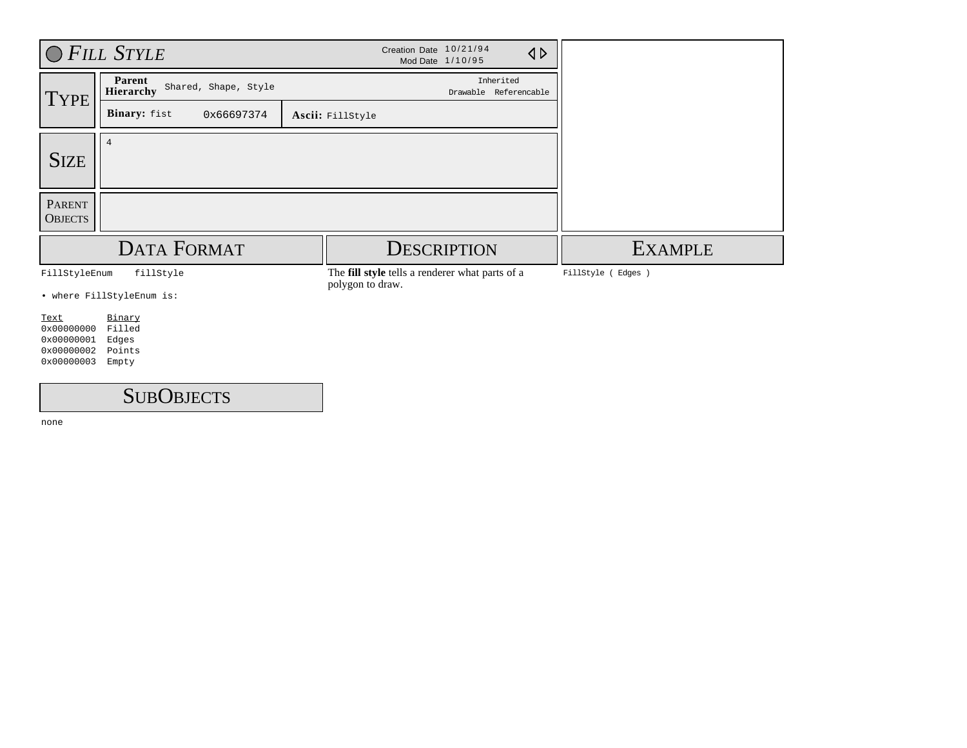|                                                              | O FILL STYLE                                 | Creation Date 10/21/94<br>$\triangleleft$<br>Mod Date 1/10/95       |                   |
|--------------------------------------------------------------|----------------------------------------------|---------------------------------------------------------------------|-------------------|
| <b>TYPE</b>                                                  | Parent<br>Shared, Shape, Style<br>Hierarchy  | Inherited<br>Drawable Referencable                                  |                   |
|                                                              | Binary: fist<br>0x66697374                   | Ascii: FillStyle                                                    |                   |
| <b>SIZE</b>                                                  | $\overline{4}$                               |                                                                     |                   |
| <b>PARENT</b><br><b>OBJECTS</b>                              |                                              |                                                                     |                   |
|                                                              | <b>DATA FORMAT</b>                           | <b>DESCRIPTION</b>                                                  | <b>EXAMPLE</b>    |
| FillStyleEnum                                                | fillStyle                                    | The fill style tells a renderer what parts of a<br>polygon to draw. | FillStyle (Edges) |
|                                                              | • where FillStyleEnum is:                    |                                                                     |                   |
| Text<br>0x00000000<br>0x00000001<br>0x00000002<br>0x00000003 | Binary<br>Filled<br>Edges<br>Points<br>Empty |                                                                     |                   |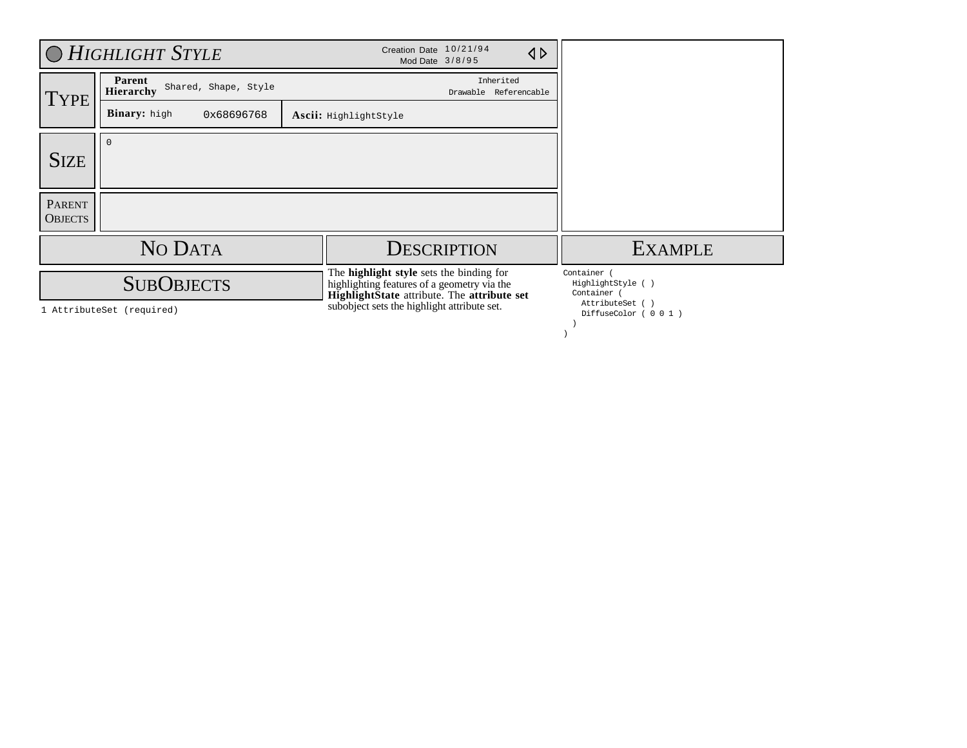|                                 | O HIGHLIGHT STYLE                                  | Creation Date 10/21/94<br>$\triangle$<br>Mod Date 3/8/95                                                                                                                              |                                                                                            |
|---------------------------------|----------------------------------------------------|---------------------------------------------------------------------------------------------------------------------------------------------------------------------------------------|--------------------------------------------------------------------------------------------|
| <b>TYPE</b>                     | Parent<br>Shared, Shape, Style<br><b>Hierarchy</b> | Inherited<br>Drawable Referencable                                                                                                                                                    |                                                                                            |
|                                 | <b>Binary:</b> high<br>0x68696768                  | Ascii: HighlightStyle                                                                                                                                                                 |                                                                                            |
| <b>SIZE</b>                     | $\Omega$                                           |                                                                                                                                                                                       |                                                                                            |
| <b>PARENT</b><br><b>OBJECTS</b> |                                                    |                                                                                                                                                                                       |                                                                                            |
|                                 | NO DATA                                            | <b>DESCRIPTION</b>                                                                                                                                                                    | <b>EXAMPLE</b>                                                                             |
|                                 | <b>SUBOBJECTS</b><br>1 AttributeSet (required)     | The highlight style sets the binding for<br>highlighting features of a geometry via the<br>HighlightState attribute. The attribute set<br>subobject sets the highlight attribute set. | Container<br>HighlightStyle ()<br>Container (<br>AttributeSet ()<br>DiffuseColor ( 0 0 1 ) |

)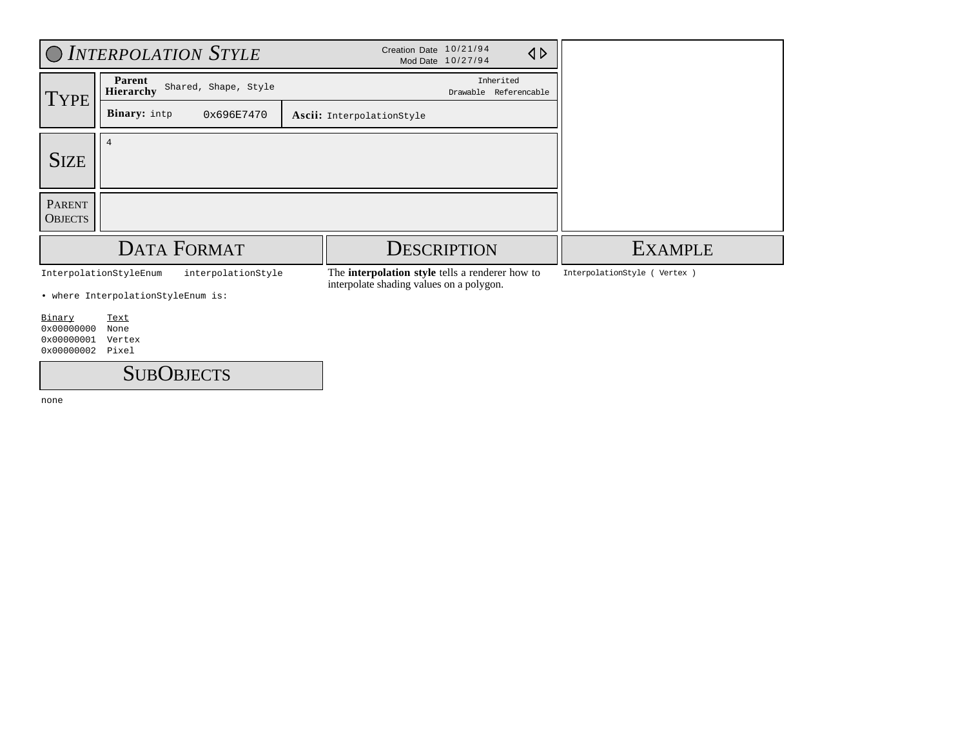|                                            |                                            | O INTERPOLATION STYLE | Creation Date 10/21/94                                                                             | Mod Date 10/27/94                  | $\triangle$ |                               |
|--------------------------------------------|--------------------------------------------|-----------------------|----------------------------------------------------------------------------------------------------|------------------------------------|-------------|-------------------------------|
| TYPE                                       | Parent<br>Hierarchy                        | Shared, Shape, Style  |                                                                                                    | Inherited<br>Drawable Referencable |             |                               |
|                                            | <b>Binary:</b> intp                        | 0x696E7470            | Ascii: InterpolationStyle                                                                          |                                    |             |                               |
| <b>SIZE</b>                                | $\overline{4}$                             |                       |                                                                                                    |                                    |             |                               |
| <b>PARENT</b><br><b>OBJECTS</b>            |                                            |                       |                                                                                                    |                                    |             |                               |
|                                            |                                            | DATA FORMAT           | <b>DESCRIPTION</b>                                                                                 |                                    |             | <b>EXAMPLE</b>                |
|                                            | InterpolationStyleEnum                     | interpolationStyle    | The <b>interpolation style</b> tells a renderer how to<br>interpolate shading values on a polygon. |                                    |             | InterpolationStyle ( Vertex ) |
| Binary                                     | • where InterpolationStyleEnum is:<br>Text |                       |                                                                                                    |                                    |             |                               |
| $0 \times 00000000$<br>$0 \times 00000001$ | None<br>Vertex                             |                       |                                                                                                    |                                    |             |                               |
| 0x00000002                                 | Pixel                                      |                       |                                                                                                    |                                    |             |                               |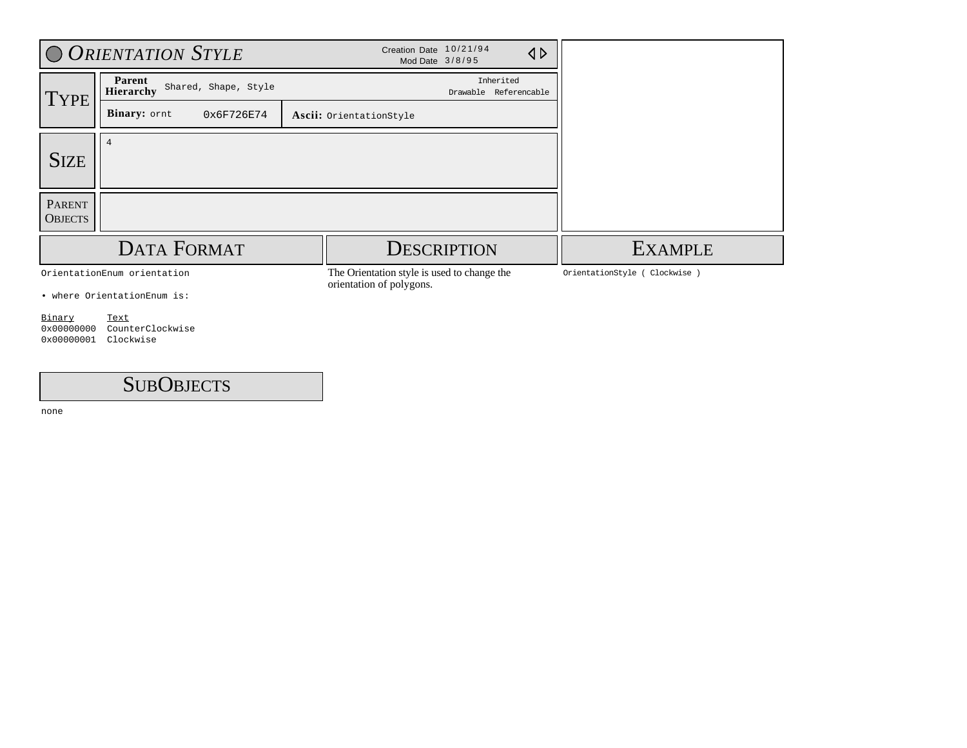|                                             | O ORIENTATION STYLE                                | Creation Date 10/21/94<br>Mod Date 3/8/95                               |                                    | $\triangle$ |
|---------------------------------------------|----------------------------------------------------|-------------------------------------------------------------------------|------------------------------------|-------------|
| <b>TYPE</b>                                 | Parent<br>Shared, Shape, Style<br><b>Hierarchy</b> |                                                                         | Inherited<br>Drawable Referencable |             |
|                                             | Binary: ornt<br>0x6F726E74                         | Ascii: OrientationStyle                                                 |                                    |             |
|                                             | $\overline{4}$                                     |                                                                         |                                    |             |
| <b>SIZE</b>                                 |                                                    |                                                                         |                                    |             |
| <b>PARENT</b><br><b>OBJECTS</b>             |                                                    |                                                                         |                                    |             |
|                                             | <b>DATA FORMAT</b>                                 |                                                                         | <b>DESCRIPTION</b>                 |             |
|                                             | OrientationEnum orientation                        | The Orientation style is used to change the<br>orientation of polygons. |                                    |             |
|                                             | • where OrientationEnum is:                        |                                                                         |                                    |             |
| Binary<br>$0 \times 00000000$<br>0x00000001 | Text<br>CounterClockwise<br>Clockwise              |                                                                         |                                    |             |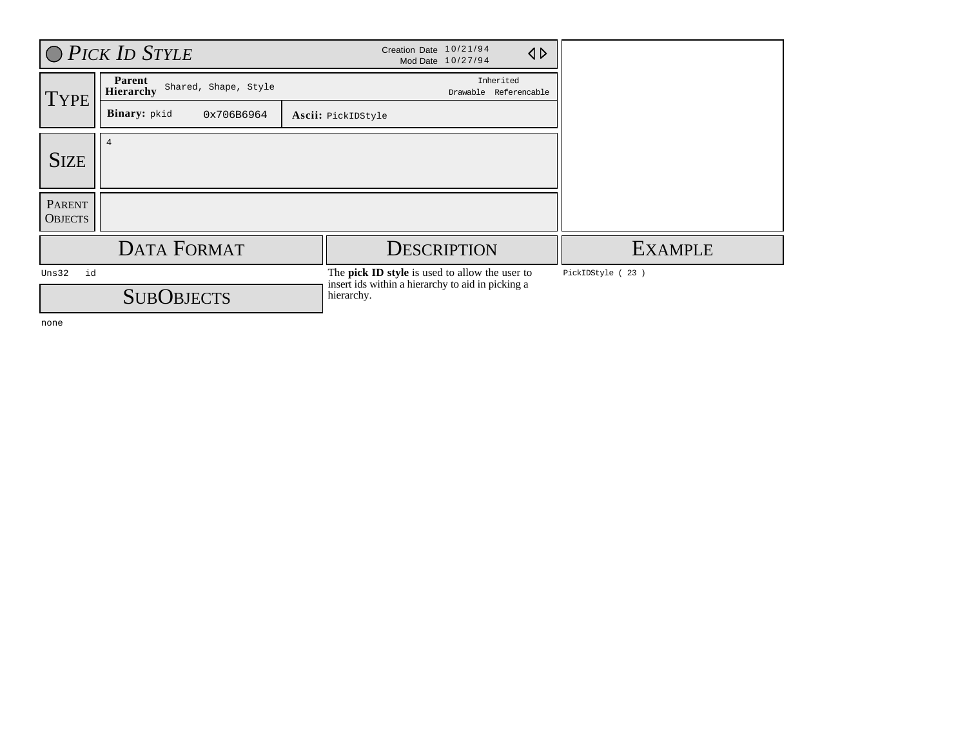|                          | O PICK ID STYLE                                    |                                                                 | Creation Date 10/21/94                         | Mod Date 10/27/94                  | $\triangle$ |                  |
|--------------------------|----------------------------------------------------|-----------------------------------------------------------------|------------------------------------------------|------------------------------------|-------------|------------------|
| <b>TYPE</b>              | Parent<br>Shared, Shape, Style<br><b>Hierarchy</b> |                                                                 |                                                | Inherited<br>Drawable Referencable |             |                  |
|                          | Binary: pkid<br>0x706B6964                         |                                                                 | Ascii: PickIDStyle                             |                                    |             |                  |
| <b>SIZE</b>              | $\overline{4}$                                     |                                                                 |                                                |                                    |             |                  |
| PARENT<br><b>OBJECTS</b> |                                                    |                                                                 |                                                |                                    |             |                  |
|                          | <b>DATA FORMAT</b>                                 |                                                                 |                                                | <b>DESCRIPTION</b>                 |             | <b>EXAMPLE</b>   |
| id<br>Uns32              |                                                    |                                                                 | The pick ID style is used to allow the user to |                                    |             | PickIDStyle (23) |
| <b>SUBOBJECTS</b>        |                                                    | insert ids within a hierarchy to aid in picking a<br>hierarchy. |                                                |                                    |             |                  |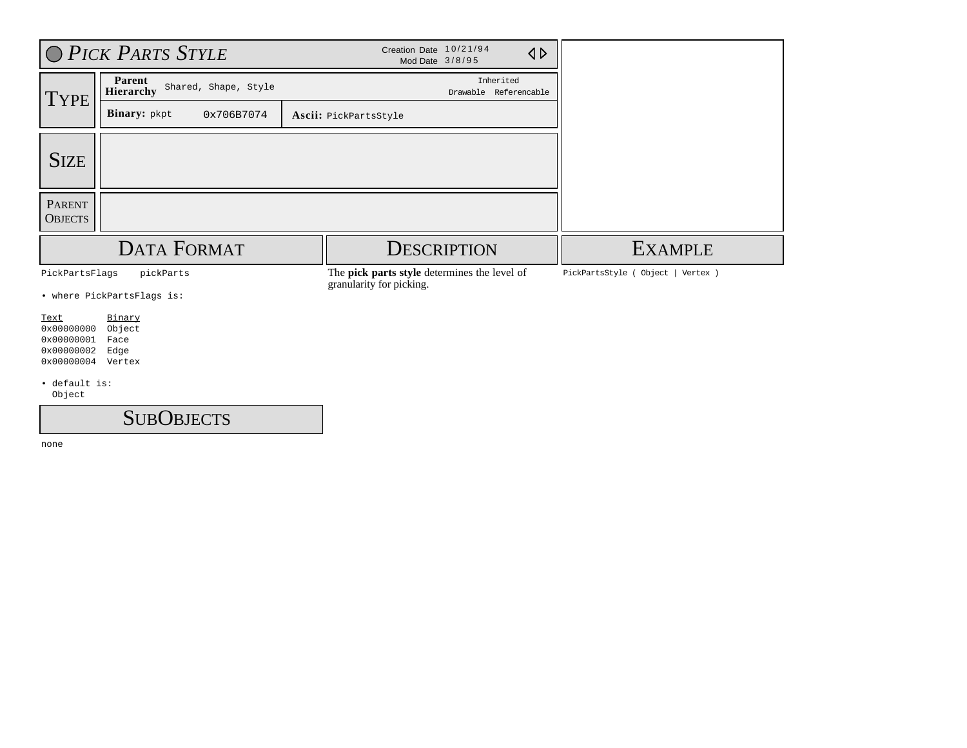|                                                                     | O PICK PARTS STYLE                                 | Creation Date 10/21/94<br>$\triangle$<br>Mod Date 3/8/95                 |                                       |  |
|---------------------------------------------------------------------|----------------------------------------------------|--------------------------------------------------------------------------|---------------------------------------|--|
| <b>TYPE</b>                                                         | Parent<br>Shared, Shape, Style<br><b>Hierarchy</b> | Inherited<br>Drawable Referencable                                       |                                       |  |
|                                                                     | Binary: pkpt<br>0x706B7074                         | Ascii: PickPartsStyle                                                    |                                       |  |
| <b>SIZE</b>                                                         |                                                    |                                                                          |                                       |  |
| <b>PARENT</b><br><b>OBJECTS</b>                                     |                                                    |                                                                          |                                       |  |
|                                                                     | <b>DATA FORMAT</b>                                 | <b>DESCRIPTION</b>                                                       | <b>EXAMPLE</b>                        |  |
| PickPartsFlags                                                      | pickParts                                          | The pick parts style determines the level of<br>granularity for picking. | PickPartsStyle ( Object  <br>Vertex ) |  |
|                                                                     | • where PickPartsFlags is:                         |                                                                          |                                       |  |
| Text<br>0x00000000<br>0x00000001<br>0x00000002<br>0x00000004 Vertex | Binary<br>Object<br>Face<br>Edge                   |                                                                          |                                       |  |
| · default is:<br>Object                                             |                                                    |                                                                          |                                       |  |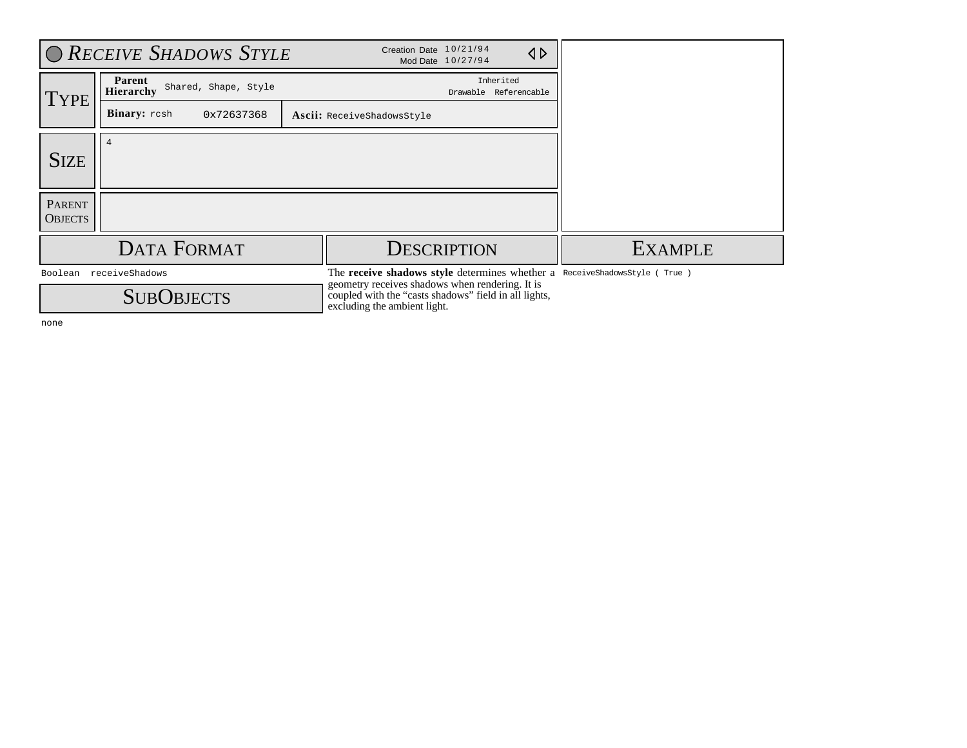| Creation Date 10/21/94<br><b>O RECEIVE SHADOWS STYLE</b><br>$\triangle$<br>Mod Date 10/27/94 |                                             |                                                                                                                                          |                                    |  |                                                                           |
|----------------------------------------------------------------------------------------------|---------------------------------------------|------------------------------------------------------------------------------------------------------------------------------------------|------------------------------------|--|---------------------------------------------------------------------------|
| TYPE                                                                                         | Parent<br>Shared, Shape, Style<br>Hierarchy |                                                                                                                                          | Inherited<br>Drawable Referencable |  |                                                                           |
|                                                                                              | <b>Binary:</b> resh<br>0x72637368           | Ascii: ReceiveShadowsStyle                                                                                                               |                                    |  |                                                                           |
| <b>SIZE</b>                                                                                  |                                             |                                                                                                                                          |                                    |  |                                                                           |
| <b>PARENT</b><br><b>OBJECTS</b>                                                              |                                             |                                                                                                                                          |                                    |  |                                                                           |
|                                                                                              | DATA FORMAT                                 |                                                                                                                                          | <b>DESCRIPTION</b>                 |  | <b>EXAMPLE</b>                                                            |
|                                                                                              | Boolean receiveShadows<br><b>SUBOBJECTS</b> | geometry receives shadows when rendering. It is<br>coupled with the "casts shadows" field in all lights,<br>excluding the ambient light. |                                    |  | The receive shadows style determines whether a ReceiveShadowsStyle (True) |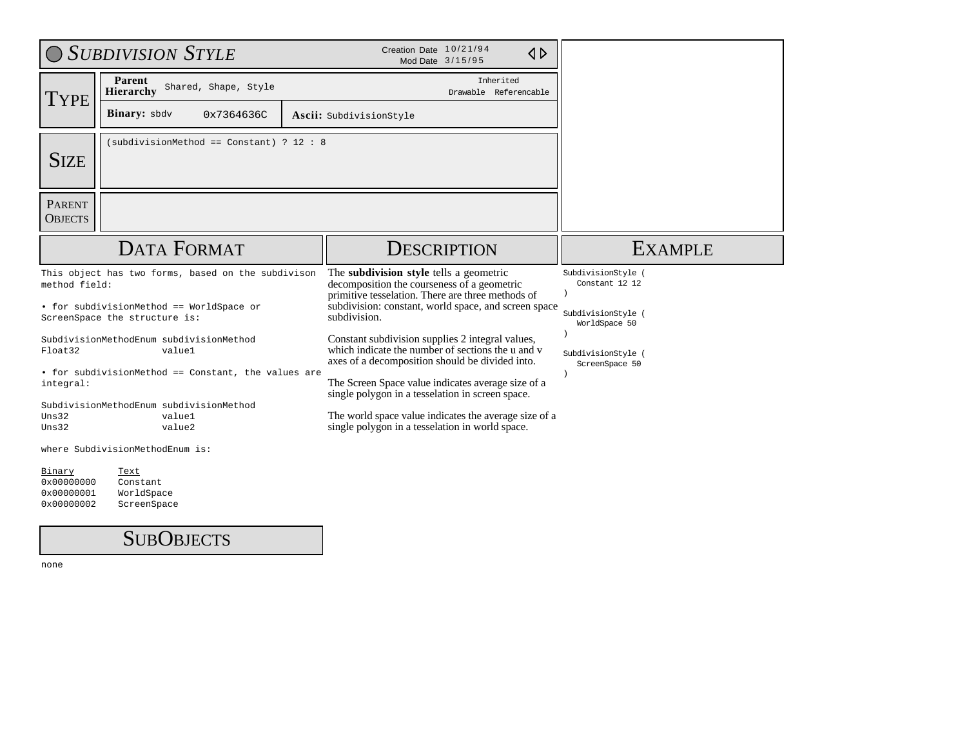|                                 | <b>SUBDIVISION STYLE</b>                                                  | Creation Date 10/21/94<br>$\triangle$<br>Mod Date 3/15/95                                                                                                |                                      |  |  |
|---------------------------------|---------------------------------------------------------------------------|----------------------------------------------------------------------------------------------------------------------------------------------------------|--------------------------------------|--|--|
| TYPE                            | Parent<br>Shared, Shape, Style<br>Hierarchy                               | Inherited<br>Drawable Referencable                                                                                                                       |                                      |  |  |
|                                 | <b>Binary:</b> sbdv<br>0x7364636C                                         | Ascii: SubdivisionStyle                                                                                                                                  |                                      |  |  |
| <b>SIZE</b>                     | (subdivisionMethod == Constant) ? 12 : 8                                  |                                                                                                                                                          |                                      |  |  |
| <b>PARENT</b><br><b>OBJECTS</b> |                                                                           |                                                                                                                                                          |                                      |  |  |
|                                 | <b>DATA FORMAT</b>                                                        | <b>DESCRIPTION</b>                                                                                                                                       | <b>EXAMPLE</b>                       |  |  |
| method field:                   | This object has two forms, based on the subdivison                        | The subdivision style tells a geometric<br>decomposition the courseness of a geometric<br>primitive tesselation. There are three methods of              | SubdivisionStyle (<br>Constant 12 12 |  |  |
|                                 | • for subdivisionMethod == WorldSpace or<br>ScreenSpace the structure is: | subdivision: constant, world space, and screen space<br>subdivision.                                                                                     | SubdivisionStyle (<br>WorldSpace 50  |  |  |
| Float32                         | SubdivisionMethodEnum subdivisionMethod<br>value1                         | Constant subdivision supplies 2 integral values,<br>which indicate the number of sections the u and y<br>axes of a decomposition should be divided into. | SubdivisionStyle (<br>ScreenSpace 50 |  |  |
| integral:                       | • for subdivisionMethod == Constant, the values are                       | The Screen Space value indicates average size of a<br>single polygon in a tesselation in screen space.                                                   |                                      |  |  |
| Uns32<br>Uns32                  | SubdivisionMethodEnum subdivisionMethod<br>value1<br>value2               | The world space value indicates the average size of a<br>single polygon in a tesselation in world space.                                                 |                                      |  |  |
|                                 | where SubdivisionMethodEnum is:                                           |                                                                                                                                                          |                                      |  |  |
| Binary<br>0x00000000            | Text<br>Constant                                                          |                                                                                                                                                          |                                      |  |  |

0x00000001 WorldSpace 0x00000002 ScreenSpace

#### SUB OBJECTS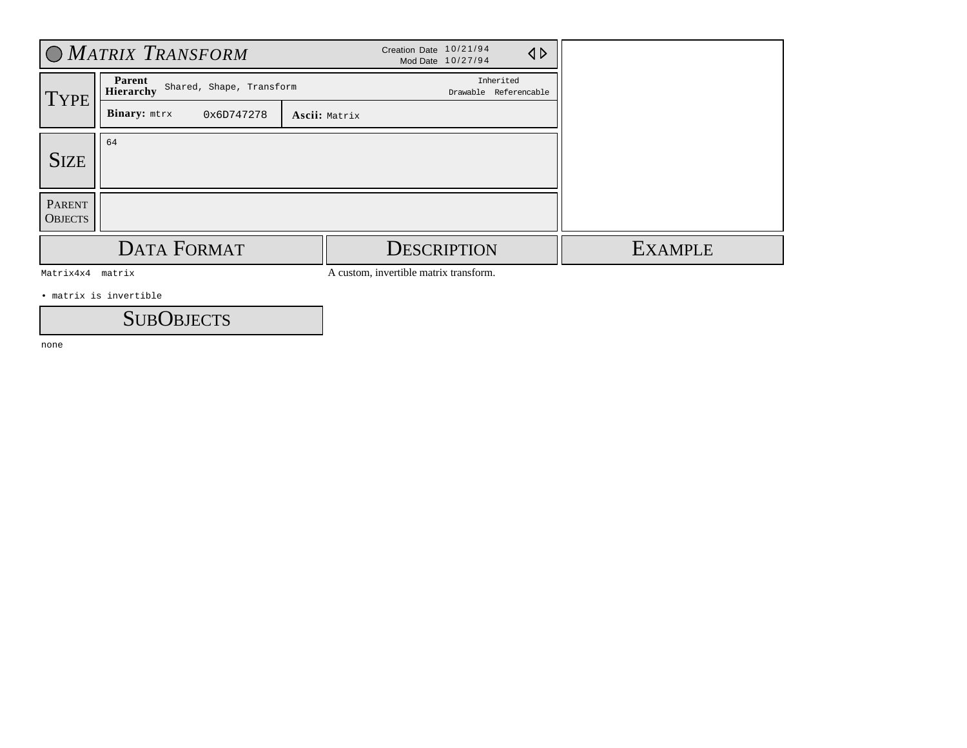|                                 | O MATRIX TRANSFORM                                     |  | Creation Date 10/21/94             | Mod Date 10/27/94  | $\triangleleft$ |
|---------------------------------|--------------------------------------------------------|--|------------------------------------|--------------------|-----------------|
| TYPE                            | Parent<br>Shared, Shape, Transform<br><b>Hierarchy</b> |  | Inherited<br>Drawable Referencable |                    |                 |
|                                 | Binary: mtrx<br>0x6D747278                             |  |                                    |                    |                 |
| <b>SIZE</b>                     | 64                                                     |  |                                    |                    |                 |
| <b>PARENT</b><br><b>OBJECTS</b> |                                                        |  |                                    |                    |                 |
|                                 | <b>DATA FORMAT</b>                                     |  |                                    | <b>DESCRIPTION</b> |                 |

Matrix4x4 matrix

A custom, invertible matrix transform.

• matrix is invertible

**SUBOBJECTS**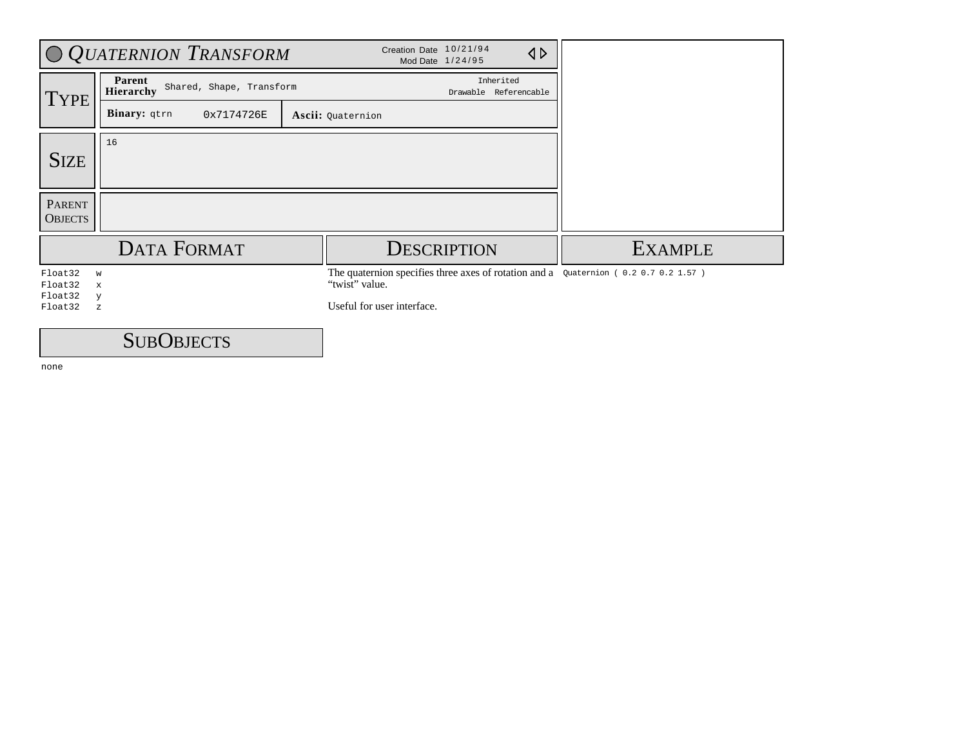|                          | O QUATERNION TRANSFORM                          | Creation Date 10/21/94<br>$\triangleleft$<br>Mod Date 1/24/95                                               |                |
|--------------------------|-------------------------------------------------|-------------------------------------------------------------------------------------------------------------|----------------|
| <b>TYPE</b>              | Parent<br>Shared, Shape, Transform<br>Hierarchy | Inherited<br>Drawable Referencable                                                                          |                |
|                          | Binary: qtrn<br>0x7174726E                      | Ascii: Quaternion                                                                                           |                |
| <b>SIZE</b>              | 16                                              |                                                                                                             |                |
|                          |                                                 |                                                                                                             |                |
| PARENT<br><b>OBJECTS</b> |                                                 |                                                                                                             |                |
|                          | <b>DATA FORMAT</b>                              | <b>DESCRIPTION</b>                                                                                          | <b>EXAMPLE</b> |
| Float32<br>Float32       | W<br>X                                          | The quaternion specifies three axes of rotation and a $\alpha$ Quaternion (0.20.70.21.57)<br>"twist" value. |                |
| Float32<br>Float32       | y<br>$\mathbf{z}$                               | Useful for user interface.                                                                                  |                |
|                          | $\sim$ $\sim$                                   |                                                                                                             |                |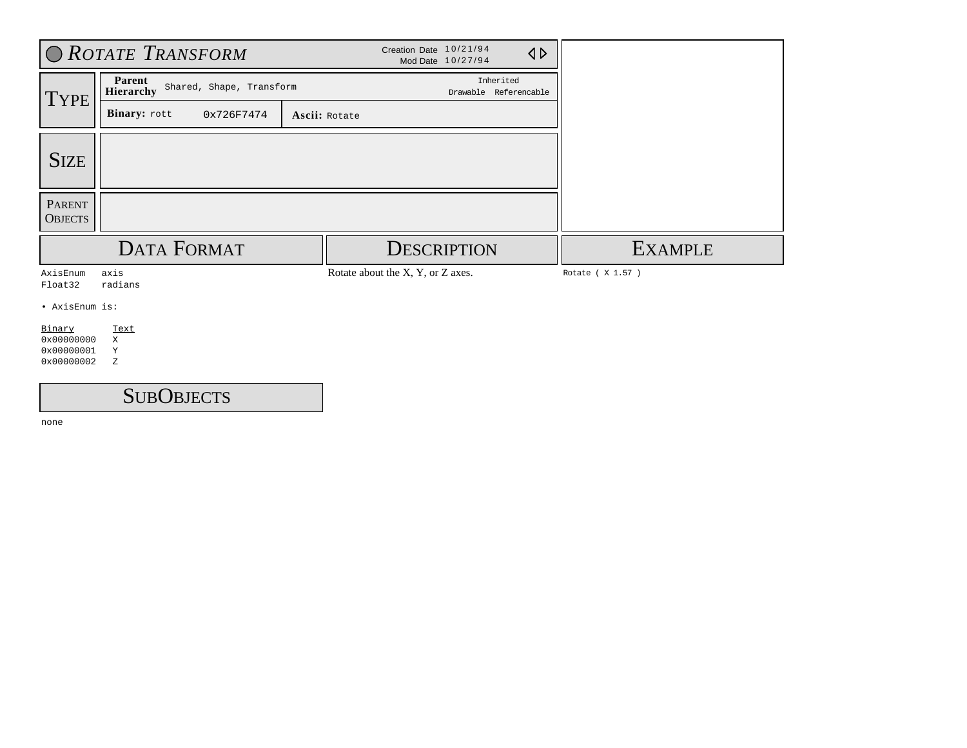|                                                  | O ROTATE TRANSFORM                                     |               | Creation Date 10/21/94<br>Mod Date 10/27/94 | $\triangleleft$ |                   |
|--------------------------------------------------|--------------------------------------------------------|---------------|---------------------------------------------|-----------------|-------------------|
| <b>TYPE</b>                                      | Parent<br>Shared, Shape, Transform<br><b>Hierarchy</b> |               | Inherited<br>Drawable Referencable          |                 |                   |
|                                                  | Binary: rott<br>0x726F7474                             | Ascii: Rotate |                                             |                 |                   |
| <b>SIZE</b>                                      |                                                        |               |                                             |                 |                   |
| <b>PARENT</b><br><b>OBJECTS</b>                  |                                                        |               |                                             |                 |                   |
|                                                  | <b>DATA FORMAT</b>                                     |               | <b>DESCRIPTION</b>                          |                 | <b>EXAMPLE</b>    |
| AxisEnum<br>Float32                              | axis<br>radians                                        |               | Rotate about the X, Y, or Z axes.           |                 | Rotate ( X 1.57 ) |
| • AxisEnum is:                                   |                                                        |               |                                             |                 |                   |
| Binary<br>0x00000000<br>0x00000001<br>0x00000002 | Text<br>X<br>Y<br>Ζ                                    |               |                                             |                 |                   |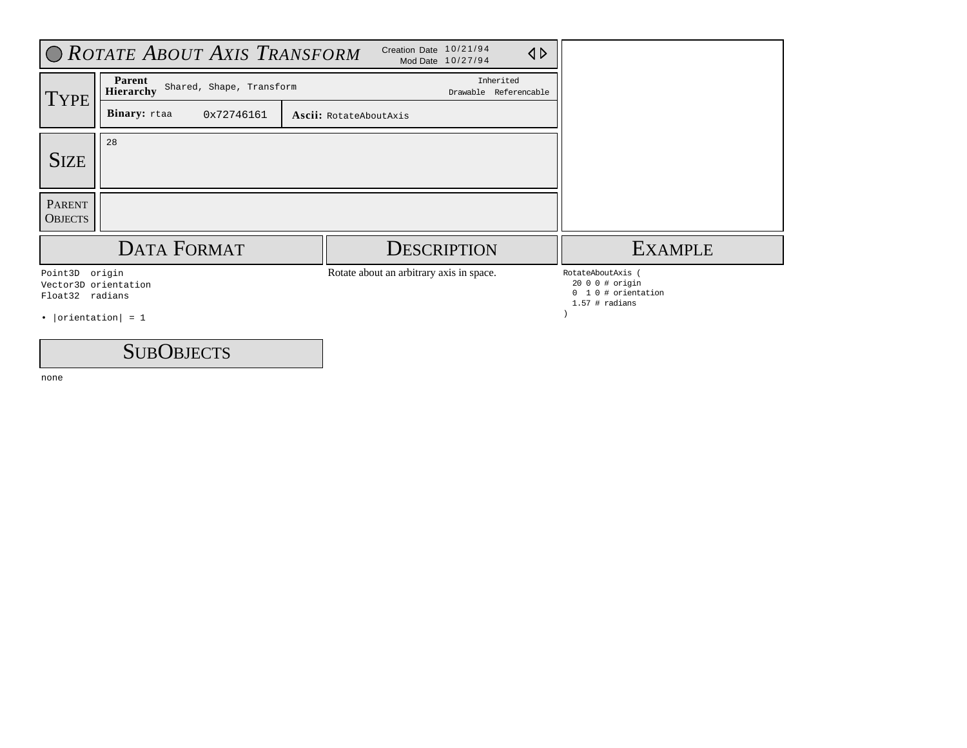|                                                                                    | O ROTATE ABOUT AXIS TRANSFORM                   |                                          |                                    |                                                                           |
|------------------------------------------------------------------------------------|-------------------------------------------------|------------------------------------------|------------------------------------|---------------------------------------------------------------------------|
| TYPE <sup></sup>                                                                   | Parent<br>Shared, Shape, Transform<br>Hierarchy |                                          | Inherited<br>Drawable Referencable |                                                                           |
|                                                                                    | Binary: rtaa<br>0x72746161                      | Ascii: RotateAboutAxis                   |                                    |                                                                           |
| <b>SIZE</b>                                                                        | 28                                              |                                          |                                    |                                                                           |
| PARENT<br><b>OBJECTS</b>                                                           |                                                 |                                          |                                    |                                                                           |
|                                                                                    | <b>DATA FORMAT</b>                              | <b>DESCRIPTION</b>                       |                                    | <b>EXAMPLE</b>                                                            |
| Point3D origin<br>Vector3D orientation<br>Float32 radians<br>• $ orientation  = 1$ |                                                 | Rotate about an arbitrary axis in space. |                                    | RotateAboutAxis<br>2000 # origin<br>1 0 # orientation<br>$1.57$ # radians |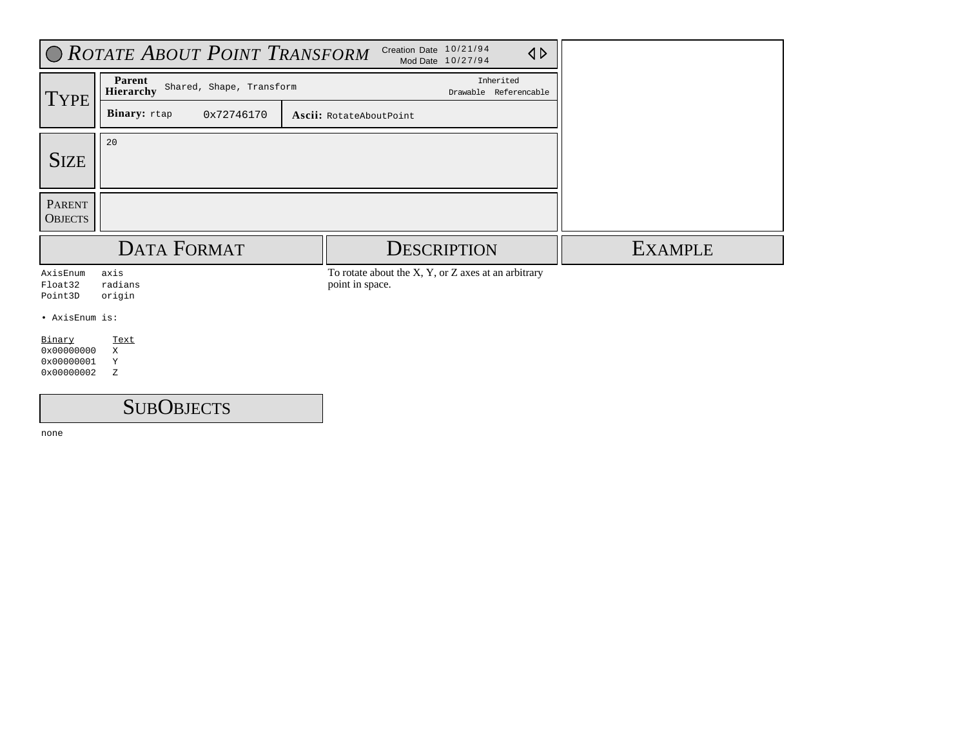|                                                  | O ROTATE ABOUT POINT TRANSFORM                         |                                                                        |                |
|--------------------------------------------------|--------------------------------------------------------|------------------------------------------------------------------------|----------------|
| <b>TYPE</b>                                      | Parent<br>Shared, Shape, Transform<br><b>Hierarchy</b> | Inherited<br>Drawable Referencable                                     |                |
|                                                  | Binary: rtap<br>0x72746170                             | Ascii: RotateAboutPoint                                                |                |
| <b>SIZE</b>                                      | 20                                                     |                                                                        |                |
| <b>PARENT</b><br><b>OBJECTS</b>                  |                                                        |                                                                        |                |
|                                                  | <b>DATA FORMAT</b>                                     | <b>DESCRIPTION</b>                                                     | <b>EXAMPLE</b> |
| AxisEnum<br>Float32<br>Point3D                   | axis<br>radians<br>origin                              | To rotate about the X, Y, or Z axes at an arbitrary<br>point in space. |                |
| • AxisEnum is:                                   |                                                        |                                                                        |                |
| Binary<br>0x00000000<br>0x00000001<br>0x00000002 | Text<br>X<br>Y<br>Ζ                                    |                                                                        |                |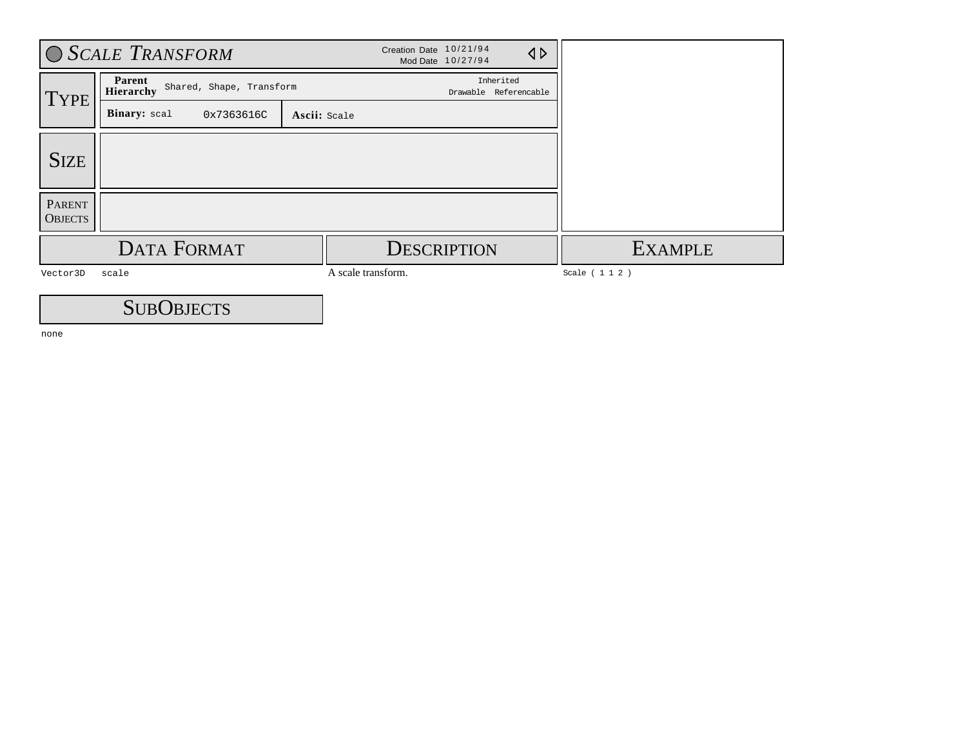|                                                         | <b>SCALE TRANSFORM</b>                     |                    | Creation Date 10/21/94<br>Mod Date 10/27/94 | $\triangleleft$                    |                 |
|---------------------------------------------------------|--------------------------------------------|--------------------|---------------------------------------------|------------------------------------|-----------------|
| Parent<br>Shared, Shape, Transform<br>Hierarchy<br>TYPE |                                            |                    |                                             | Inherited<br>Drawable Referencable |                 |
|                                                         | Binary: scal<br>0x7363616C<br>Ascii: Scale |                    |                                             |                                    |                 |
| <b>SIZE</b>                                             |                                            |                    |                                             |                                    |                 |
| <b>PARENT</b><br><b>OBJECTS</b>                         |                                            |                    |                                             |                                    |                 |
|                                                         | <b>DATA FORMAT</b>                         |                    | <b>DESCRIPTION</b>                          |                                    | <b>EXAMPLE</b>  |
| Vector3D                                                | scale                                      | A scale transform. |                                             |                                    | Scale ( 1 1 2 ) |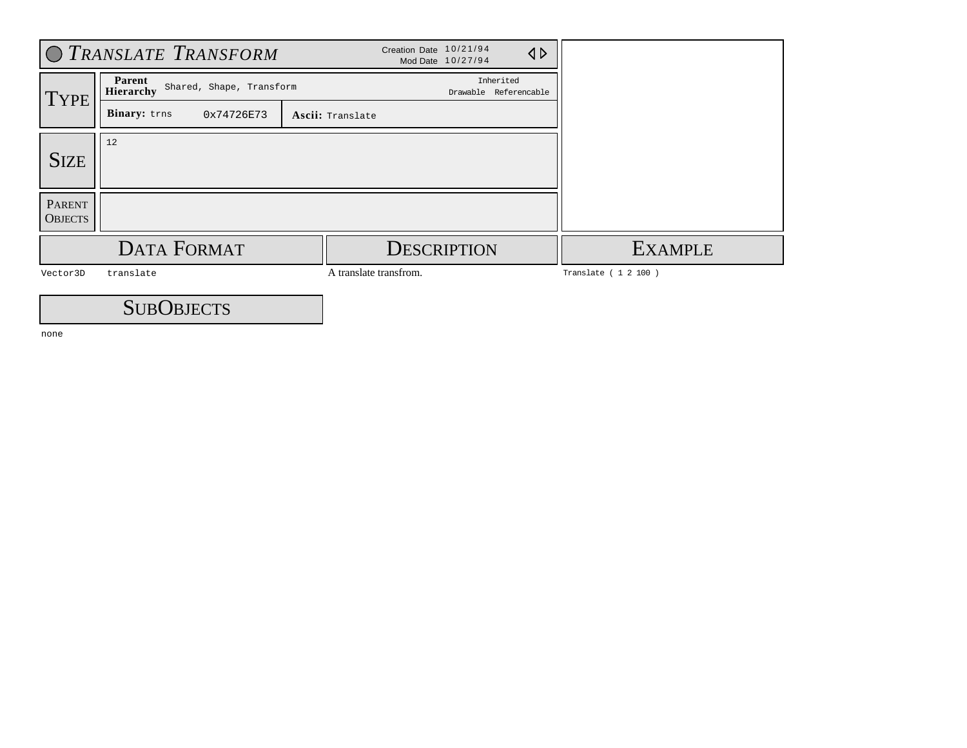|                                 | O TRANSLATE TRANSFORM                           |                        | Creation Date 10/21/94<br>Mod Date 10/27/94 | $\triangleleft$ |                       |
|---------------------------------|-------------------------------------------------|------------------------|---------------------------------------------|-----------------|-----------------------|
| TYPE <sup>'</sup>               | Parent<br>Shared, Shape, Transform<br>Hierarchy |                        | Inherited<br>Drawable Referencable          |                 |                       |
|                                 | Binary: trns<br>0x74726E73                      | Ascii: Translate       |                                             |                 |                       |
| <b>SIZE</b>                     | 12                                              |                        |                                             |                 |                       |
| <b>PARENT</b><br><b>OBJECTS</b> |                                                 |                        |                                             |                 |                       |
|                                 | <b>DATA FORMAT</b>                              |                        | <b>DESCRIPTION</b>                          |                 | <b>EXAMPLE</b>        |
| Vector3D                        | translate                                       | A translate transfrom. |                                             |                 | Translate ( 1 2 100 ) |
|                                 | $\sim$ $\sim$                                   |                        |                                             |                 |                       |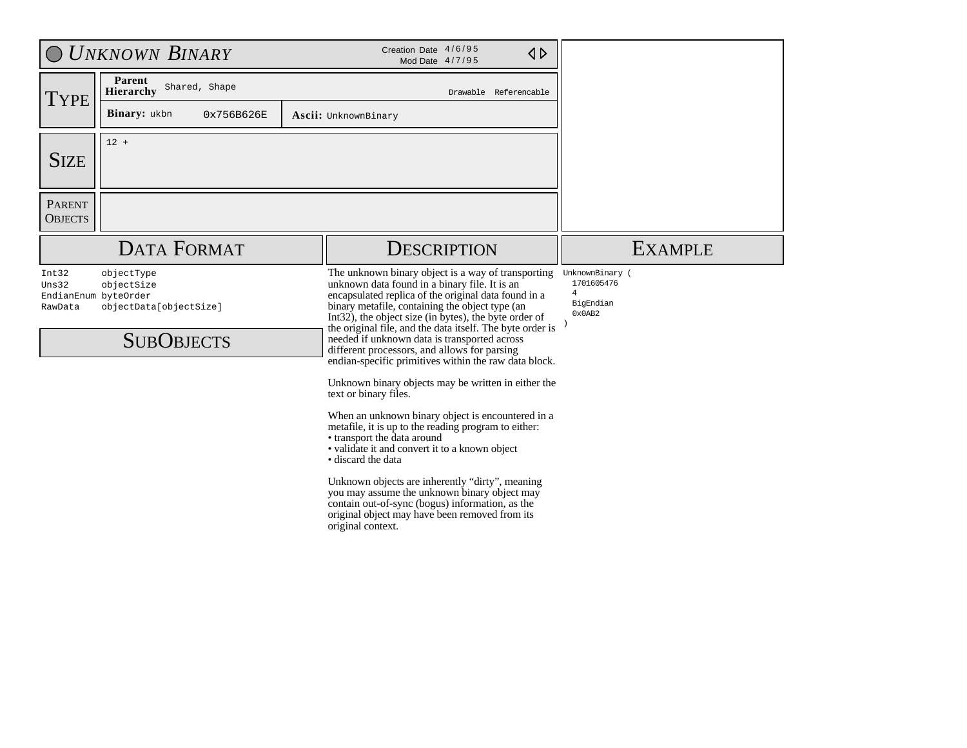|                                 | <b>UNKNOWN BINARY</b>                                                                           | Creation Date 4/6/95<br>$\triangle$<br>Mod Date 4/7/95                                                                                                                                                                                                                                                                                                                                                                                                                                                                                                                                                                                                                                                                                                                                                                                                                                                                                                                                                                         |                                                                        |
|---------------------------------|-------------------------------------------------------------------------------------------------|--------------------------------------------------------------------------------------------------------------------------------------------------------------------------------------------------------------------------------------------------------------------------------------------------------------------------------------------------------------------------------------------------------------------------------------------------------------------------------------------------------------------------------------------------------------------------------------------------------------------------------------------------------------------------------------------------------------------------------------------------------------------------------------------------------------------------------------------------------------------------------------------------------------------------------------------------------------------------------------------------------------------------------|------------------------------------------------------------------------|
| <b>TYPE</b>                     | Parent<br>Shared, Shape<br>Hierarchy                                                            | Drawable Referencable                                                                                                                                                                                                                                                                                                                                                                                                                                                                                                                                                                                                                                                                                                                                                                                                                                                                                                                                                                                                          |                                                                        |
|                                 | <b>Binary:</b> ukbn<br>0x756B626E                                                               | Ascii: UnknownBinary                                                                                                                                                                                                                                                                                                                                                                                                                                                                                                                                                                                                                                                                                                                                                                                                                                                                                                                                                                                                           |                                                                        |
| <b>SIZE</b>                     | $12 +$                                                                                          |                                                                                                                                                                                                                                                                                                                                                                                                                                                                                                                                                                                                                                                                                                                                                                                                                                                                                                                                                                                                                                |                                                                        |
| <b>PARENT</b><br><b>OBJECTS</b> |                                                                                                 |                                                                                                                                                                                                                                                                                                                                                                                                                                                                                                                                                                                                                                                                                                                                                                                                                                                                                                                                                                                                                                |                                                                        |
|                                 | <b>DATA FORMAT</b>                                                                              | <b>DESCRIPTION</b>                                                                                                                                                                                                                                                                                                                                                                                                                                                                                                                                                                                                                                                                                                                                                                                                                                                                                                                                                                                                             | <b>EXAMPLE</b>                                                         |
| Int32<br>Uns32<br>RawData       | objectType<br>objectSize<br>EndianEnum byteOrder<br>objectData[objectSize]<br><b>SUBOBJECTS</b> | The unknown binary object is a way of transporting<br>unknown data found in a binary file. It is an<br>encapsulated replica of the original data found in a<br>binary metafile, containing the object type (an<br>Int32), the object size (in bytes), the byte order of<br>the original file, and the data itself. The byte order is<br>needed if unknown data is transported across<br>different processors, and allows for parsing<br>endian-specific primitives within the raw data block.<br>Unknown binary objects may be written in either the<br>text or binary files.<br>When an unknown binary object is encountered in a<br>metafile, it is up to the reading program to either:<br>• transport the data around<br>• validate it and convert it to a known object<br>• discard the data<br>Unknown objects are inherently "dirty", meaning<br>you may assume the unknown binary object may<br>contain out-of-sync (bogus) information, as the<br>original object may have been removed from its<br>original context. | UnknownBinary (<br>1701605476<br>$\overline{4}$<br>BigEndian<br>0x0AB2 |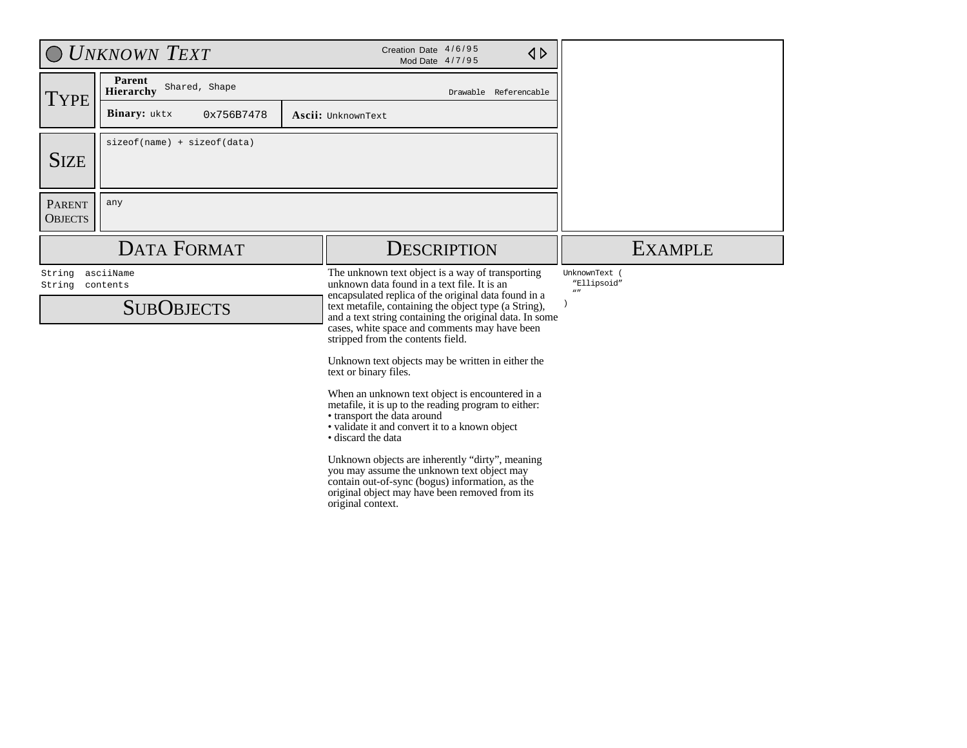|                                 | <b>UNKNOWN TEXT</b>                  | Creation Date 4/6/95<br>$\triangle$<br>Mod Date 4/7/95                                                                                                                                                                                                         |                                              |
|---------------------------------|--------------------------------------|----------------------------------------------------------------------------------------------------------------------------------------------------------------------------------------------------------------------------------------------------------------|----------------------------------------------|
| <b>TYPE</b>                     | Parent<br>Shared, Shape<br>Hierarchy | Drawable Referencable                                                                                                                                                                                                                                          |                                              |
|                                 | Binary: uktx<br>0x756B7478           | Ascii: UnknownText                                                                                                                                                                                                                                             |                                              |
| <b>SIZE</b>                     | $sizeof(name) + sizeof(data)$        |                                                                                                                                                                                                                                                                |                                              |
| <b>PARENT</b><br><b>OBJECTS</b> | any                                  |                                                                                                                                                                                                                                                                |                                              |
|                                 | <b>DATA FORMAT</b>                   | <b>DESCRIPTION</b>                                                                                                                                                                                                                                             | <b>EXAMPLE</b>                               |
| String<br>String                | asciiName<br>contents                | The unknown text object is a way of transporting<br>unknown data found in a text file. It is an                                                                                                                                                                | UnknownText (<br>"Ellipsoid"<br>$\mathbf{u}$ |
|                                 | <b>SUBOBJECTS</b>                    | encapsulated replica of the original data found in a<br>text metafile, containing the object type (a String),<br>and a text string containing the original data. In some<br>cases, white space and comments may have been<br>stripped from the contents field. |                                              |
|                                 |                                      | Unknown text objects may be written in either the<br>text or binary files.                                                                                                                                                                                     |                                              |
|                                 |                                      | When an unknown text object is encountered in a<br>metafile, it is up to the reading program to either:<br>• transport the data around<br>• validate it and convert it to a known object<br>• discard the data                                                 |                                              |
|                                 |                                      | Unknown objects are inherently "dirty", meaning<br>you may assume the unknown text object may<br>contain out-of-sync (bogus) information, as the<br>original object may have been removed from its<br>original context.                                        |                                              |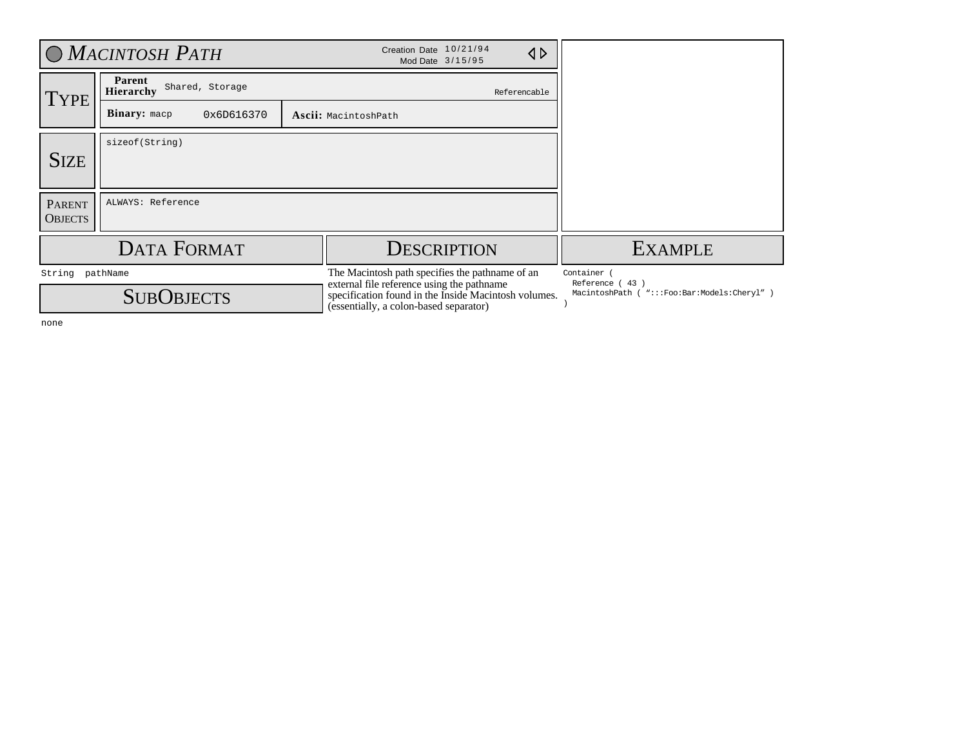|                                      | <b>O</b> MACINTOSH PATH                       | Creation Date 10/21/94<br>$\triangle$<br>Mod Date 3/15/95                                                                                                                                       |                                                                             |
|--------------------------------------|-----------------------------------------------|-------------------------------------------------------------------------------------------------------------------------------------------------------------------------------------------------|-----------------------------------------------------------------------------|
| TYPE                                 | Parent<br>Shared, Storage<br><b>Hierarchy</b> | Referencable                                                                                                                                                                                    |                                                                             |
|                                      | <b>Binary:</b> macp<br>0x6D616370             | Ascii: MacintoshPath                                                                                                                                                                            |                                                                             |
| <b>SIZE</b>                          | sizeof(String)                                |                                                                                                                                                                                                 |                                                                             |
| <b>PARENT</b><br><b>OBJECTS</b>      | ALWAYS: Reference                             |                                                                                                                                                                                                 |                                                                             |
|                                      | <b>DATA FORMAT</b>                            | <b>DESCRIPTION</b>                                                                                                                                                                              | <b>EXAMPLE</b>                                                              |
| String pathName<br><b>SUBOBJECTS</b> |                                               | The Macintosh path specifies the pathname of an<br>external file reference using the pathname<br>specification found in the Inside Macintosh volumes.<br>(essentially, a colon-based separator) | Container<br>Reference (43)<br>MacintoshPath ( ":::Foo:Bar:Models:Cheryl" ) |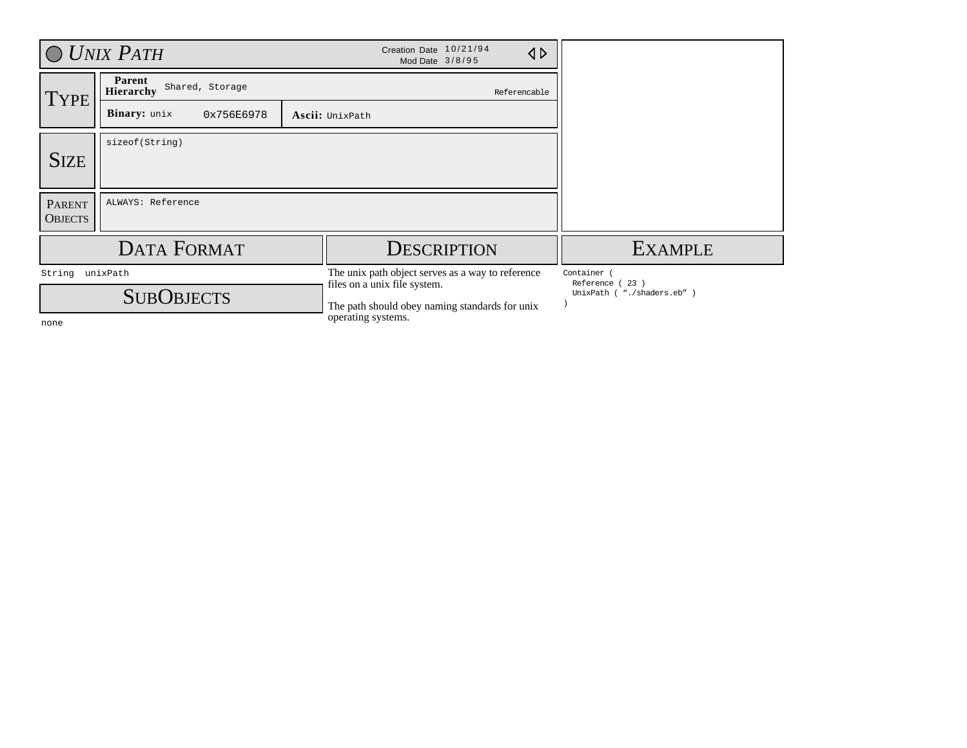|                                 | $\bigcirc$ UNIX PATH                          | Creation Date 10/21/94<br>$\triangle$<br>Mod Date 3/8/95                                                                                                  |                                                                |
|---------------------------------|-----------------------------------------------|-----------------------------------------------------------------------------------------------------------------------------------------------------------|----------------------------------------------------------------|
| <b>TYPE</b>                     | Parent<br>Shared, Storage<br><b>Hierarchy</b> | Referencable                                                                                                                                              |                                                                |
|                                 | <b>Binary:</b> unix<br>0x756E6978             | Ascii: UnixPath                                                                                                                                           |                                                                |
| <b>SIZE</b>                     | sizeof(String)                                |                                                                                                                                                           |                                                                |
| <b>PARENT</b><br><b>OBJECTS</b> | ALWAYS: Reference                             |                                                                                                                                                           |                                                                |
|                                 | <b>DATA FORMAT</b>                            | <b>DESCRIPTION</b>                                                                                                                                        | <b>EXAMPLE</b>                                                 |
| String<br>none                  | unixPath<br><b>SUBOBJECTS</b>                 | The unix path object serves as a way to reference<br>files on a unix file system.<br>The path should obey naming standards for unix<br>operating systems. | Container<br>Reference (<br>23)<br>UnixPath ( "./shaders.eb" ) |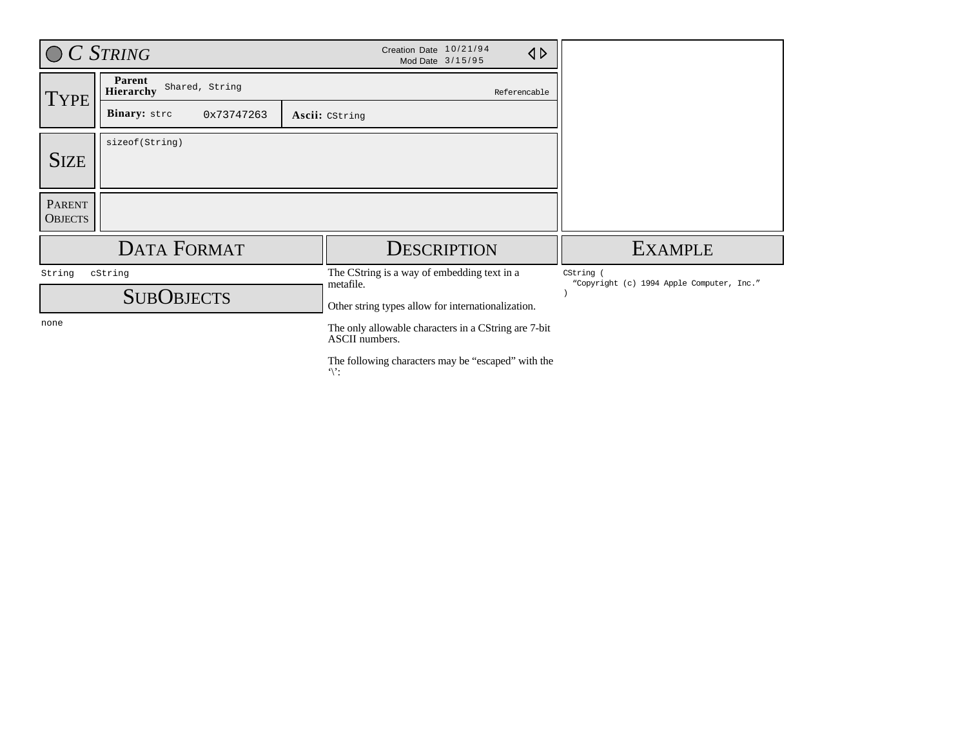| $C$ String                      |                                              |  | Creation Date 10/21/94<br>$\triangleleft$<br>Mod Date 3/15/95          |                                                      |
|---------------------------------|----------------------------------------------|--|------------------------------------------------------------------------|------------------------------------------------------|
| <b>TYPE</b>                     | Parent<br>Shared, String<br><b>Hierarchy</b> |  | Referencable                                                           |                                                      |
|                                 | Binary: strc<br>0x73747263                   |  | Ascii: CString                                                         |                                                      |
| <b>SIZE</b>                     | sizeof(String)                               |  |                                                                        |                                                      |
| <b>PARENT</b><br><b>OBJECTS</b> |                                              |  |                                                                        |                                                      |
|                                 | <b>DATA FORMAT</b>                           |  | <b>DESCRIPTION</b>                                                     | <b>EXAMPLE</b>                                       |
| String                          | cString                                      |  | The CString is a way of embedding text in a<br>metafile.               | CString<br>"Copyright (c) 1994 Apple Computer, Inc." |
| <b>SUBOBJECTS</b>               |                                              |  | Other string types allow for internationalization.                     |                                                      |
| none                            |                                              |  | The only allowable characters in a CString are 7-bit<br>ASCII numbers. |                                                      |
|                                 |                                              |  | The following characters may be "escaped" with the<br>$\mathcal{C}$    |                                                      |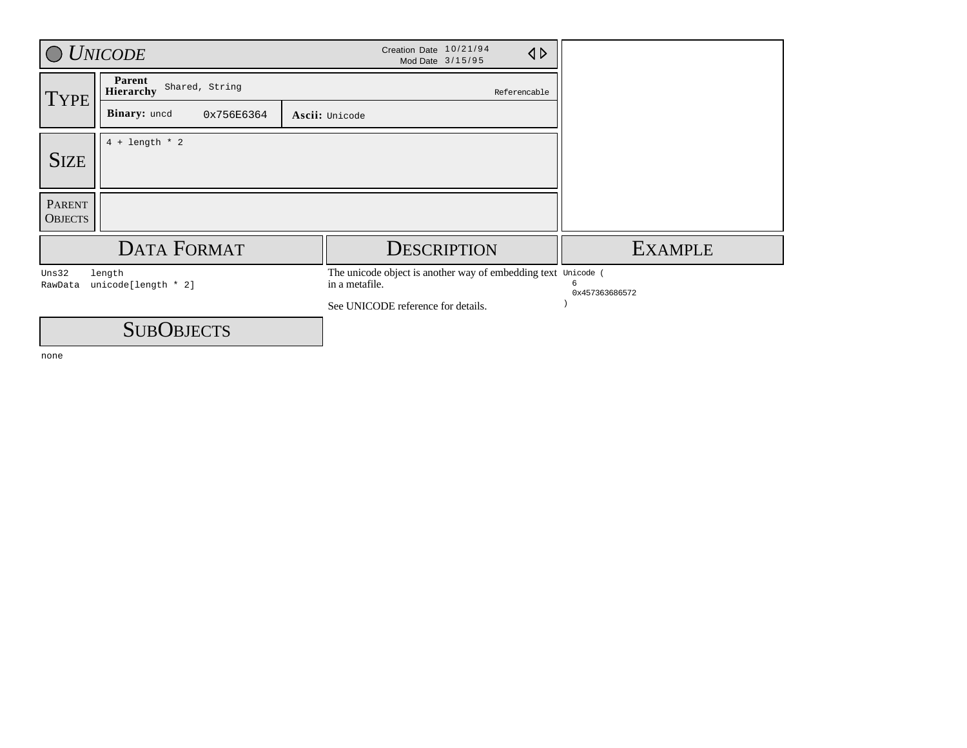|                                 | <b>UNICODE</b>                               | Creation Date 10/21/94<br>$\triangle$<br>Mod Date 3/15/95                                                             |                     |
|---------------------------------|----------------------------------------------|-----------------------------------------------------------------------------------------------------------------------|---------------------|
| <b>TYPE</b>                     | Parent<br>Shared, String<br><b>Hierarchy</b> | Referencable                                                                                                          |                     |
|                                 | Binary: uncd<br>0x756E6364                   | Ascii: Unicode                                                                                                        |                     |
| <b>SIZE</b>                     | $4 + length * 2$                             |                                                                                                                       |                     |
| <b>PARENT</b><br><b>OBJECTS</b> |                                              |                                                                                                                       |                     |
|                                 | <b>DATA FORMAT</b>                           | <b>DESCRIPTION</b>                                                                                                    | <b>EXAMPLE</b>      |
| Uns32<br>RawData                | length<br>unicode[length * 2]                | The unicode object is another way of embedding text Unicode (<br>in a metafile.<br>See UNICODE reference for details. | 6<br>0x457363686572 |
|                                 | <b>SUBOBJECTS</b>                            |                                                                                                                       |                     |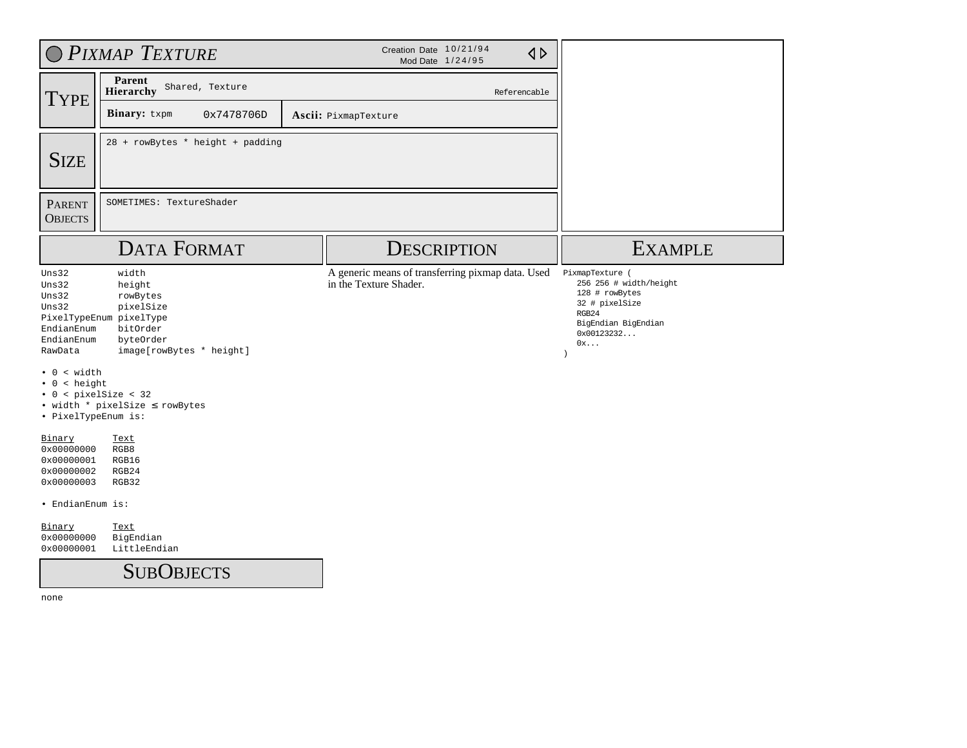|                                                                                                                                                                    | O PIXMAP TEXTURE                                                                                                                                           |  |                                                                             |                                                                                                                                   |
|--------------------------------------------------------------------------------------------------------------------------------------------------------------------|------------------------------------------------------------------------------------------------------------------------------------------------------------|--|-----------------------------------------------------------------------------|-----------------------------------------------------------------------------------------------------------------------------------|
| <b>TYPE</b>                                                                                                                                                        | Parent<br>Shared, Texture<br>Hierarchy                                                                                                                     |  | Referencable                                                                |                                                                                                                                   |
|                                                                                                                                                                    | Binary: txpm<br>0x7478706D                                                                                                                                 |  | <b>Ascii:</b> PixmapTexture                                                 |                                                                                                                                   |
| <b>SIZE</b>                                                                                                                                                        | 28 + rowBytes * height + padding                                                                                                                           |  |                                                                             |                                                                                                                                   |
| <b>PARENT</b><br><b>OBJECTS</b>                                                                                                                                    | SOMETIMES: TextureShader                                                                                                                                   |  |                                                                             |                                                                                                                                   |
|                                                                                                                                                                    | <b>DATA FORMAT</b>                                                                                                                                         |  | <b>DESCRIPTION</b>                                                          | <b>EXAMPLE</b>                                                                                                                    |
| Uns32<br>Uns32<br>Uns32<br>Uns32<br>EndianEnum<br>EndianEnum<br>RawData<br>0 < with<br>$\bullet$ 0 < height<br>$\bullet$ 0 < pixelSize < 32<br>· PixelTypeEnum is: | width<br>height<br>rowBytes<br>pixelSize<br>PixelTypeEnum pixelType<br>bitOrder<br>byteOrder<br>image[rowBytes * height]<br>• width * pixelSize < rowBytes |  | A generic means of transferring pixmap data. Used<br>in the Texture Shader. | PixmapTexture (<br>256 256 # width/height<br>128 # rowBytes<br>32 # pixelSize<br>RGB24<br>BigEndian BigEndian<br>0x00123232<br>0x |
| Binary<br>0x00000000<br>0x00000001<br>0x00000002<br>0x00000003                                                                                                     | <b>Text</b><br>RGB8<br>RGB16<br>RGB24<br>RGB32                                                                                                             |  |                                                                             |                                                                                                                                   |
| · EndianEnum is:<br>Binary<br>0x00000000<br>0x00000001                                                                                                             | <b>Text</b><br>BigEndian<br>LittleEndian                                                                                                                   |  |                                                                             |                                                                                                                                   |
|                                                                                                                                                                    | <b>SUBOBJECTS</b>                                                                                                                                          |  |                                                                             |                                                                                                                                   |
| none                                                                                                                                                               |                                                                                                                                                            |  |                                                                             |                                                                                                                                   |